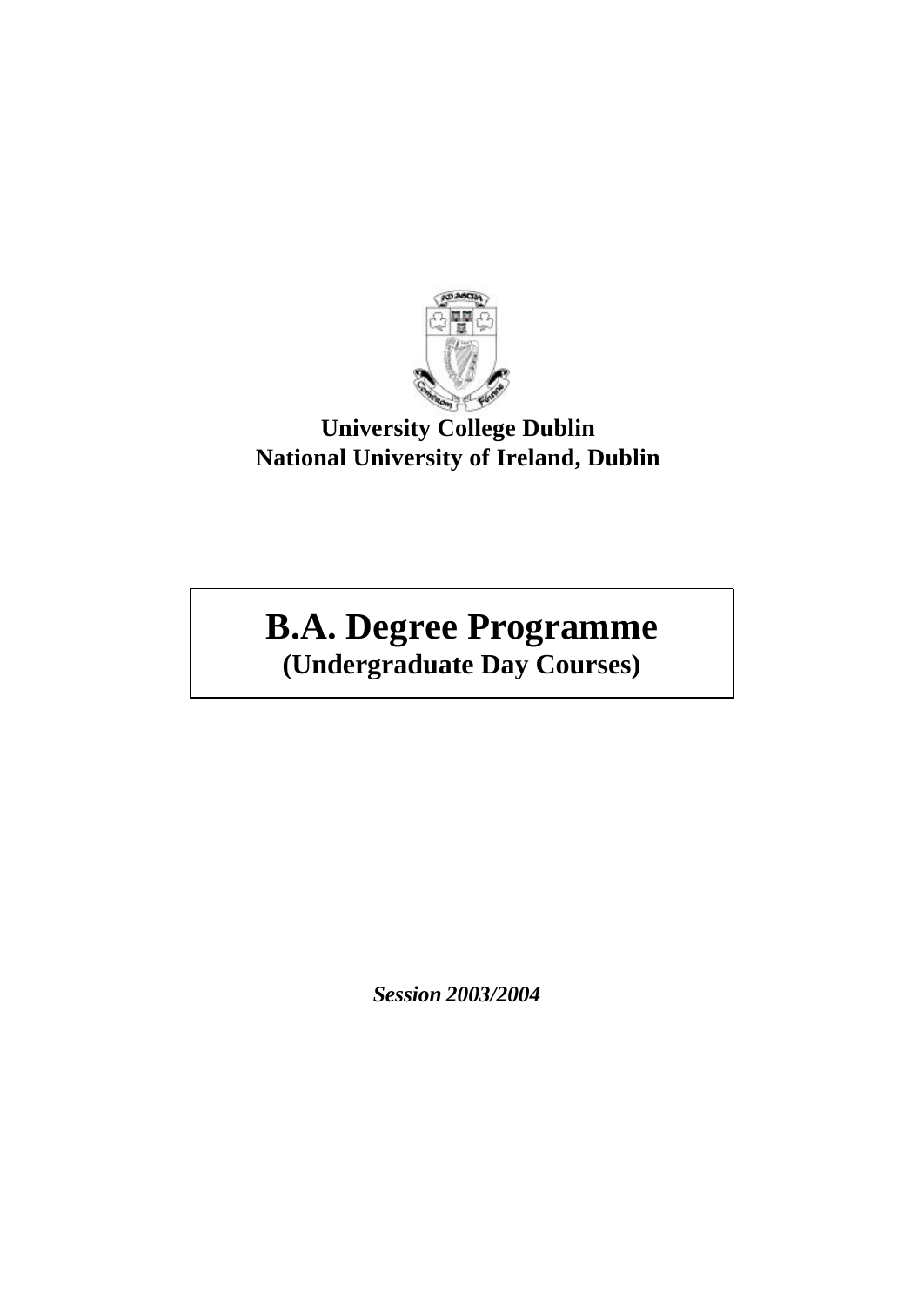

# **University College Dublin National University of Ireland, Dublin**

# **B.A. Degree Programme (Undergraduate Day Courses)**

*Session 2003/2004*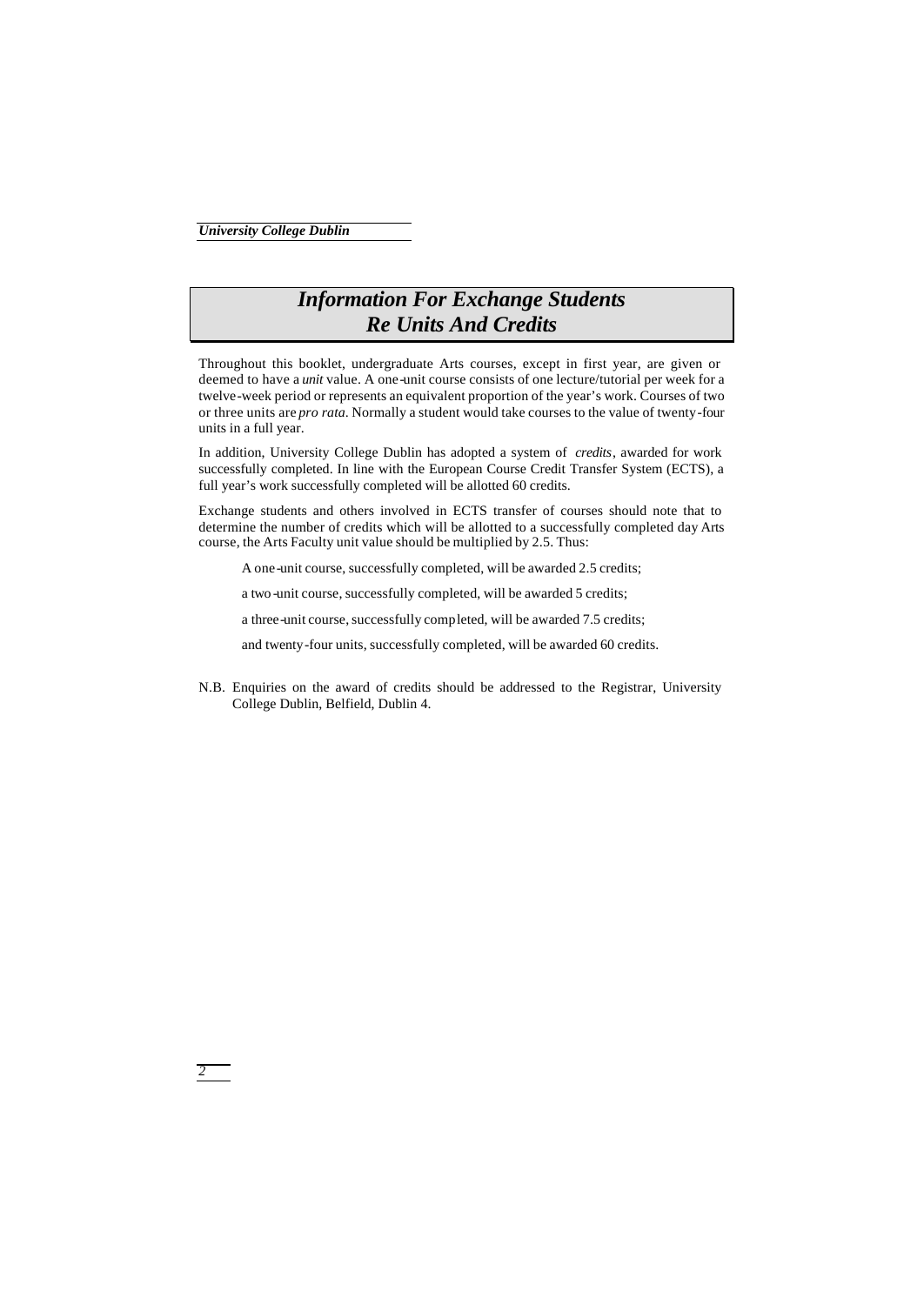## *Information For Exchange Students Re Units And Credits*

Throughout this booklet, undergraduate Arts courses, except in first year, are given or deemed to have a *unit* value. A one-unit course consists of one lecture/tutorial per week for a twelve-week period or represents an equivalent proportion of the year's work. Courses of two or three units are *pro rata*. Normally a student would take courses to the value of twenty-four units in a full year.

In addition, University College Dublin has adopted a system of *credits*, awarded for work successfully completed. In line with the European Course Credit Transfer System (ECTS), a full year's work successfully completed will be allotted 60 credits.

Exchange students and others involved in ECTS transfer of courses should note that to determine the number of credits which will be allotted to a successfully completed day Arts course, the Arts Faculty unit value should be multiplied by 2.5. Thus:

A one-unit course, successfully completed, will be awarded 2.5 credits;

a two -unit course, successfully completed, will be awarded 5 credits;

a three-unit course, successfully completed, will be awarded 7.5 credits;

and twenty-four units, successfully completed, will be awarded 60 credits.

N.B. Enquiries on the award of credits should be addressed to the Registrar, University College Dublin, Belfield, Dublin 4.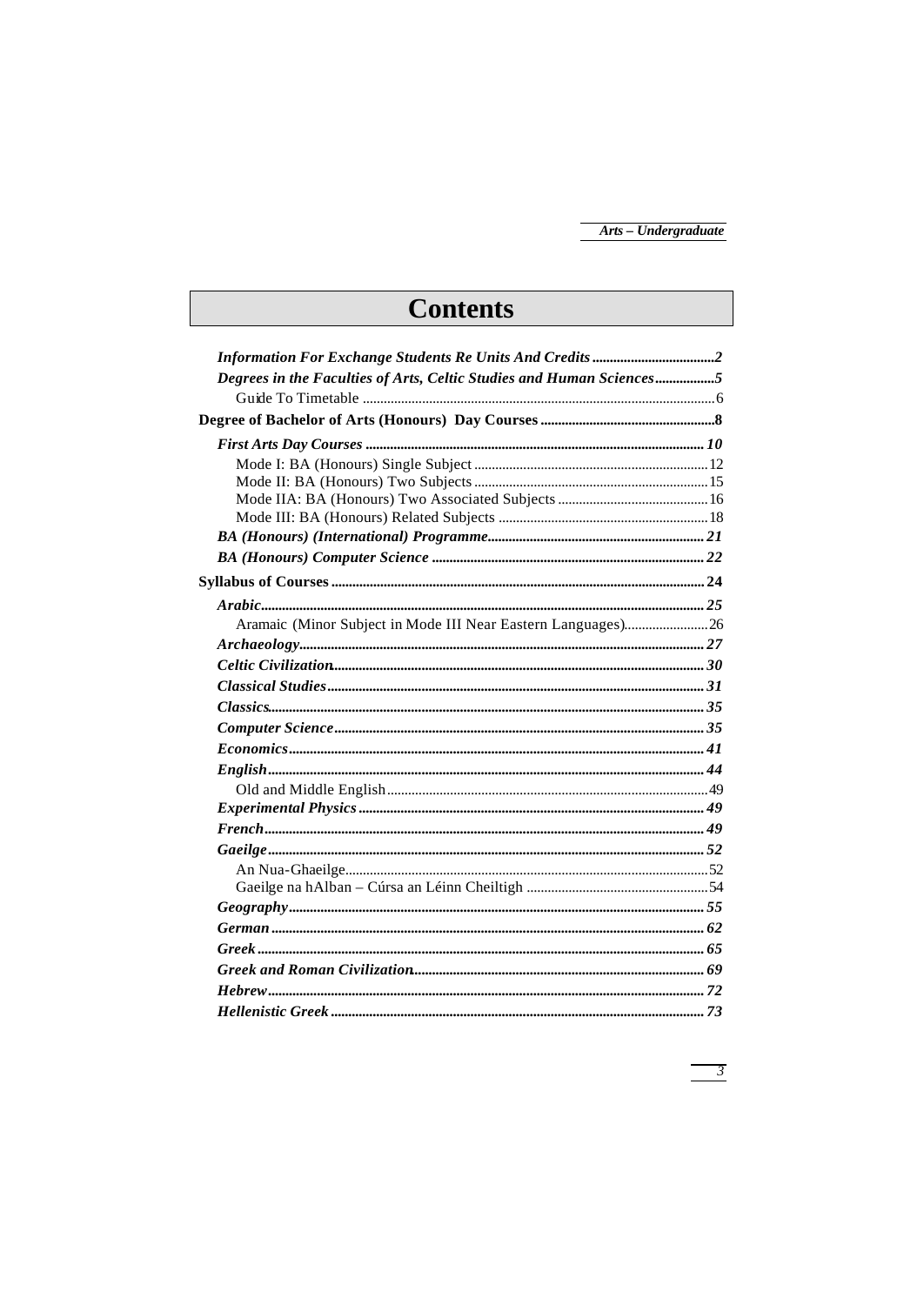# **Contents**

| Degrees in the Faculties of Arts, Celtic Studies and Human Sciences5 |  |
|----------------------------------------------------------------------|--|
|                                                                      |  |
|                                                                      |  |
|                                                                      |  |
|                                                                      |  |
|                                                                      |  |
|                                                                      |  |
|                                                                      |  |
|                                                                      |  |
|                                                                      |  |
|                                                                      |  |
|                                                                      |  |
|                                                                      |  |
|                                                                      |  |
|                                                                      |  |
|                                                                      |  |
|                                                                      |  |
|                                                                      |  |
|                                                                      |  |
|                                                                      |  |
|                                                                      |  |
|                                                                      |  |
|                                                                      |  |
|                                                                      |  |
|                                                                      |  |
|                                                                      |  |
|                                                                      |  |
|                                                                      |  |
|                                                                      |  |
|                                                                      |  |
|                                                                      |  |
|                                                                      |  |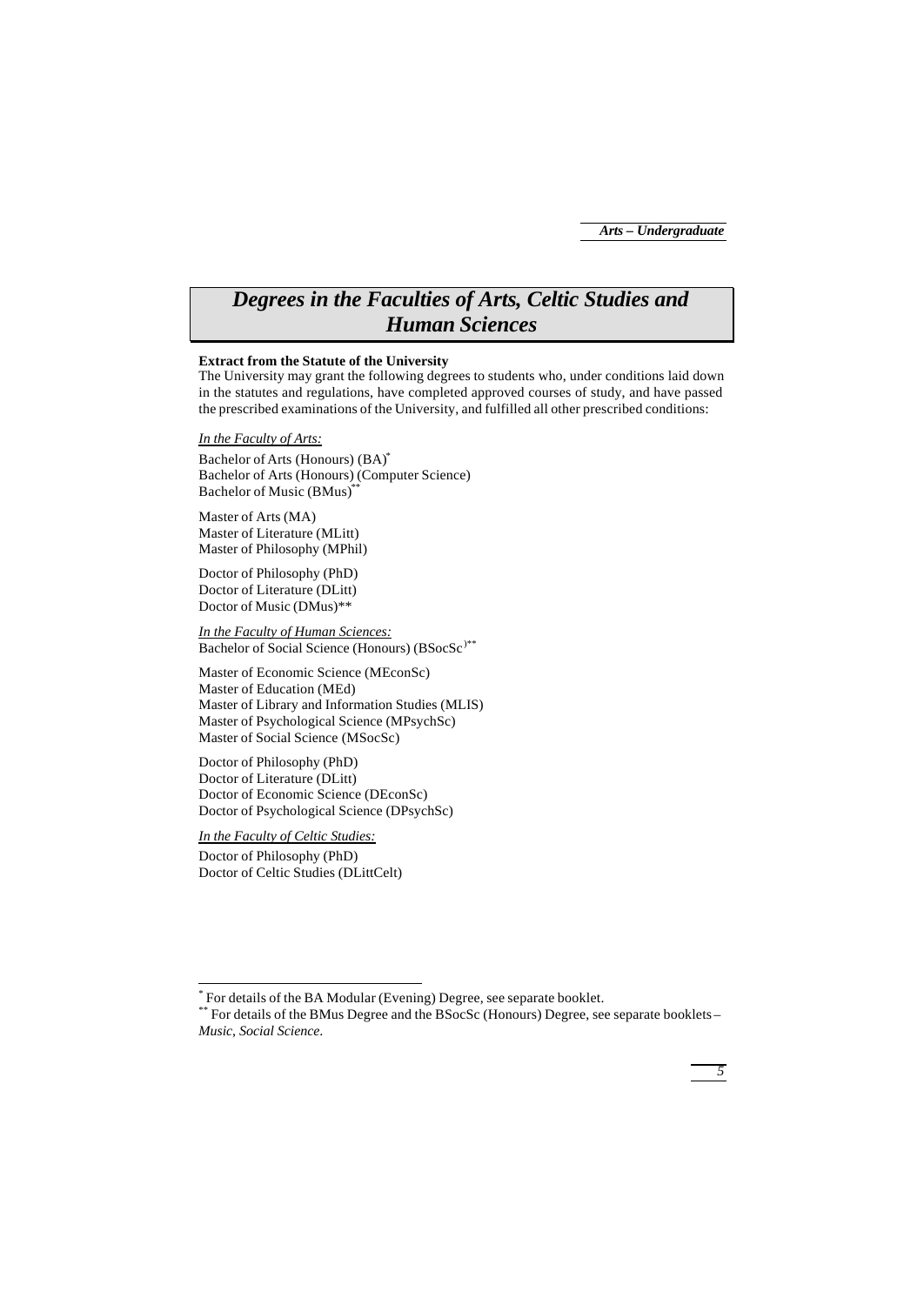*5*

## *Degrees in the Faculties of Arts, Celtic Studies and Human Sciences*

## **Extract from the Statute of the University**

The University may grant the following degrees to students who, under conditions laid down in the statutes and regulations, have completed approved courses of study, and have passed the prescribed examinations of the University, and fulfilled all other prescribed conditions:

## *In the Faculty of Arts:*

Bachelor of Arts (Honours) (BA)\* Bachelor of Arts (Honours) (Computer Science) Bachelor of Music (BMus)\*\*

Master of Arts (MA) Master of Literature (MLitt) Master of Philosophy (MPhil)

Doctor of Philosophy (PhD) Doctor of Literature (DLitt) Doctor of Music (DMus)\*\*

*In the Faculty of Human Sciences:* Bachelor of Social Science (Honours) (BSocSc<sup>)\*\*</sup>

Master of Economic Science (MEconSc) Master of Education (MEd) Master of Library and Information Studies (MLIS) Master of Psychological Science (MPsychSc) Master of Social Science (MSocSc)

Doctor of Philosophy (PhD) Doctor of Literature (DLitt) Doctor of Economic Science (DEconSc) Doctor of Psychological Science (DPsychSc)

*In the Faculty of Celtic Studies:*

j

Doctor of Philosophy (PhD) Doctor of Celtic Studies (DLittCelt)

<sup>\*</sup> For details of the BA Modular (Evening) Degree, see separate booklet.

<sup>\*\*</sup> For details of the BMus Degree and the BSocSc (Honours) Degree, see separate booklets – *Music*, *Social Science*.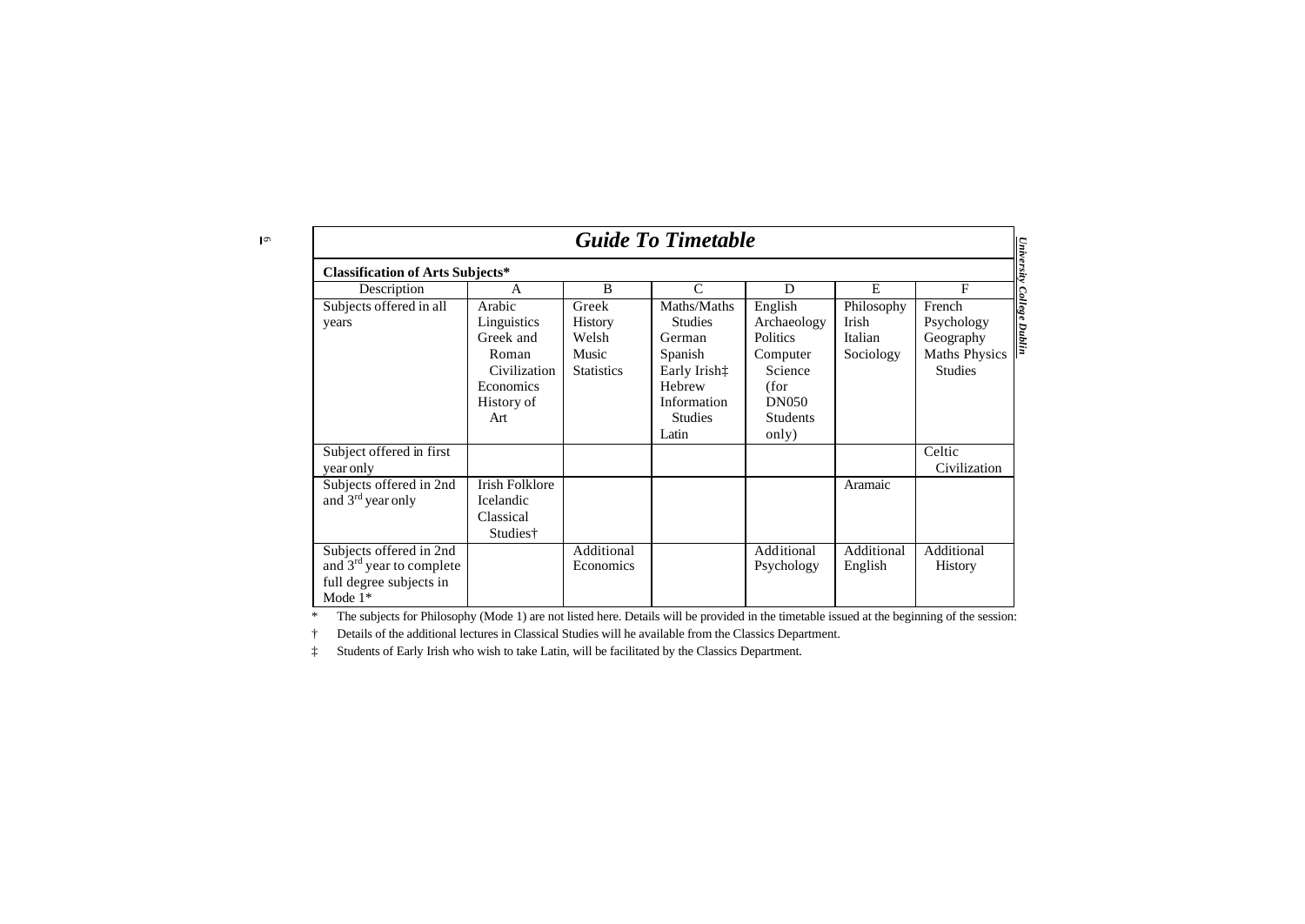$\sqrt{2}$ 

| <b>Guide To Timetable</b><br>University                                                                 |                                                                                               |                                                                |                                                                                                                                                       |                                                                                                                      |                                             |                                                                                                      |
|---------------------------------------------------------------------------------------------------------|-----------------------------------------------------------------------------------------------|----------------------------------------------------------------|-------------------------------------------------------------------------------------------------------------------------------------------------------|----------------------------------------------------------------------------------------------------------------------|---------------------------------------------|------------------------------------------------------------------------------------------------------|
| <b>Classification of Arts Subjects*</b>                                                                 |                                                                                               |                                                                |                                                                                                                                                       |                                                                                                                      |                                             |                                                                                                      |
| Description                                                                                             | A                                                                                             | B                                                              | $\mathsf{C}$                                                                                                                                          | D                                                                                                                    | E.                                          | F                                                                                                    |
| Subjects offered in all<br>years                                                                        | Arabic<br>Linguistics<br>Greek and<br>Roman<br>Civilization<br>Economics<br>History of<br>Art | Greek<br><b>History</b><br>Welsh<br>Music<br><b>Statistics</b> | Maths/Maths<br><b>Studies</b><br>German<br>Spanish<br>Early Irish <sup><math>\dagger</math></sup><br>Hebrew<br>Information<br><b>Studies</b><br>Latin | English<br>Archaeology<br><b>Politics</b><br>Computer<br>Science<br>(for<br><b>DN050</b><br><b>Students</b><br>only) | Philosophy<br>Irish<br>Italian<br>Sociology | <b>College Dublin</b><br>French<br>Psychology<br>Geography<br><b>Maths Physics</b><br><b>Studies</b> |
| Subject offered in first<br>year only                                                                   |                                                                                               |                                                                |                                                                                                                                                       |                                                                                                                      |                                             | Celtic<br>Civilization                                                                               |
| Subjects offered in 2nd<br>and 3 <sup>rd</sup> year only                                                | <b>Irish Folklore</b><br>Icelandic<br>Classical<br>Studies†                                   |                                                                |                                                                                                                                                       |                                                                                                                      | Aramaic                                     |                                                                                                      |
| Subjects offered in 2nd<br>and 3 <sup>rd</sup> year to complete<br>full degree subjects in<br>Mode $1*$ |                                                                                               | Additional<br>Economics                                        |                                                                                                                                                       | Additional<br>Psychology                                                                                             | Additional<br>English                       | Additional<br><b>History</b>                                                                         |

\* The subjects for Philosophy (Mode 1) are not listed here. Details will be provided in the timetable issued at the beginning of the session:

† Details of the additional lectures in Classical Studies will he available from the Classics Department.

‡ Students of Early Irish who wish to take Latin, will be facilitated by the Classics Department.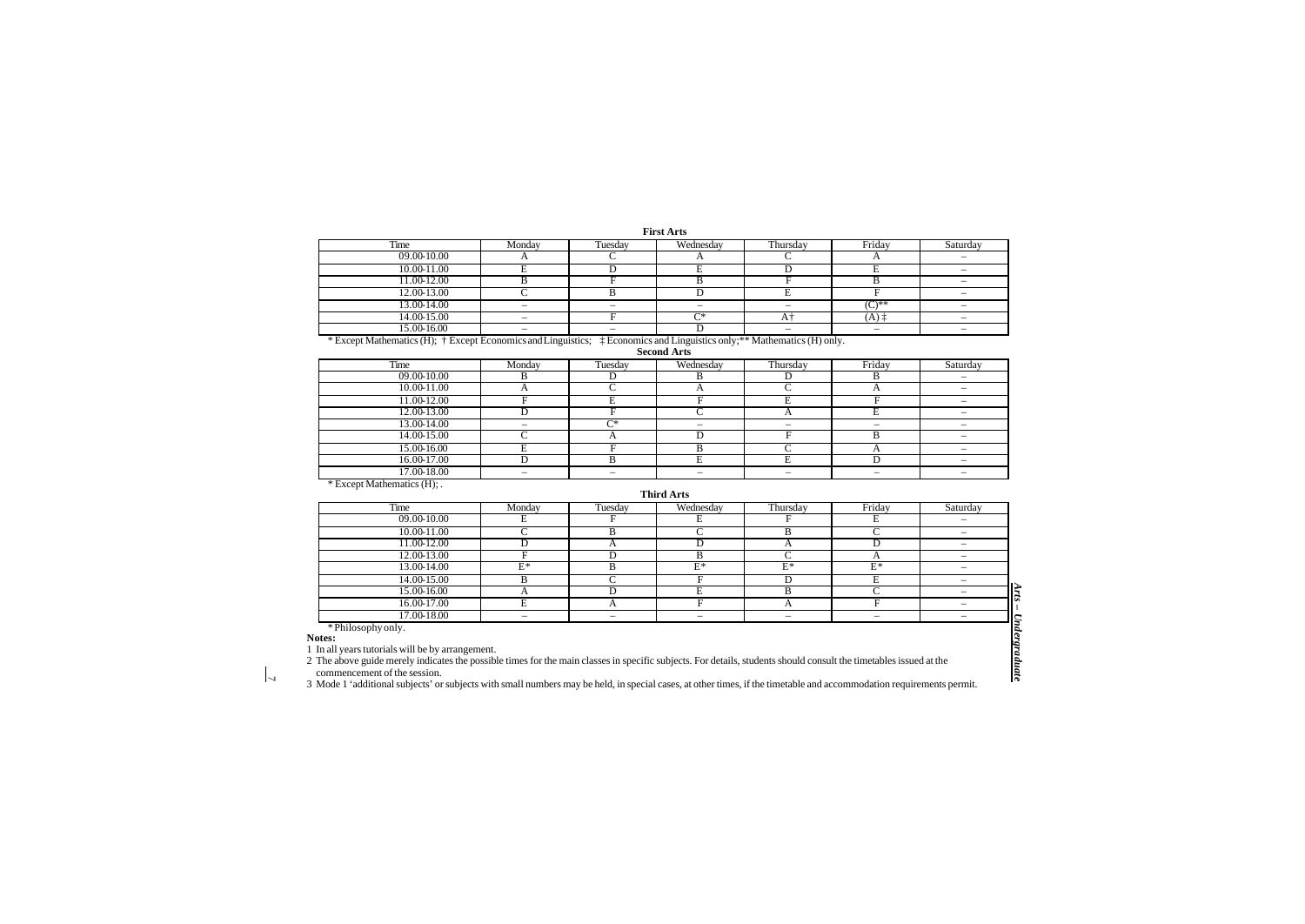**First Arts** 

| Time                                                                                                                                              | Monday | Tuesdav | Wednesdav | Thursday | Friday     | Saturday |
|---------------------------------------------------------------------------------------------------------------------------------------------------|--------|---------|-----------|----------|------------|----------|
| 09.00-10.00                                                                                                                                       |        |         |           |          |            |          |
| 10.00-11.00                                                                                                                                       |        |         |           |          |            |          |
| 11.00-12.00                                                                                                                                       |        |         |           |          |            |          |
| 12.00-13.00                                                                                                                                       |        |         |           |          |            |          |
| 13.00-14.00                                                                                                                                       |        |         |           |          | $(0^*)$ ** |          |
| 14.00-15.00                                                                                                                                       |        |         | ⌒∗        |          | (A)        |          |
| 15.00-16.00                                                                                                                                       |        |         |           | $\sim$   | $\sim$     |          |
| * Except Mathematics (H); † Except Economics and Linguistics;<br><sup>†</sup> Economics and Linguistics only; <sup>**</sup> Mathematics (H) only. |        |         |           |          |            |          |

**Second Arts** 

| Time                                                                                                                                                                                                                                                                                                                                                                                                                                                         | Monday | Tuesday | Wednesday | Thursday                 | Friday                   | Saturday                 |
|--------------------------------------------------------------------------------------------------------------------------------------------------------------------------------------------------------------------------------------------------------------------------------------------------------------------------------------------------------------------------------------------------------------------------------------------------------------|--------|---------|-----------|--------------------------|--------------------------|--------------------------|
| 09.00-10.00                                                                                                                                                                                                                                                                                                                                                                                                                                                  |        |         |           |                          |                          | $\sim$                   |
| 10.00-11.00                                                                                                                                                                                                                                                                                                                                                                                                                                                  |        |         |           |                          |                          | $\overline{\phantom{a}}$ |
| 11.00-12.00                                                                                                                                                                                                                                                                                                                                                                                                                                                  |        |         |           |                          |                          |                          |
| 12.00-13.00                                                                                                                                                                                                                                                                                                                                                                                                                                                  |        |         |           |                          |                          |                          |
| 13.00-14.00                                                                                                                                                                                                                                                                                                                                                                                                                                                  | -      | Γ*      | $\sim$    | $\sim$                   | $\overline{\phantom{a}}$ |                          |
| 14.00-15.00                                                                                                                                                                                                                                                                                                                                                                                                                                                  |        |         |           |                          |                          | $\overline{\phantom{a}}$ |
| 15.00-16.00                                                                                                                                                                                                                                                                                                                                                                                                                                                  |        |         |           |                          |                          |                          |
| 16.00-17.00                                                                                                                                                                                                                                                                                                                                                                                                                                                  |        |         |           |                          |                          | $\sim$                   |
| 17.00-18.00                                                                                                                                                                                                                                                                                                                                                                                                                                                  | -      |         |           | $\overline{\phantom{a}}$ |                          |                          |
| $\mathcal{L} = \mathcal{L} = \mathcal{L} = \mathcal{L} = \mathcal{L} = \mathcal{L} = \mathcal{L} = \mathcal{L} = \mathcal{L} = \mathcal{L} = \mathcal{L} = \mathcal{L} = \mathcal{L} = \mathcal{L} = \mathcal{L} = \mathcal{L} = \mathcal{L} = \mathcal{L} = \mathcal{L} = \mathcal{L} = \mathcal{L} = \mathcal{L} = \mathcal{L} = \mathcal{L} = \mathcal{L} = \mathcal{L} = \mathcal{L} = \mathcal{L} = \mathcal{L} = \mathcal{L} = \mathcal{L} = \mathcal$ |        |         |           |                          |                          |                          |

\* Except Mathematics (H); .

**Third Arts** 

| Time                                                                                                                                                                                                                                                                                                              | Monday | Tuesday | Wednesdav | Thursday | Friday | Saturday |  |
|-------------------------------------------------------------------------------------------------------------------------------------------------------------------------------------------------------------------------------------------------------------------------------------------------------------------|--------|---------|-----------|----------|--------|----------|--|
| 09.00-10.00                                                                                                                                                                                                                                                                                                       |        |         |           |          |        |          |  |
| 10.00-11.00                                                                                                                                                                                                                                                                                                       |        |         |           |          |        |          |  |
| 11.00-12.00                                                                                                                                                                                                                                                                                                       |        |         |           |          |        |          |  |
| 12.00-13.00                                                                                                                                                                                                                                                                                                       |        |         | B         |          |        |          |  |
| 13.00-14.00                                                                                                                                                                                                                                                                                                       | $E^*$  |         | $E^*$     | $E^*$    | F*     |          |  |
| 14.00-15.00                                                                                                                                                                                                                                                                                                       |        |         |           |          |        |          |  |
| 15.00-16.00                                                                                                                                                                                                                                                                                                       |        |         |           |          |        |          |  |
| 16.00-17.00                                                                                                                                                                                                                                                                                                       |        |         |           |          |        |          |  |
| 17.00-18.00                                                                                                                                                                                                                                                                                                       |        |         |           |          |        |          |  |
| * Philosophy only.                                                                                                                                                                                                                                                                                                |        |         |           |          |        |          |  |
| tes:                                                                                                                                                                                                                                                                                                              |        |         |           |          |        |          |  |
| n all years tutorials will be by arrangement.                                                                                                                                                                                                                                                                     |        |         |           |          |        |          |  |
| The above guide merely indicates the possible times for the main classes in specific subjects. For details, students should consult the timetables issued at the<br>ommencement of the session.<br>का सह समारा सामान करता है। इस सामान का सामान करता है। इस सामान के लिए समारा करने के लिए से सामान करने के लिए स |        |         |           |          |        |          |  |

**Notes:**

 $\overline{z}$ 

1 In all years tutorials will be by arrangement.

3 Mode 1 'additional subjects' or subjects with small numbers may be held, in special cases, at other times, if the timetable and accommodation requirements permit.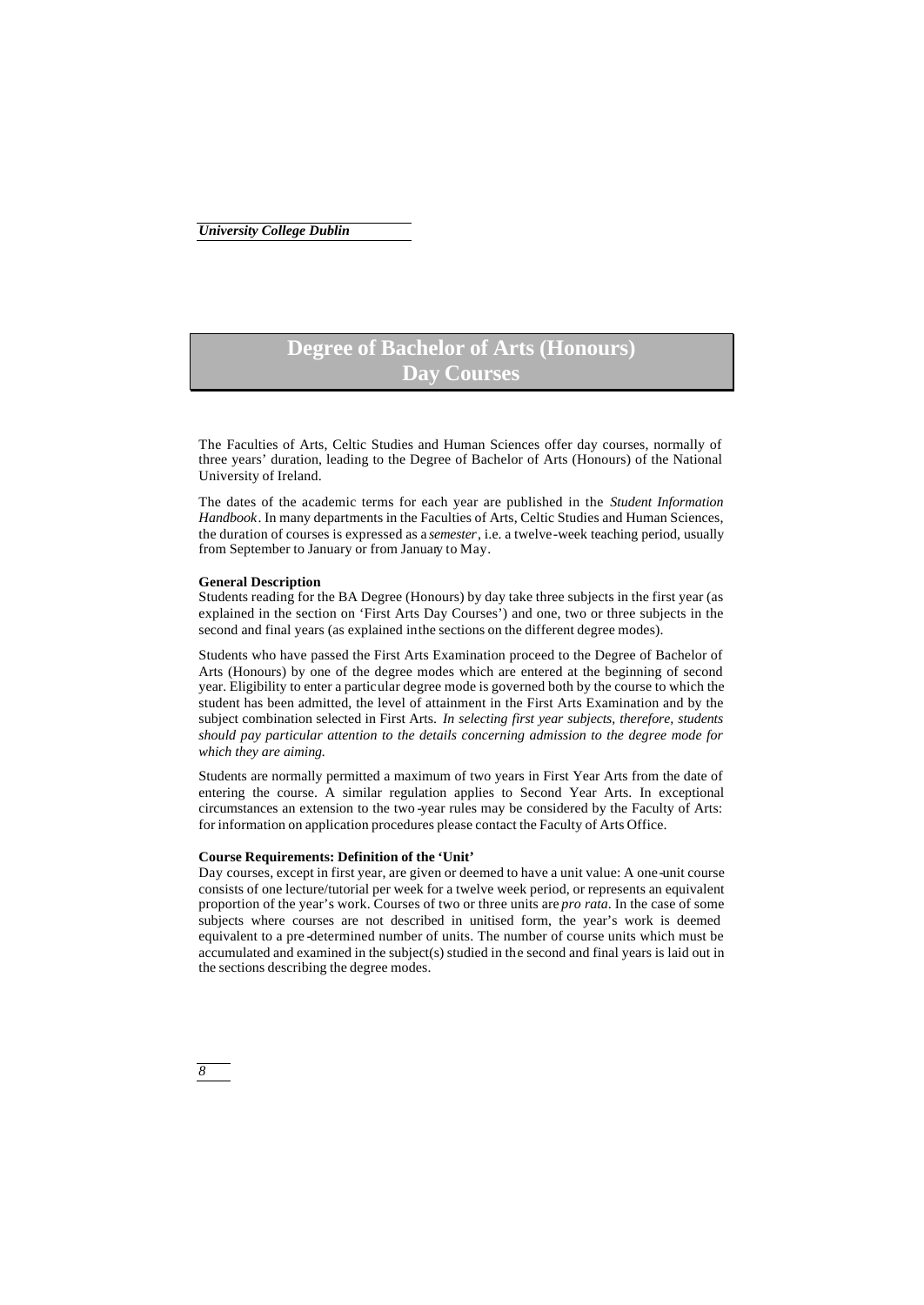## **Degree of Bachelor of Arts (Honours) Day Courses**

The Faculties of Arts, Celtic Studies and Human Sciences offer day courses, normally of three years' duration, leading to the Degree of Bachelor of Arts (Honours) of the National University of Ireland.

The dates of the academic terms for each year are published in the *Student Information Handbook*. In many departments in the Faculties of Arts, Celtic Studies and Human Sciences, the duration of courses is expressed as a *semester*, i.e. a twelve-week teaching period, usually from September to January or from January to May.

## **General Description**

*8*

Students reading for the BA Degree (Honours) by day take three subjects in the first year (as explained in the section on 'First Arts Day Courses') and one, two or three subjects in the second and final years (as explained in the sections on the different degree modes).

Students who have passed the First Arts Examination proceed to the Degree of Bachelor of Arts (Honours) by one of the degree modes which are entered at the beginning of second year. Eligibility to enter a particular degree mode is governed both by the course to which the student has been admitted, the level of attainment in the First Arts Examination and by the subject combination selected in First Arts. *In selecting first year subjects, therefore, students should pay particular attention to the details concerning admission to the degree mode for which they are aiming.*

Students are normally permitted a maximum of two years in First Year Arts from the date of entering the course. A similar regulation applies to Second Year Arts. In exceptional circumstances an extension to the two -year rules may be considered by the Faculty of Arts: for information on application procedures please contact the Faculty of Arts Office.

## **Course Requirements: Definition of the 'Unit'**

Day courses, except in first year, are given or deemed to have a unit value: A one-unit course consists of one lecture/tutorial per week for a twelve week period, or represents an equivalent proportion of the year's work. Courses of two or three units are *pro rata*. In the case of some subjects where courses are not described in unitised form, the year's work is deemed equivalent to a pre -determined number of units. The number of course units which must be accumulated and examined in the subject(s) studied in the second and final years is laid out in the sections describing the degree modes.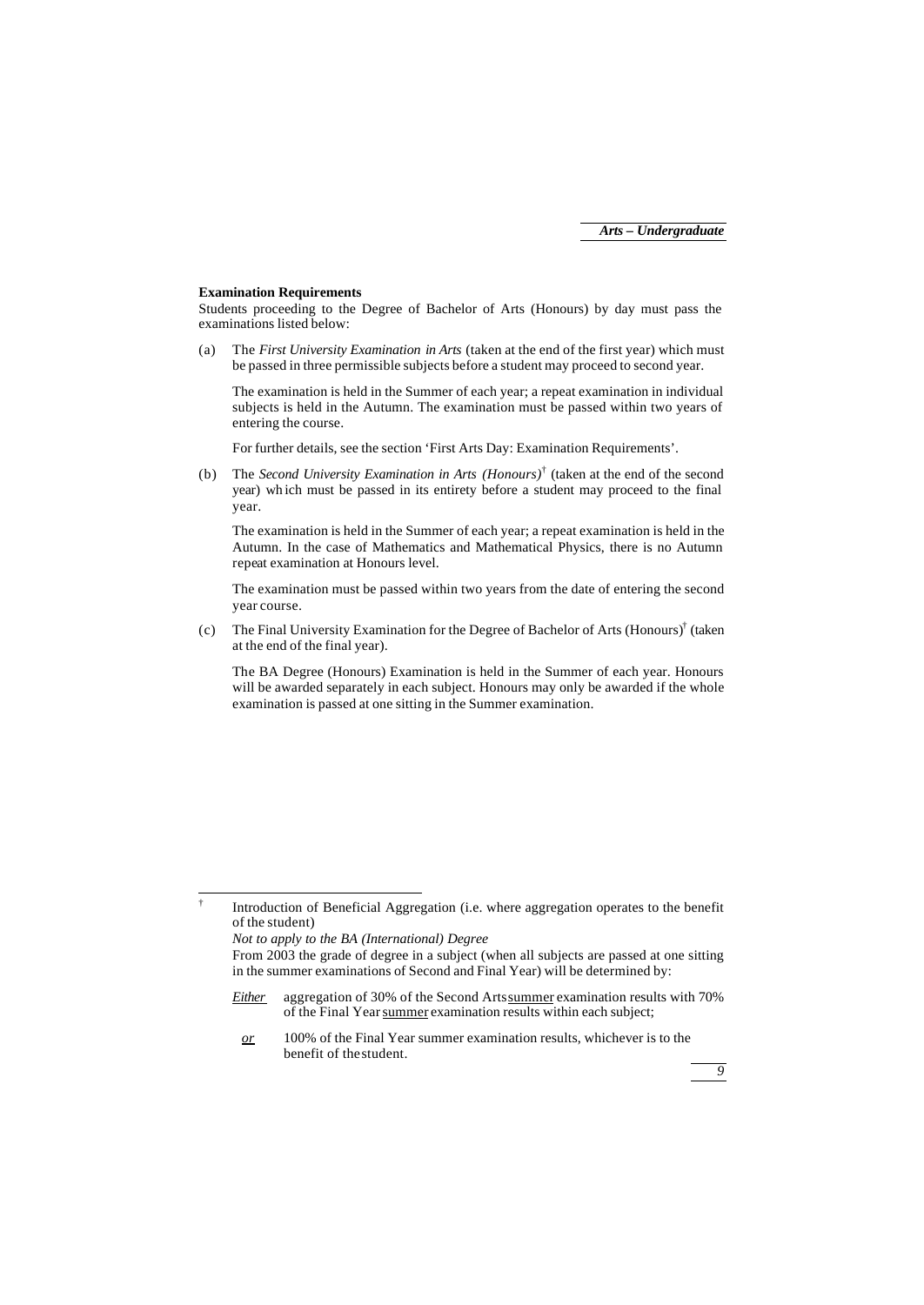#### **Examination Requirements**

Students proceeding to the Degree of Bachelor of Arts (Honours) by day must pass the examinations listed below:

(a) The *First University Examination in Arts* (taken at the end of the first year) which must be passed in three permissible subjects before a student may proceed to second year.

The examination is held in the Summer of each year; a repeat examination in individual subjects is held in the Autumn. The examination must be passed within two years of entering the course.

For further details, see the section 'First Arts Day: Examination Requirements'.

(b) The *Second University Examination in Arts (Honours)*† (taken at the end of the second year) wh ich must be passed in its entirety before a student may proceed to the final year.

The examination is held in the Summer of each year; a repeat examination is held in the Autumn. In the case of Mathematics and Mathematical Physics, there is no Autumn repeat examination at Honours level.

The examination must be passed within two years from the date of entering the second year course.

(c) The Final University Examination for the Degree of Bachelor of Arts (Honours)† (taken at the end of the final year).

The BA Degree (Honours) Examination is held in the Summer of each year. Honours will be awarded separately in each subject. Honours may only be awarded if the whole examination is passed at one sitting in the Summer examination.

j †

*or* 100% of the Final Year summer examination results, whichever is to the benefit of the student.



Introduction of Beneficial Aggregation (i.e. where aggregation operates to the benefit of the student)

*Not to apply to the BA (International) Degree*

From 2003 the grade of degree in a subject (when all subjects are passed at one sitting in the summer examinations of Second and Final Year) will be determined by:

*Either* aggregation of 30% of the Second Arts summer examination results with 70% of the Final Year summer examination results within each subject;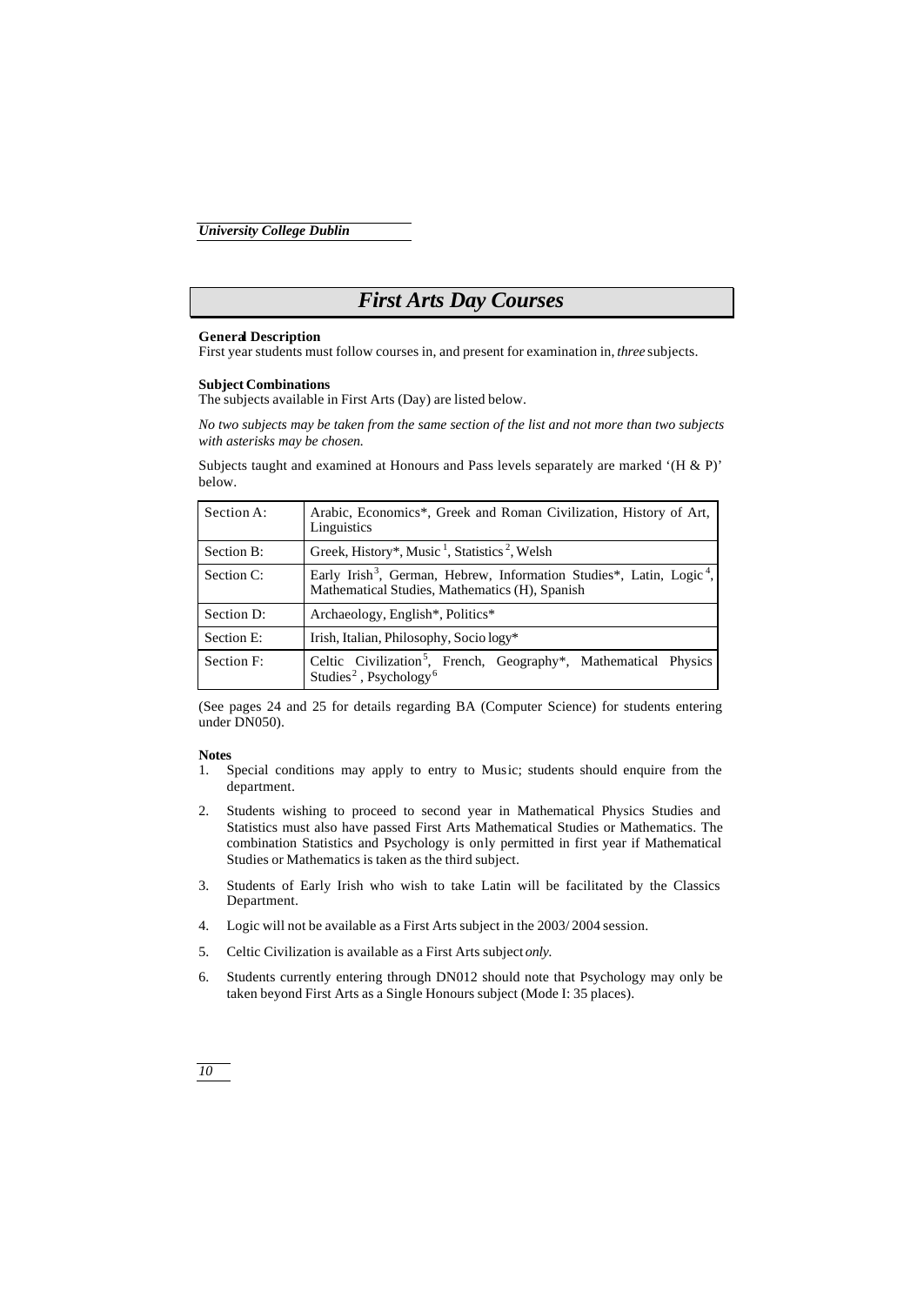## *First Arts Day Courses*

### **General Description**

First year students must follow courses in, and present for examination in, *three* subjects.

### **Subject Combinations**

The subjects available in First Arts (Day) are listed below.

*No two subjects may be taken from the same section of the list and not more than two subjects with asterisks may be chosen.*

Subjects taught and examined at Honours and Pass levels separately are marked '(H & P)' below.

| Section A: | Arabic, Economics*, Greek and Roman Civilization, History of Art,<br>Linguistics                                                               |
|------------|------------------------------------------------------------------------------------------------------------------------------------------------|
| Section B: | Greek, History*, Music <sup>1</sup> , Statistics <sup>2</sup> , Welsh                                                                          |
| Section C: | Early Irish <sup>3</sup> , German, Hebrew, Information Studies*, Latin, Logic <sup>4</sup> ,<br>Mathematical Studies, Mathematics (H), Spanish |
| Section D: | Archaeology, English*, Politics*                                                                                                               |
| Section E: | Irish, Italian, Philosophy, Socio logy*                                                                                                        |
| Section F: | Celtic Civilization <sup>5</sup> , French, Geography*, Mathematical Physics<br>Studies <sup>2</sup> , Psychology <sup>6</sup>                  |

(See pages 24 and 25 for details regarding BA (Computer Science) for students entering under DN050).

## **Notes**

- 1. Special conditions may apply to entry to Music; students should enquire from the department.
- 2. Students wishing to proceed to second year in Mathematical Physics Studies and Statistics must also have passed First Arts Mathematical Studies or Mathematics. The combination Statistics and Psychology is only permitted in first year if Mathematical Studies or Mathematics is taken as the third subject.
- 3. Students of Early Irish who wish to take Latin will be facilitated by the Classics Department.
- 4. Logic will not be available as a First Arts subject in the 2003/ 2004 session.
- 5. Celtic Civilization is available as a First Arts subject *only.*
- 6. Students currently entering through DN012 should note that Psychology may only be taken beyond First Arts as a Single Honours subject (Mode I: 35 places).

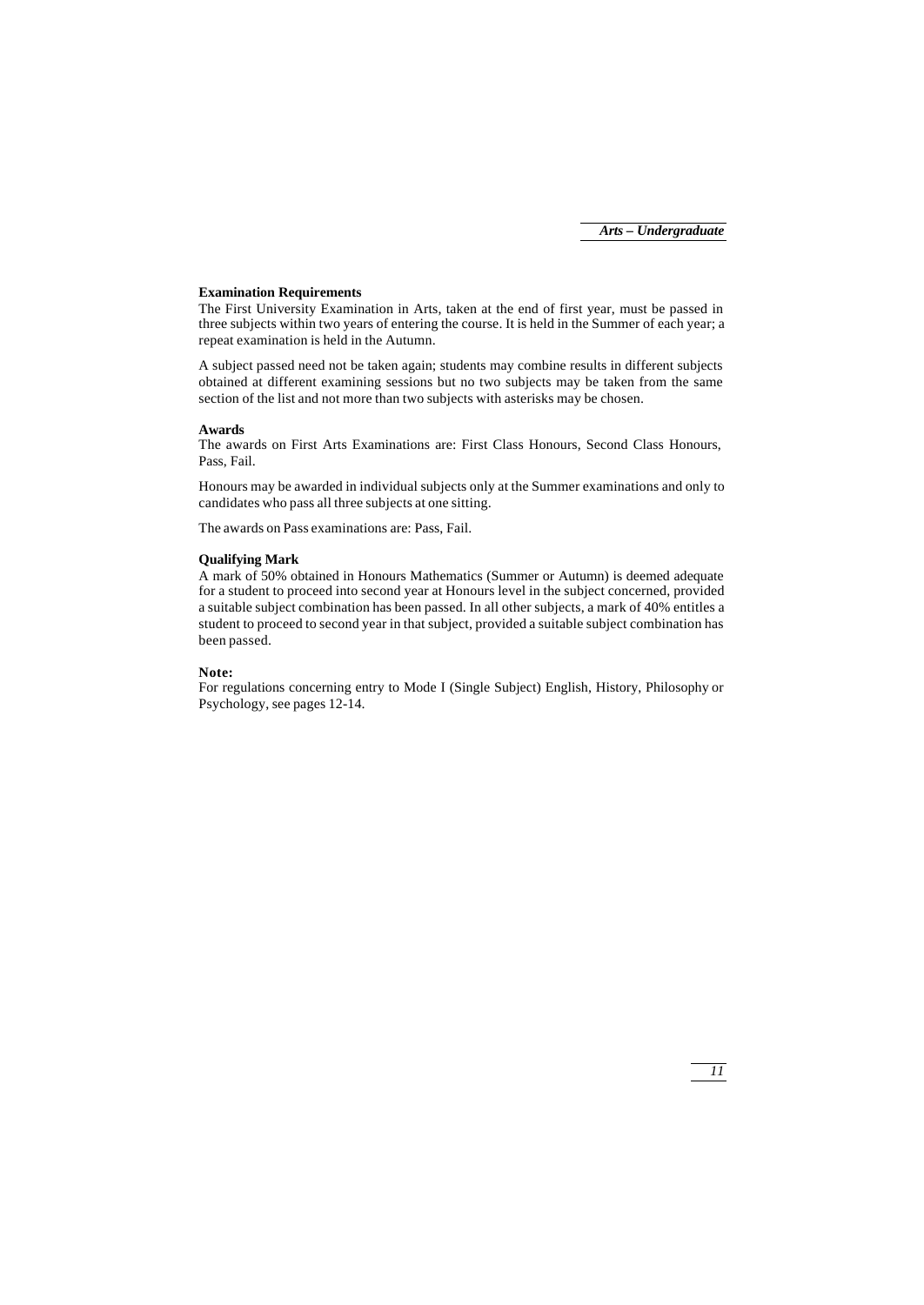## **Examination Requirements**

The First University Examination in Arts, taken at the end of first year, must be passed in three subjects within two years of entering the course. It is held in the Summer of each year; a repeat examination is held in the Autumn.

A subject passed need not be taken again; students may combine results in different subjects obtained at different examining sessions but no two subjects may be taken from the same section of the list and not more than two subjects with asterisks may be chosen.

## **Awards**

The awards on First Arts Examinations are: First Class Honours, Second Class Honours, Pass, Fail.

Honours may be awarded in individual subjects only at the Summer examinations and only to candidates who pass all three subjects at one sitting.

The awards on Pass examinations are: Pass, Fail.

## **Qualifying Mark**

A mark of 50% obtained in Honours Mathematics (Summer or Autumn) is deemed adequate for a student to proceed into second year at Honours level in the subject concerned, provided a suitable subject combination has been passed. In all other subjects, a mark of 40% entitles a student to proceed to second year in that subject, provided a suitable subject combination has been passed.

## **Note:**

For regulations concerning entry to Mode I (Single Subject) English, History, Philosophy or Psychology, see pages 12-14.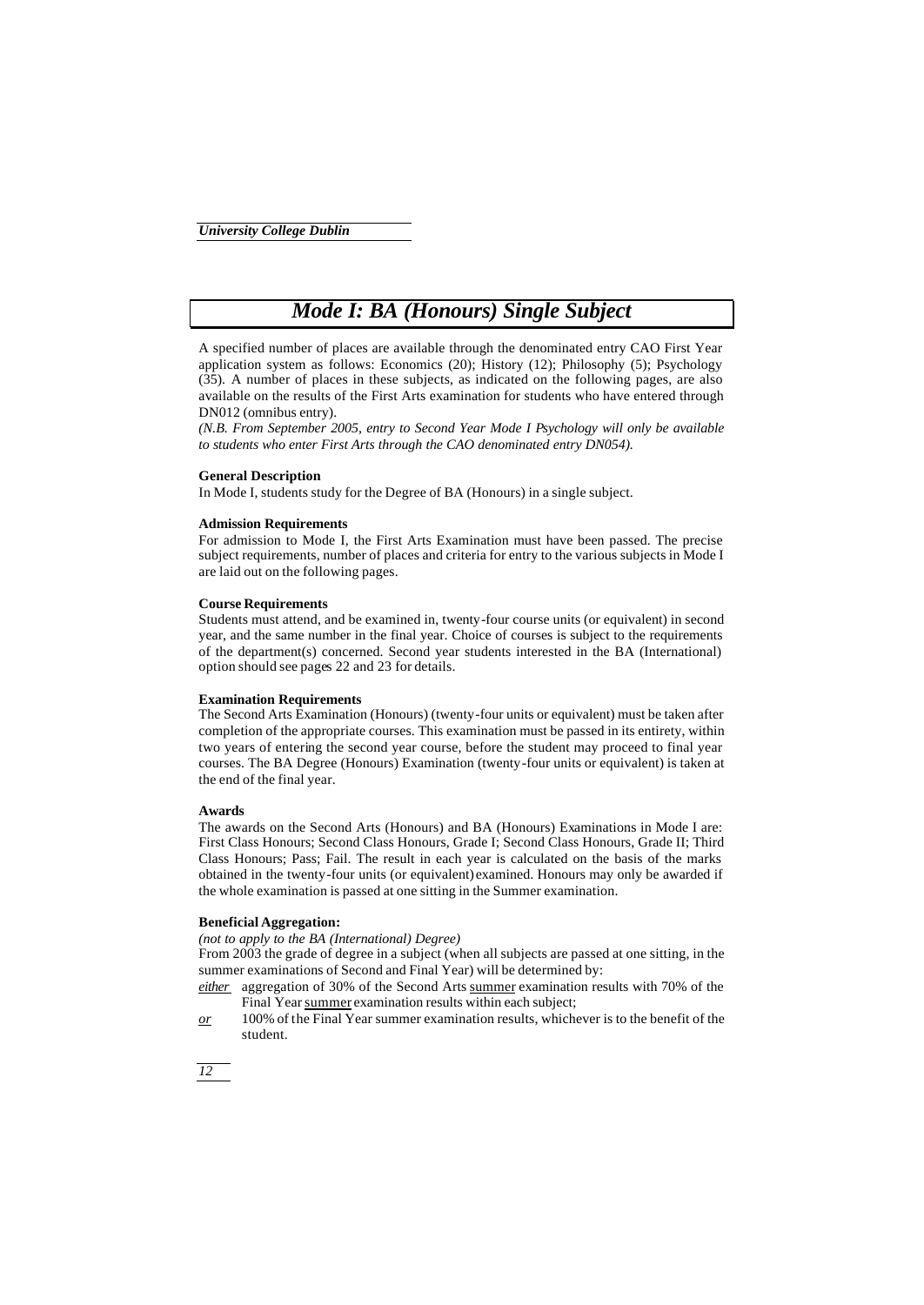## *Mode I: BA (Honours) Single Subject*

A specified number of places are available through the denominated entry CAO First Year application system as follows: Economics (20); History (12); Philosophy (5); Psychology (35). A number of places in these subjects, as indicated on the following pages, are also available on the results of the First Arts examination for students who have entered through DN012 (omnibus entry).

*(N.B. From September 2005, entry to Second Year Mode I Psychology will only be available to students who enter First Arts through the CAO denominated entry DN054).*

#### **General Description**

In Mode I, students study for the Degree of BA (Honours) in a single subject.

## **Admission Requirements**

For admission to Mode I, the First Arts Examination must have been passed. The precise subject requirements, number of places and criteria for entry to the various subjects in Mode I are laid out on the following pages.

## **Course Requirements**

Students must attend, and be examined in, twenty-four course units (or equivalent) in second year, and the same number in the final year. Choice of courses is subject to the requirements of the department(s) concerned. Second year students interested in the BA (International) option should see pages 22 and 23 for details.

#### **Examination Requirements**

The Second Arts Examination (Honours) (twenty-four units or equivalent) must be taken after completion of the appropriate courses. This examination must be passed in its entirety, within two years of entering the second year course, before the student may proceed to final year courses. The BA Degree (Honours) Examination (twenty-four units or equivalent) is taken at the end of the final year.

#### **Awards**

The awards on the Second Arts (Honours) and BA (Honours) Examinations in Mode I are: First Class Honours; Second Class Honours, Grade I; Second Class Honours, Grade II; Third Class Honours; Pass; Fail. The result in each year is calculated on the basis of the marks obtained in the twenty-four units (or equivalent) examined. Honours may only be awarded if the whole examination is passed at one sitting in the Summer examination.

## **Beneficial Aggregation:**

*(not to apply to the BA (International) Degree)*

From 2003 the grade of degree in a subject (when all subjects are passed at one sitting, in the summer examinations of Second and Final Year) will be determined by:

*either* aggregation of 30% of the Second Arts summer examination results with 70% of the Final Year summer examination results within each subject;

*or* 100% of the Final Year summer examination results, whichever is to the benefit of the student.

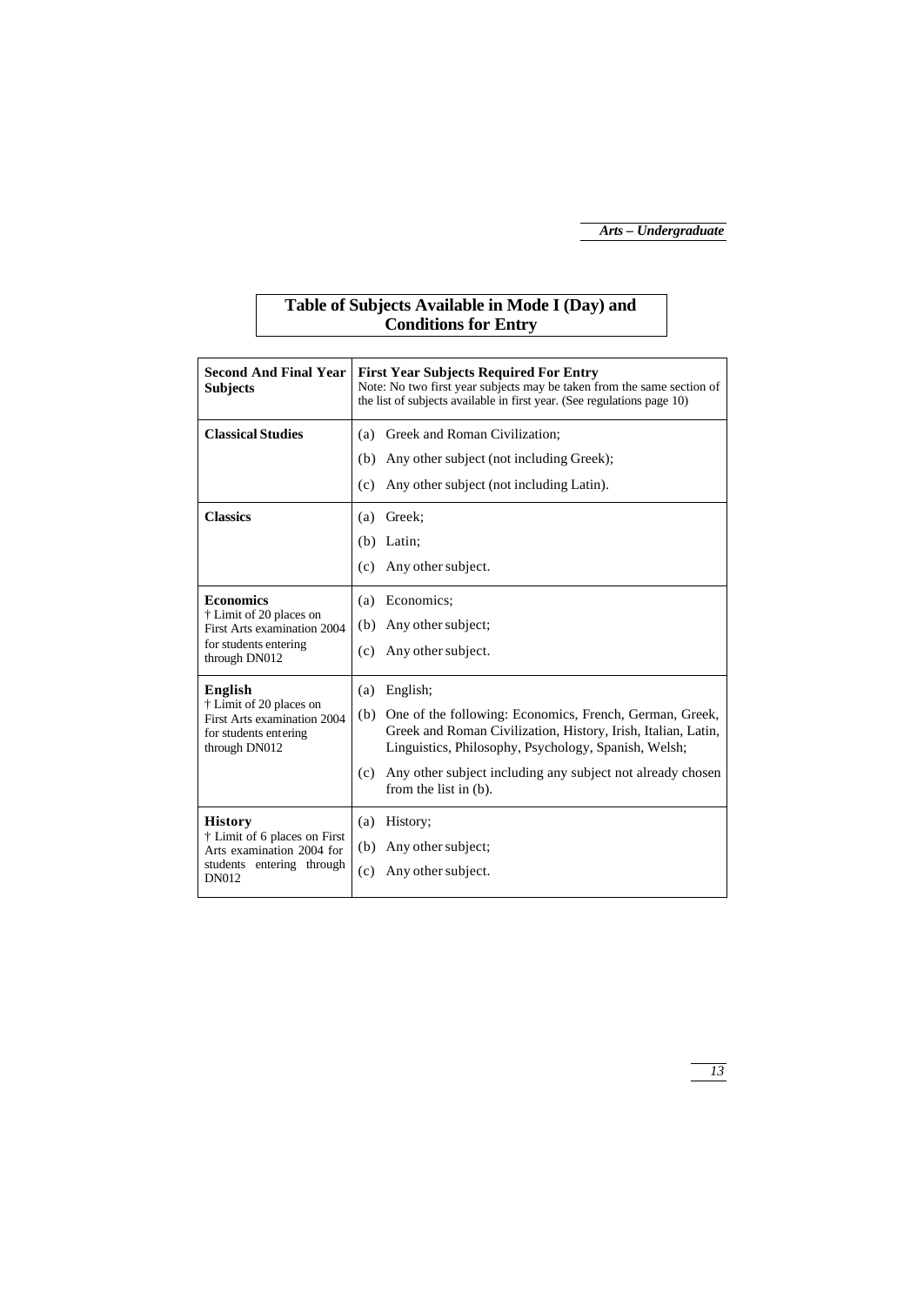## **Table of Subjects Available in Mode I (Day) and Conditions for Entry**

| <b>Second And Final Year</b><br><b>Subjects</b>                                                                          | <b>First Year Subjects Required For Entry</b><br>Note: No two first year subjects may be taken from the same section of<br>the list of subjects available in first year. (See regulations page 10)                                                                                                       |  |  |
|--------------------------------------------------------------------------------------------------------------------------|----------------------------------------------------------------------------------------------------------------------------------------------------------------------------------------------------------------------------------------------------------------------------------------------------------|--|--|
| <b>Classical Studies</b>                                                                                                 | Greek and Roman Civilization;<br>(a)<br>Any other subject (not including Greek);<br>(b)<br>Any other subject (not including Latin).<br>(c)                                                                                                                                                               |  |  |
| <b>Classics</b>                                                                                                          | Greek:<br>(a)<br>Latin;<br>(b)<br>Any other subject.<br>(c)                                                                                                                                                                                                                                              |  |  |
| <b>Economics</b><br>† Limit of 20 places on<br>First Arts examination 2004<br>for students entering<br>through DN012     | Economics:<br>(a)<br>Any other subject;<br>(b)<br>Any other subject.<br>(c)                                                                                                                                                                                                                              |  |  |
| English<br>† Limit of 20 places on<br>First Arts examination 2004<br>for students entering<br>through DN012              | English;<br>(a)<br>One of the following: Economics, French, German, Greek,<br>(b)<br>Greek and Roman Civilization, History, Irish, Italian, Latin,<br>Linguistics, Philosophy, Psychology, Spanish, Welsh;<br>(c)<br>Any other subject including any subject not already chosen<br>from the list in (b). |  |  |
| <b>History</b><br>† Limit of 6 places on First<br>Arts examination 2004 for<br>students entering through<br><b>DN012</b> | (a)<br>History;<br>Any other subject;<br>(b)<br>Any other subject.<br>(c)                                                                                                                                                                                                                                |  |  |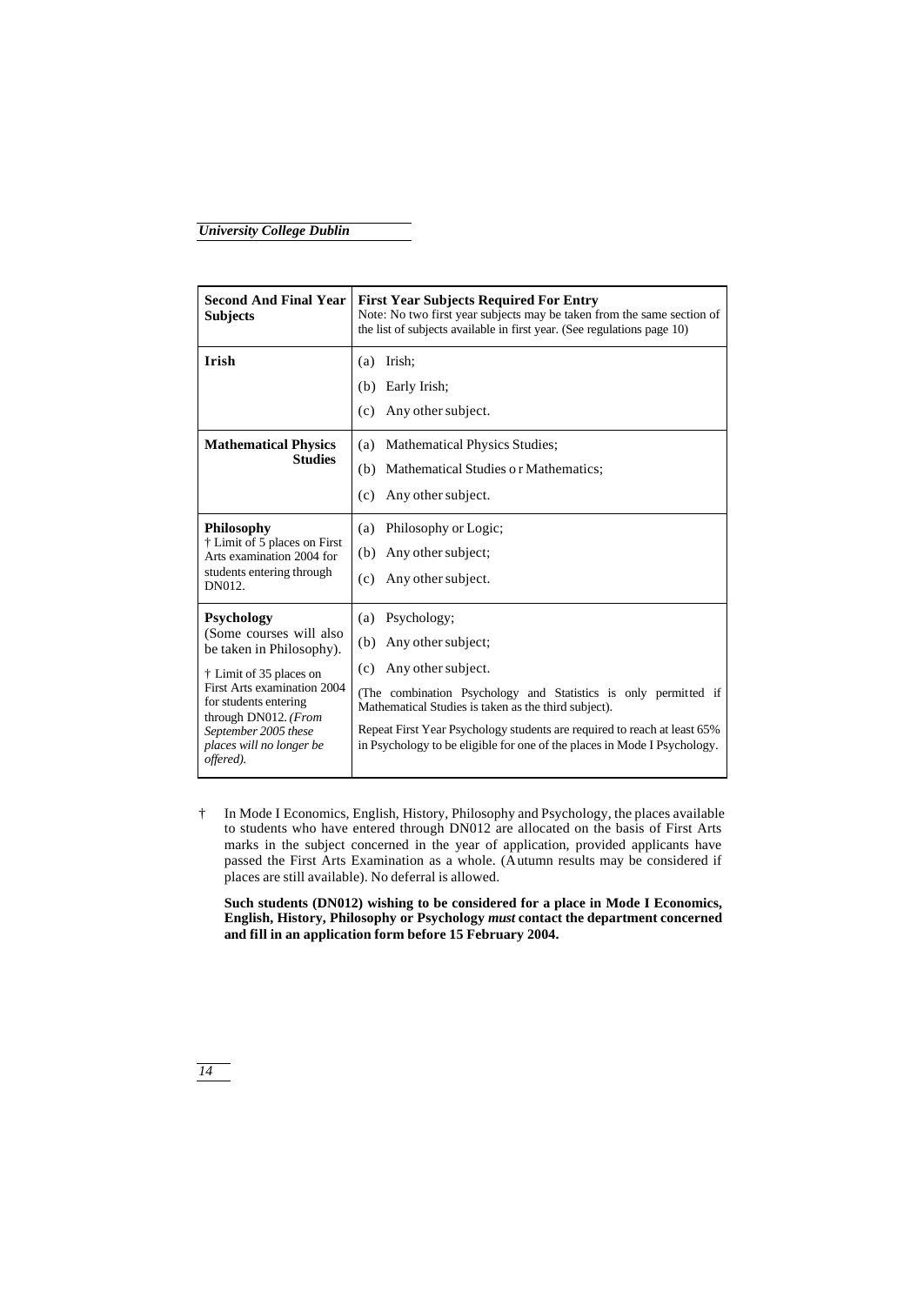| <b>Second And Final Year</b><br><b>Subjects</b>                                                                                                                                                                                               | <b>First Year Subjects Required For Entry</b><br>Note: No two first year subjects may be taken from the same section of<br>the list of subjects available in first year. (See regulations page 10)                                                                                                                                                              |  |  |
|-----------------------------------------------------------------------------------------------------------------------------------------------------------------------------------------------------------------------------------------------|-----------------------------------------------------------------------------------------------------------------------------------------------------------------------------------------------------------------------------------------------------------------------------------------------------------------------------------------------------------------|--|--|
| Irish                                                                                                                                                                                                                                         | (a)<br>Irish:<br>Early Irish;<br>(b)<br>Any other subject.<br>(c)                                                                                                                                                                                                                                                                                               |  |  |
| <b>Mathematical Physics</b><br><b>Studies</b>                                                                                                                                                                                                 | <b>Mathematical Physics Studies;</b><br>(a)<br>(b) Mathematical Studies or Mathematics;<br>Any other subject.<br>(c)                                                                                                                                                                                                                                            |  |  |
| <b>Philosophy</b><br>† Limit of 5 places on First<br>Arts examination 2004 for<br>students entering through<br>DN012.                                                                                                                         | Philosophy or Logic;<br>(a)<br>Any other subject;<br>(b)<br>Any other subject.<br>(c)                                                                                                                                                                                                                                                                           |  |  |
| Psychology<br>(Some courses will also<br>be taken in Philosophy).<br>† Limit of 35 places on<br>First Arts examination 2004<br>for students entering<br>through DN012. (From<br>September 2005 these<br>places will no longer be<br>offered). | Psychology;<br>(a)<br>Any other subject;<br>(b)<br>Any other subject.<br>(c)<br>(The combination Psychology and Statistics is only permitted if<br>Mathematical Studies is taken as the third subject).<br>Repeat First Year Psychology students are required to reach at least 65%<br>in Psychology to be eligible for one of the places in Mode I Psychology. |  |  |

† In Mode I Economics, English, History, Philosophy and Psychology, the places available to students who have entered through DN012 are allocated on the basis of First Arts marks in the subject concerned in the year of application, provided applicants have passed the First Arts Examination as a whole. (Autumn results may be considered if places are still available). No deferral is allowed.

**Such students (DN012) wishing to be considered for a place in Mode I Economics, English, History, Philosophy or Psychology** *must* **contact the department concerned and fill in an application form before 15 February 2004.**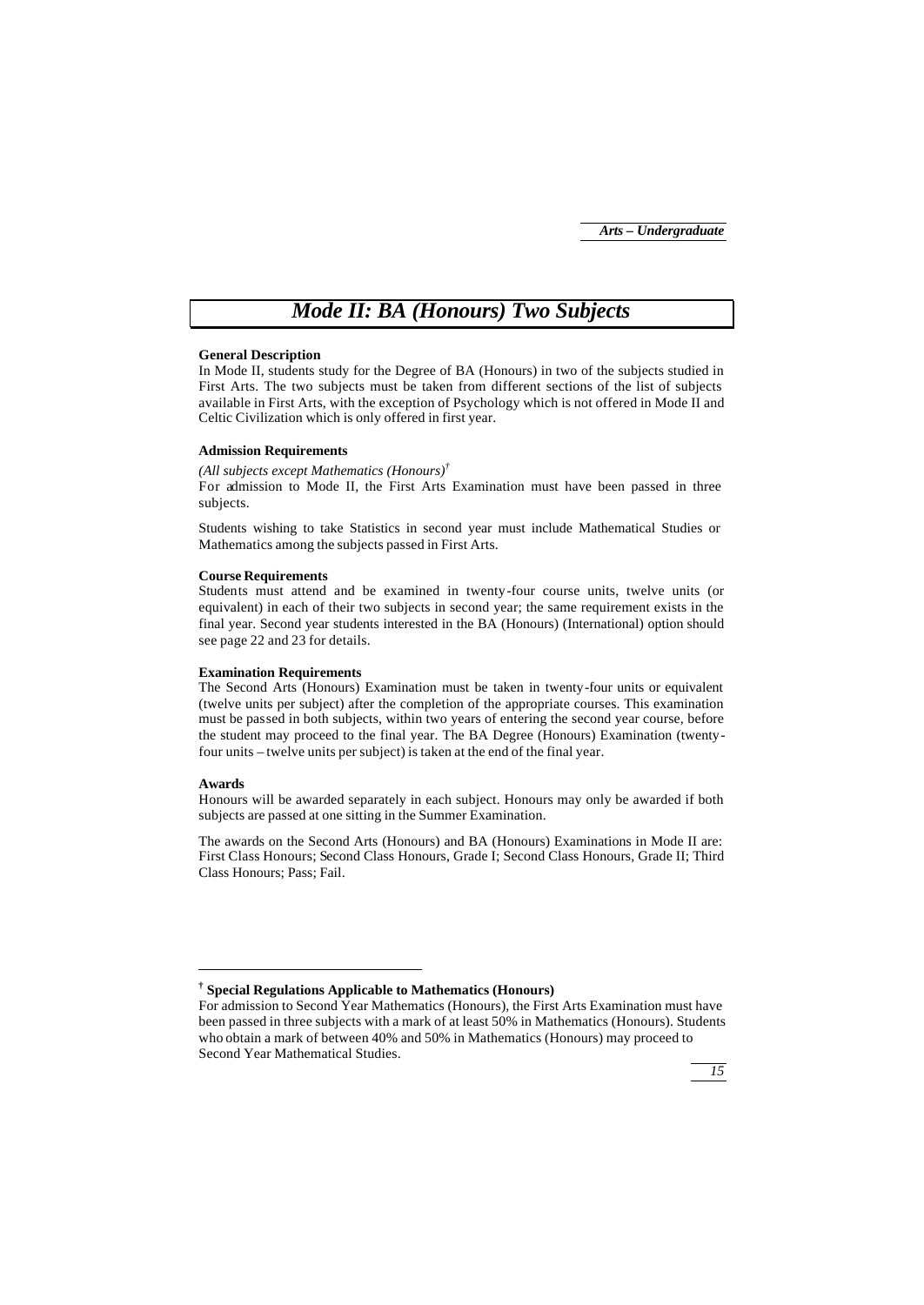## *Mode II: BA (Honours) Two Subjects*

## **General Description**

In Mode II, students study for the Degree of BA (Honours) in two of the subjects studied in First Arts. The two subjects must be taken from different sections of the list of subjects available in First Arts, with the exception of Psychology which is not offered in Mode II and Celtic Civilization which is only offered in first year.

## **Admission Requirements**

*(All subjects except Mathematics (Honours)†* For admission to Mode II, the First Arts Examination must have been passed in three subjects.

Students wishing to take Statistics in second year must include Mathematical Studies or Mathematics among the subjects passed in First Arts.

### **Course Requirements**

Students must attend and be examined in twenty-four course units, twelve units (or equivalent) in each of their two subjects in second year; the same requirement exists in the final year. Second year students interested in the BA (Honours) (International) option should see page 22 and 23 for details.

#### **Examination Requirements**

The Second Arts (Honours) Examination must be taken in twenty-four units or equivalent (twelve units per subject) after the completion of the appropriate courses. This examination must be passed in both subjects, within two years of entering the second year course, before the student may proceed to the final year. The BA Degree (Honours) Examination (twentyfour units – twelve units per subject) is taken at the end of the final year.

#### **Awards**

j

Honours will be awarded separately in each subject. Honours may only be awarded if both subjects are passed at one sitting in the Summer Examination.

The awards on the Second Arts (Honours) and BA (Honours) Examinations in Mode II are: First Class Honours; Second Class Honours, Grade I; Second Class Honours, Grade II; Third Class Honours; Pass; Fail.

For admission to Second Year Mathematics (Honours), the First Arts Examination must have been passed in three subjects with a mark of at least 50% in Mathematics (Honours). Students who obtain a mark of between 40% and 50% in Mathematics (Honours) may proceed to Second Year Mathematical Studies.



**<sup>†</sup> Special Regulations Applicable to Mathematics (Honours)**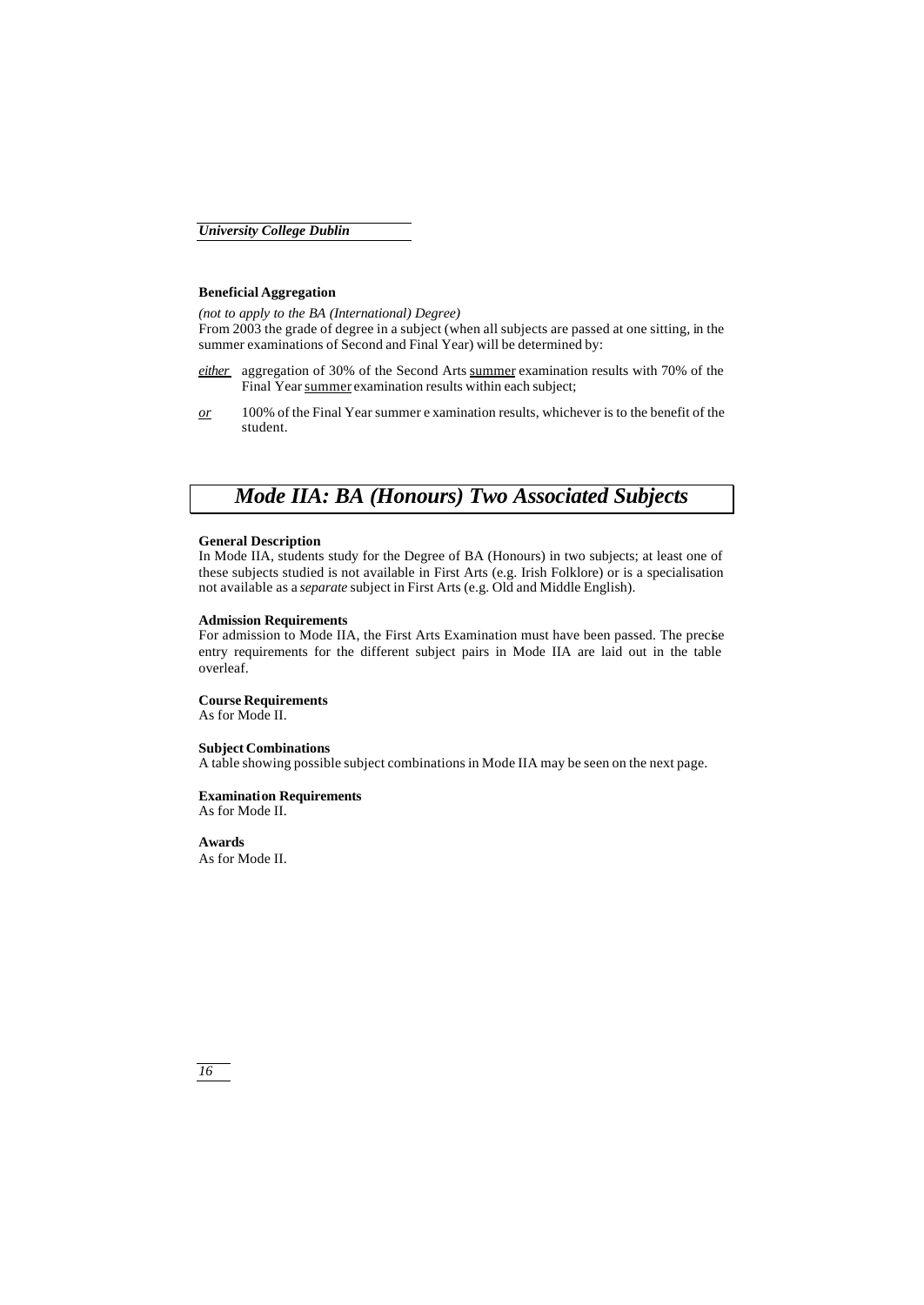## **Beneficial Aggregation**

*(not to apply to the BA (International) Degree)* From 2003 the grade of degree in a subject (when all subjects are passed at one sitting, in the summer examinations of Second and Final Year) will be determined by:

- *either* aggregation of 30% of the Second Arts summer examination results with 70% of the Final Year summer examination results within each subject;
- *or* 100% of the Final Year summer e xamination results, whichever is to the benefit of the student.

## *Mode IIA: BA (Honours) Two Associated Subjects*

## **General Description**

In Mode IIA, students study for the Degree of BA (Honours) in two subjects; at least one of these subjects studied is not available in First Arts (e.g. Irish Folklore) or is a specialisation not available as a *separate* subject in First Arts (e.g. Old and Middle English).

## **Admission Requirements**

For admission to Mode IIA, the First Arts Examination must have been passed. The precise entry requirements for the different subject pairs in Mode IIA are laid out in the table overleaf.

## **Course Requirements**

As for Mode II.

## **Subject Combinations**

A table showing possible subject combinations in Mode IIA may be seen on the next page.

## **Examination Requirements**

As for Mode II.

**Awards** As for Mode II.

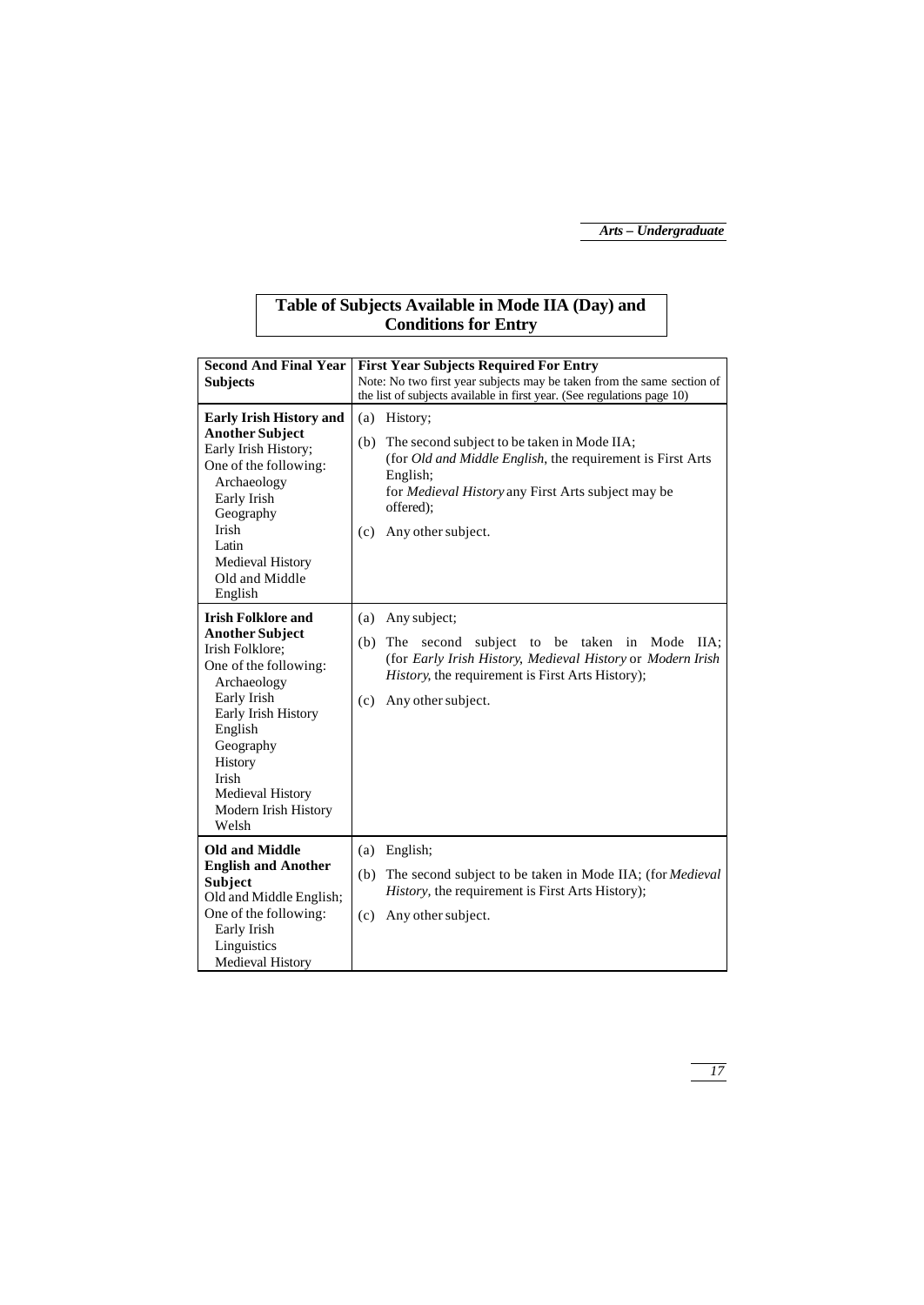## **Table of Subjects Available in Mode IIA (Day) and Conditions for Entry**

| <b>Second And Final Year</b><br><b>Subjects</b>                                                                                                                                                                                                       | <b>First Year Subjects Required For Entry</b><br>Note: No two first year subjects may be taken from the same section of<br>the list of subjects available in first year. (See regulations page 10)                                                          |
|-------------------------------------------------------------------------------------------------------------------------------------------------------------------------------------------------------------------------------------------------------|-------------------------------------------------------------------------------------------------------------------------------------------------------------------------------------------------------------------------------------------------------------|
| <b>Early Irish History and</b><br><b>Another Subject</b><br>Early Irish History;<br>One of the following:<br>Archaeology<br>Early Irish<br>Geography<br><b>Irish</b><br>Latin<br>Medieval History<br>Old and Middle<br>English                        | (a) History;<br>(b)<br>The second subject to be taken in Mode IIA;<br>(for <i>Old and Middle English</i> , the requirement is First Arts<br>English:<br>for <i>Medieval History</i> any First Arts subject may be<br>offered);<br>Any other subject.<br>(c) |
| <b>Irish Folklore and</b><br><b>Another Subject</b><br>Irish Folklore:<br>One of the following:<br>Archaeology<br>Early Irish<br>Early Irish History<br>English<br>Geography<br>History<br>Irish<br>Medieval History<br>Modern Irish History<br>Welsh | (a)<br>Any subject;<br>(b)<br>subject<br>to be taken in<br>Mode<br>The<br>second<br>IIA:<br>(for Early Irish History, Medieval History or Modern Irish<br>History, the requirement is First Arts History);<br>Any other subject.<br>(c)                     |
| <b>Old and Middle</b><br><b>English and Another</b><br>Subject<br>Old and Middle English;<br>One of the following:<br>Early Irish<br>Linguistics<br>Medieval History                                                                                  | English:<br>(a)<br>The second subject to be taken in Mode IIA; (for Medieval<br>(b)<br><i>History</i> , the requirement is First Arts History);<br>(c)<br>Any other subject.                                                                                |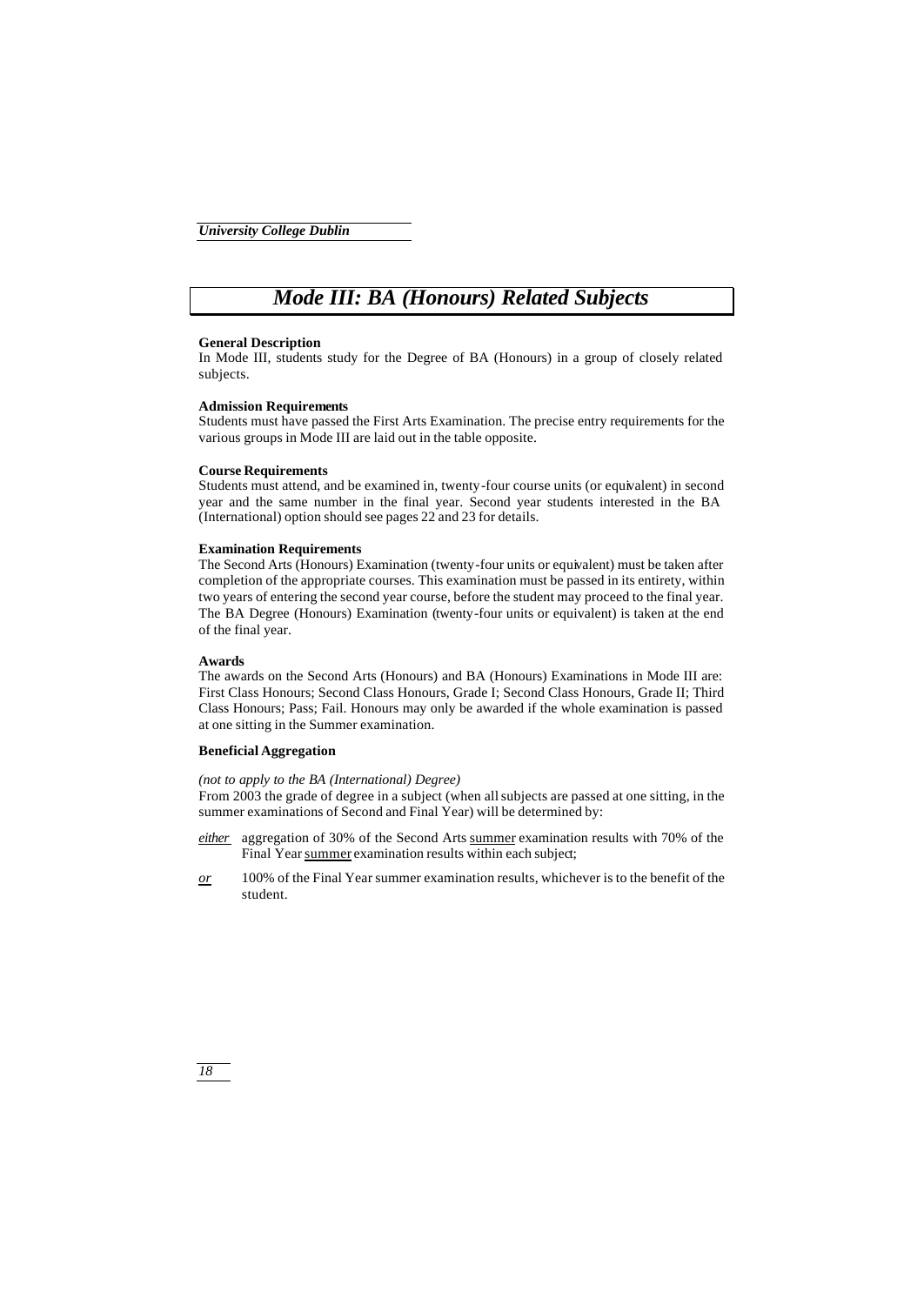## *Mode III: BA (Honours) Related Subjects*

## **General Description**

In Mode III, students study for the Degree of BA (Honours) in a group of closely related subjects.

#### **Admission Requirements**

Students must have passed the First Arts Examination. The precise entry requirements for the various groups in Mode III are laid out in the table opposite.

## **Course Requirements**

Students must attend, and be examined in, twenty-four course units (or equivalent) in second year and the same number in the final year. Second year students interested in the BA (International) option should see pages 22 and 23 for details.

## **Examination Requirements**

The Second Arts (Honours) Examination (twenty-four units or equivalent) must be taken after completion of the appropriate courses. This examination must be passed in its entirety, within two years of entering the second year course, before the student may proceed to the final year. The BA Degree (Honours) Examination (twenty-four units or equivalent) is taken at the end of the final year.

## **Awards**

The awards on the Second Arts (Honours) and BA (Honours) Examinations in Mode III are: First Class Honours; Second Class Honours, Grade I; Second Class Honours, Grade II; Third Class Honours; Pass; Fail. Honours may only be awarded if the whole examination is passed at one sitting in the Summer examination.

## **Beneficial Aggregation**

*(not to apply to the BA (International) Degree)*

From 2003 the grade of degree in a subject (when all subjects are passed at one sitting, in the summer examinations of Second and Final Year) will be determined by:

- *either* aggregation of 30% of the Second Arts summer examination results with 70% of the Final Year summer examination results within each subject;
- *or* 100% of the Final Year summer examination results, whichever is to the benefit of the student.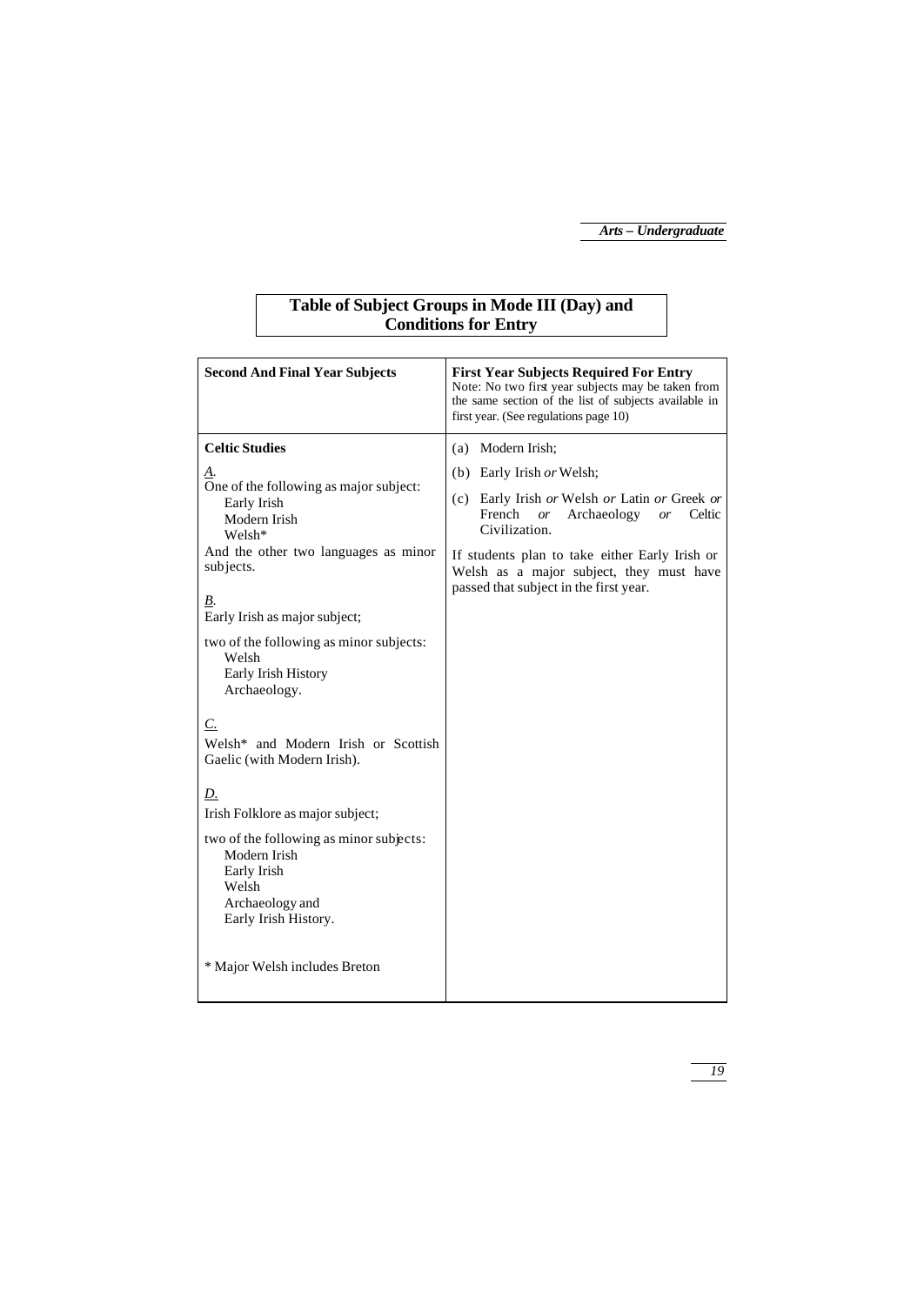## **Table of Subject Groups in Mode III (Day) and Conditions for Entry**

| <b>Second And Final Year Subjects</b>                                                                                                                                                                                                                                                                                                                                                                                                                                                                                                                                                                          | <b>First Year Subjects Required For Entry</b><br>Note: No two first year subjects may be taken from<br>the same section of the list of subjects available in<br>first year. (See regulations page 10)                                                                                                                         |
|----------------------------------------------------------------------------------------------------------------------------------------------------------------------------------------------------------------------------------------------------------------------------------------------------------------------------------------------------------------------------------------------------------------------------------------------------------------------------------------------------------------------------------------------------------------------------------------------------------------|-------------------------------------------------------------------------------------------------------------------------------------------------------------------------------------------------------------------------------------------------------------------------------------------------------------------------------|
| <b>Celtic Studies</b><br>Δ.<br>One of the following as major subject:<br>Early Irish<br>Modern Irish<br>Welsh*<br>And the other two languages as minor<br>subjects.<br>В.<br>Early Irish as major subject;<br>two of the following as minor subjects:<br>Welsh<br>Early Irish History<br>Archaeology.<br>$\mathcal{C}$ .<br>Welsh* and Modern Irish or Scottish<br>Gaelic (with Modern Irish).<br><u>D.</u><br>Irish Folklore as major subject;<br>two of the following as minor subjects:<br>Modern Irish<br>Early Irish<br>Welsh<br>Archaeology and<br>Early Irish History.<br>* Major Welsh includes Breton | (a) Modern Irish:<br>(b) Early Irish or Welsh;<br>(c) Early Irish or Welsh or Latin or Greek or<br>French<br>Archaeology<br>Celtic<br><sub>or</sub><br><sub>or</sub><br>Civilization.<br>If students plan to take either Early Irish or<br>Welsh as a major subject, they must have<br>passed that subject in the first year. |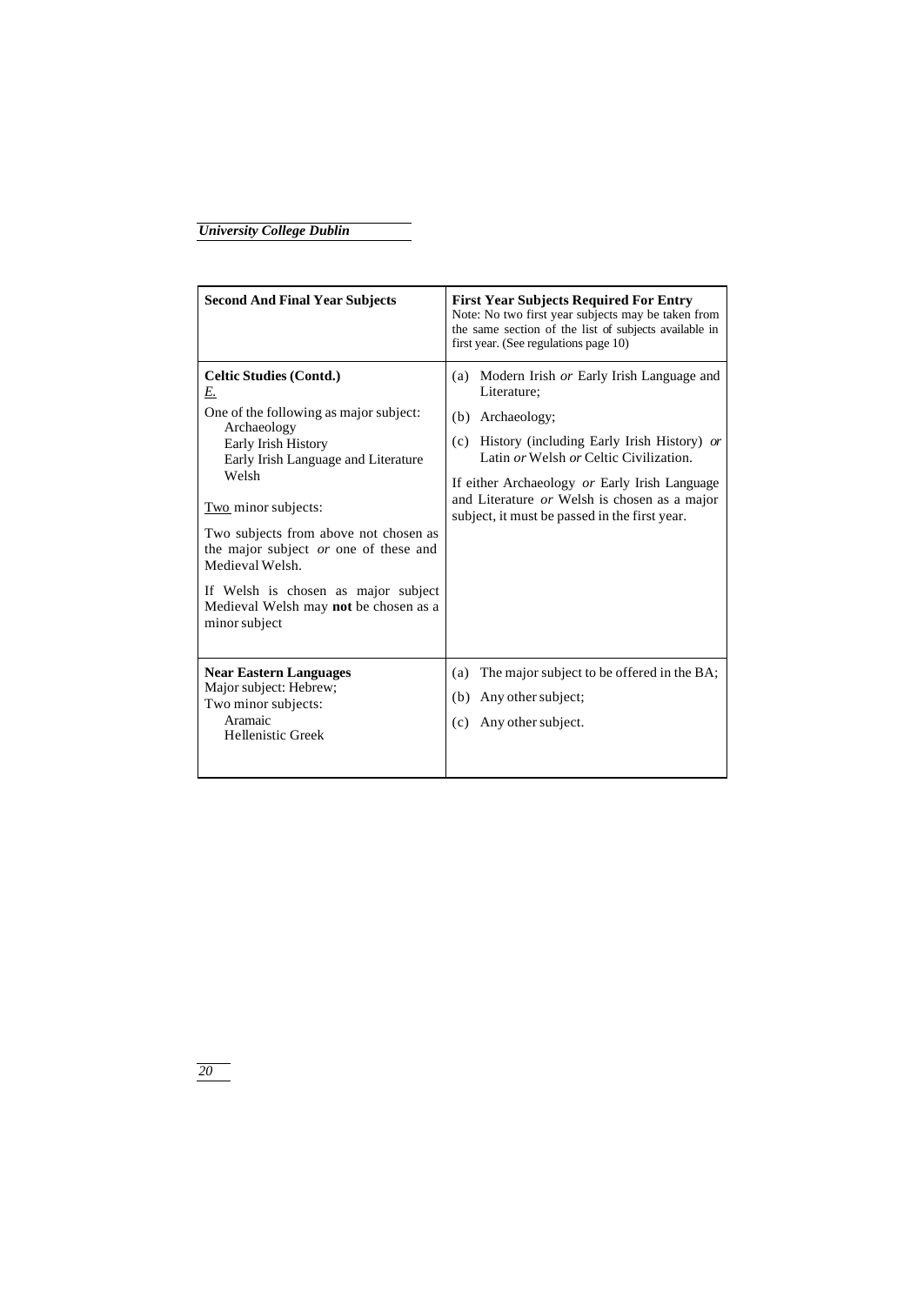| <b>Second And Final Year Subjects</b>                                                                                                                                                                                                                                                                                                                                                                    | <b>First Year Subjects Required For Entry</b><br>Note: No two first year subjects may be taken from<br>the same section of the list of subjects available in<br>first year. (See regulations page 10)                                                                                                                            |
|----------------------------------------------------------------------------------------------------------------------------------------------------------------------------------------------------------------------------------------------------------------------------------------------------------------------------------------------------------------------------------------------------------|----------------------------------------------------------------------------------------------------------------------------------------------------------------------------------------------------------------------------------------------------------------------------------------------------------------------------------|
| <b>Celtic Studies (Contd.)</b><br>E.<br>One of the following as major subject:<br>Archaeology<br>Early Irish History<br>Early Irish Language and Literature<br>Welsh<br>Two minor subjects:<br>Two subjects from above not chosen as<br>the major subject or one of these and<br>Medieval Welsh.<br>If Welsh is chosen as major subject<br>Medieval Welsh may <b>not</b> be chosen as a<br>minor subject | (a) Modern Irish or Early Irish Language and<br>Literature:<br>Archaeology:<br>(b)<br>(c) History (including Early Irish History) or<br>Latin or Welsh or Celtic Civilization.<br>If either Archaeology or Early Irish Language<br>and Literature or Welsh is chosen as a major<br>subject, it must be passed in the first year. |
| <b>Near Eastern Languages</b><br>Major subject: Hebrew;<br>Two minor subjects:<br>Aramaic<br>Hellenistic Greek                                                                                                                                                                                                                                                                                           | The major subject to be offered in the BA;<br>(a)<br>Any other subject;<br>(b)<br>Any other subject.<br>(c)                                                                                                                                                                                                                      |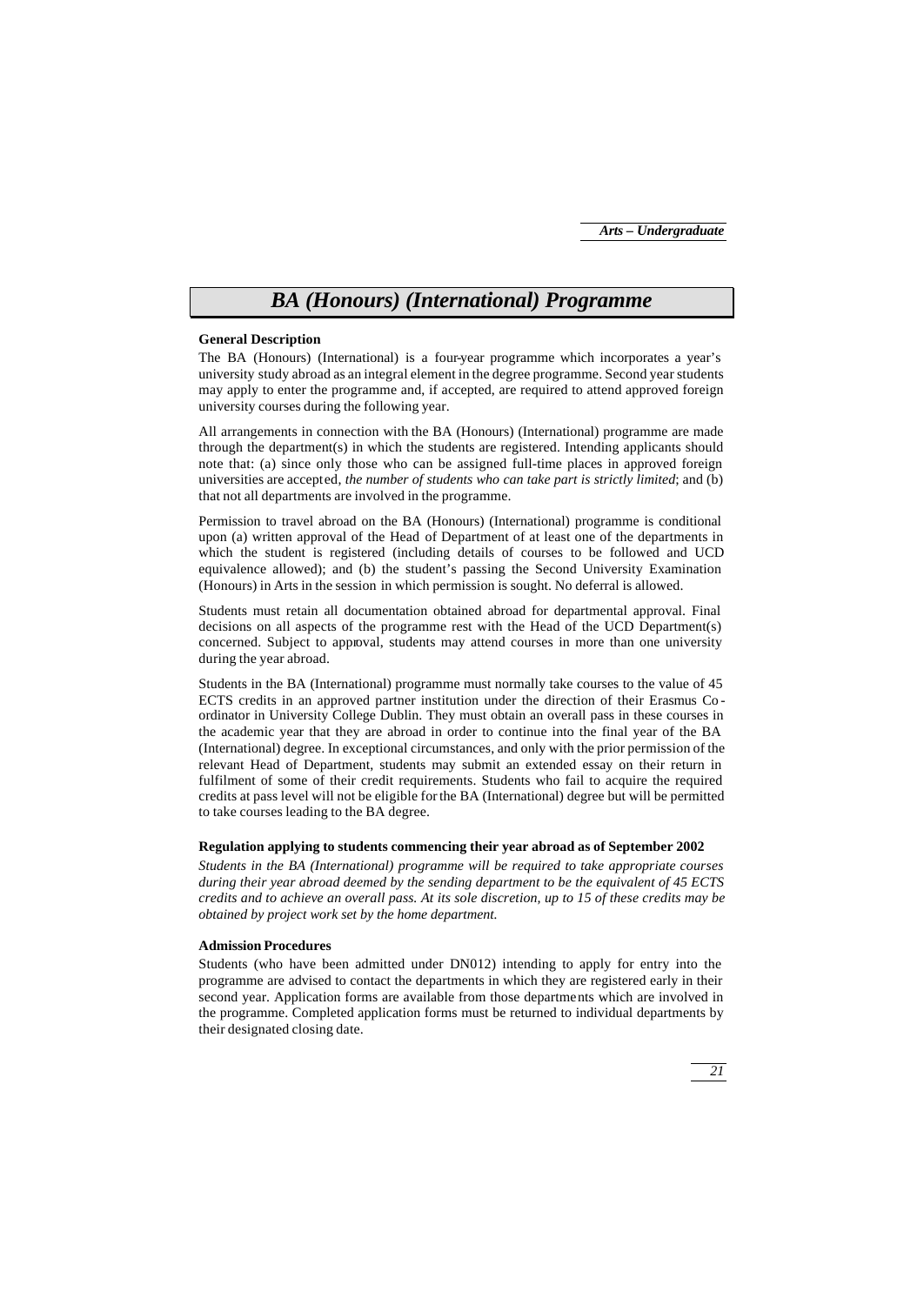## *BA (Honours) (International) Programme*

## **General Description**

The BA (Honours) (International) is a four-year programme which incorporates a year's university study abroad as an integral element in the degree programme. Second year students may apply to enter the programme and, if accepted, are required to attend approved foreign university courses during the following year.

All arrangements in connection with the BA (Honours) (International) programme are made through the department(s) in which the students are registered. Intending applicants should note that: (a) since only those who can be assigned full-time places in approved foreign universities are accepted, *the number of students who can take part is strictly limited*; and (b) that not all departments are involved in the programme.

Permission to travel abroad on the BA (Honours) (International) programme is conditional upon (a) written approval of the Head of Department of at least one of the departments in which the student is registered (including details of courses to be followed and UCD equivalence allowed); and (b) the student's passing the Second University Examination (Honours) in Arts in the session in which permission is sought. No deferral is allowed.

Students must retain all documentation obtained abroad for departmental approval. Final decisions on all aspects of the programme rest with the Head of the UCD Department(s) concerned. Subject to approval, students may attend courses in more than one university during the year abroad.

Students in the BA (International) programme must normally take courses to the value of 45 ECTS credits in an approved partner institution under the direction of their Erasmus Co ordinator in University College Dublin. They must obtain an overall pass in these courses in the academic year that they are abroad in order to continue into the final year of the BA (International) degree. In exceptional circumstances, and only with the prior permission of the relevant Head of Department, students may submit an extended essay on their return in fulfilment of some of their credit requirements. Students who fail to acquire the required credits at pass level will not be eligible for the BA (International) degree but will be permitted to take courses leading to the BA degree.

### **Regulation applying to students commencing their year abroad as of September 2002**

*Students in the BA (International) programme will be required to take appropriate courses during their year abroad deemed by the sending department to be the equivalent of 45 ECTS credits and to achieve an overall pass. At its sole discretion, up to 15 of these credits may be obtained by project work set by the home department.*

### **Admission Procedures**

Students (who have been admitted under DN012) intending to apply for entry into the programme are advised to contact the departments in which they are registered early in their second year. Application forms are available from those departments which are involved in the programme. Completed application forms must be returned to individual departments by their designated closing date.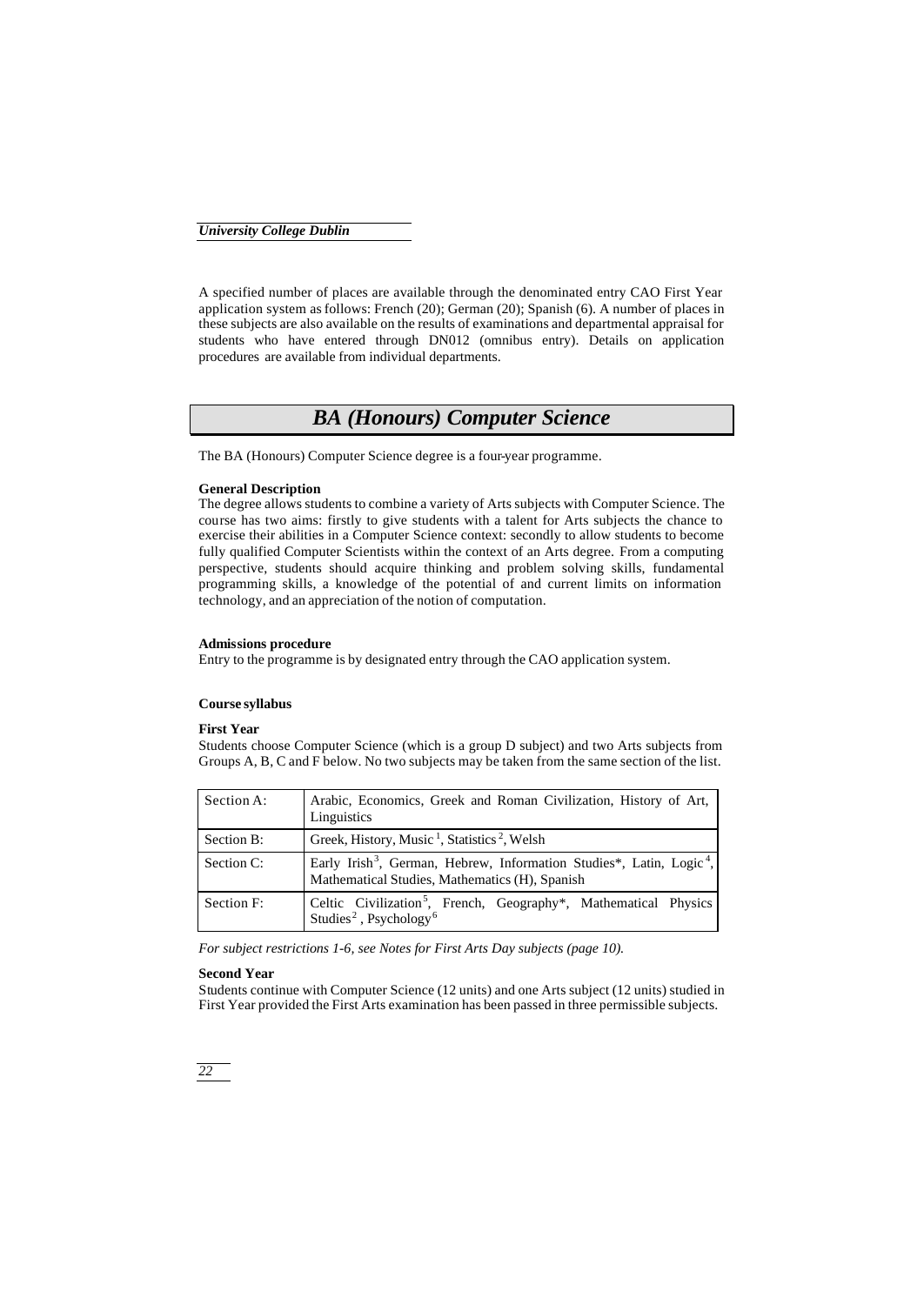A specified number of places are available through the denominated entry CAO First Year application system as follows: French (20); German (20); Spanish (6). A number of places in these subjects are also available on the results of examinations and departmental appraisal for students who have entered through DN012 (omnibus entry). Details on application procedures are available from individual departments.

## *BA (Honours) Computer Science*

The BA (Honours) Computer Science degree is a four-year programme.

### **General Description**

The degree allows students to combine a variety of Arts subjects with Computer Science. The course has two aims: firstly to give students with a talent for Arts subjects the chance to exercise their abilities in a Computer Science context: secondly to allow students to become fully qualified Computer Scientists within the context of an Arts degree. From a computing perspective, students should acquire thinking and problem solving skills, fundamental programming skills, a knowledge of the potential of and current limits on information technology, and an appreciation of the notion of computation.

## **Admissions procedure**

Entry to the programme is by designated entry through the CAO application system.

## **Course syllabus**

## **First Year**

Students choose Computer Science (which is a group D subject) and two Arts subjects from Groups A, B, C and F below. No two subjects may be taken from the same section of the list.

| Section A: | Arabic, Economics, Greek and Roman Civilization, History of Art,<br>Linguistics                                                                |
|------------|------------------------------------------------------------------------------------------------------------------------------------------------|
| Section B: | Greek, History, Music <sup>1</sup> , Statistics <sup>2</sup> , Welsh                                                                           |
| Section C: | Early Irish <sup>3</sup> , German, Hebrew, Information Studies*, Latin, Logic <sup>4</sup> ,<br>Mathematical Studies, Mathematics (H), Spanish |
| Section F: | Celtic Civilization <sup>5</sup> , French, Geography <sup>*</sup> , Mathematical Physics<br>Studies <sup>2</sup> , Psychology <sup>6</sup>     |

*For subject restrictions 1-6, see Notes for First Arts Day subjects (page 10).*

## **Second Year**

Students continue with Computer Science (12 units) and one Arts subject (12 units) studied in First Year provided the First Arts examination has been passed in three permissible subjects.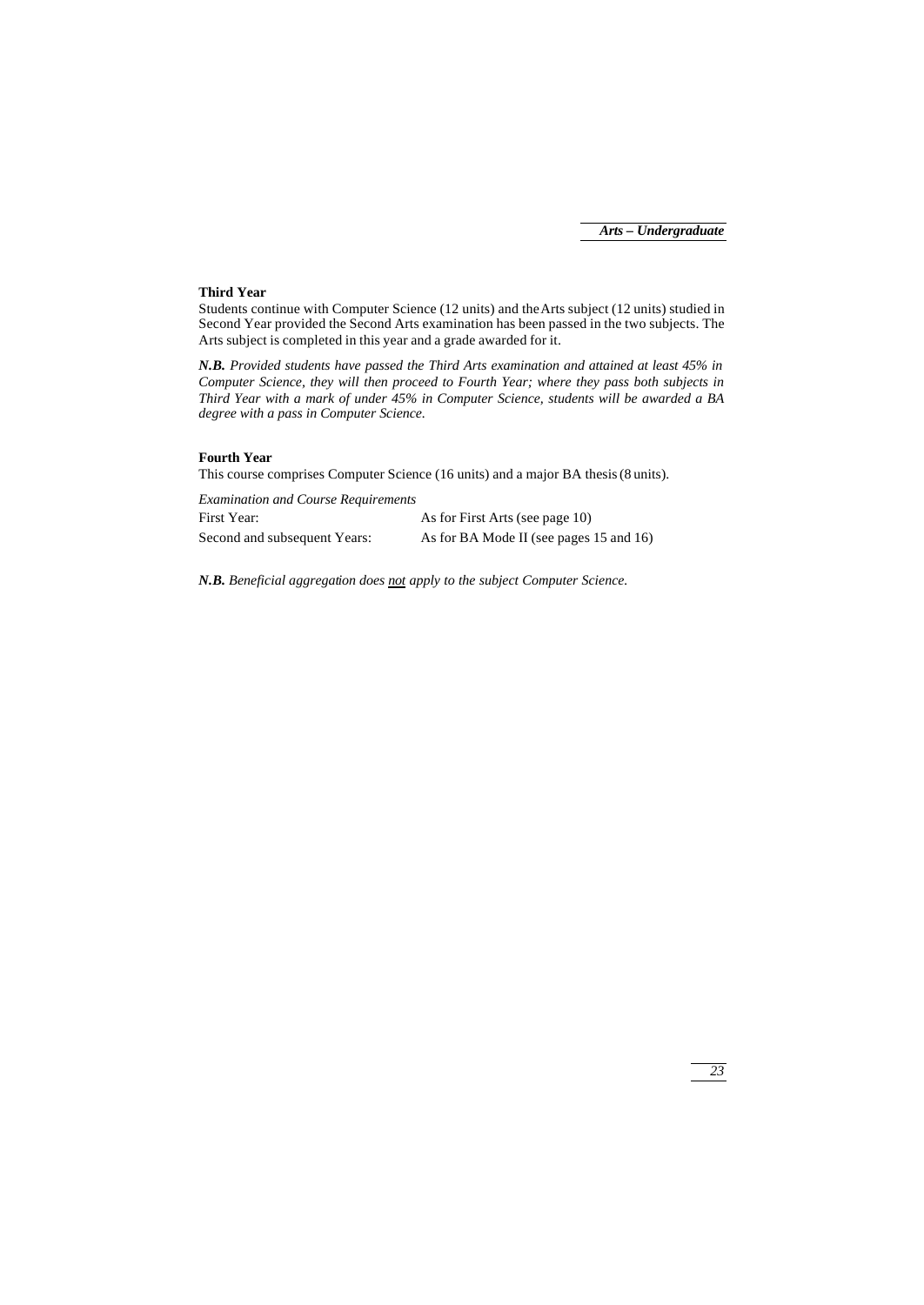## **Third Year**

Students continue with Computer Science (12 units) and the Arts subject (12 units) studied in Second Year provided the Second Arts examination has been passed in the two subjects. The Arts subject is completed in this year and a grade awarded for it.

*N.B. Provided students have passed the Third Arts examination and attained at least 45% in Computer Science, they will then proceed to Fourth Year; where they pass both subjects in Third Year with a mark of under 45% in Computer Science, students will be awarded a BA degree with a pass in Computer Science.*

## **Fourth Year**

This course comprises Computer Science (16 units) and a major BA thesis (8 units).

| <b>Examination and Course Requirements</b> |                                         |
|--------------------------------------------|-----------------------------------------|
| First Year:                                | As for First Arts (see page 10)         |
| Second and subsequent Years:               | As for BA Mode II (see pages 15 and 16) |

*N.B. Beneficial aggregation does not apply to the subject Computer Science.*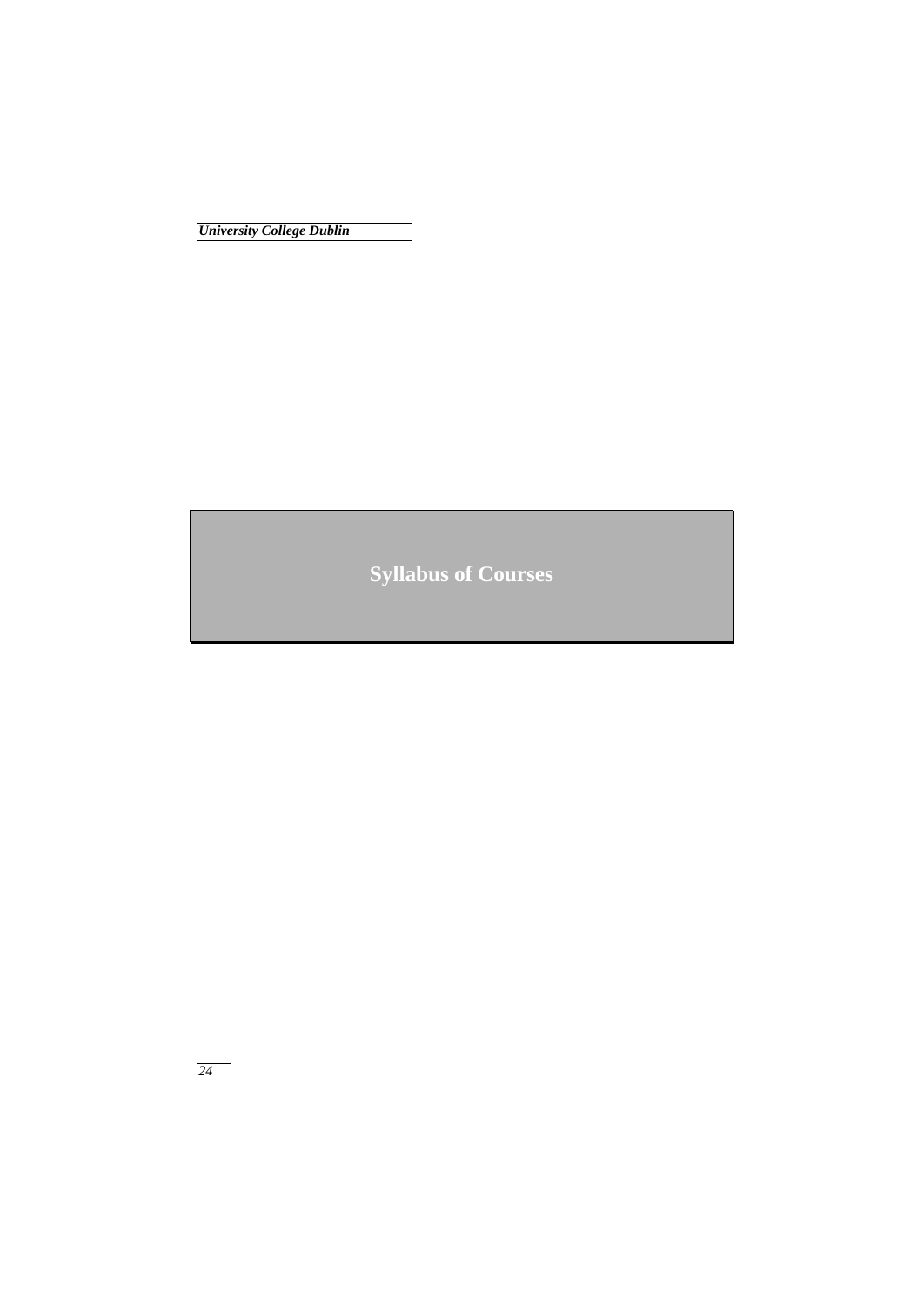**Syllabus of Courses**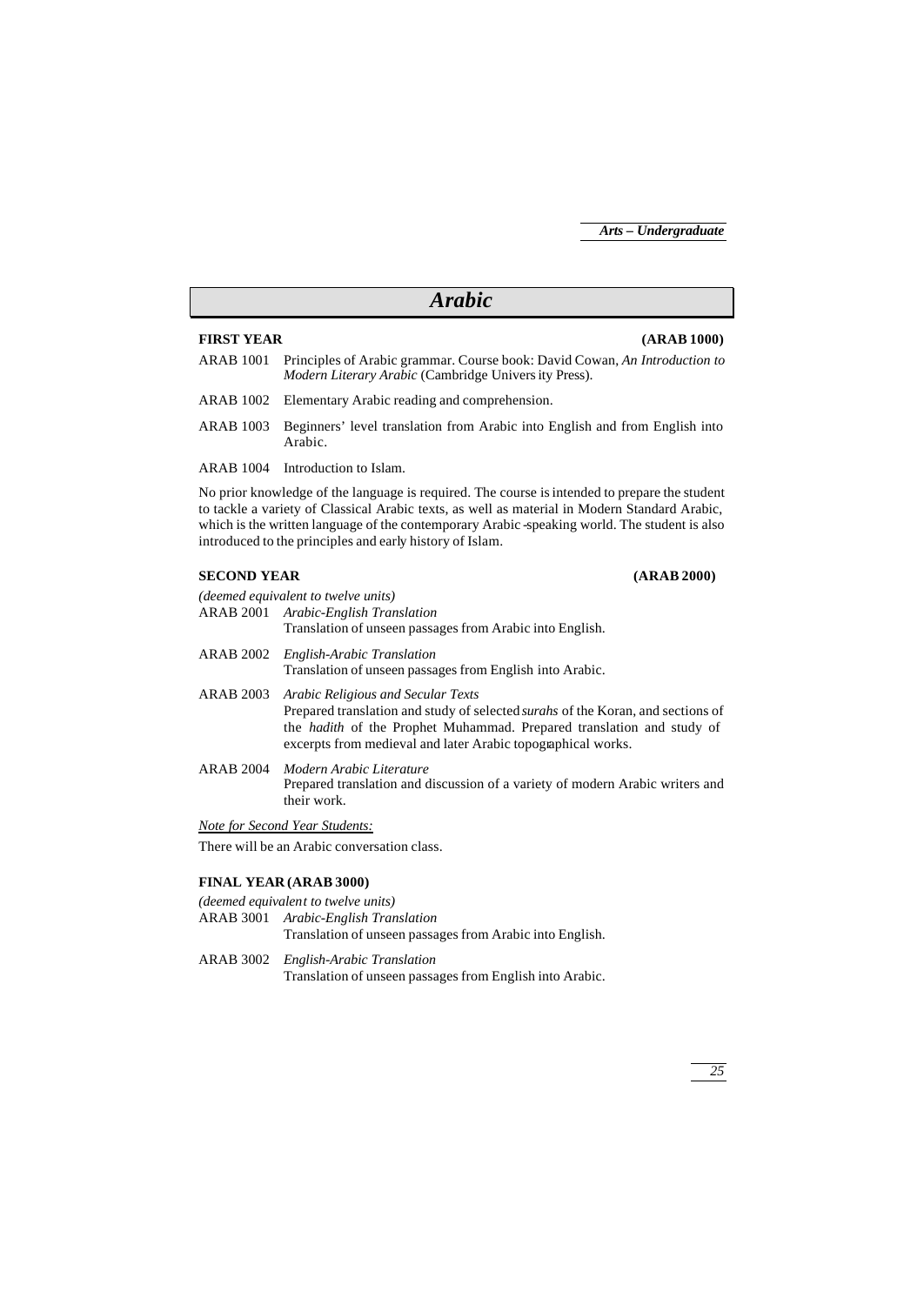## *Arabic*

## **FIRST YEAR (ARAB 1000)**

- ARAB 1001 Principles of Arabic grammar. Course book: David Cowan, *An Introduction to Modern Literary Arabic* (Cambridge University Press).
- ARAB 1002 Elementary Arabic reading and comprehension.
- ARAB 1003 Beginners' level translation from Arabic into English and from English into Arabic.
- ARAB 1004 Introduction to Islam.

No prior knowledge of the language is required. The course is intended to prepare the student to tackle a variety of Classical Arabic texts, as well as material in Modern Standard Arabic, which is the written language of the contemporary Arabic -speaking world. The student is also introduced to the principles and early history of Islam.

## **SECOND YEAR (ARAB 2000)**

*(deemed equivalent to twelve units)* ARAB 2001 *Arabic-English Translation* Translation of unseen passages from Arabic into English. ARAB 2002 *English-Arabic Translation*

## Translation of unseen passages from English into Arabic.

ARAB 2003 *Arabic Religious and Secular Texts* Prepared translation and study of selected *surahs* of the Koran, and sections of the *hadith* of the Prophet Muhammad. Prepared translation and study of excerpts from medieval and later Arabic topographical works.

ARAB 2004 *Modern Arabic Literature* Prepared translation and discussion of a variety of modern Arabic writers and their work.

*Note for Second Year Students:*

There will be an Arabic conversation class.

## **FINAL YEAR (ARAB 3000)**

## *(deemed equivalent to twelve units)* ARAB 3001 *Arabic-English Translation* Translation of unseen passages from Arabic into English. ARAB 3002 *English-Arabic Translation*

Translation of unseen passages from English into Arabic.

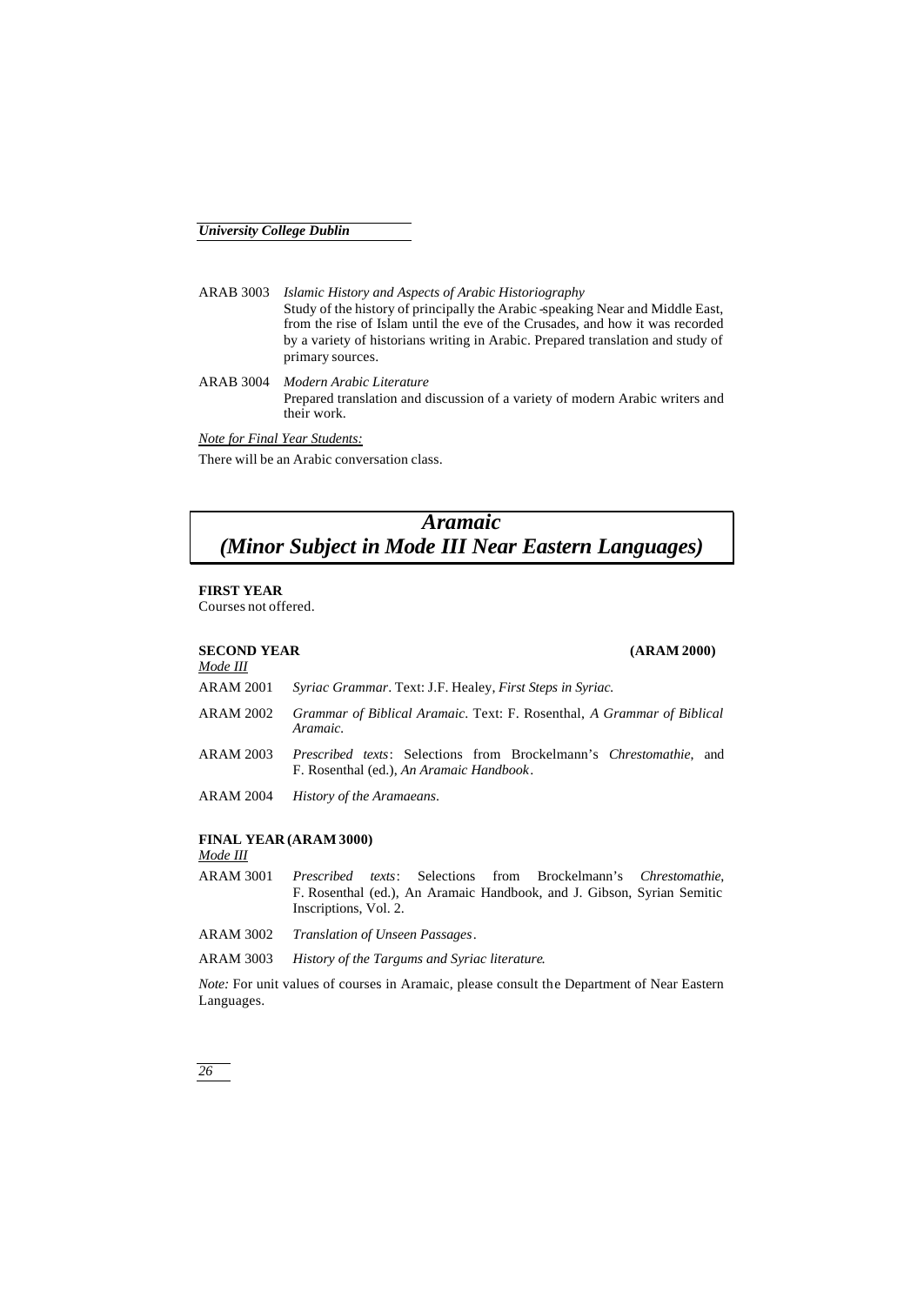ARAB 3003 *Islamic History and Aspects of Arabic Historiography* Study of the history of principally the Arabic -speaking Near and Middle East, from the rise of Islam until the eve of the Crusades, and how it was recorded by a variety of historians writing in Arabic. Prepared translation and study of primary sources.

ARAB 3004 *Modern Arabic Literature* Prepared translation and discussion of a variety of modern Arabic writers and their work.

*Note for Final Year Students:*

There will be an Arabic conversation class.

## *Aramaic (Minor Subject in Mode III Near Eastern Languages)*

## **FIRST YEAR**

Courses not offered.

#### **SECOND YEAR (ARAM 2000)** *Mode III*

| тоие ни          |                                                                                                                               |
|------------------|-------------------------------------------------------------------------------------------------------------------------------|
| <b>ARAM 2001</b> | Syriac Grammar. Text: J.F. Healey, First Steps in Syriac.                                                                     |
| ARAM 2002        | Grammar of Biblical Aramaic. Text: F. Rosenthal, A Grammar of Biblical<br>Aramaic.                                            |
| ARAM 2003        | <i>Prescribed texts:</i> Selections from Brockelmann's <i>Chrestomathie</i> , and<br>F. Rosenthal (ed.), An Aramaic Handbook. |
| ARAM 2004        | History of the Aramaeans.                                                                                                     |
|                  |                                                                                                                               |

## **FINAL YEAR (ARAM 3000)**

*Mode III*

ARAM 3001 *Prescribed texts*: Selections from Brockelmann's *Chrestomathie*, F. Rosenthal (ed.), An Aramaic Handbook, and J. Gibson, Syrian Semitic Inscriptions, Vol. 2.

ARAM 3002 *Translation of Unseen Passages*.

ARAM 3003 *History of the Targums and Syriac literature*.

*Note:* For unit values of courses in Aramaic, please consult the Department of Near Eastern Languages.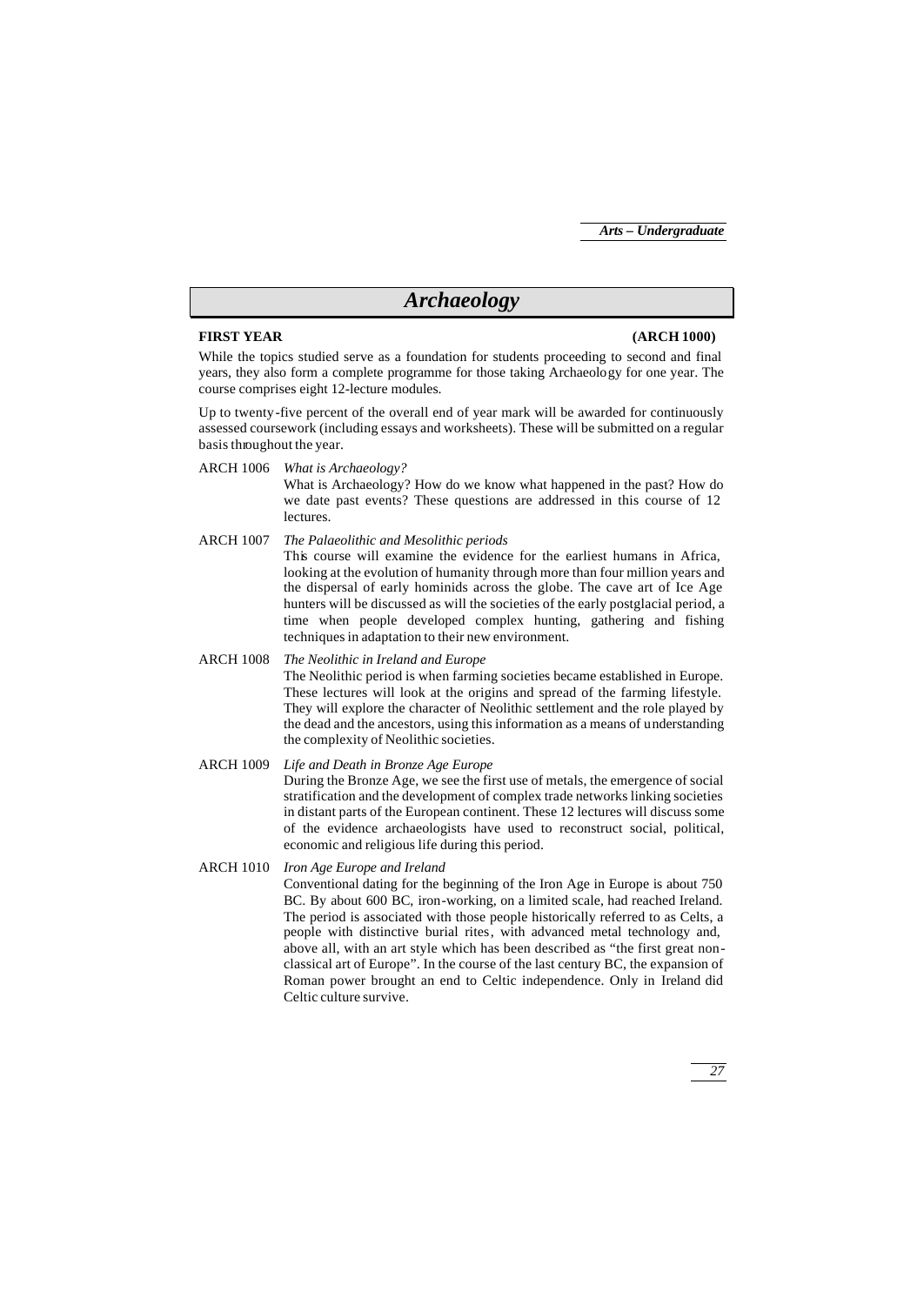## *Archaeology*

## **FIRST YEAR (ARCH 1000)**

While the topics studied serve as a foundation for students proceeding to second and final years, they also form a complete programme for those taking Archaeology for one year. The course comprises eight 12-lecture modules.

Up to twenty-five percent of the overall end of year mark will be awarded for continuously assessed coursework (including essays and worksheets). These will be submitted on a regular basis throughout the year.

ARCH 1006 *What is Archaeology?* What is Archaeology? How do we know what happened in the past? How do we date past events? These questions are addressed in this course of 12 lectures.

ARCH 1007 *The Palaeolithic and Mesolithic periods* This course will examine the evidence for the earliest humans in Africa, looking at the evolution of humanity through more than four million years and the dispersal of early hominids across the globe. The cave art of Ice Age hunters will be discussed as will the societies of the early postglacial period, a time when people developed complex hunting, gathering and fishing techniques in adaptation to their new environment.

ARCH 1008 *The Neolithic in Ireland and Europe* The Neolithic period is when farming societies became established in Europe. These lectures will look at the origins and spread of the farming lifestyle. They will explore the character of Neolithic settlement and the role played by the dead and the ancestors, using this information as a means of understanding the complexity of Neolithic societies.

- ARCH 1009 *Life and Death in Bronze Age Europe* During the Bronze Age, we see the first use of metals, the emergence of social stratification and the development of complex trade networks linking societies in distant parts of the European continent. These 12 lectures will discuss some of the evidence archaeologists have used to reconstruct social, political, economic and religious life during this period.
- ARCH 1010 *Iron Age Europe and Ireland* Conventional dating for the beginning of the Iron Age in Europe is about 750 BC. By about 600 BC, iron-working, on a limited scale, had reached Ireland. The period is associated with those people historically referred to as Celts, a people with distinctive burial rites, with advanced metal technology and, above all, with an art style which has been described as "the first great nonclassical art of Europe". In the course of the last century BC, the expansion of Roman power brought an end to Celtic independence. Only in Ireland did Celtic culture survive.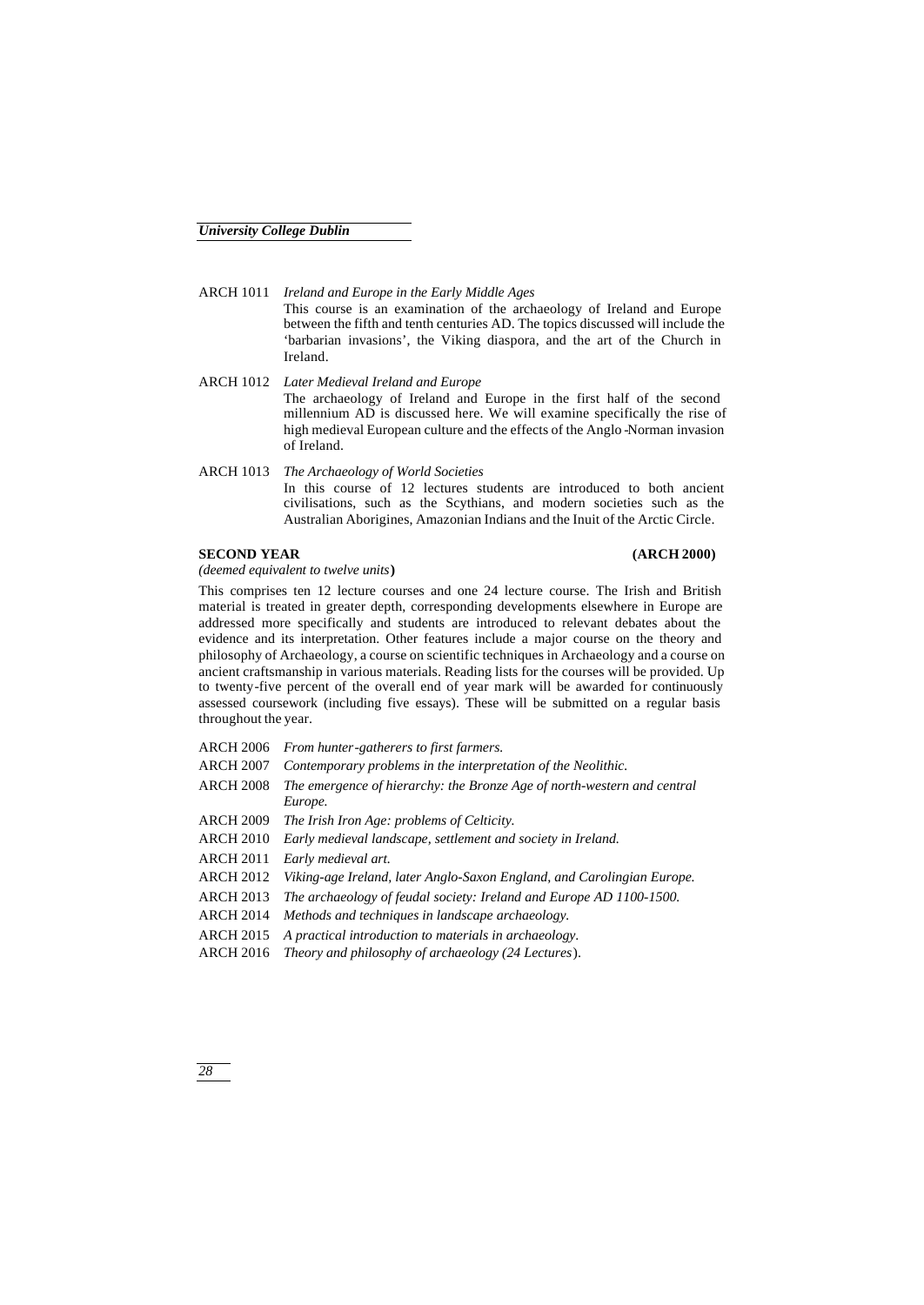ARCH 1011 *Ireland and Europe in the Early Middle Ages* This course is an examination of the archaeology of Ireland and Europe between the fifth and tenth centuries AD. The topics discussed will include the 'barbarian invasions', the Viking diaspora, and the art of the Church in Ireland.

- ARCH 1012 *Later Medieval Ireland and Europe* The archaeology of Ireland and Europe in the first half of the second millennium AD is discussed here. We will examine specifically the rise of high medieval European culture and the effects of the Anglo -Norman invasion of Ireland.
- ARCH 1013 *The Archaeology of World Societies* In this course of 12 lectures students are introduced to both ancient civilisations, such as the Scythians, and modern societies such as the Australian Aborigines, Amazonian Indians and the Inuit of the Arctic Circle.

## **SECOND YEAR (ARCH 2000)**

*(deemed equivalent to twelve units***)**

This comprises ten 12 lecture courses and one 24 lecture course. The Irish and British material is treated in greater depth, corresponding developments elsewhere in Europe are addressed more specifically and students are introduced to relevant debates about the evidence and its interpretation. Other features include a major course on the theory and philosophy of Archaeology, a course on scientific techniques in Archaeology and a course on ancient craftsmanship in various materials. Reading lists for the courses will be provided. Up to twenty-five percent of the overall end of year mark will be awarded for continuously assessed coursework (including five essays). These will be submitted on a regular basis throughout the year.

| <b>ARCH 2006</b> | From hunter-gatherers to first farmers.                                 |
|------------------|-------------------------------------------------------------------------|
| <b>ARCH 2007</b> | Contemporary problems in the interpretation of the Neolithic.           |
| <b>ARCH 2008</b> | The emergence of hierarchy: the Bronze Age of north-western and central |
|                  | Europe.                                                                 |
| <b>ARCH 2009</b> | The Irish Iron Age: problems of Celticity.                              |
| <b>ARCH 2010</b> | Early medieval landscape, settlement and society in Ireland.            |
| <b>ARCH 2011</b> | Early medieval art.                                                     |
| <b>ARCH 2012</b> | Viking-age Ireland, later Anglo-Saxon England, and Carolingian Europe.  |
| <b>ARCH 2013</b> | The archaeology of feudal society: Ireland and Europe AD 1100-1500.     |
| <b>ARCH 2014</b> | Methods and techniques in landscape archaeology.                        |
| <b>ARCH 2015</b> | A practical introduction to materials in archaeology.                   |
| <b>ARCH 2016</b> | Theory and philosophy of archaeology (24 Lectures).                     |
|                  |                                                                         |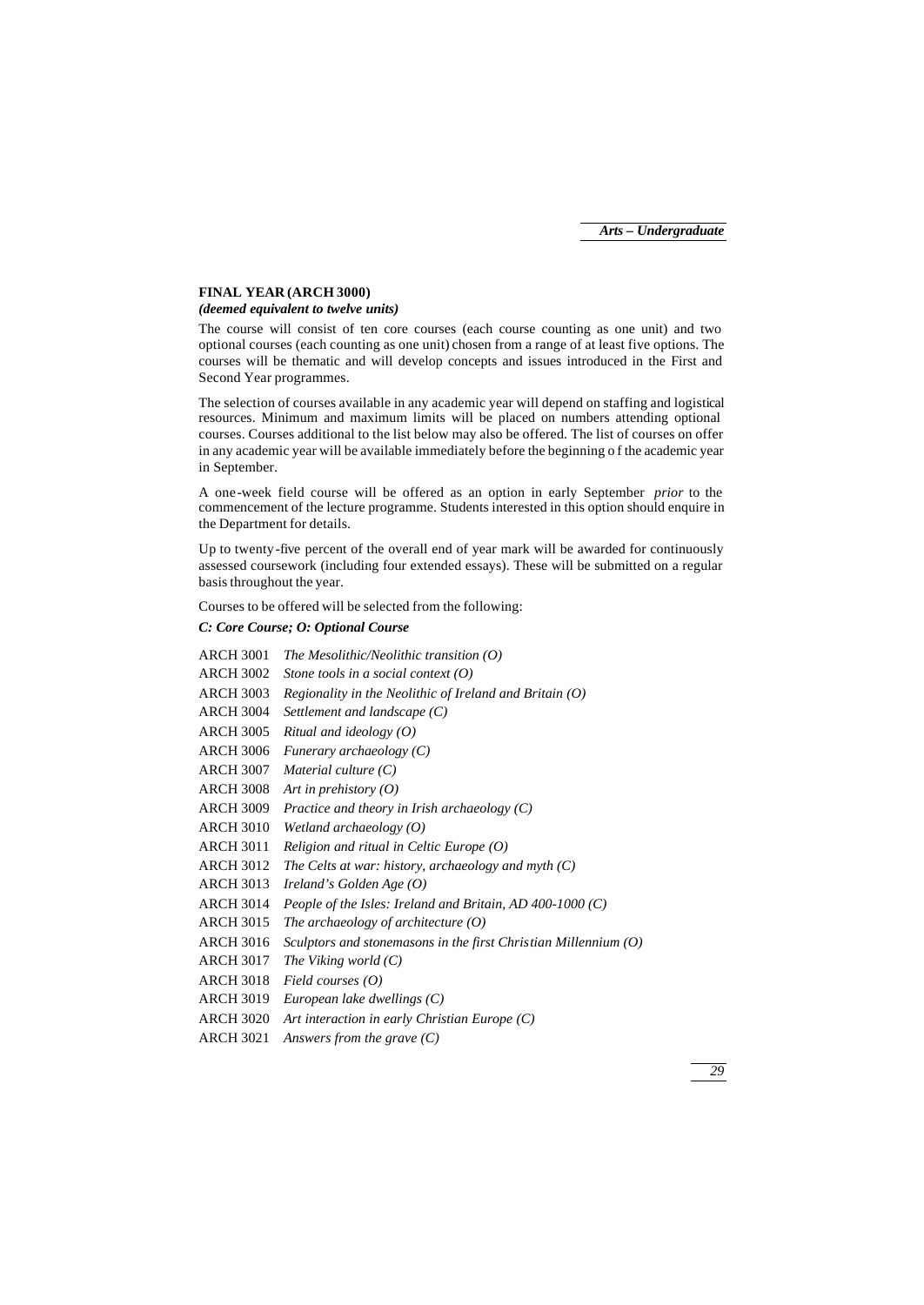## **FINAL YEAR (ARCH 3000)**

## *(deemed equivalent to twelve units)*

The course will consist of ten core courses (each course counting as one unit) and two optional courses (each counting as one unit) chosen from a range of at least five options. The courses will be thematic and will develop concepts and issues introduced in the First and Second Year programmes.

The selection of courses available in any academic year will depend on staffing and logistical resources. Minimum and maximum limits will be placed on numbers attending optional courses. Courses additional to the list below may also be offered. The list of courses on offer in any academic year will be available immediately before the beginning o f the academic year in September.

A one-week field course will be offered as an option in early September *prior* to the commencement of the lecture programme. Students interested in this option should enquire in the Department for details.

Up to twenty-five percent of the overall end of year mark will be awarded for continuously assessed coursework (including four extended essays). These will be submitted on a regular basis throughout the year.

Courses to be offered will be selected from the following:

## *C: Core Course; O: Optional Course*

| <b>ARCH 3001</b> | The Mesolithic/Neolithic transition $(0)$                         |
|------------------|-------------------------------------------------------------------|
| <b>ARCH 3002</b> | Stone tools in a social context $(0)$                             |
| <b>ARCH 3003</b> | Regionality in the Neolithic of Ireland and Britain $(O)$         |
| <b>ARCH 3004</b> | Settlement and landscape $(C)$                                    |
| <b>ARCH 3005</b> | Ritual and ideology $(O)$                                         |
| <b>ARCH 3006</b> | Funerary archaeology $(C)$                                        |
| <b>ARCH 3007</b> | Material culture $(C)$                                            |
| <b>ARCH 3008</b> | Art in prehistory $(O)$                                           |
| <b>ARCH 3009</b> | Practice and theory in Irish archaeology (C)                      |
| <b>ARCH 3010</b> | Wetland archaeology $(O)$                                         |
| <b>ARCH 3011</b> | Religion and ritual in Celtic Europe $(0)$                        |
| <b>ARCH 3012</b> | The Celts at war: history, archaeology and myth $(C)$             |
| <b>ARCH 3013</b> | Ireland's Golden Age $(O)$                                        |
| <b>ARCH 3014</b> | People of the Isles: Ireland and Britain, AD 400-1000 $(C)$       |
| <b>ARCH 3015</b> | The archaeology of architecture $(0)$                             |
| <b>ARCH 3016</b> | Sculptors and stonemasons in the first Christian Millennium $(O)$ |
| <b>ARCH 3017</b> | The Viking world $(C)$                                            |
| <b>ARCH 3018</b> | Field courses $(O)$                                               |
| <b>ARCH 3019</b> | European lake dwellings $(C)$                                     |
| <b>ARCH 3020</b> | Art interaction in early Christian Europe $(C)$                   |
| <b>ARCH 3021</b> | Answers from the grave $(C)$                                      |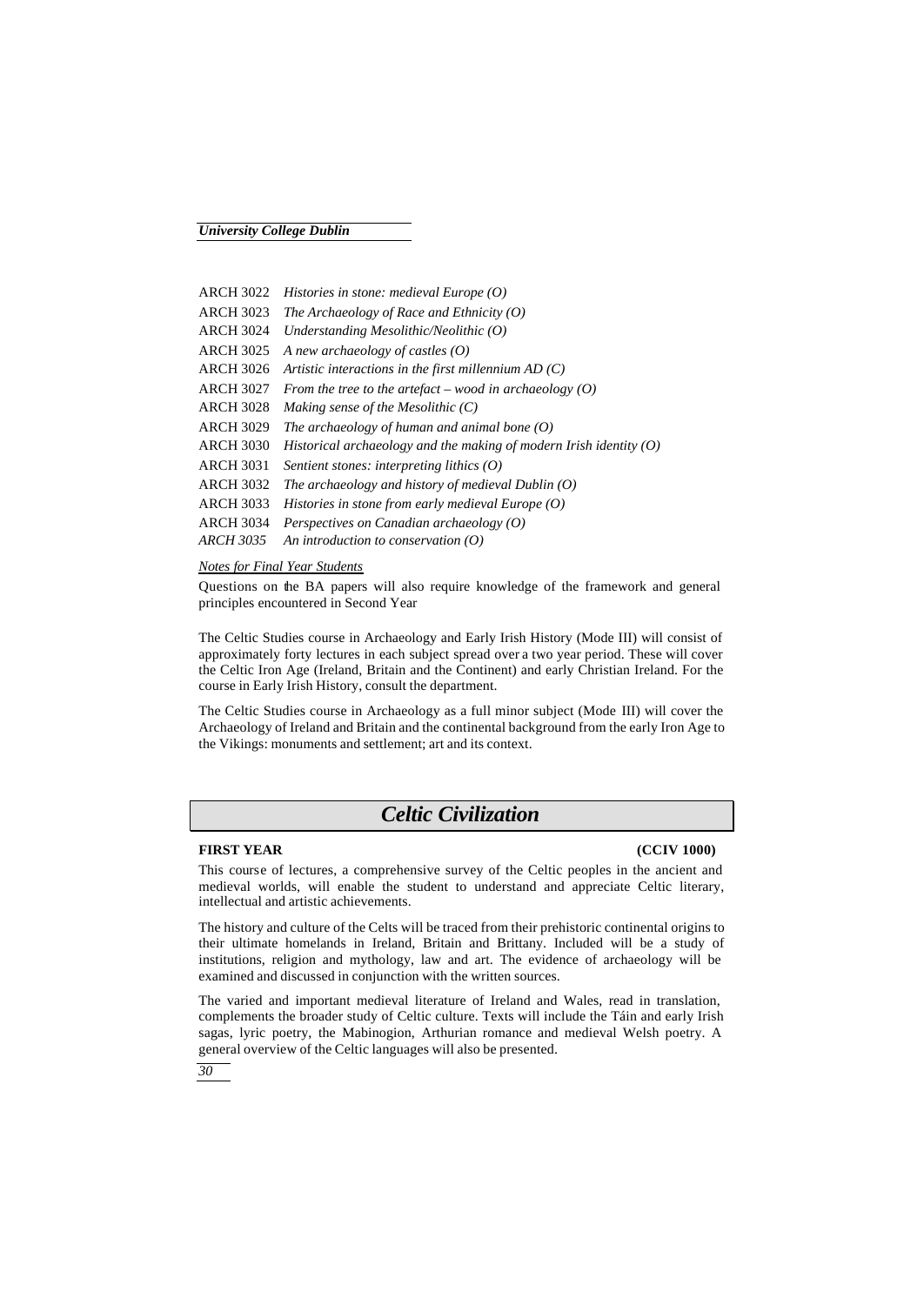| ARCH 3022 | Histories in stone: medieval Europe $(0)$                            |
|-----------|----------------------------------------------------------------------|
| ARCH 3023 | The Archaeology of Race and Ethnicity $(0)$                          |
| ARCH 3024 | Understanding Mesolithic/Neolithic $(0)$                             |
| ARCH 3025 | A new archaeology of castles $(O)$                                   |
| ARCH 3026 | Artistic interactions in the first millennium $AD(C)$                |
| ARCH 3027 | From the tree to the artefact – wood in archaeology $(0)$            |
| ARCH 3028 | Making sense of the Mesolithic $(C)$                                 |
| ARCH 3029 | The archaeology of human and animal bone $(O)$                       |
| ARCH 3030 | Historical archaeology and the making of modern Irish identity $(0)$ |
| ARCH 3031 | Sentient stones: interpreting lithics $(0)$                          |
| ARCH 3032 | The archaeology and history of medieval Dublin $(O)$                 |
| ARCH 3033 | Histories in stone from early medieval Europe $(O)$                  |
| ARCH 3034 | Perspectives on Canadian archaeology $(0)$                           |
| ARCH 3035 | An introduction to conservation $(O)$                                |

## *Notes for Final Year Students*

Questions on the BA papers will also require knowledge of the framework and general principles encountered in Second Year

The Celtic Studies course in Archaeology and Early Irish History (Mode III) will consist of approximately forty lectures in each subject spread over a two year period. These will cover the Celtic Iron Age (Ireland, Britain and the Continent) and early Christian Ireland. For the course in Early Irish History, consult the department.

The Celtic Studies course in Archaeology as a full minor subject (Mode III) will cover the Archaeology of Ireland and Britain and the continental background from the early Iron Age to the Vikings: monuments and settlement; art and its context.

## *Celtic Civilization*

## **FIRST YEAR (CCIV 1000)**

This course of lectures, a comprehensive survey of the Celtic peoples in the ancient and medieval worlds, will enable the student to understand and appreciate Celtic literary, intellectual and artistic achievements.

The history and culture of the Celts will be traced from their prehistoric continental origins to their ultimate homelands in Ireland, Britain and Brittany. Included will be a study of institutions, religion and mythology, law and art. The evidence of archaeology will be examined and discussed in conjunction with the written sources.

The varied and important medieval literature of Ireland and Wales, read in translation, complements the broader study of Celtic culture. Texts will include the Táin and early Irish sagas, lyric poetry, the Mabinogion, Arthurian romance and medieval Welsh poetry. A general overview of the Celtic languages will also be presented.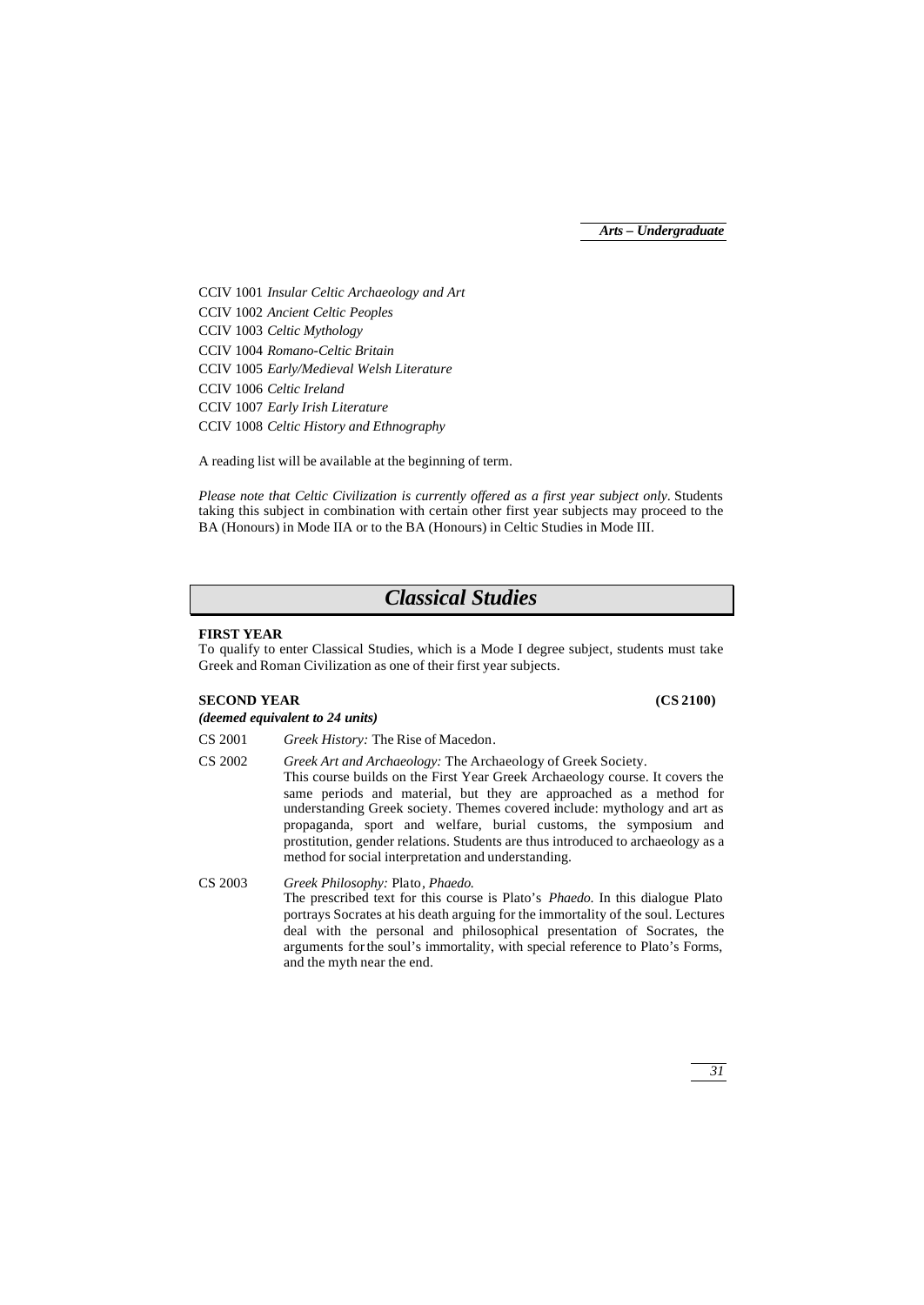CCIV 1001 *Insular Celtic Archaeology and Art* CCIV 1002 *Ancient Celtic Peoples* CCIV 1003 *Celtic Mythology* CCIV 1004 *Romano-Celtic Britain* CCIV 1005 *Early/Medieval Welsh Literature* CCIV 1006 *Celtic Ireland* CCIV 1007 *Early Irish Literature* CCIV 1008 *Celtic History and Ethnography*

A reading list will be available at the beginning of term.

*Please note that Celtic Civilization is currently offered as a first year subject only*. Students taking this subject in combination with certain other first year subjects may proceed to the BA (Honours) in Mode IIA or to the BA (Honours) in Celtic Studies in Mode III.

## *Classical Studies*

## **FIRST YEAR**

To qualify to enter Classical Studies, which is a Mode I degree subject, students must take Greek and Roman Civilization as one of their first year subjects.

## **SECOND YEAR (CS 2100)**

*(deemed equivalent to 24 units)*

- CS 2001 *Greek History:* The Rise of Macedon*.*
- CS 2002 *Greek Art and Archaeology:* The Archaeology of Greek Society. This course builds on the First Year Greek Archaeology course. It covers the same periods and material, but they are approached as a method for understanding Greek society. Themes covered include: mythology and art as propaganda, sport and welfare, burial customs, the symposium and prostitution, gender relations. Students are thus introduced to archaeology as a method for social interpretation and understanding.

CS 2003 *Greek Philosophy:* Plato*, Phaedo.* The prescribed text for this course is Plato's *Phaedo*. In this dialogue Plato portrays Socrates at his death arguing for the immortality of the soul. Lectures deal with the personal and philosophical presentation of Socrates, the arguments for the soul's immortality, with special reference to Plato's Forms, and the myth near the end.

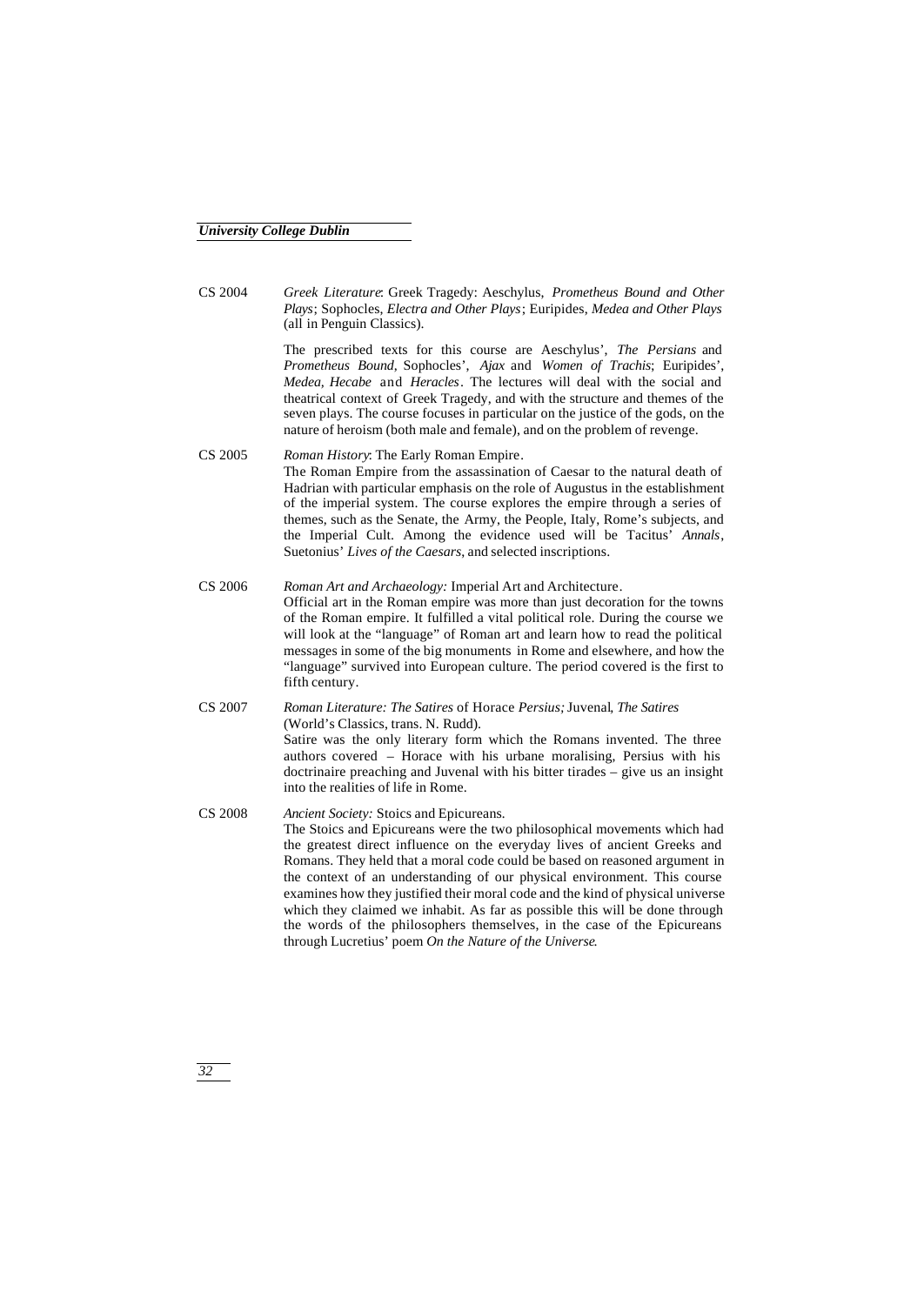CS 2004 *Greek Literature*: Greek Tragedy: Aeschylus, *Prometheus Bound and Other Plays*; Sophocles, *Electra and Other Plays*; Euripides, *Medea and Other Plays* (all in Penguin Classics).

> The prescribed texts for this course are Aeschylus', *The Persians* and *Prometheus Bound*, Sophocles', *Ajax* and *Women of Trachis*; Euripides', *Medea, Hecabe* and *Heracles*. The lectures will deal with the social and theatrical context of Greek Tragedy, and with the structure and themes of the seven plays. The course focuses in particular on the justice of the gods, on the nature of heroism (both male and female), and on the problem of revenge.

- CS 2005 *Roman History*: The Early Roman Empire*.* The Roman Empire from the assassination of Caesar to the natural death of Hadrian with particular emphasis on the role of Augustus in the establishment of the imperial system. The course explores the empire through a series of themes, such as the Senate, the Army, the People, Italy, Rome's subjects, and the Imperial Cult. Among the evidence used will be Tacitus' *Annals*, Suetonius' *Lives of the Caesars*, and selected inscriptions.
- CS 2006 *Roman Art and Archaeology:* Imperial Art and Architecture*.* Official art in the Roman empire was more than just decoration for the towns of the Roman empire. It fulfilled a vital political role. During the course we will look at the "language" of Roman art and learn how to read the political messages in some of the big monuments in Rome and elsewhere, and how the "language" survived into European culture. The period covered is the first to fifth century.

CS 2007 *Roman Literature: The Satires* of Horace *Persius;* Juvenal*, The Satires* (World's Classics, trans. N. Rudd). Satire was the only literary form which the Romans invented. The three authors covered – Horace with his urbane moralising, Persius with his doctrinaire preaching and Juvenal with his bitter tirades – give us an insight into the realities of life in Rome.

CS 2008 *Ancient Society:* Stoics and Epicureans*.* The Stoics and Epicureans were the two philosophical movements which had the greatest direct influence on the everyday lives of ancient Greeks and Romans. They held that a moral code could be based on reasoned argument in the context of an understanding of our physical environment. This course examines how they justified their moral code and the kind of physical universe which they claimed we inhabit. As far as possible this will be done through the words of the philosophers themselves, in the case of the Epicureans through Lucretius' poem *On the Nature of the Universe*.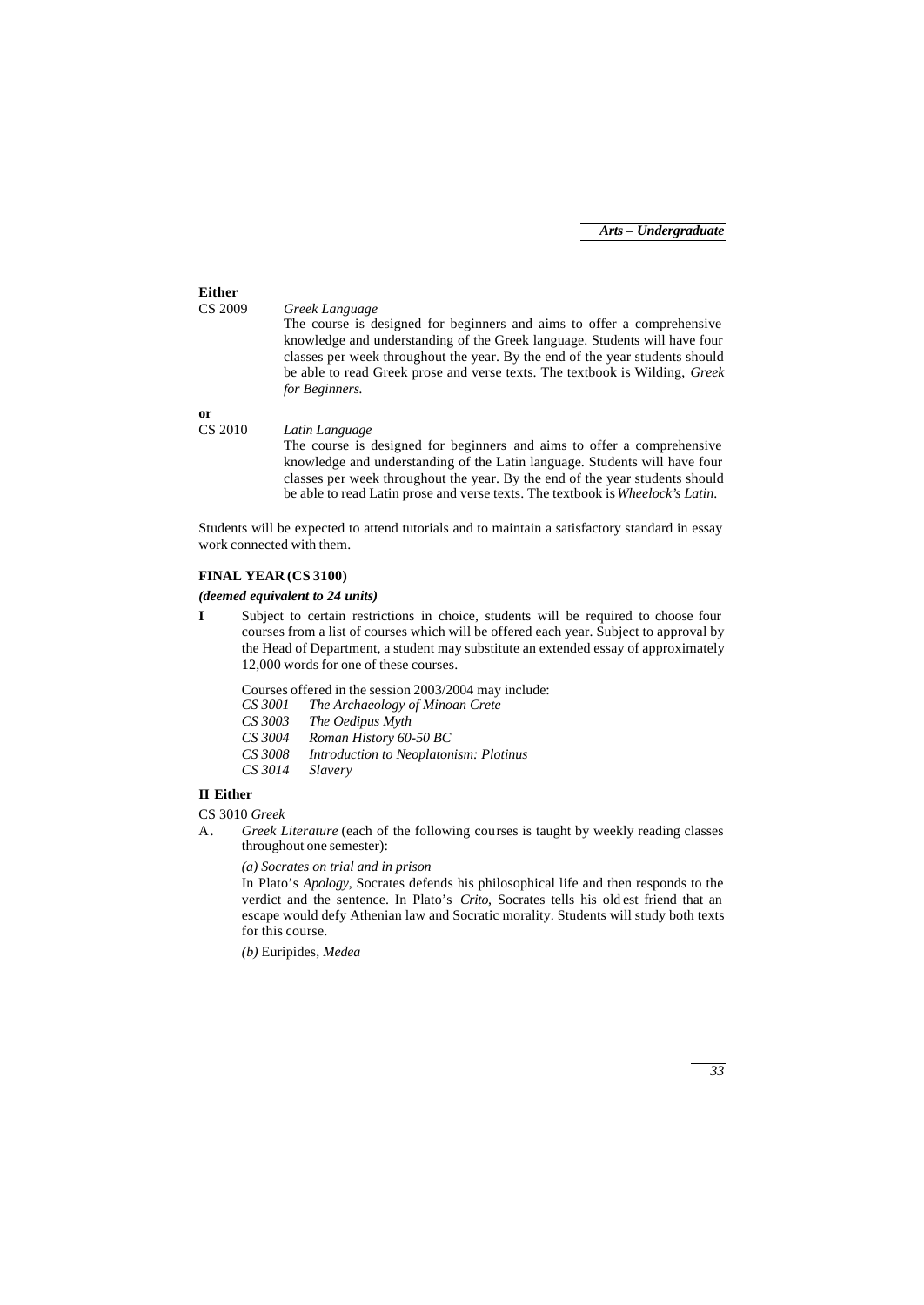## **Either** CS 2009 *Greek Language* The course is designed for beginners and aims to offer a comprehensive knowledge and understanding of the Greek language. Students will have four classes per week throughout the year. By the end of the year students should be able to read Greek prose and verse texts. The textbook is Wilding, *Greek for Beginners.* **or** CS 2010 *Latin Language*

The course is designed for beginners and aims to offer a comprehensive knowledge and understanding of the Latin language. Students will have four classes per week throughout the year. By the end of the year students should be able to read Latin prose and verse texts. The textbook is *Wheelock's Latin*.

Students will be expected to attend tutorials and to maintain a satisfactory standard in essay work connected with them.

## **FINAL YEAR (CS 3100)**

#### *(deemed equivalent to 24 units)*

**I** Subject to certain restrictions in choice, students will be required to choose four courses from a list of courses which will be offered each year. Subject to approval by the Head of Department, a student may substitute an extended essay of approximately 12,000 words for one of these courses.

Courses offered in the session 2003/2004 may include:<br>CS 3001 The Archaeology of Minoan Crete

- *CS 3001 The Archaeology of Minoan Crete*
- *CS 3003 The Oedipus Myth*
- *CS 3004 Roman History 60-50 BC*
- *CS 3008 Introduction to Neoplatonism: Plotinus*
- *CS 3014 Slavery*

## **II Either**

CS 3010 *Greek*

A. *Greek Literature* (each of the following courses is taught by weekly reading classes throughout one semester):

*(a) Socrates on trial and in prison*

In Plato's *Apology*, Socrates defends his philosophical life and then responds to the verdict and the sentence. In Plato's *Crito*, Socrates tells his old est friend that an escape would defy Athenian law and Socratic morality. Students will study both texts for this course.

*(b)* Euripides, *Medea*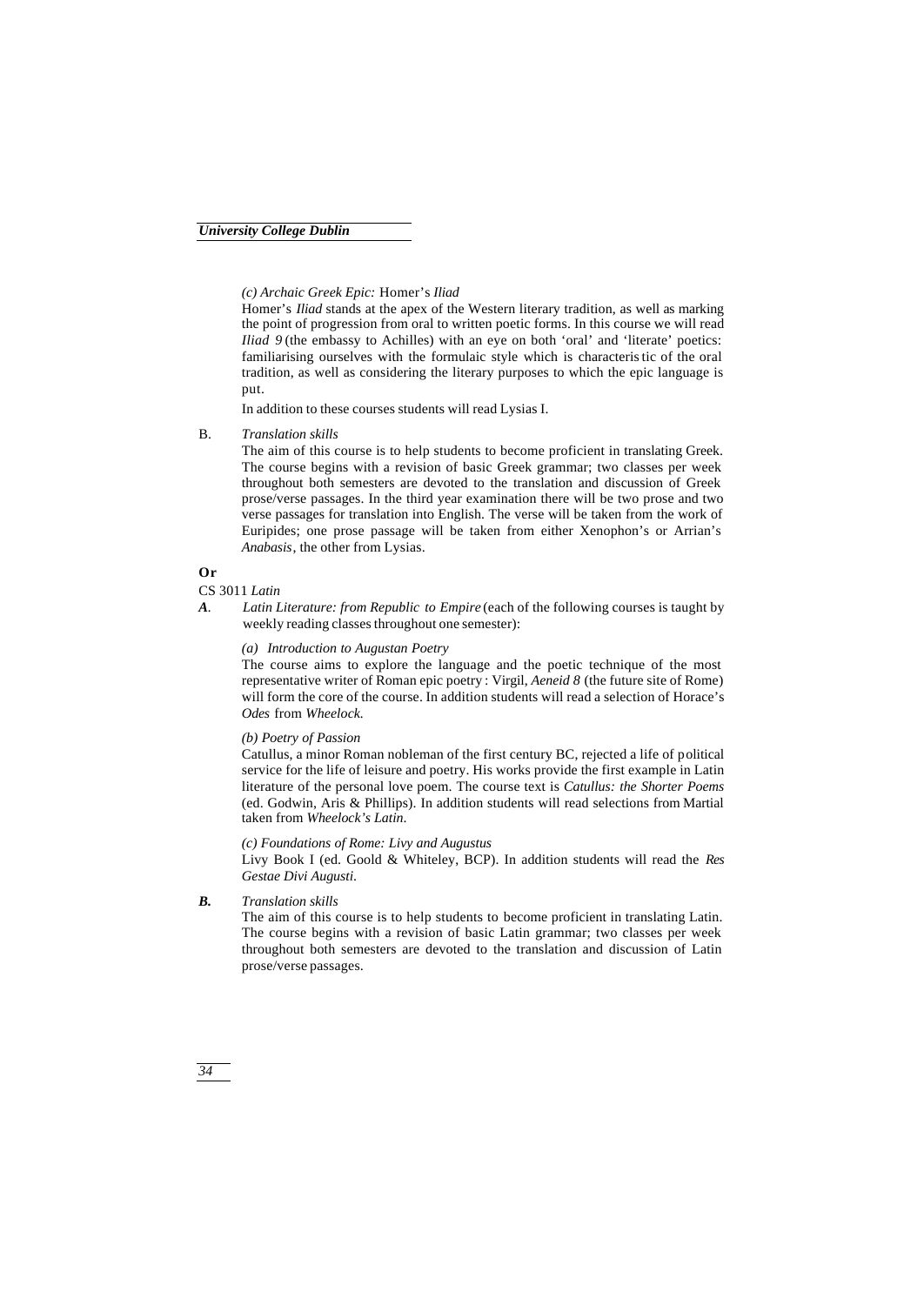*(c) Archaic Greek Epic:* Homer's *Iliad*

Homer's *Iliad* stands at the apex of the Western literary tradition, as well as marking the point of progression from oral to written poetic forms. In this course we will read *Iliad 9* (the embassy to Achilles) with an eye on both 'oral' and 'literate' poetics: familiarising ourselves with the formulaic style which is characteristic of the oral tradition, as well as considering the literary purposes to which the epic language is put.

In addition to these courses students will read Lysias I.

B. *Translation skills*

The aim of this course is to help students to become proficient in translating Greek. The course begins with a revision of basic Greek grammar; two classes per week throughout both semesters are devoted to the translation and discussion of Greek prose/verse passages. In the third year examination there will be two prose and two verse passages for translation into English. The verse will be taken from the work of Euripides; one prose passage will be taken from either Xenophon's or Arrian's *Anabasis*, the other from Lysias.

## **Or**

CS 3011 *Latin*

*A. Latin Literature: from Republic to Empire* (each of the following courses is taught by weekly reading classes throughout one semester):

## *(a) Introduction to Augustan Poetry*

The course aims to explore the language and the poetic technique of the most representative writer of Roman epic poetry : Virgil, *Aeneid 8* (the future site of Rome) will form the core of the course. In addition students will read a selection of Horace's *Odes* from *Wheelock.*

## *(b) Poetry of Passion*

Catullus, a minor Roman nobleman of the first century BC, rejected a life of political service for the life of leisure and poetry. His works provide the first example in Latin literature of the personal love poem. The course text is *Catullus: the Shorter Poems* (ed. Godwin, Aris & Phillips). In addition students will read selections from Martial taken from *Wheelock's Latin*.

## *(c) Foundations of Rome: Livy and Augustus*

Livy Book I (ed. Goold & Whiteley, BCP). In addition students will read the *Res Gestae Divi Augusti*.

*B. Translation skills*

The aim of this course is to help students to become proficient in translating Latin. The course begins with a revision of basic Latin grammar; two classes per week throughout both semesters are devoted to the translation and discussion of Latin prose/verse passages.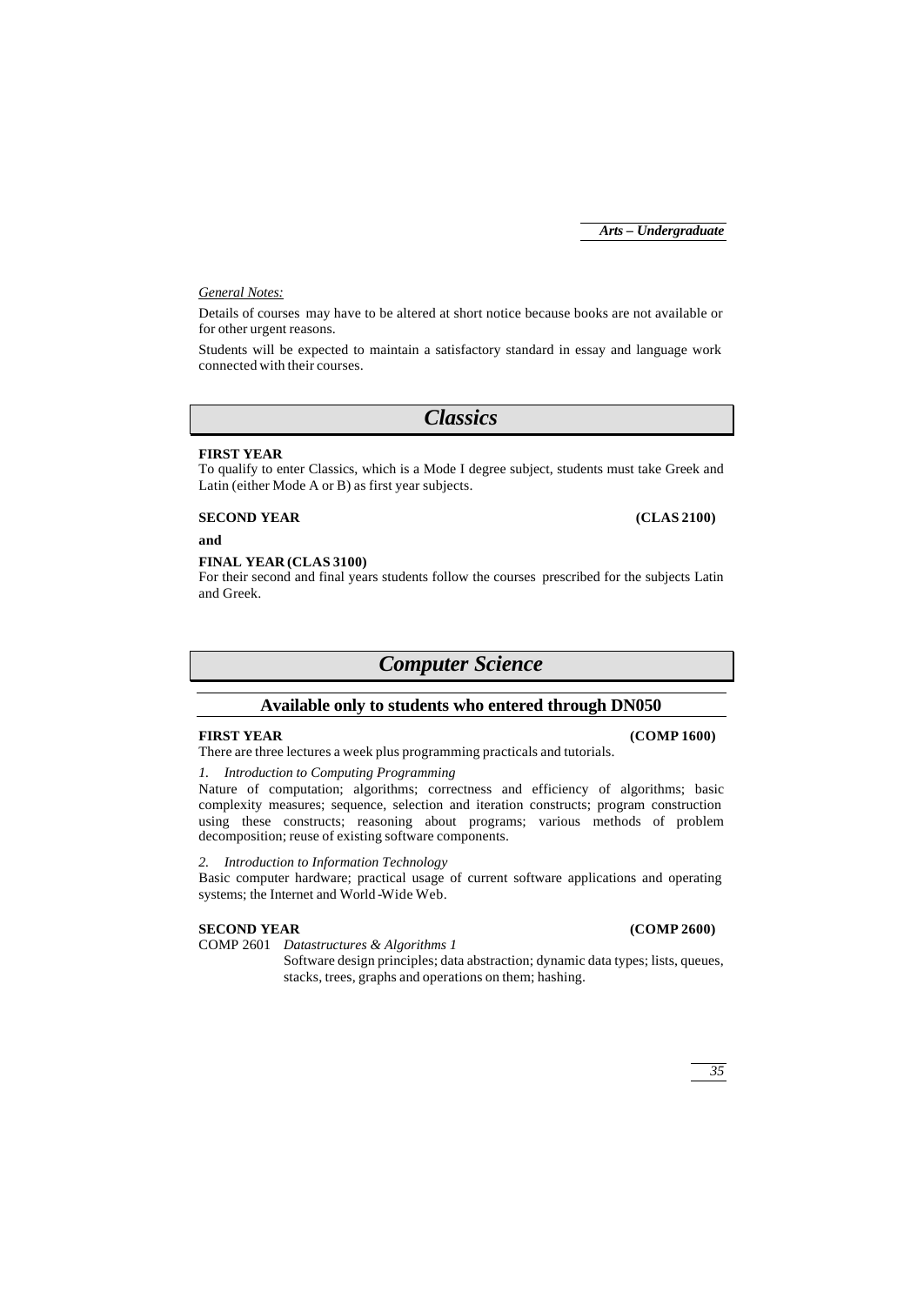## *General Notes:*

Details of courses may have to be altered at short notice because books are not available or for other urgent reasons.

Students will be expected to maintain a satisfactory standard in essay and language work connected with their courses.

*Classics*

## **FIRST YEAR**

To qualify to enter Classics, which is a Mode I degree subject, students must take Greek and Latin (either Mode A or B) as first year subjects.

**SECOND YEAR (CLAS 2100)**

**and**

## **FINAL YEAR (CLAS 3100)**

For their second and final years students follow the courses prescribed for the subjects Latin and Greek.

## *Computer Science*

## **Available only to students who entered through DN050**

## **FIRST YEAR (COMP 1600)**

There are three lectures a week plus programming practicals and tutorials.

## *1. Introduction to Computing Programming*

Nature of computation; algorithms; correctness and efficiency of algorithms; basic complexity measures; sequence, selection and iteration constructs; program construction using these constructs; reasoning about programs; various methods of problem decomposition; reuse of existing software components.

## *2. Introduction to Information Technology*

Basic computer hardware; practical usage of current software applications and operating systems; the Internet and World -Wide Web.

## **SECOND YEAR (COMP 2600)**

COMP 2601 *Datastructures & Algorithms 1*

Software design principles; data abstraction; dynamic data types; lists, queues, stacks, trees, graphs and operations on them; hashing.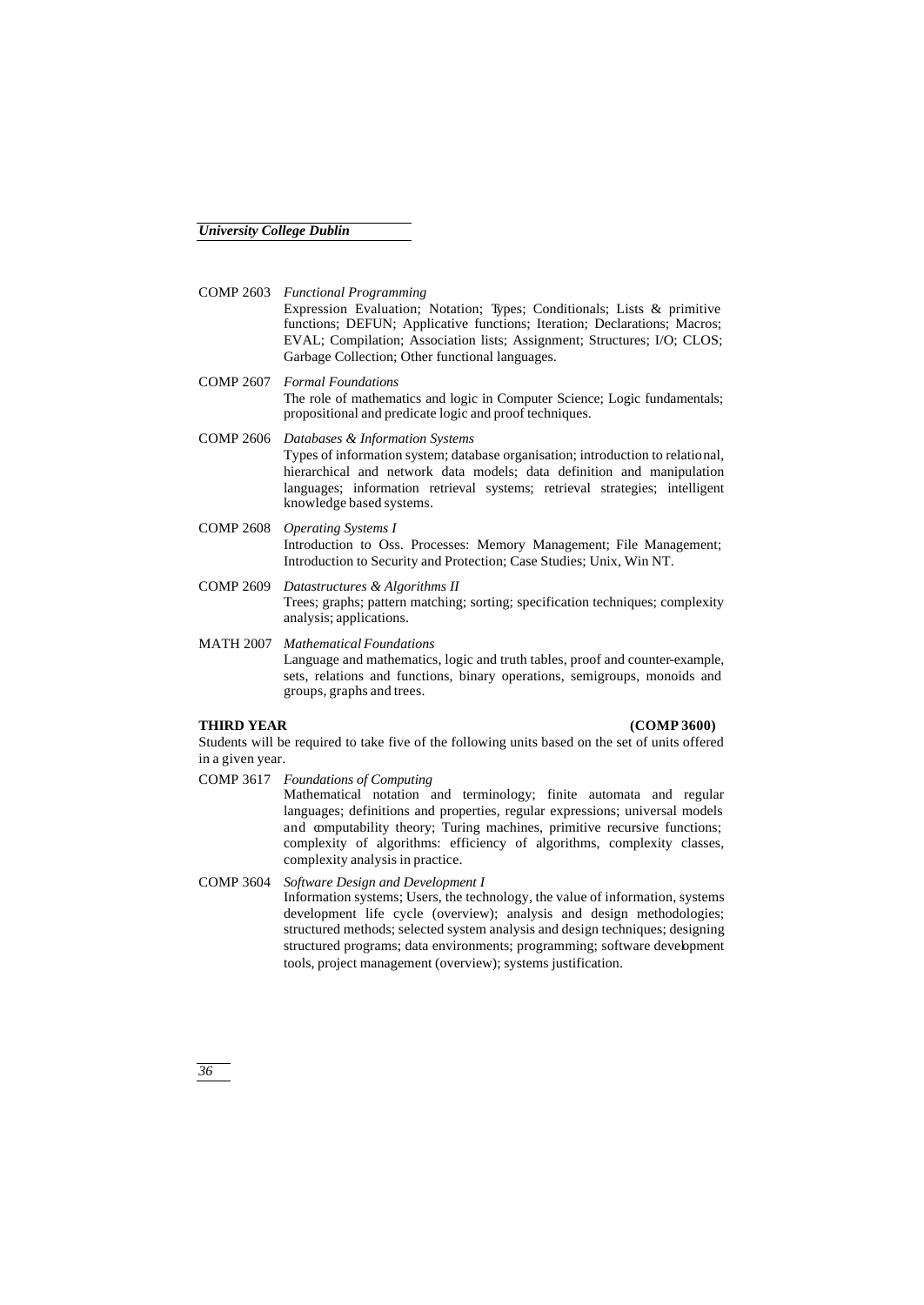- COMP 2603 *Functional Programming* Expression Evaluation; Notation; Types; Conditionals; Lists & primitive functions; DEFUN; Applicative functions; Iteration; Declarations; Macros; EVAL; Compilation; Association lists; Assignment; Structures; I/O; CLOS; Garbage Collection; Other functional languages.
- COMP 2607 *Formal Foundations* The role of mathematics and logic in Computer Science; Logic fundamentals; propositional and predicate logic and proof techniques.
- COMP 2606 *Databases & Information Systems* Types of information system; database organisation; introduction to relational, hierarchical and network data models; data definition and manipulation languages; information retrieval systems; retrieval strategies; intelligent knowledge based systems.
- COMP 2608 *Operating Systems I* Introduction to Oss. Processes: Memory Management; File Management; Introduction to Security and Protection; Case Studies; Unix, Win NT.
- COMP 2609 *Datastructures & Algorithms II* Trees; graphs; pattern matching; sorting; specification techniques; complexity analysis; applications.
- MATH 2007 *Mathematical Foundations* Language and mathematics, logic and truth tables, proof and counter-example, sets, relations and functions, binary operations, semigroups, monoids and groups, graphs and trees.

#### **THIRD YEAR (COMP 3600)**

Students will be required to take five of the following units based on the set of units offered in a given year.

COMP 3617 *Foundations of Computing*

Mathematical notation and terminology; finite automata and regular languages; definitions and properties, regular expressions; universal models and computability theory; Turing machines, primitive recursive functions; complexity of algorithms: efficiency of algorithms, complexity classes, complexity analysis in practice.

COMP 3604 *Software Design and Development I* Information systems; Users, the technology, the value of information, systems development life cycle (overview); analysis and design methodologies; structured methods; selected system analysis and design techniques; designing structured programs; data environments; programming; software development tools, project management (overview); systems justification.

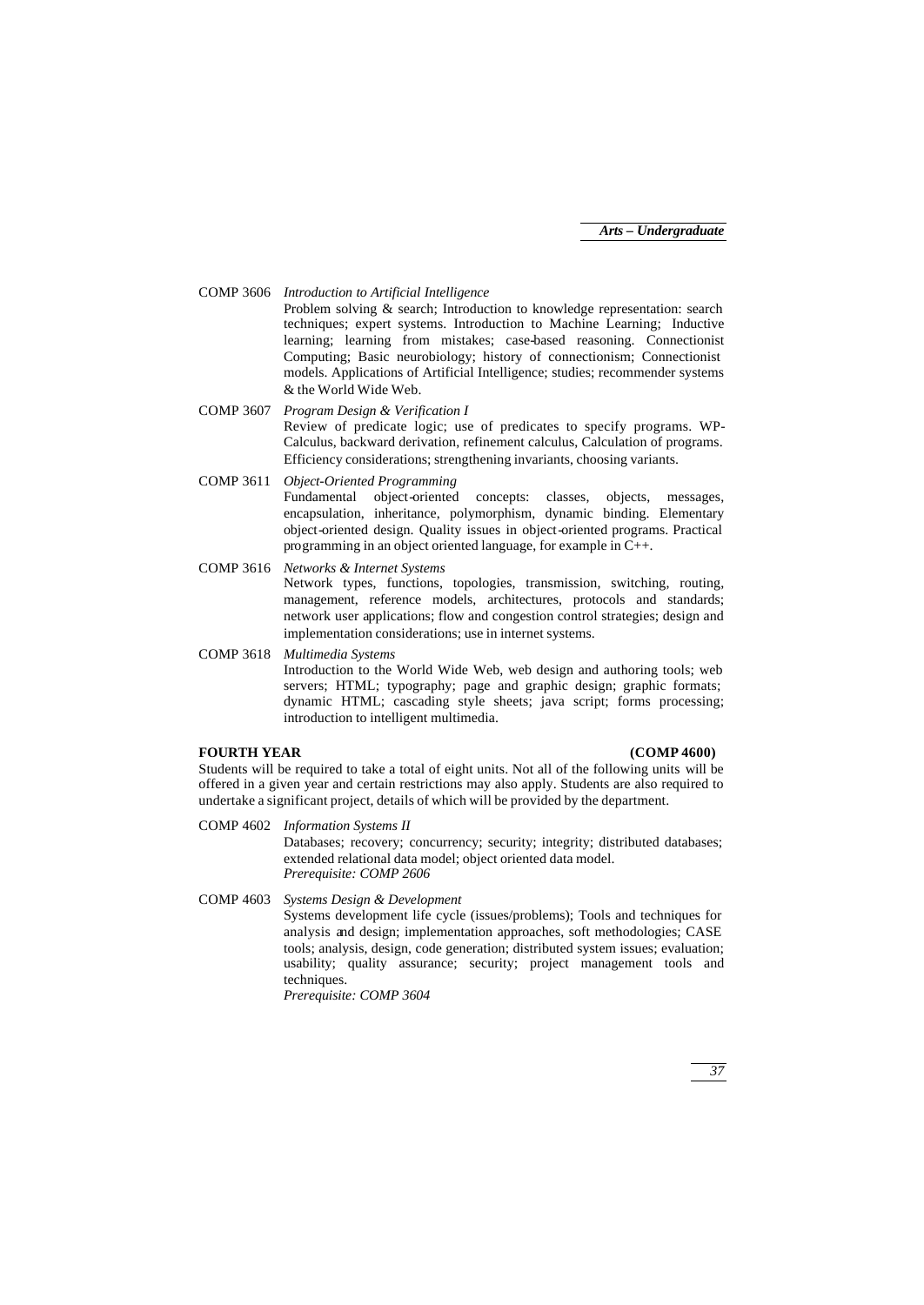COMP 3606 *Introduction to Artificial Intelligence*

Problem solving & search; Introduction to knowledge representation: search techniques; expert systems. Introduction to Machine Learning; Inductive learning; learning from mistakes; case-based reasoning. Connectionist Computing; Basic neurobiology; history of connectionism; Connectionist models. Applications of Artificial Intelligence; studies; recommender systems & the World Wide Web.

- COMP 3607 *Program Design & Verification I* Review of predicate logic; use of predicates to specify programs. WP-Calculus, backward derivation, refinement calculus, Calculation of programs. Efficiency considerations; strengthening invariants, choosing variants.
- COMP 3611 *Object-Oriented Programming* Fundamental object-oriented concepts: classes, objects, messages, encapsulation, inheritance, polymorphism, dynamic binding. Elementary object-oriented design. Quality issues in object-oriented programs. Practical programming in an object oriented language, for example in C++.
- COMP 3616 *Networks & Internet Systems*

Network types, functions, topologies, transmission, switching, routing, management, reference models, architectures, protocols and standards; network user applications; flow and congestion control strategies; design and implementation considerations; use in internet systems.

COMP 3618 *Multimedia Systems* Introduction to the World Wide Web, web design and authoring tools; web servers; HTML; typography; page and graphic design; graphic formats; dynamic HTML; cascading style sheets; java script; forms processing; introduction to intelligent multimedia.

#### **FOURTH YEAR (COMP 4600)**

Students will be required to take a total of eight units. Not all of the following units will be offered in a given year and certain restrictions may also apply. Students are also required to undertake a significant project, details of which will be provided by the department.

- COMP 4602 *Information Systems II* Databases; recovery; concurrency; security; integrity; distributed databases; extended relational data model; object oriented data model. *Prerequisite: COMP 2606*
- COMP 4603 *Systems Design & Development* Systems development life cycle (issues/problems); Tools and techniques for analysis and design; implementation approaches, soft methodologies; CASE tools; analysis, design, code generation; distributed system issues; evaluation; usability; quality assurance; security; project management tools and techniques. *Prerequisite: COMP 3604*

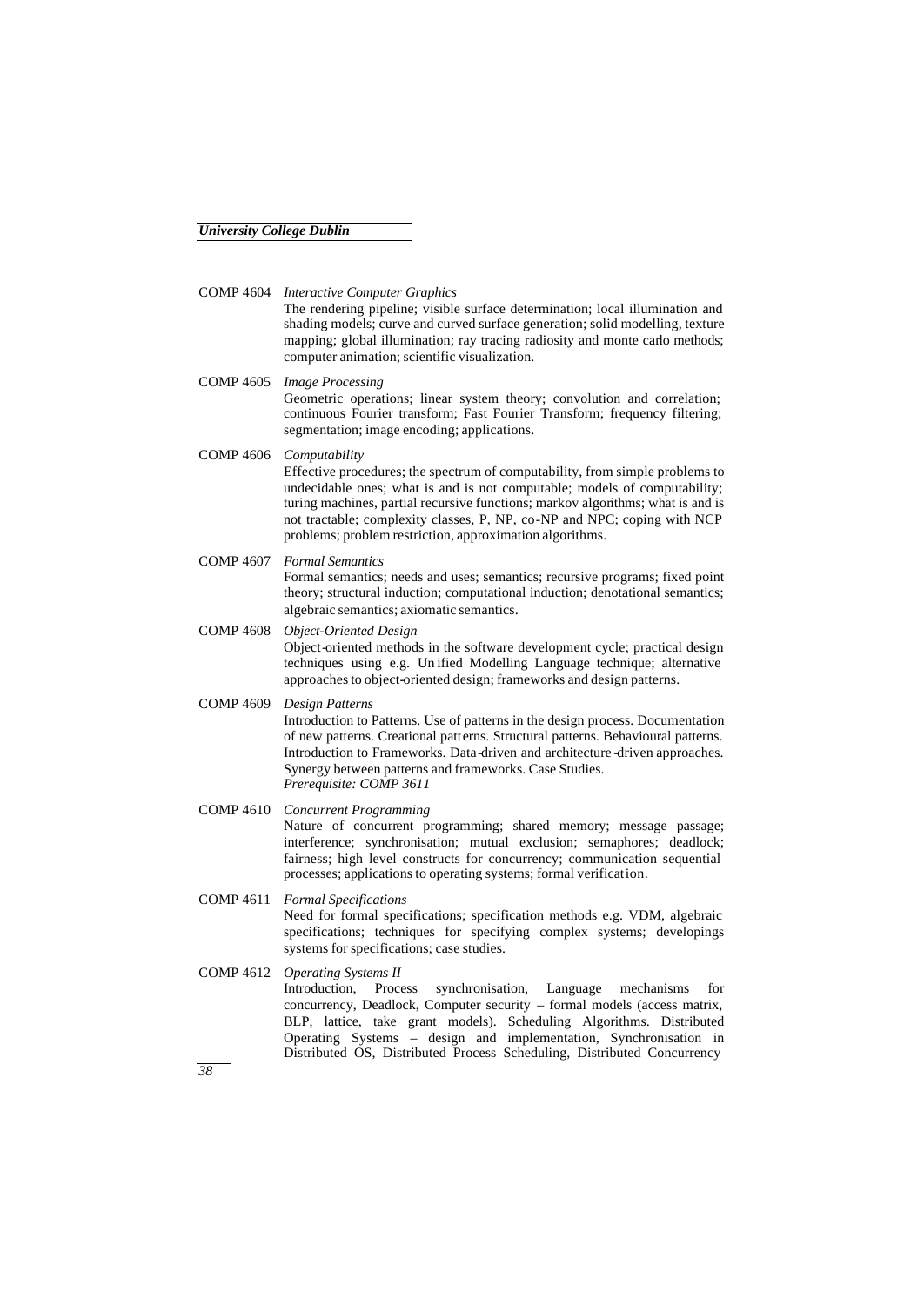COMP 4604 *Interactive Computer Graphics*

The rendering pipeline; visible surface determination; local illumination and shading models; curve and curved surface generation; solid modelling, texture mapping; global illumination; ray tracing radiosity and monte carlo methods; computer animation; scientific visualization.

COMP 4605 *Image Processing* Geometric operations; linear system theory; convolution and correlation; continuous Fourier transform; Fast Fourier Transform; frequency filtering; segmentation; image encoding; applications.

COMP 4606 *Computability*

Effective procedures; the spectrum of computability, from simple problems to undecidable ones; what is and is not computable; models of computability; turing machines, partial recursive functions; markov algorithms; what is and is not tractable; complexity classes, P, NP, co-NP and NPC; coping with NCP problems; problem restriction, approximation algorithms.

#### COMP 4607 *Formal Semantics* Formal semantics; needs and uses; semantics; recursive programs; fixed point theory; structural induction; computational induction; denotational semantics; algebraic semantics; axiomatic semantics.

COMP 4608 *Object-Oriented Design* Object-oriented methods in the software development cycle; practical design techniques using e.g. Un ified Modelling Language technique; alternative approaches to object-oriented design; frameworks and design patterns.

# COMP 4609 *Design Patterns* Introduction to Patterns. Use of patterns in the design process. Documentation

of new patterns. Creational patterns. Structural patterns. Behavioural patterns. Introduction to Frameworks. Data-driven and architecture -driven approaches. Synergy between patterns and frameworks. Case Studies. *Prerequisite: COMP 3611*

#### COMP 4610 *Concurrent Programming* Nature of concurrent programming; shared memory; message passage; interference; synchronisation; mutual exclusion; semaphores; deadlock; fairness; high level constructs for concurrency; communication sequential processes; applications to operating systems; formal verification.

COMP 4611 *Formal Specifications* Need for formal specifications; specification methods e.g. VDM, algebraic specifications; techniques for specifying complex systems; developings systems for specifications; case studies.

COMP 4612 *Operating Systems II* Introduction, Process synchronisation, Language mechanisms for concurrency, Deadlock, Computer security – formal models (access matrix, BLP, lattice, take grant models). Scheduling Algorithms. Distributed Operating Systems – design and implementation, Synchronisation in Distributed OS, Distributed Process Scheduling, Distributed Concurrency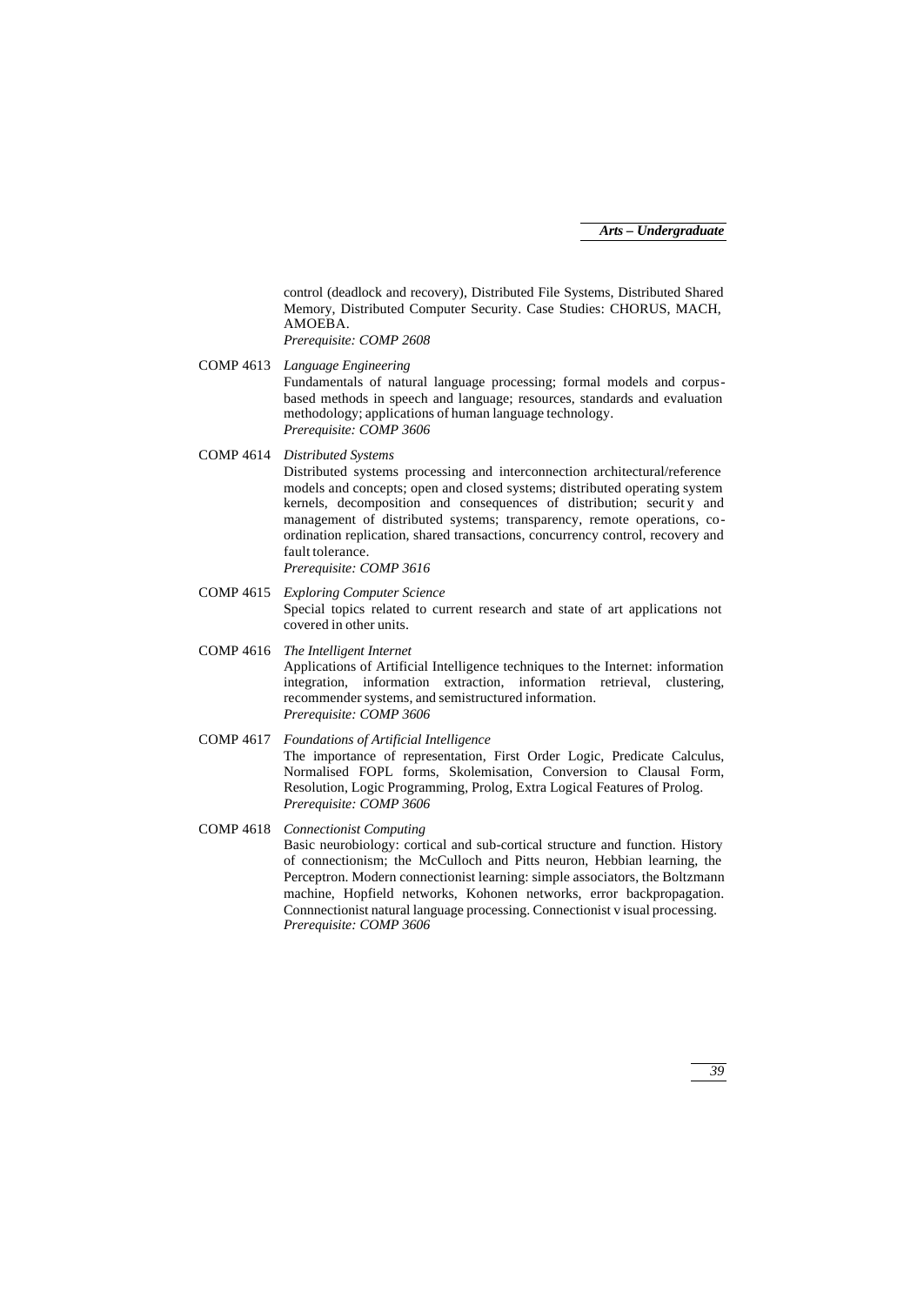control (deadlock and recovery), Distributed File Systems, Distributed Shared Memory, Distributed Computer Security. Case Studies: CHORUS, MACH, AMOEBA. *Prerequisite: COMP 2608*

COMP 4613 *Language Engineering* Fundamentals of natural language processing; formal models and corpusbased methods in speech and language; resources, standards and evaluation methodology; applications of human language technology. *Prerequisite: COMP 3606*

COMP 4614 *Distributed Systems*

Distributed systems processing and interconnection architectural/reference models and concepts; open and closed systems; distributed operating system kernels, decomposition and consequences of distribution; security and management of distributed systems; transparency, remote operations, coordination replication, shared transactions, concurrency control, recovery and fault tolerance. *Prerequisite: COMP 3616*

COMP 4615 *Exploring Computer Science* Special topics related to current research and state of art applications not covered in other units.

COMP 4616 *The Intelligent Internet* Applications of Artificial Intelligence techniques to the Internet: information integration, information extraction, information retrieval, clustering, recommender systems, and semistructured information. *Prerequisite: COMP 3606*

- COMP 4617 *Foundations of Artificial Intelligence* The importance of representation, First Order Logic, Predicate Calculus, Normalised FOPL forms, Skolemisation, Conversion to Clausal Form, Resolution, Logic Programming, Prolog, Extra Logical Features of Prolog. *Prerequisite: COMP 3606*
- COMP 4618 *Connectionist Computing* Basic neurobiology: cortical and sub-cortical structure and function. History of connectionism; the McCulloch and Pitts neuron, Hebbian learning, the Perceptron. Modern connectionist learning: simple associators, the Boltzmann machine, Hopfield networks, Kohonen networks, error backpropagation. Connnectionist natural language processing. Connectionist v isual processing. *Prerequisite: COMP 3606*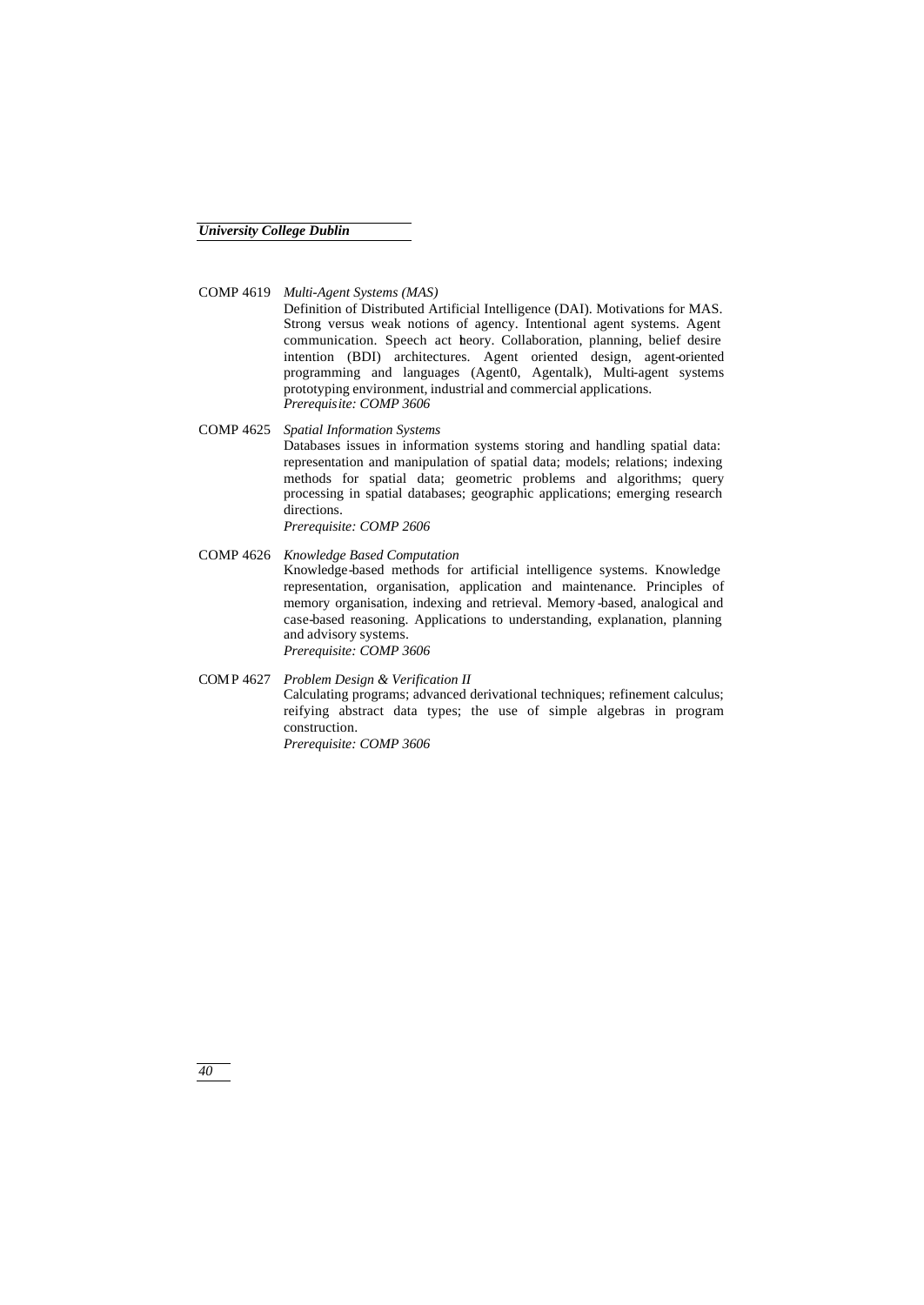COMP 4619 *Multi-Agent Systems (MAS)*

Definition of Distributed Artificial Intelligence (DAI). Motivations for MAS. Strong versus weak notions of agency. Intentional agent systems. Agent communication. Speech act theory. Collaboration, planning, belief desire intention (BDI) architectures. Agent oriented design, agent-oriented programming and languages (Agent0, Agentalk), Multi-agent systems prototyping environment, industrial and commercial applications. *Prerequisite: COMP 3606*

- COMP 4625 *Spatial Information Systems* Databases issues in information systems storing and handling spatial data: representation and manipulation of spatial data; models; relations; indexing methods for spatial data; geometric problems and algorithms; query processing in spatial databases; geographic applications; emerging research directions. *Prerequisite: COMP 2606*
- COMP 4626 *Knowledge Based Computation* Knowledge-based methods for artificial intelligence systems. Knowledge representation, organisation, application and maintenance. Principles of memory organisation, indexing and retrieval. Memory -based, analogical and case-based reasoning. Applications to understanding, explanation, planning and advisory systems. *Prerequisite: COMP 3606*
- COMP 4627 *Problem Design & Verification II* Calculating programs; advanced derivational techniques; refinement calculus; reifying abstract data types; the use of simple algebras in program construction. *Prerequisite: COMP 3606*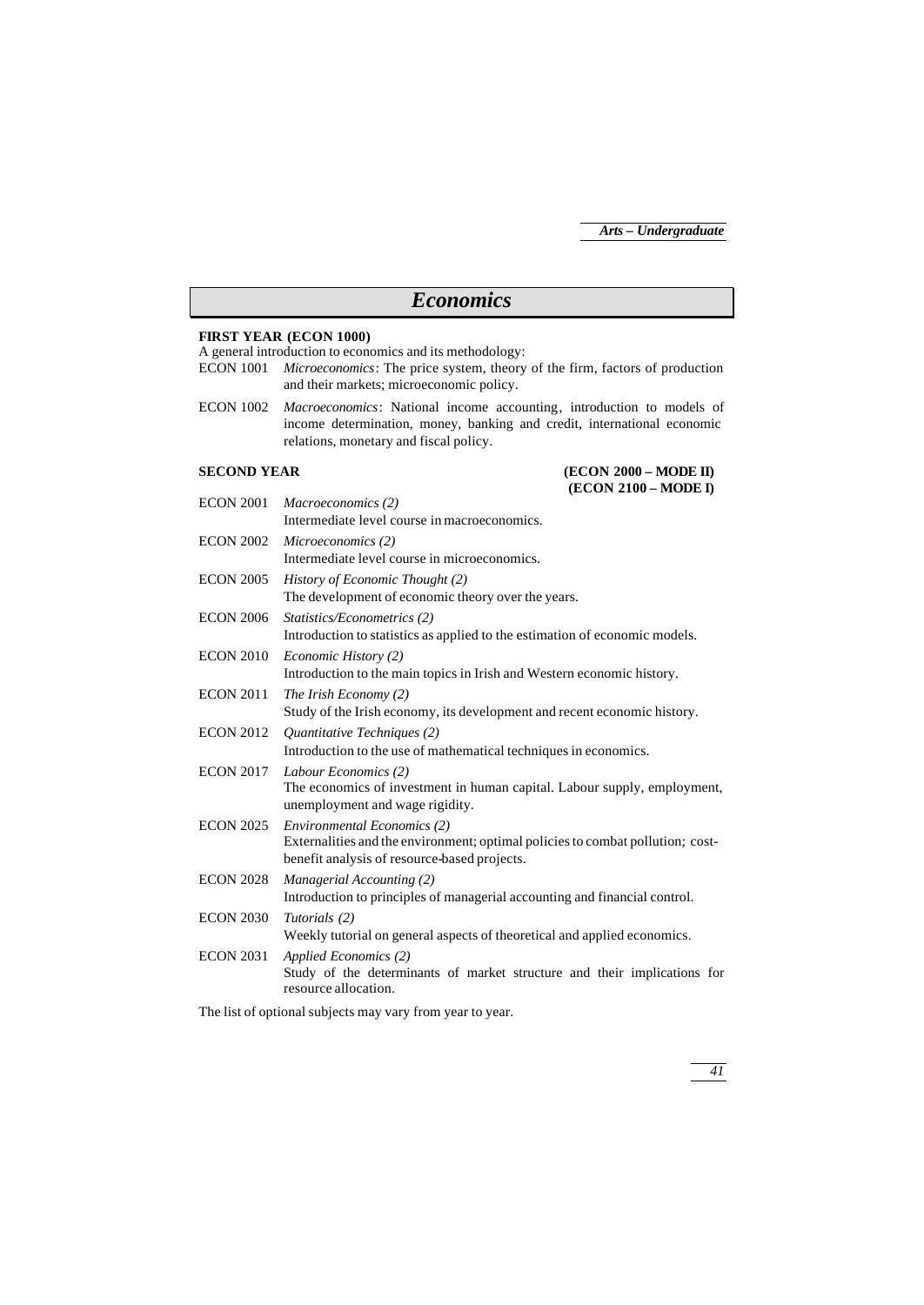# *Economics*

#### **FIRST YEAR (ECON 1000)**

A general introduction to economics and its methodology:

- ECON 1001 *Microeconomics*: The price system, theory of the firm, factors of production and their markets; microeconomic policy.
- ECON 1002 *Macroeconomics*: National income accounting, introduction to models of income determination, money, banking and credit, international economic relations, monetary and fiscal policy.

### **SECOND YEAR (ECON 2000 – MODE II) (ECON 2100 – MODE I)**

| <b>ECON 2001</b> | Macroeconomics (2)<br>Intermediate level course in macroeconomics.                                                                                                   |
|------------------|----------------------------------------------------------------------------------------------------------------------------------------------------------------------|
| <b>ECON 2002</b> | Microeconomics (2)<br>Intermediate level course in microeconomics.                                                                                                   |
| <b>ECON 2005</b> | History of Economic Thought (2)<br>The development of economic theory over the years.                                                                                |
| <b>ECON 2006</b> | Statistics/Econometrics (2)<br>Introduction to statistics as applied to the estimation of economic models.                                                           |
| <b>ECON 2010</b> | Economic History (2)<br>Introduction to the main topics in Irish and Western economic history.                                                                       |
| <b>ECON 2011</b> | The Irish Economy (2)<br>Study of the Irish economy, its development and recent economic history.                                                                    |
| <b>ECON 2012</b> | Quantitative Techniques (2)<br>Introduction to the use of mathematical techniques in economics.                                                                      |
| <b>ECON 2017</b> | Labour Economics (2)<br>The economics of investment in human capital. Labour supply, employment,<br>unemployment and wage rigidity.                                  |
| <b>ECON 2025</b> | <b>Environmental Economics (2)</b><br>Externalities and the environment; optimal policies to combat pollution; cost-<br>benefit analysis of resource-based projects. |
| <b>ECON 2028</b> | Managerial Accounting (2)<br>Introduction to principles of managerial accounting and financial control.                                                              |
| <b>ECON 2030</b> | Tutorials (2)<br>Weekly tutorial on general aspects of theoretical and applied economics.                                                                            |
| <b>ECON 2031</b> | Applied Economics (2)<br>Study of the determinants of market structure and their implications for<br>resource allocation.                                            |

The list of optional subjects may vary from year to year.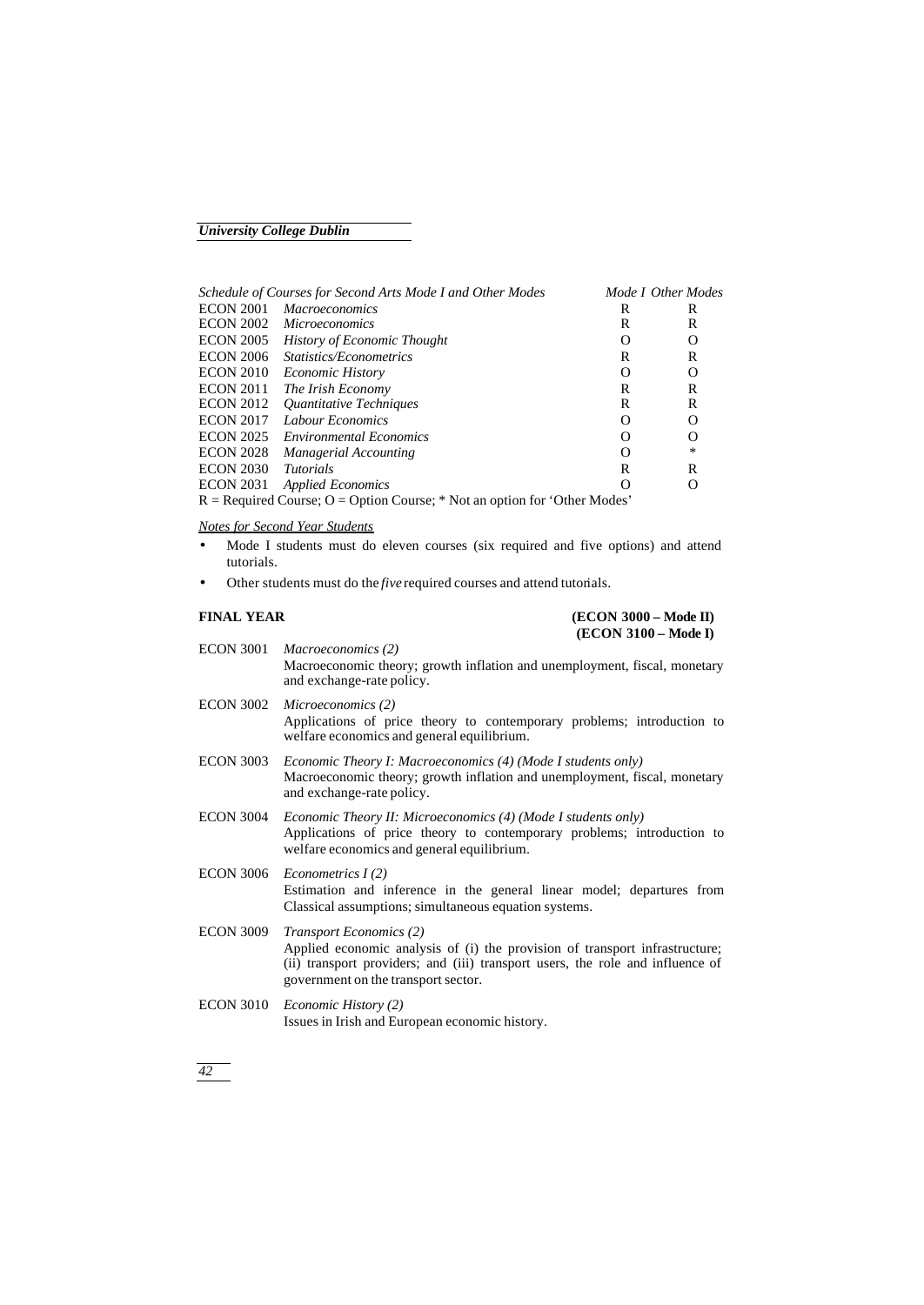| Mode I Other Modes<br>Schedule of Courses for Second Arts Mode I and Other Modes |                                    |          |                  |
|----------------------------------------------------------------------------------|------------------------------------|----------|------------------|
| <b>ECON 2001</b>                                                                 | <i>Macroeconomics</i>              | R        | R                |
| <b>ECON 2002</b>                                                                 | <i>Microeconomics</i>              | R        | R                |
| <b>ECON 2005</b>                                                                 | <b>History of Economic Thought</b> | Ω        | $\Omega$         |
| <b>ECON 2006</b>                                                                 | <i>Statistics/Econometrics</i>     | R        | R                |
| <b>ECON 2010</b>                                                                 | <i>Economic History</i>            | Ω        | O                |
| <b>ECON 2011</b>                                                                 | The Irish Economy                  | R        | R                |
| <b>ECON 2012</b>                                                                 | Quantitative Techniques            | R        | R                |
| <b>ECON 2017</b>                                                                 | Labour Economics                   | $\Omega$ | O                |
| <b>ECON 2025</b>                                                                 | <b>Environmental Economics</b>     | Ω        | O                |
| <b>ECON 2028</b>                                                                 | Managerial Accounting              | Ω        | *                |
| <b>ECON 2030</b>                                                                 | <i>Tutorials</i>                   | R        | R                |
| <b>ECON 2031</b>                                                                 | <b>Applied Economics</b>           | Ω        | $\left( \right)$ |
| $R =$ Required Course; O = Option Course; * Not an option for 'Other Modes'      |                                    |          |                  |

#### *Notes for Second Year Students*

- Mode I students must do eleven courses (six required and five options) and attend tutorials.
- Other students must do the *five* required courses and attend tutorials.

#### **FINAL YEAR (ECON 3000 – Mode II) (ECON 3100 – Mode I)**

|                  | $[ECO11 J100 - M00C1]$                                                                                                                                                                                                                 |
|------------------|----------------------------------------------------------------------------------------------------------------------------------------------------------------------------------------------------------------------------------------|
| <b>ECON 3001</b> | Macroeconomics (2)<br>Macroeconomic theory; growth inflation and unemployment, fiscal, monetary<br>and exchange-rate policy.                                                                                                           |
| <b>ECON 3002</b> | Microeconomics (2)<br>Applications of price theory to contemporary problems; introduction to<br>welfare economics and general equilibrium.                                                                                             |
| <b>ECON 3003</b> | Economic Theory I: Macroeconomics (4) (Mode I students only)<br>Macroeconomic theory; growth inflation and unemployment, fiscal, monetary<br>and exchange-rate policy.                                                                 |
| <b>ECON 3004</b> | <i>Economic Theory II: Microeconomics (4) (Mode I students only)</i><br>Applications of price theory to contemporary problems; introduction to<br>welfare economics and general equilibrium.                                           |
| <b>ECON 3006</b> | Econometrics $I(2)$<br>Estimation and inference in the general linear model; departures from<br>Classical assumptions; simultaneous equation systems.                                                                                  |
| <b>ECON 3009</b> | <b>Transport Economics (2)</b><br>Applied economic analysis of (i) the provision of transport infrastructure;<br>(ii) transport providers; and (iii) transport users, the role and influence of<br>government on the transport sector. |
| <b>ECON 3010</b> | <i>Economic History (2)</i><br>Issues in Irish and European economic history.                                                                                                                                                          |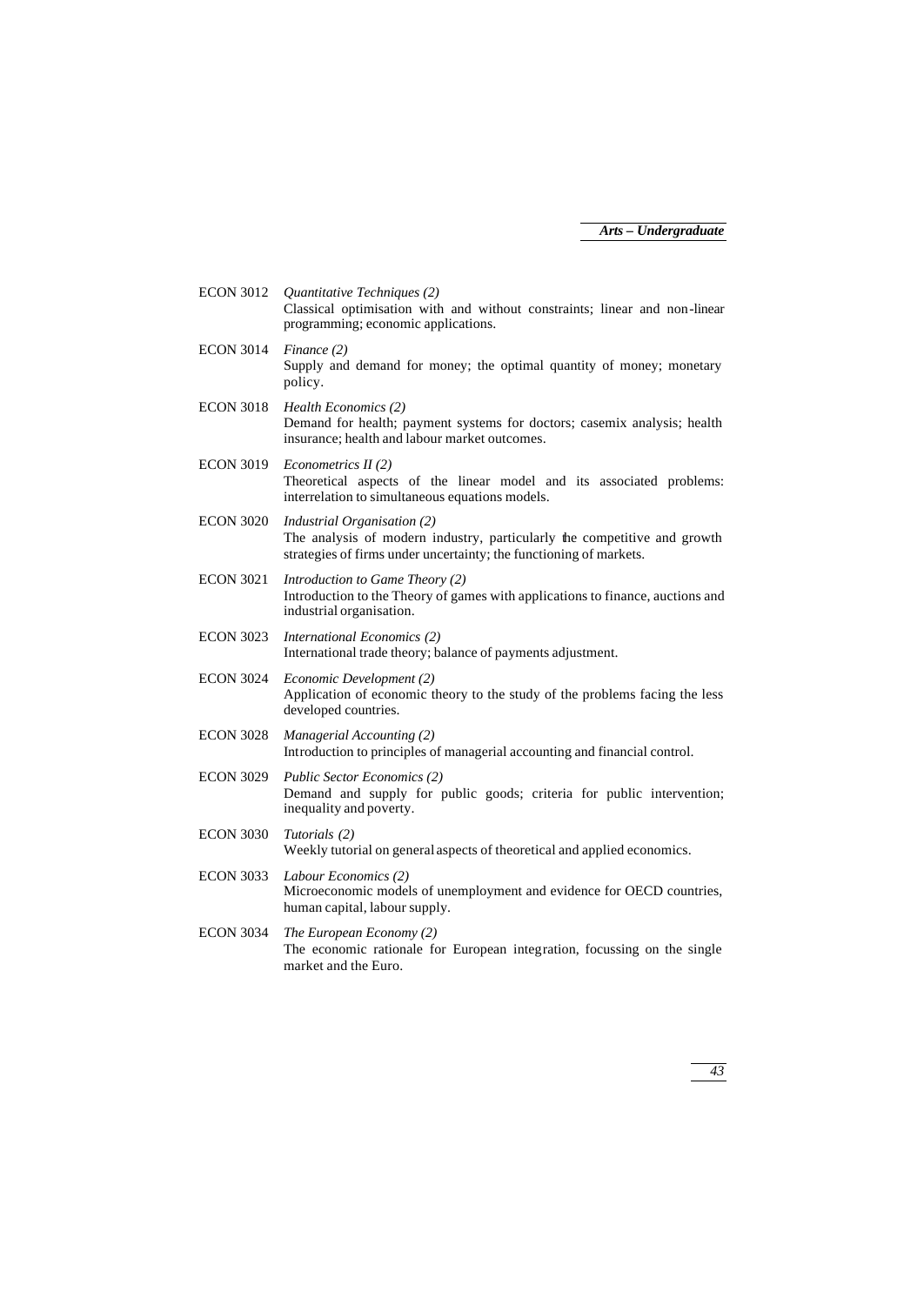| <b>ECON 3012</b> | Quantitative Techniques (2)<br>Classical optimisation with and without constraints; linear and non-linear<br>programming; economic applications.                              |
|------------------|-------------------------------------------------------------------------------------------------------------------------------------------------------------------------------|
| <b>ECON 3014</b> | Finance (2)<br>Supply and demand for money; the optimal quantity of money; monetary<br>policy.                                                                                |
| <b>ECON 3018</b> | Health Economics (2)<br>Demand for health; payment systems for doctors; casemix analysis; health<br>insurance; health and labour market outcomes.                             |
| <b>ECON 3019</b> | Econometrics $II(2)$<br>Theoretical aspects of the linear model and its associated problems:<br>interrelation to simultaneous equations models.                               |
| <b>ECON 3020</b> | Industrial Organisation (2)<br>The analysis of modern industry, particularly the competitive and growth<br>strategies of firms under uncertainty; the functioning of markets. |
| <b>ECON 3021</b> | Introduction to Game Theory (2)<br>Introduction to the Theory of games with applications to finance, auctions and<br>industrial organisation.                                 |
| <b>ECON 3023</b> | International Economics (2)<br>International trade theory; balance of payments adjustment.                                                                                    |
| <b>ECON 3024</b> | Economic Development (2)<br>Application of economic theory to the study of the problems facing the less<br>developed countries.                                               |
| <b>ECON 3028</b> | Managerial Accounting (2)<br>Introduction to principles of managerial accounting and financial control.                                                                       |
| <b>ECON 3029</b> | <b>Public Sector Economics (2)</b><br>Demand and supply for public goods; criteria for public intervention;<br>inequality and poverty.                                        |
| <b>ECON 3030</b> | Tutorials (2)<br>Weekly tutorial on general aspects of theoretical and applied economics.                                                                                     |
| <b>ECON 3033</b> | Labour Economics (2)<br>Microeconomic models of unemployment and evidence for OECD countries,<br>human capital, labour supply.                                                |
| <b>ECON 3034</b> | The European Economy (2)<br>The economic rationale for European integration, focussing on the single<br>market and the Euro.                                                  |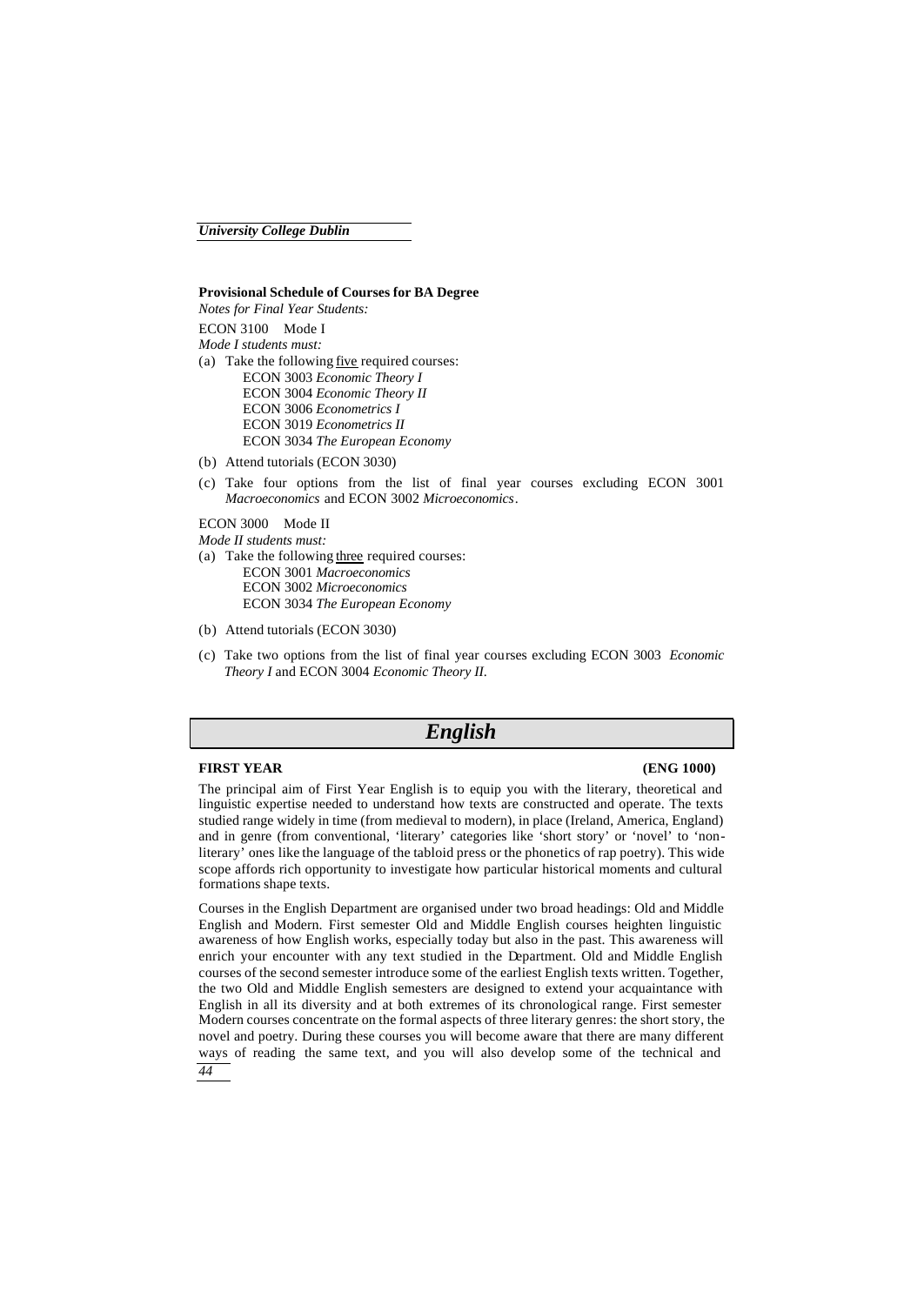#### **Provisional Schedule of Courses for BA Degree**

*Notes for Final Year Students:* ECON 3100 Mode I *Mode I students must:* (a) Take the following five required courses: ECON 3003 *Economic Theory I* ECON 3004 *Economic Theory II* ECON 3006 *Econometrics I* ECON 3019 *Econometrics II* ECON 3034 *The European Economy*

(b) Attend tutorials (ECON 3030)

(c) Take four options from the list of final year courses excluding ECON 3001 *Macroeconomics* and ECON 3002 *Microeconomics*.

ECON 3000 Mode II

*Mode II students must:*

- (a) Take the following three required courses: ECON 3001 *Macroeconomics* ECON 3002 *Microeconomics* ECON 3034 *The European Economy*
- (b) Attend tutorials (ECON 3030)
- (c) Take two options from the list of final year courses excluding ECON 3003 *Economic Theory I* and ECON 3004 *Economic Theory II*.

## *English*

#### **FIRST YEAR (ENG 1000)**

The principal aim of First Year English is to equip you with the literary, theoretical and linguistic expertise needed to understand how texts are constructed and operate. The texts studied range widely in time (from medieval to modern), in place (Ireland, America, England) and in genre (from conventional, 'literary' categories like 'short story' or 'novel' to 'nonliterary' ones like the language of the tabloid press or the phonetics of rap poetry). This wide scope affords rich opportunity to investigate how particular historical moments and cultural formations shape texts.

*44* Courses in the English Department are organised under two broad headings: Old and Middle English and Modern. First semester Old and Middle English courses heighten linguistic awareness of how English works, especially today but also in the past. This awareness will enrich your encounter with any text studied in the Department. Old and Middle English courses of the second semester introduce some of the earliest English texts written. Together, the two Old and Middle English semesters are designed to extend your acquaintance with English in all its diversity and at both extremes of its chronological range. First semester Modern courses concentrate on the formal aspects of three literary genres: the short story, the novel and poetry. During these courses you will become aware that there are many different ways of reading the same text, and you will also develop some of the technical and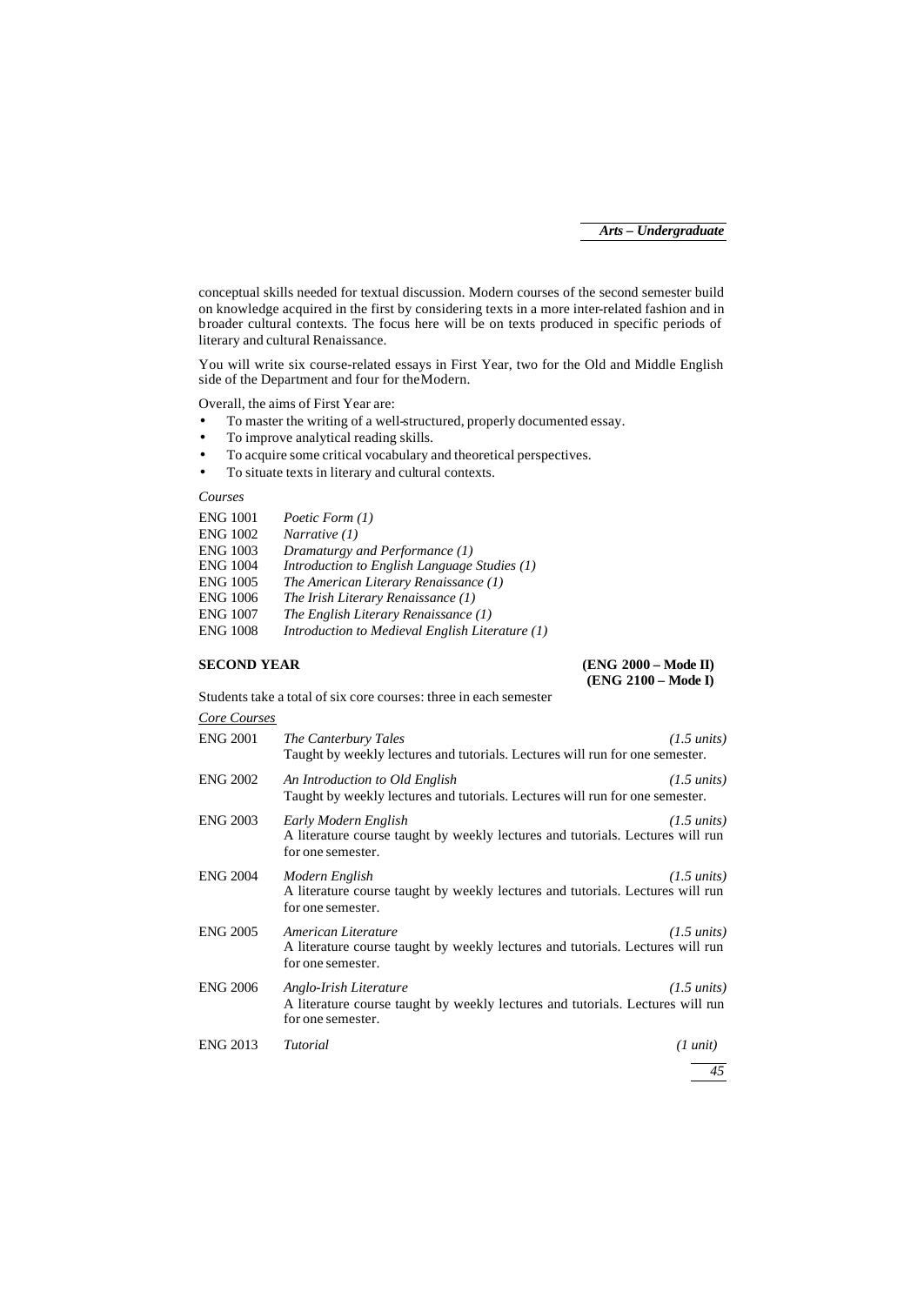conceptual skills needed for textual discussion. Modern courses of the second semester build on knowledge acquired in the first by considering texts in a more inter-related fashion and in broader cultural contexts. The focus here will be on texts produced in specific periods of literary and cultural Renaissance.

You will write six course-related essays in First Year, two for the Old and Middle English side of the Department and four for the Modern.

Overall, the aims of First Year are:

- To master the writing of a well-structured, properly documented essay.
- To improve analytical reading skills.
- To acquire some critical vocabulary and theoretical perspectives.
- To situate texts in literary and cultural contexts.

#### *Courses*

| <b>ENG 1001</b> | Poetic Form (1)                                 |
|-----------------|-------------------------------------------------|
| <b>ENG 1002</b> | Narrative $(1)$                                 |
| <b>ENG 1003</b> | Dramaturgy and Performance (1)                  |
| <b>ENG 1004</b> | Introduction to English Language Studies (1)    |
| <b>ENG 1005</b> | The American Literary Renaissance (1)           |
| <b>ENG 1006</b> | The Irish Literary Renaissance (1)              |
| <b>ENG 1007</b> | The English Literary Renaissance (1)            |
| <b>ENG 1008</b> | Introduction to Medieval English Literature (1) |
|                 |                                                 |

#### **SECOND YEAR (ENG 2000 – Mode II) (ENG 2100 – Mode I)**

Students take a total of six core courses: three in each semester

| Core Courses |  |
|--------------|--|
|              |  |

| <b>ENG 2001</b> | The Canterbury Tales<br>Taught by weekly lectures and tutorials. Lectures will run for one semester.                          | $(1.5 \text{ units})$ |
|-----------------|-------------------------------------------------------------------------------------------------------------------------------|-----------------------|
| <b>ENG 2002</b> | An Introduction to Old English<br>Taught by weekly lectures and tutorials. Lectures will run for one semester.                | $(1.5 \text{ units})$ |
| <b>ENG 2003</b> | Early Modern English<br>A literature course taught by weekly lectures and tutorials. Lectures will run<br>for one semester.   | $(1.5 \text{ units})$ |
| <b>ENG 2004</b> | Modern English<br>A literature course taught by weekly lectures and tutorials. Lectures will run<br>for one semester.         | $(1.5 \text{ units})$ |
| <b>ENG 2005</b> | American Literature<br>A literature course taught by weekly lectures and tutorials. Lectures will run<br>for one semester.    | $(1.5 \text{ units})$ |
| <b>ENG 2006</b> | Anglo-Irish Literature<br>A literature course taught by weekly lectures and tutorials. Lectures will run<br>for one semester. | $(1.5 \text{ units})$ |
| <b>ENG 2013</b> | Tutorial                                                                                                                      | $(1 \text{ unit})$    |
|                 |                                                                                                                               | 45                    |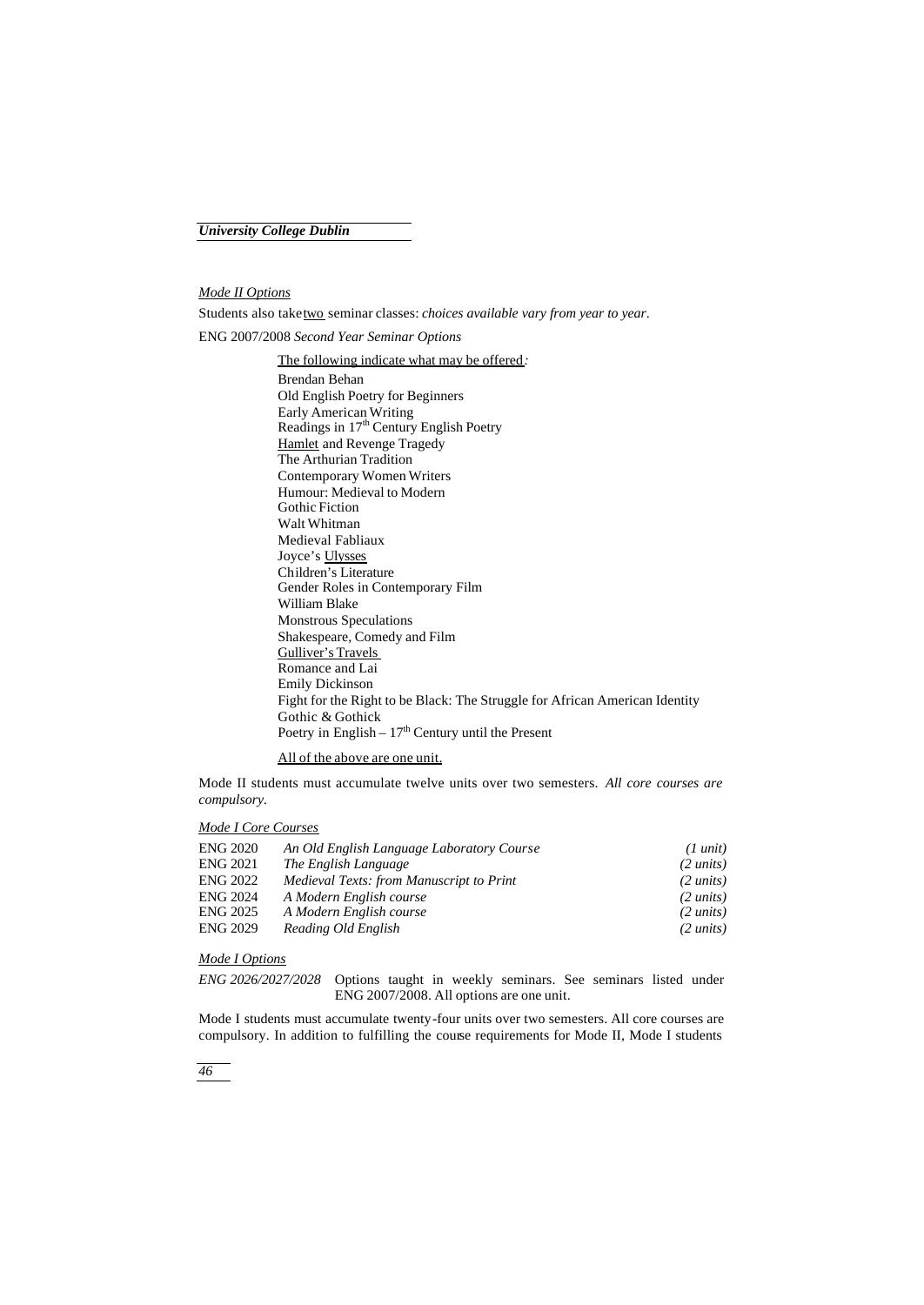#### *Mode II Options*

Students also take two seminar classes: *choices available vary from year to year*.

ENG 2007/2008 *Second Year Seminar Options*

#### The following indicate what may be offered*:*

Brendan Behan Old English Poetry for Beginners Early American Writing Readings in 17th Century English Poetry Hamlet and Revenge Tragedy The Arthurian Tradition Contemporary Women Writers Humour: Medieval to Modern Gothic Fiction Walt Whitman Medieval Fabliaux Joyce's Ulysses Children's Literature Gender Roles in Contemporary Film William Blake Monstrous Speculations Shakespeare, Comedy and Film Gulliver's Travels Romance and Lai Emily Dickinson Fight for the Right to be Black: The Struggle for African American Identity Gothic & Gothick Poetry in English –  $17<sup>th</sup>$  Century until the Present

### All of the above are one unit.

Mode II students must accumulate twelve units over two semesters. *All core courses are compulsory.*

#### *Mode I Core Courses*

| <b>ENG 2020</b> | An Old English Language Laboratory Course | $(1 \text{ unit})$  |
|-----------------|-------------------------------------------|---------------------|
| <b>ENG 2021</b> | The English Language                      | $(2 \text{ units})$ |
| <b>ENG 2022</b> | Medieval Texts: from Manuscript to Print  | $(2 \text{ units})$ |
| <b>ENG 2024</b> | A Modern English course                   | $(2 \text{ units})$ |
| <b>ENG 2025</b> | A Modern English course                   | $(2 \text{ units})$ |
| <b>ENG 2029</b> | Reading Old English                       | $(2 \text{ units})$ |

### *Mode I Options*

*ENG 2026/2027/2028* Options taught in weekly seminars. See seminars listed under ENG 2007/2008. All options are one unit.

Mode I students must accumulate twenty-four units over two semesters. All core courses are compulsory. In addition to fulfilling the course requirements for Mode II, Mode I students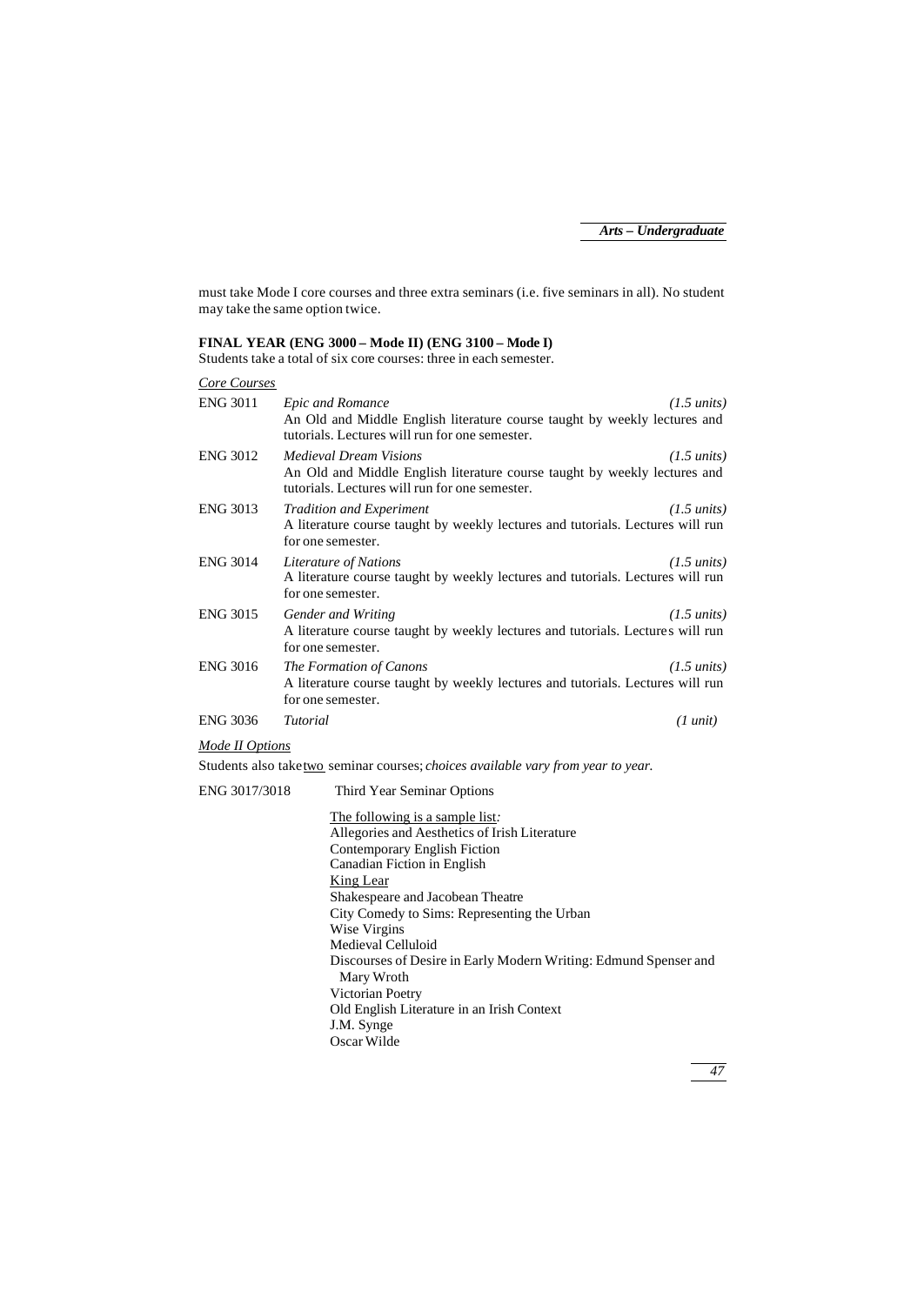must take Mode I core courses and three extra seminars (i.e. five seminars in all). No student may take the same option twice.

#### **FINAL YEAR (ENG 3000 – Mode II) (ENG 3100 – Mode I)**

Students take a total of six core courses: three in each semester.

| Core Courses    |                                                                                                                                                              |                       |
|-----------------|--------------------------------------------------------------------------------------------------------------------------------------------------------------|-----------------------|
| <b>ENG 3011</b> | Epic and Romance<br>An Old and Middle English literature course taught by weekly lectures and<br>tutorials. Lectures will run for one semester.              | $(1.5 \text{ units})$ |
| <b>ENG 3012</b> | <i>Medieval Dream Visions</i><br>An Old and Middle English literature course taught by weekly lectures and<br>tutorials. Lectures will run for one semester. | $(1.5 \text{ units})$ |
| <b>ENG 3013</b> | <b>Tradition and Experiment</b><br>A literature course taught by weekly lectures and tutorials. Lectures will run<br>for one semester.                       | $(1.5 \text{ units})$ |
| <b>ENG 3014</b> | Literature of Nations<br>A literature course taught by weekly lectures and tutorials. Lectures will run<br>for one semester.                                 | $(1.5 \text{ units})$ |
| <b>ENG 3015</b> | Gender and Writing<br>A literature course taught by weekly lectures and tutorials. Lectures will run<br>for one semester.                                    | $(1.5 \text{ units})$ |
| <b>ENG 3016</b> | The Formation of Canons<br>A literature course taught by weekly lectures and tutorials. Lectures will run<br>for one semester.                               | $(1.5 \text{ units})$ |
| <b>ENG 3036</b> | Tutorial                                                                                                                                                     | $(1 \text{ unit})$    |

#### *Mode II Options*

Students also take two seminar courses; *choices available vary from year to year.*

# ENG 3017/3018 Third Year Seminar Options

The following is a sample list*:* Allegories and Aesthetics of Irish Literature Contemporary English Fiction Canadian Fiction in English King Lear Shakespeare and Jacobean Theatre City Comedy to Sims: Representing the Urban Wise Virgins Medieval Celluloid Discourses of Desire in Early Modern Writing: Edmund Spenser and Mary Wroth Victorian Poetry Old English Literature in an Irish Context J.M. Synge Oscar Wilde

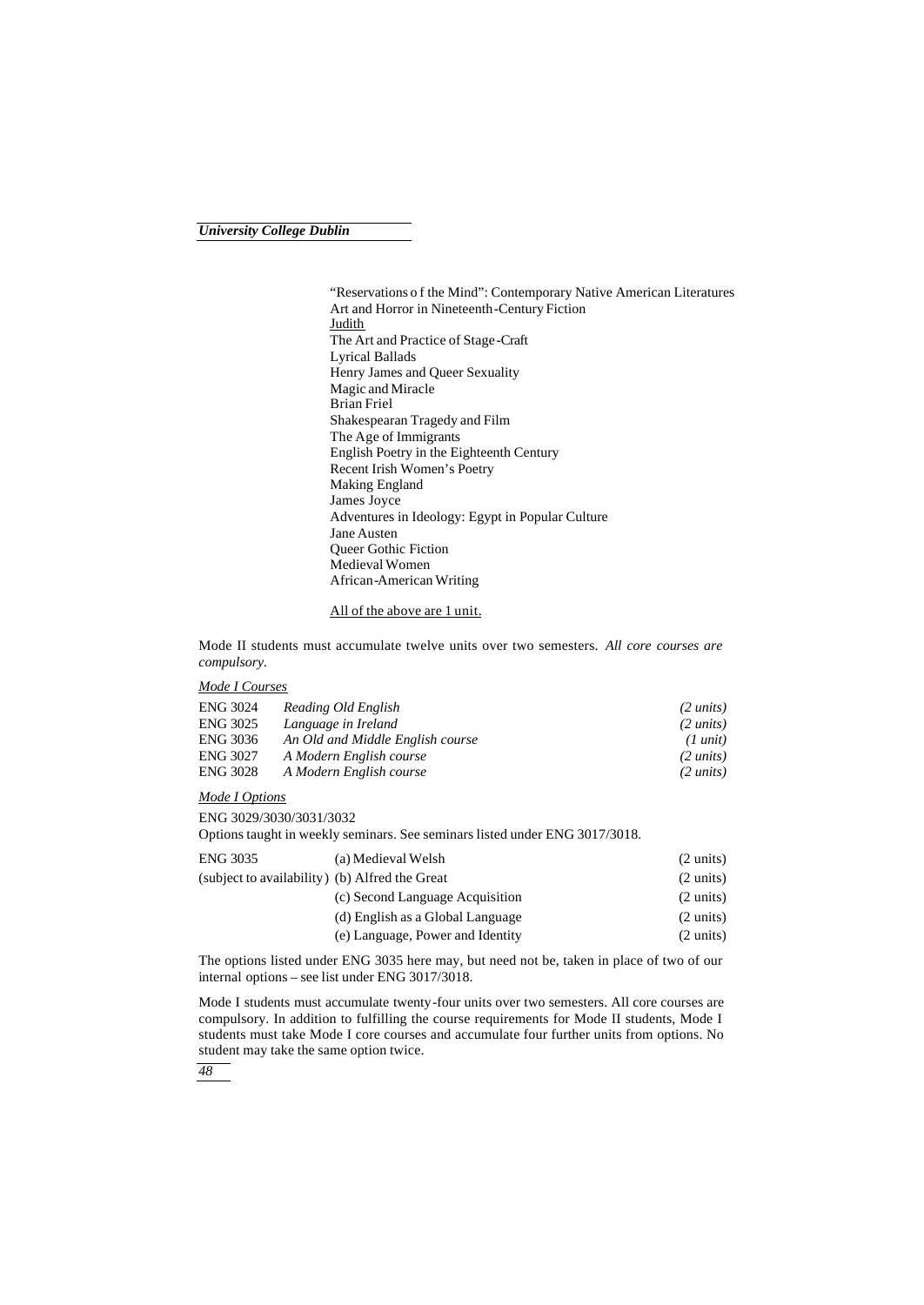"Reservations o f the Mind": Contemporary Native American Literatures Art and Horror in Nineteenth-Century Fiction **Judith** The Art and Practice of Stage-Craft Lyrical Ballads Henry James and Queer Sexuality Magic and Miracle Brian Friel Shakespearan Tragedy and Film The Age of Immigrants English Poetry in the Eighteenth Century Recent Irish Women's Poetry Making England James Joyce Adventures in Ideology: Egypt in Popular Culture Jane Austen Queer Gothic Fiction Medieval Women African-American Writing

#### All of the above are 1 unit.

Mode II students must accumulate twelve units over two semesters. *All core courses are compulsory.*

#### *Mode I Courses*

| <b>ENG 3024</b> | Reading Old English              | $(2 \text{ units})$ |
|-----------------|----------------------------------|---------------------|
| <b>ENG 3025</b> | Language in Ireland              | $(2 \text{ units})$ |
| <b>ENG 3036</b> | An Old and Middle English course | $(1 \text{ unit})$  |
| ENG 3027        | A Modern English course          | $(2 \text{ units})$ |
| <b>ENG 3028</b> | A Modern English course          | $(2 \text{ units})$ |

#### *Mode I Options*

ENG 3029/3030/3031/3032

Options taught in weekly seminars. See seminars listed under ENG 3017/3018.

| ENG 3035                                       | (a) Medieval Welsh               | $(2 \text{ units})$ |
|------------------------------------------------|----------------------------------|---------------------|
| (subject to availability) (b) Alfred the Great |                                  | $(2 \text{ units})$ |
|                                                | (c) Second Language Acquisition  | $(2 \text{ units})$ |
|                                                | (d) English as a Global Language | $(2 \text{ units})$ |
|                                                | (e) Language, Power and Identity | $(2 \text{ units})$ |

The options listed under ENG 3035 here may, but need not be, taken in place of two of our internal options – see list under ENG 3017/3018.

Mode I students must accumulate twenty-four units over two semesters. All core courses are compulsory. In addition to fulfilling the course requirements for Mode II students, Mode I students must take Mode I core courses and accumulate four further units from options. No student may take the same option twice.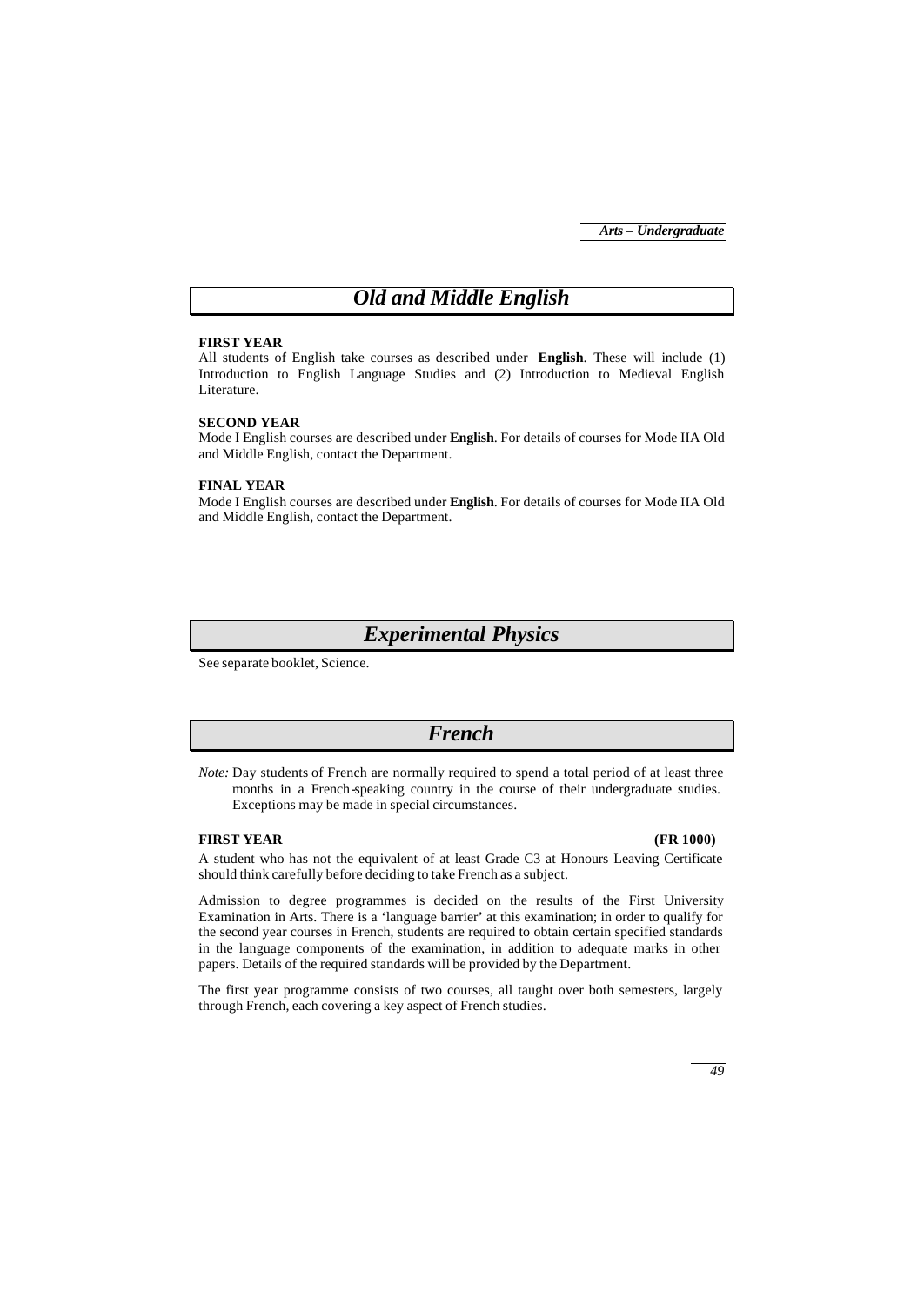# *Old and Middle English*

#### **FIRST YEAR**

All students of English take courses as described under **English**. These will include (1) Introduction to English Language Studies and (2) Introduction to Medieval English Literature.

#### **SECOND YEAR**

Mode I English courses are described under **English**. For details of courses for Mode IIA Old and Middle English, contact the Department.

#### **FINAL YEAR**

Mode I English courses are described under **English**. For details of courses for Mode IIA Old and Middle English, contact the Department.

## *Experimental Physics*

See separate booklet, Science.

## *French*

*Note:* Day students of French are normally required to spend a total period of at least three months in a French-speaking country in the course of their undergraduate studies. Exceptions may be made in special circumstances.

#### **FIRST YEAR (FR 1000)**

A student who has not the equivalent of at least Grade C3 at Honours Leaving Certificate should think carefully before deciding to take French as a subject.

Admission to degree programmes is decided on the results of the First University Examination in Arts. There is a 'language barrier' at this examination; in order to qualify for the second year courses in French, students are required to obtain certain specified standards in the language components of the examination, in addition to adequate marks in other papers. Details of the required standards will be provided by the Department.

The first year programme consists of two courses, all taught over both semesters, largely through French, each covering a key aspect of French studies.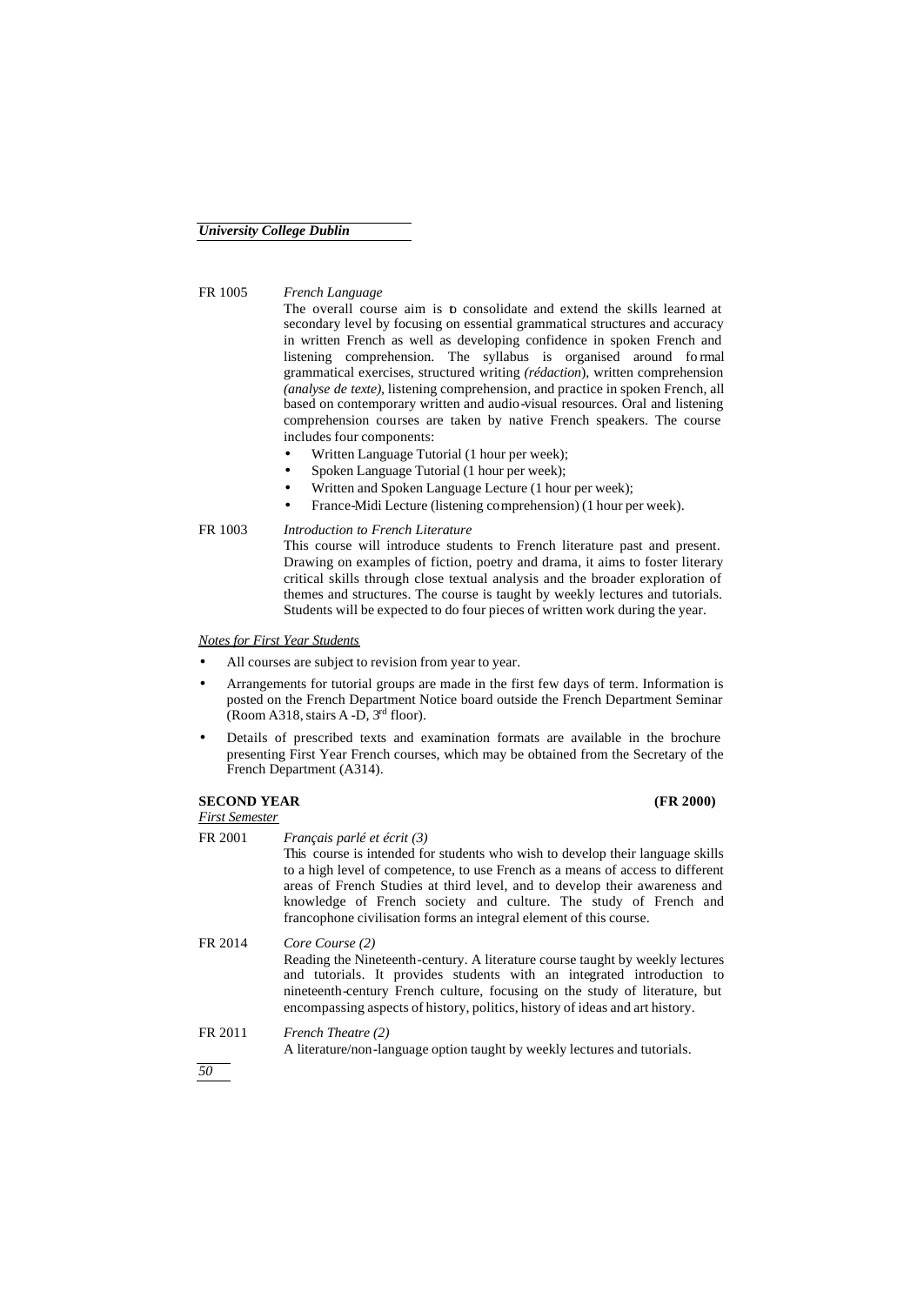#### FR 1005 *French Language*

The overall course aim is to consolidate and extend the skills learned at secondary level by focusing on essential grammatical structures and accuracy in written French as well as developing confidence in spoken French and listening comprehension. The syllabus is organised around fo rmal grammatical exercises, structured writing *(rédaction*), written comprehension *(analyse de texte)*, listening comprehension, and practice in spoken French, all based on contemporary written and audio-visual resources. Oral and listening comprehension courses are taken by native French speakers. The course includes four components:

- Written Language Tutorial (1 hour per week);
- Spoken Language Tutorial (1 hour per week);
- Written and Spoken Language Lecture (1 hour per week);
- France-Midi Lecture (listening comprehension) (1 hour per week).

Students will be expected to do four pieces of written work during the year.

#### FR 1003 *Introduction to French Literature* This course will introduce students to French literature past and present. Drawing on examples of fiction, poetry and drama, it aims to foster literary critical skills through close textual analysis and the broader exploration of themes and structures. The course is taught by weekly lectures and tutorials.

#### *Notes for First Year Students*

- All courses are subject to revision from year to year.
- Arrangements for tutorial groups are made in the first few days of term. Information is posted on the French Department Notice board outside the French Department Seminar (Room A318, stairs A-D,  $3<sup>rd</sup>$  floor).
- Details of prescribed texts and examination formats are available in the brochure presenting First Year French courses, which may be obtained from the Secretary of the French Department (A314).

#### **SECOND YEAR (FR 2000)** *First Semester*

| FR 2001 | Français parlé et écrit (3)<br>This course is intended for students who wish to develop their language skills<br>to a high level of competence, to use French as a means of access to different<br>areas of French Studies at third level, and to develop their awareness and<br>knowledge of French society and culture. The study of French and<br>francophone civilisation forms an integral element of this course. |
|---------|-------------------------------------------------------------------------------------------------------------------------------------------------------------------------------------------------------------------------------------------------------------------------------------------------------------------------------------------------------------------------------------------------------------------------|
| FR 2014 | Core Course (2)<br>Reading the Nineteenth-century. A literature course taught by weekly lectures<br>and tutorials. It provides students with an integrated introduction to<br>nineteenth-century French culture, focusing on the study of literature, but<br>encompassing aspects of history, politics, history of ideas and art history.                                                                               |
| FR 2011 | French Theatre (2)<br>A literature/non-language option taught by weekly lectures and tutorials.                                                                                                                                                                                                                                                                                                                         |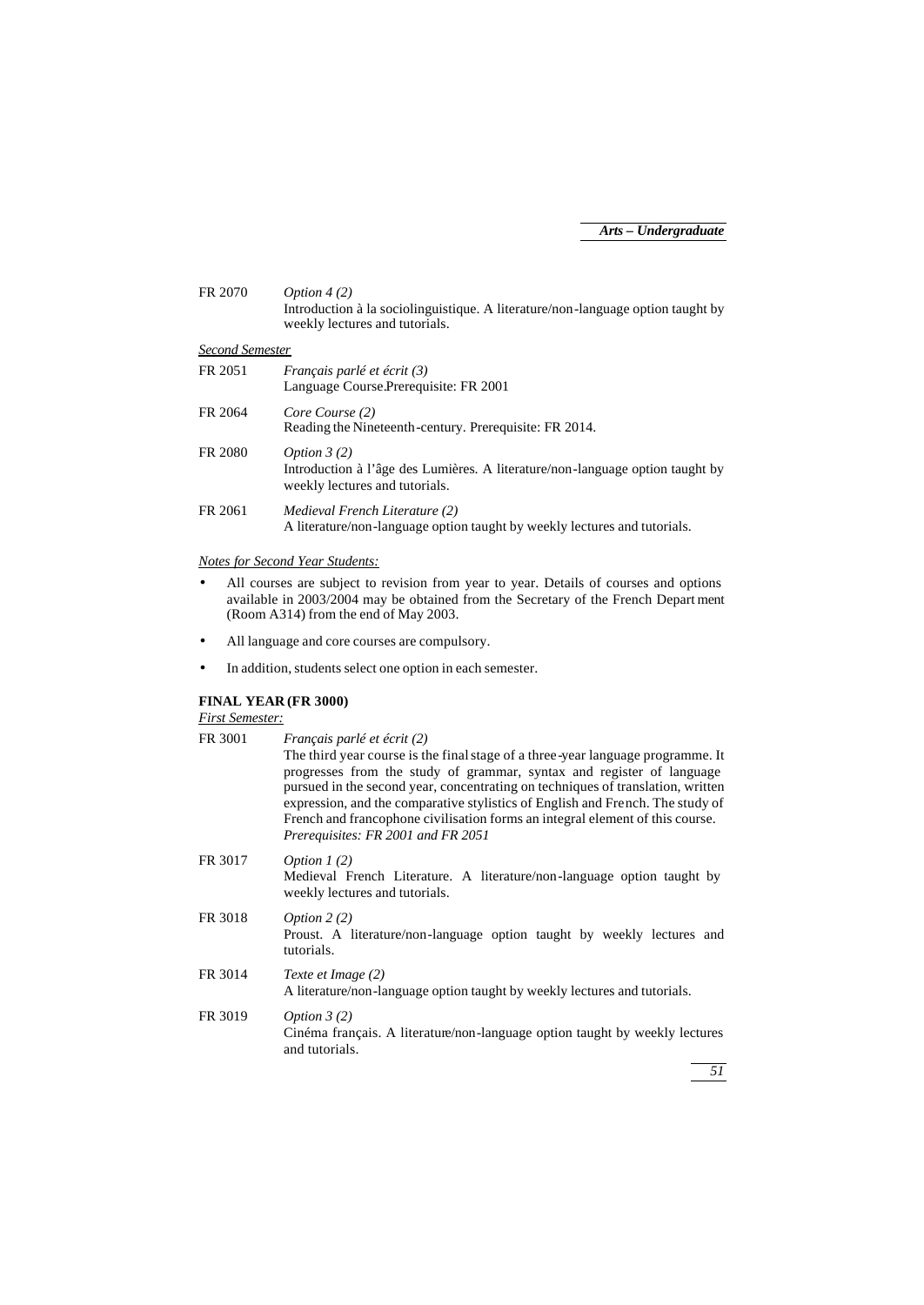| FR 2070         | Option $4(2)$<br>Introduction à la sociolinguistique. A literature/non-language option taught by<br>weekly lectures and tutorials. |
|-----------------|------------------------------------------------------------------------------------------------------------------------------------|
| Second Semester |                                                                                                                                    |
| FR 2051         | <i>Français parlé et écrit (3)</i><br>Language Course. Prerequisite: FR 2001                                                       |
| FR 2064         | Core Course (2)<br>Reading the Nineteenth-century. Prerequisite: FR 2014.                                                          |
| FR 2080         | Option $3(2)$<br>Introduction à l'âge des Lumières. A literature/non-language option taught by<br>weekly lectures and tutorials.   |
| FR 2061         | Medieval French Literature (2)<br>A literature/non-language option taught by weekly lectures and tutorials.                        |

#### *Notes for Second Year Students:*

- All courses are subject to revision from year to year. Details of courses and options available in 2003/2004 may be obtained from the Secretary of the French Depart ment (Room A314) from the end of May 2003.
- All language and core courses are compulsory.
- In addition, students select one option in each semester.

### **FINAL YEAR (FR 3000)**

#### *First Semester:*

| Français parlé et écrit (2)                                                                                                                                                                                                                                                                                                                                                                                                                          |
|------------------------------------------------------------------------------------------------------------------------------------------------------------------------------------------------------------------------------------------------------------------------------------------------------------------------------------------------------------------------------------------------------------------------------------------------------|
| The third year course is the final stage of a three-year language programme. It<br>progresses from the study of grammar, syntax and register of language<br>pursued in the second year, concentrating on techniques of translation, written<br>expression, and the comparative stylistics of English and French. The study of<br>French and francophone civilisation forms an integral element of this course.<br>Prerequisites: FR 2001 and FR 2051 |
| Option $1(2)$<br>Medieval French Literature. A literature/non-language option taught by<br>weekly lectures and tutorials.                                                                                                                                                                                                                                                                                                                            |
| Option $2(2)$<br>Proust. A literature/non-language option taught by weekly lectures and<br>tutorials.                                                                                                                                                                                                                                                                                                                                                |
| Texte et Image (2)<br>A literature/non-language option taught by weekly lectures and tutorials.                                                                                                                                                                                                                                                                                                                                                      |
| Option $3(2)$<br>Cinéma français. A literature/non-language option taught by weekly lectures<br>and tutorials.                                                                                                                                                                                                                                                                                                                                       |
|                                                                                                                                                                                                                                                                                                                                                                                                                                                      |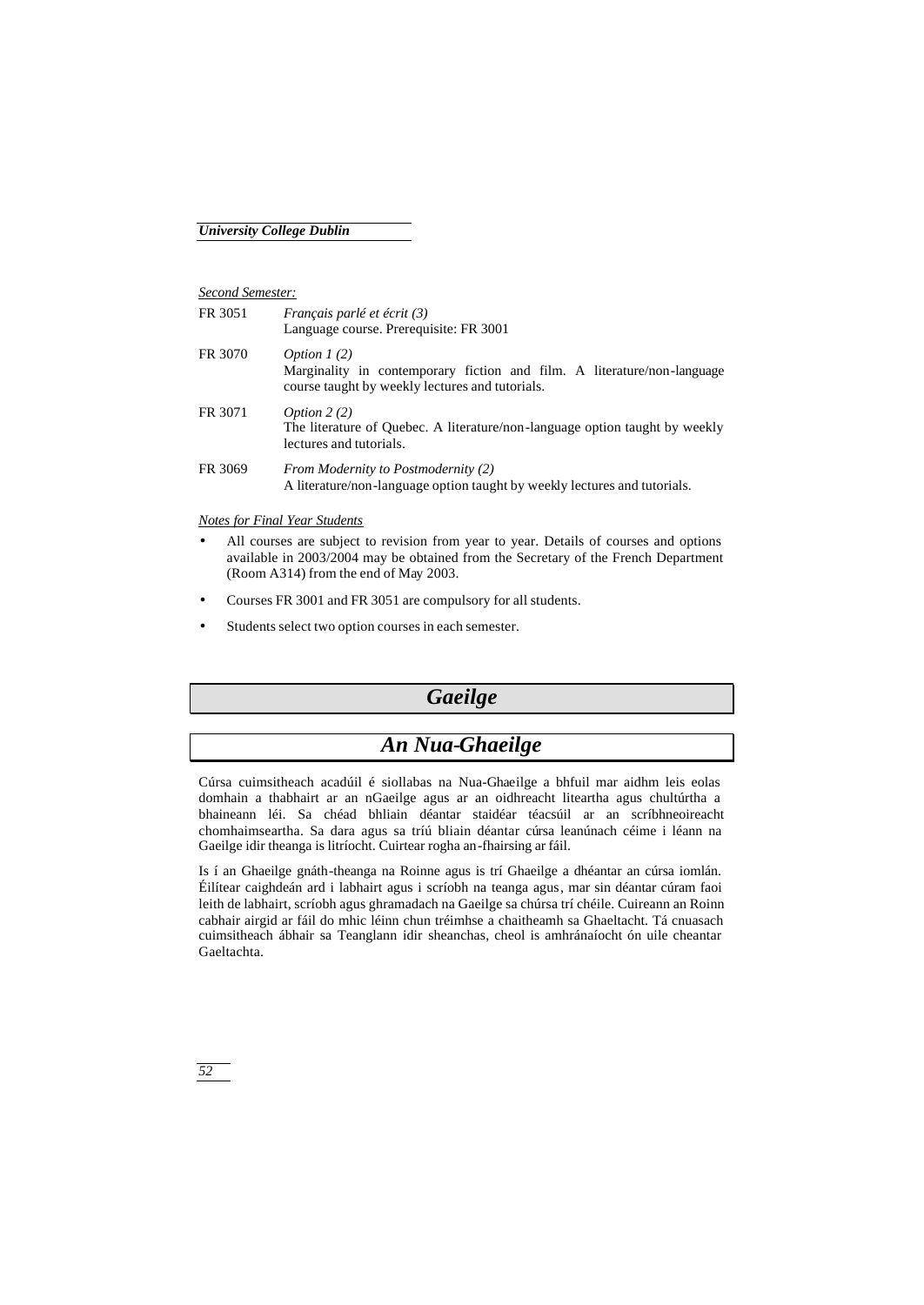#### *Second Semester:*

| FR 3051 | Français parlé et écrit (3)<br>Language course. Prerequisite: FR 3001                                                                       |
|---------|---------------------------------------------------------------------------------------------------------------------------------------------|
| FR 3070 | Option $1(2)$<br>Marginality in contemporary fiction and film. A literature/non-language<br>course taught by weekly lectures and tutorials. |
| FR 3071 | Option $2(2)$<br>The literature of Quebec. A literature/non-language option taught by weekly<br>lectures and tutorials.                     |
| FR 3069 | From Modernity to Postmodernity (2)<br>A literature/non-language option taught by weekly lectures and tutorials.                            |

*Notes for Final Year Students*

- All courses are subject to revision from year to year. Details of courses and options available in 2003/2004 may be obtained from the Secretary of the French Department (Room A314) from the end of May 2003.
- Courses FR 3001 and FR 3051 are compulsory for all students.
- Students select two option courses in each semester.

# *Gaeilge*

# *An Nua-Ghaeilge*

Cúrsa cuimsitheach acadúil é siollabas na Nua-Ghaeilge a bhfuil mar aidhm leis eolas domhain a thabhairt ar an nGaeilge agus ar an oidhreacht liteartha agus chultúrtha a bhaineann léi. Sa chéad bhliain déantar staidéar téacsúil ar an scríbhneoireacht chomhaimseartha. Sa dara agus sa tríú bliain déantar cúrsa leanúnach céime i léann na Gaeilge idir theanga is litríocht. Cuirtear rogha an-fhairsing ar fáil.

Is í an Ghaeilge gnáth-theanga na Roinne agus is trí Ghaeilge a dhéantar an cúrsa iomlán. Éilítear caighdeán ard i labhairt agus i scríobh na teanga agus, mar sin déantar cúram faoi leith de labhairt, scríobh agus ghramadach na Gaeilge sa chúrsa trí chéile. Cuireann an Roinn cabhair airgid ar fáil do mhic léinn chun tréimhse a chaitheamh sa Ghaeltacht. Tá cnuasach cuimsitheach ábhair sa Teanglann idir sheanchas, cheol is amhránaíocht ón uile cheantar Gaeltachta.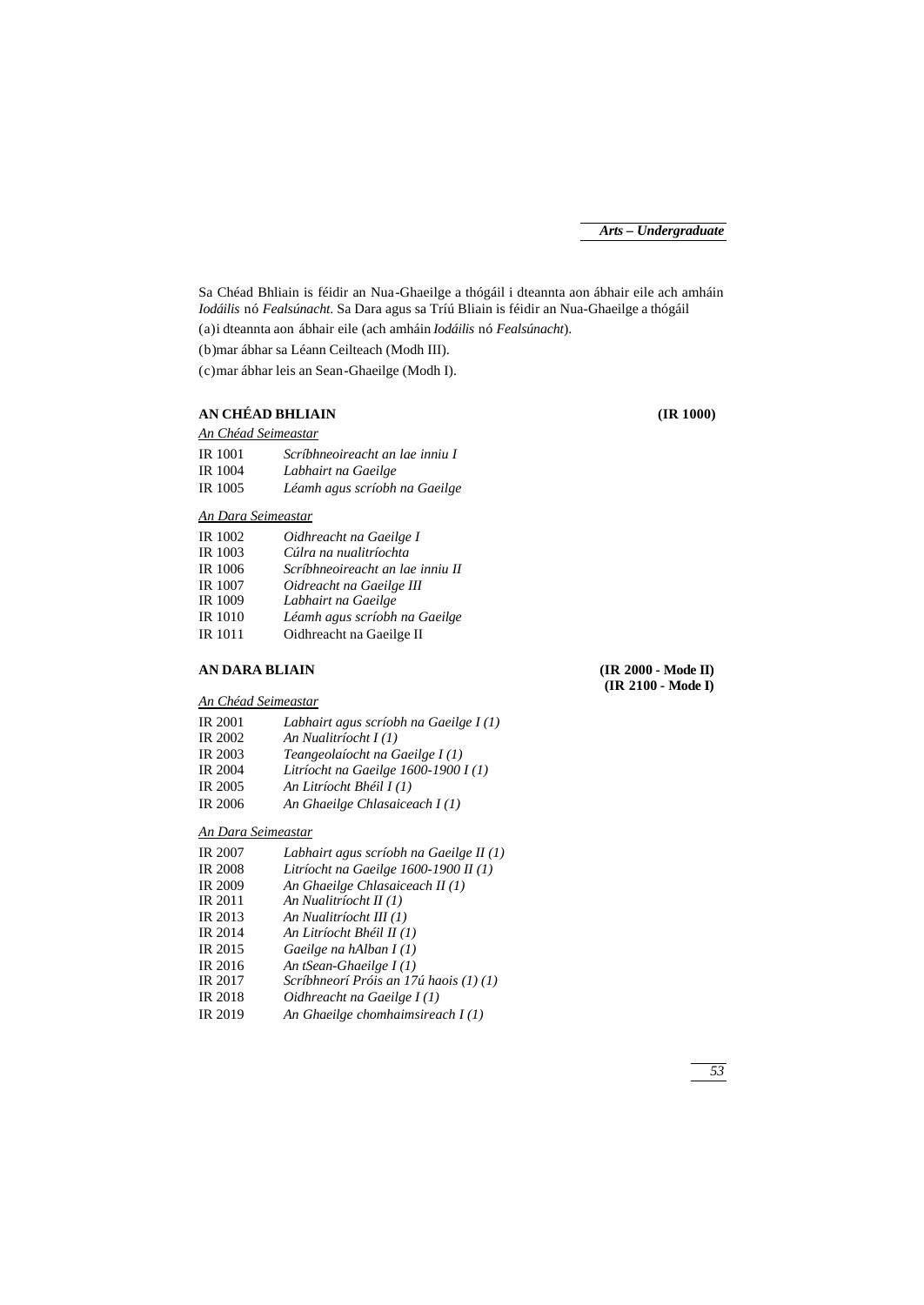Sa Chéad Bhliain is féidir an Nua-Ghaeilge a thógáil i dteannta aon ábhair eile ach amháin *Iodáilis* nó *Fealsúnacht*. Sa Dara agus sa Tríú Bliain is féidir an Nua-Ghaeilge a thógáil (a)i dteannta aon ábhair eile (ach amháin *Iodáilis* nó *Fealsúnacht*).

(b)mar ábhar sa Léann Ceilteach (Modh III).

(c)mar ábhar leis an Sean-Ghaeilge (Modh I).

#### **AN CHÉAD BHLIAIN (IR 1000)** *An Chéad Seimeastar*

| IR 1001 | Scríbhneoireacht an lae inniu I |
|---------|---------------------------------|
| IR 1004 | Labhairt na Gaeilge             |
| IR 1005 | Léamh agus scríobh na Gaeilge   |

### *An Dara Seimeastar*

| IR 1002        | Oidhreacht na Gaeilge I          |
|----------------|----------------------------------|
| IR 1003        | Cúlra na nualitríochta           |
| IR 1006        | Scríbhneoireacht an lae inniu II |
| IR 1007        | Oidreacht na Gaeilge III         |
| IR 1009        | Labhairt na Gaeilge              |
| <b>IR</b> 1010 | Léamh agus scríobh na Gaeilge    |
| IR 1011        | Oidhreacht na Gaeilge II         |

#### **AN DARA BLIAIN (IR 2000 - Mode II)**

**(IR 2100 - Mode I)**

#### *An Chéad Seimeastar*

| <b>IR 2001</b> | Labhairt agus scríobh na Gaeilge $I(1)$ |
|----------------|-----------------------------------------|
| IR 2002        | An Nualitríocht $I(1)$                  |
| IR 2003        | Teangeolaíocht na Gaeilge I (1)         |
| <b>IR 2004</b> | Litríocht na Gaeilge 1600-1900 I (1)    |
| IR 2005        | An Litríocht Bhéil I (1)                |
| <b>IR 2006</b> | An Ghaeilge Chlasaiceach $I(1)$         |
|                |                                         |

#### *An Dara Seimeastar*

| <b>IR 2007</b> | Labhairt agus scríobh na Gaeilge II $(1)$ |
|----------------|-------------------------------------------|
| <b>IR 2008</b> | Litríocht na Gaeilge $1600-1900$ II (1)   |
| <b>IR 2009</b> | An Ghaeilge Chlasaiceach II (1)           |
| IR 2011        | An Nualitríocht II (1)                    |
| IR 2013        | An Nualitríocht III (1)                   |
| <b>IR 2014</b> | An Litríocht Bhéil II (1)                 |
| IR 2015        | Gaeilge na hAlban $I(1)$                  |
| IR 2016        | An tSean-Ghaeilge $I(1)$                  |
| IR 2017        | Scríbhneorí Próis an 17ú haois (1) (1)    |
| <b>IR 2018</b> | Oidhreacht na Gaeilge I(1)                |
| IR 2019        | An Ghaeilge chomhaimsireach $I(1)$        |
|                |                                           |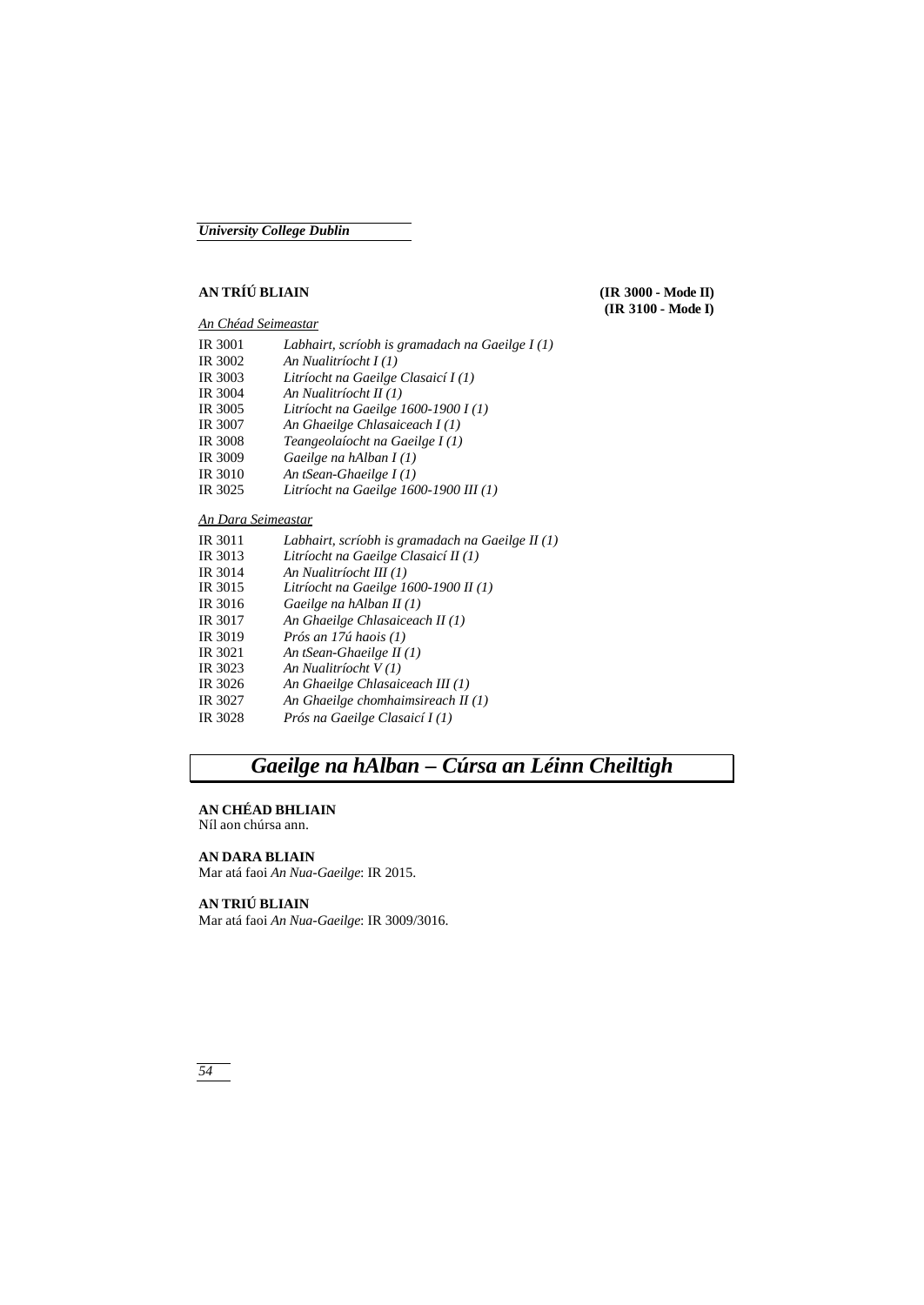### **AN TRÍÚ BLIAIN (IR 3000 - Mode II)**

#### *An Chéad Seimeastar*

IR 3001 *Labhairt, scríobh is gramadach na Gaeilge I (1)* IR 3002 *An Nualitríocht I (1)* IR 3003 *Litríocht na Gaeilge Clasaicí I (1)* IR 3004 *An Nualitríocht II (1)* Litríocht na Gaeilge 1600-1900 I (1) IR 3007 *An Ghaeilge Chlasaiceach I (1)* IR 3008 *Teangeolaíocht na Gaeilge I (1)* Gaeilge na hAlban I(1) IR 3010 *An tSean-Ghaeilge I (1)* IR 3025 *Litríocht na Gaeilge 1600-1900 III (1)*

### *An Dara Seimeastar*

| IR 3011 | Labhairt, scríobh is gramadach na Gaeilge II $(1)$ |
|---------|----------------------------------------------------|
| IR 3013 | Litríocht na Gaeilge Clasaicí II (1)               |
| IR 3014 | An Nualitríocht III (1)                            |
| IR 3015 | Litríocht na Gaeilge 1600-1900 II (1)              |
| IR 3016 | Gaeilge na hAlban II $(1)$                         |
| IR 3017 | An Ghaeilge Chlasaiceach II (1)                    |
| IR 3019 | Prós an 17ú haois (1)                              |
| IR 3021 | An tSean-Ghaeilge II $(1)$                         |
| IR 3023 | An Nualitríocht V(1)                               |
| IR 3026 | An Ghaeilge Chlasaiceach III (1)                   |
| IR 3027 | An Ghaeilge chomhaimsireach $II(1)$                |
| IR 3028 | Prós na Gaeilge Clasaicí I (1)                     |
|         |                                                    |

# *Gaeilge na hAlban – Cúrsa an Léinn Cheiltigh*

#### **AN CHÉAD BHLIAIN**

Níl aon chúrsa ann.

#### **AN DARA BLIAIN**

Mar atá faoi *An Nua-Gaeilge*: IR 2015.

### **AN TRIÚ BLIAIN**

Mar atá faoi *An Nua-Gaeilge*: IR 3009/3016.

**(IR 3100 - Mode I)**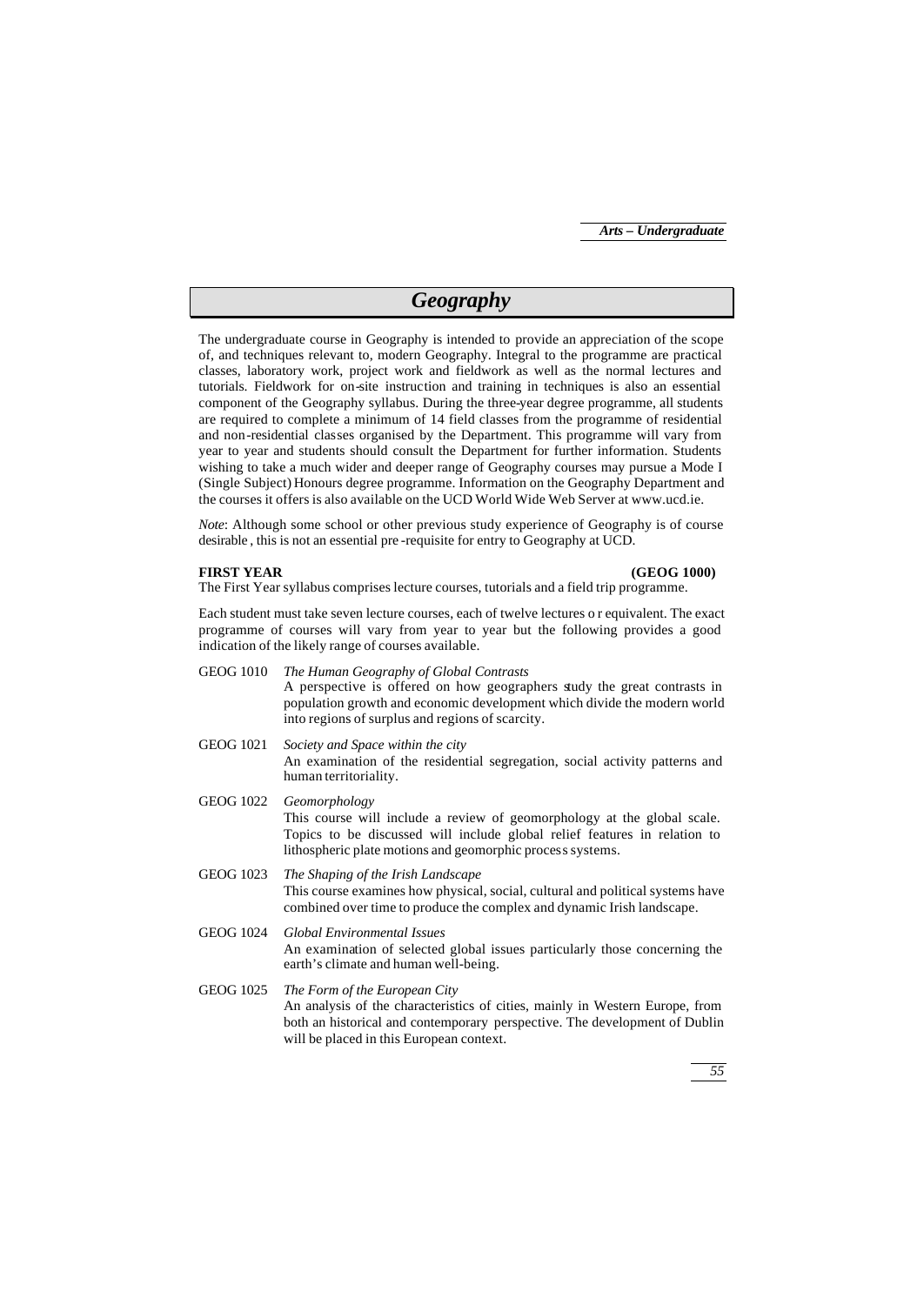## *Geography*

The undergraduate course in Geography is intended to provide an appreciation of the scope of, and techniques relevant to, modern Geography. Integral to the programme are practical classes, laboratory work, project work and fieldwork as well as the normal lectures and tutorials. Fieldwork for on-site instruction and training in techniques is also an essential component of the Geography syllabus. During the three-year degree programme, all students are required to complete a minimum of 14 field classes from the programme of residential and non-residential classes organised by the Department. This programme will vary from year to year and students should consult the Department for further information. Students wishing to take a much wider and deeper range of Geography courses may pursue a Mode I (Single Subject) Honours degree programme. Information on the Geography Department and the courses it offers is also available on the UCD World Wide Web Server at www.ucd.ie.

*Note*: Although some school or other previous study experience of Geography is of course desirable , this is not an essential pre -requisite for entry to Geography at UCD.

#### **FIRST YEAR (GEOG 1000)**

The First Year syllabus comprises lecture courses, tutorials and a field trip programme.

Each student must take seven lecture courses, each of twelve lectures o r equivalent. The exact programme of courses will vary from year to year but the following provides a good indication of the likely range of courses available.

- GEOG 1010 *The Human Geography of Global Contrasts* A perspective is offered on how geographers study the great contrasts in population growth and economic development which divide the modern world into regions of surplus and regions of scarcity.
- GEOG 1021 *Society and Space within the city* An examination of the residential segregation, social activity patterns and human territoriality.
- GEOG 1022 *Geomorphology* This course will include a review of geomorphology at the global scale. Topics to be discussed will include global relief features in relation to lithospheric plate motions and geomorphic process systems.
- GEOG 1023 *The Shaping of the Irish Landscape* This course examines how physical, social, cultural and political systems have combined over time to produce the complex and dynamic Irish landscape.
- GEOG 1024 *Global Environmental Issues* An examination of selected global issues particularly those concerning the earth's climate and human well-being.
- GEOG 1025 *The Form of the European City* An analysis of the characteristics of cities, mainly in Western Europe, from both an historical and contemporary perspective. The development of Dublin will be placed in this European context.

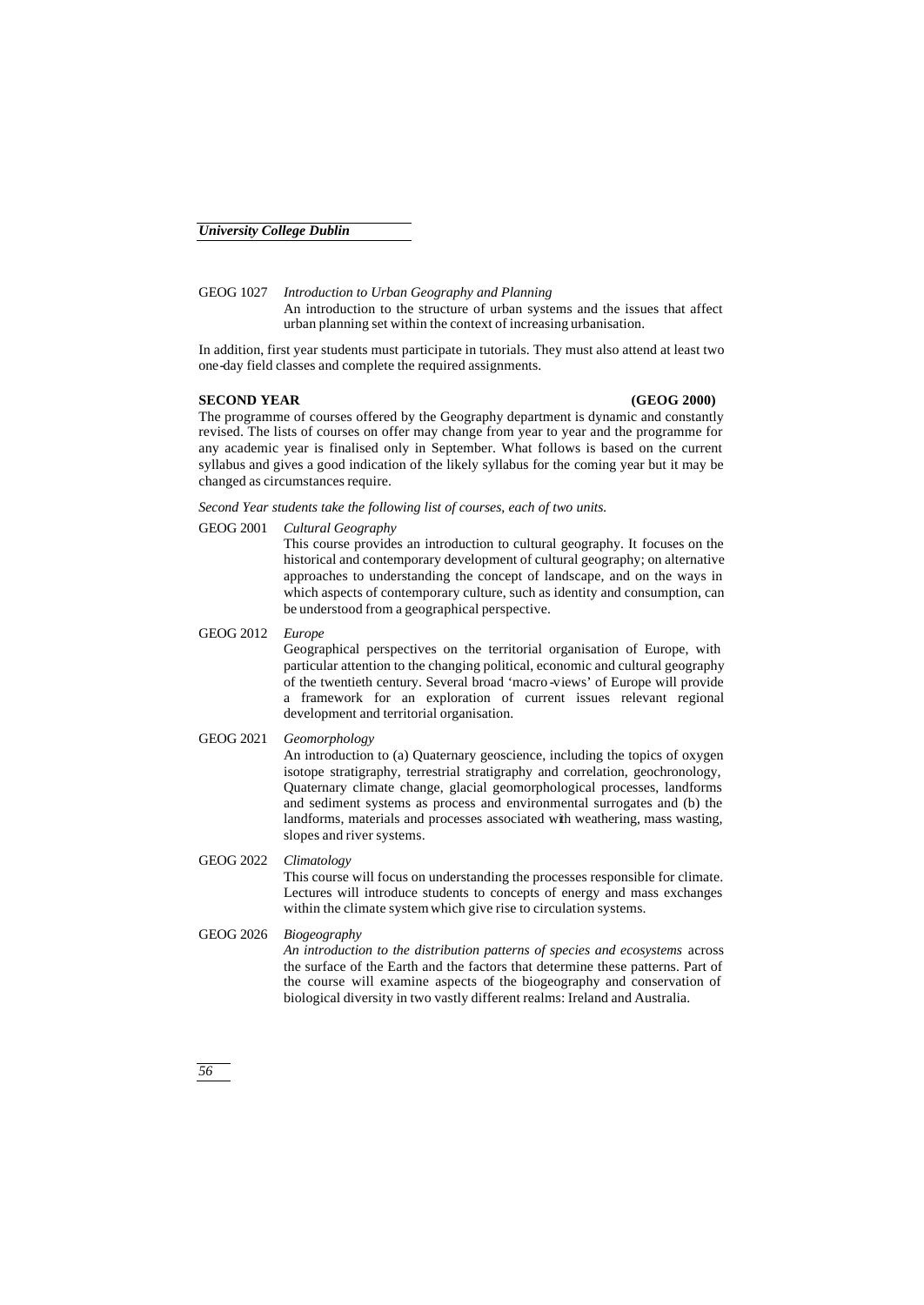GEOG 1027 *Introduction to Urban Geography and Planning* An introduction to the structure of urban systems and the issues that affect urban planning set within the context of increasing urbanisation.

In addition, first year students must participate in tutorials. They must also attend at least two one-day field classes and complete the required assignments.

#### **SECOND YEAR (GEOG 2000)**

The programme of courses offered by the Geography department is dynamic and constantly revised. The lists of courses on offer may change from year to year and the programme for any academic year is finalised only in September. What follows is based on the current syllabus and gives a good indication of the likely syllabus for the coming year but it may be changed as circumstances require.

*Second Year students take the following list of courses, each of two units.*

GEOG 2001 *Cultural Geography*

This course provides an introduction to cultural geography. It focuses on the historical and contemporary development of cultural geography; on alternative approaches to understanding the concept of landscape, and on the ways in which aspects of contemporary culture, such as identity and consumption, can be understood from a geographical perspective.

GEOG 2012 *Europe* Geographical perspectives on the territorial organisation of Europe, with particular attention to the changing political, economic and cultural geography of the twentieth century. Several broad 'macro -views' of Europe will provide a framework for an exploration of current issues relevant regional development and territorial organisation.

#### GEOG 2021 *Geomorphology*

An introduction to (a) Quaternary geoscience, including the topics of oxygen isotope stratigraphy, terrestrial stratigraphy and correlation, geochronology, Quaternary climate change, glacial geomorphological processes, landforms and sediment systems as process and environmental surrogates and (b) the landforms, materials and processes associated with weathering, mass wasting, slopes and river systems.

#### GEOG 2022 *Climatology*

This course will focus on understanding the processes responsible for climate. Lectures will introduce students to concepts of energy and mass exchanges within the climate system which give rise to circulation systems.

#### GEOG 2026 *Biogeography*

*An introduction to the distribution patterns of species and ecosystems* across the surface of the Earth and the factors that determine these patterns. Part of the course will examine aspects of the biogeography and conservation of biological diversity in two vastly different realms: Ireland and Australia.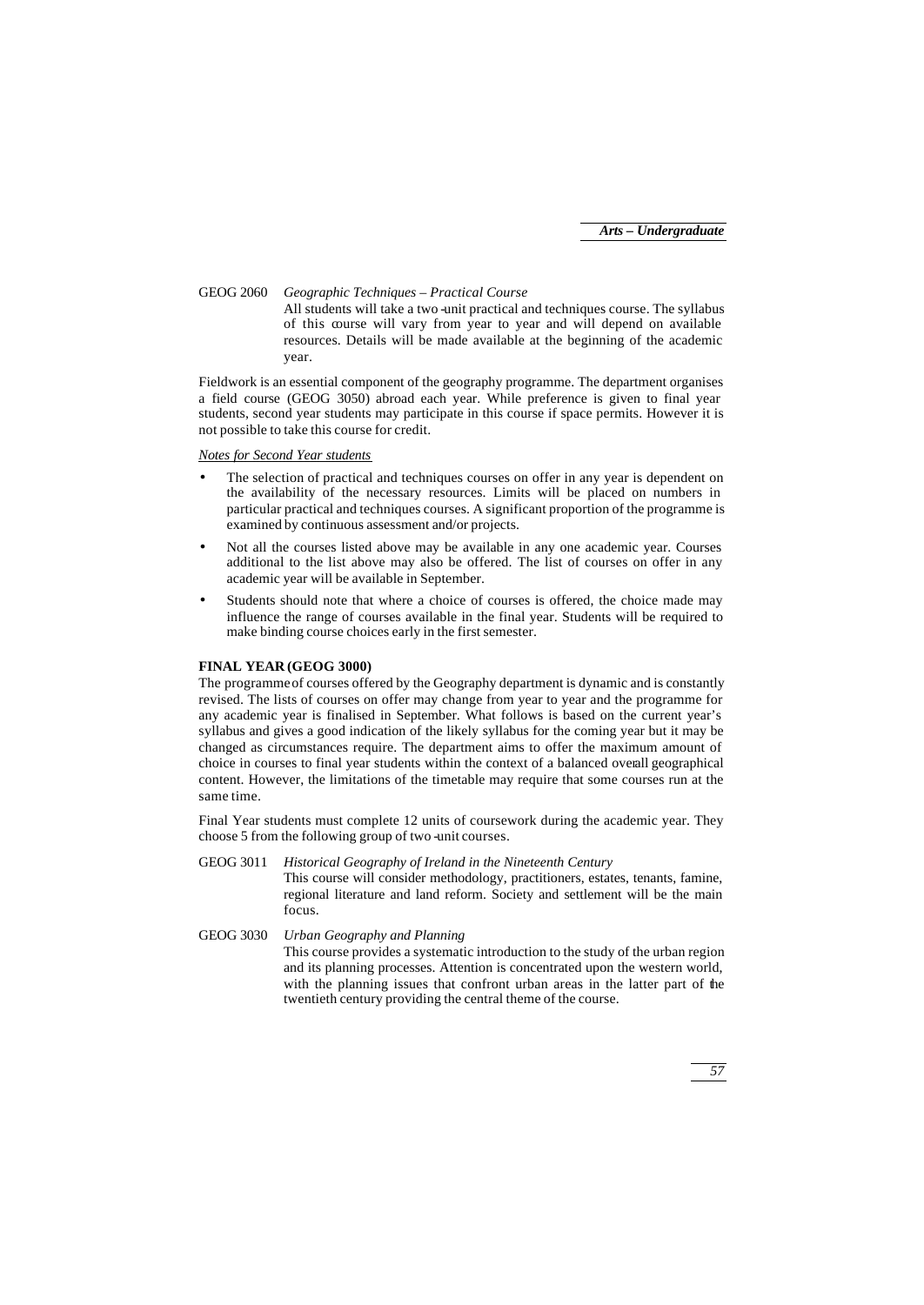GEOG 2060 *Geographic Techniques – Practical Course* All students will take a two -unit practical and techniques course. The syllabus of this course will vary from year to year and will depend on available resources. Details will be made available at the beginning of the academic year.

Fieldwork is an essential component of the geography programme. The department organises a field course (GEOG 3050) abroad each year. While preference is given to final year students, second year students may participate in this course if space permits. However it is not possible to take this course for credit.

#### *Notes for Second Year students*

- The selection of practical and techniques courses on offer in any year is dependent on the availability of the necessary resources. Limits will be placed on numbers in particular practical and techniques courses. A significant proportion of the programme is examined by continuous assessment and/or projects.
- Not all the courses listed above may be available in any one academic year. Courses additional to the list above may also be offered. The list of courses on offer in any academic year will be available in September.
- Students should note that where a choice of courses is offered, the choice made may influence the range of courses available in the final year. Students will be required to make binding course choices early in the first semester.

#### **FINAL YEAR (GEOG 3000)**

The programme of courses offered by the Geography department is dynamic and is constantly revised. The lists of courses on offer may change from year to year and the programme for any academic year is finalised in September. What follows is based on the current year's syllabus and gives a good indication of the likely syllabus for the coming year but it may be changed as circumstances require. The department aims to offer the maximum amount of choice in courses to final year students within the context of a balanced overall geographical content. However, the limitations of the timetable may require that some courses run at the same time.

Final Year students must complete 12 units of coursework during the academic year. They choose 5 from the following group of two -unit courses.

#### GEOG 3011 *Historical Geography of Ireland in the Nineteenth Century* This course will consider methodology, practitioners, estates, tenants, famine, regional literature and land reform. Society and settlement will be the main focus.

#### GEOG 3030 *Urban Geography and Planning* This course provides a systematic introduction to the study of the urban region and its planning processes. Attention is concentrated upon the western world, with the planning issues that confront urban areas in the latter part of the twentieth century providing the central theme of the course.

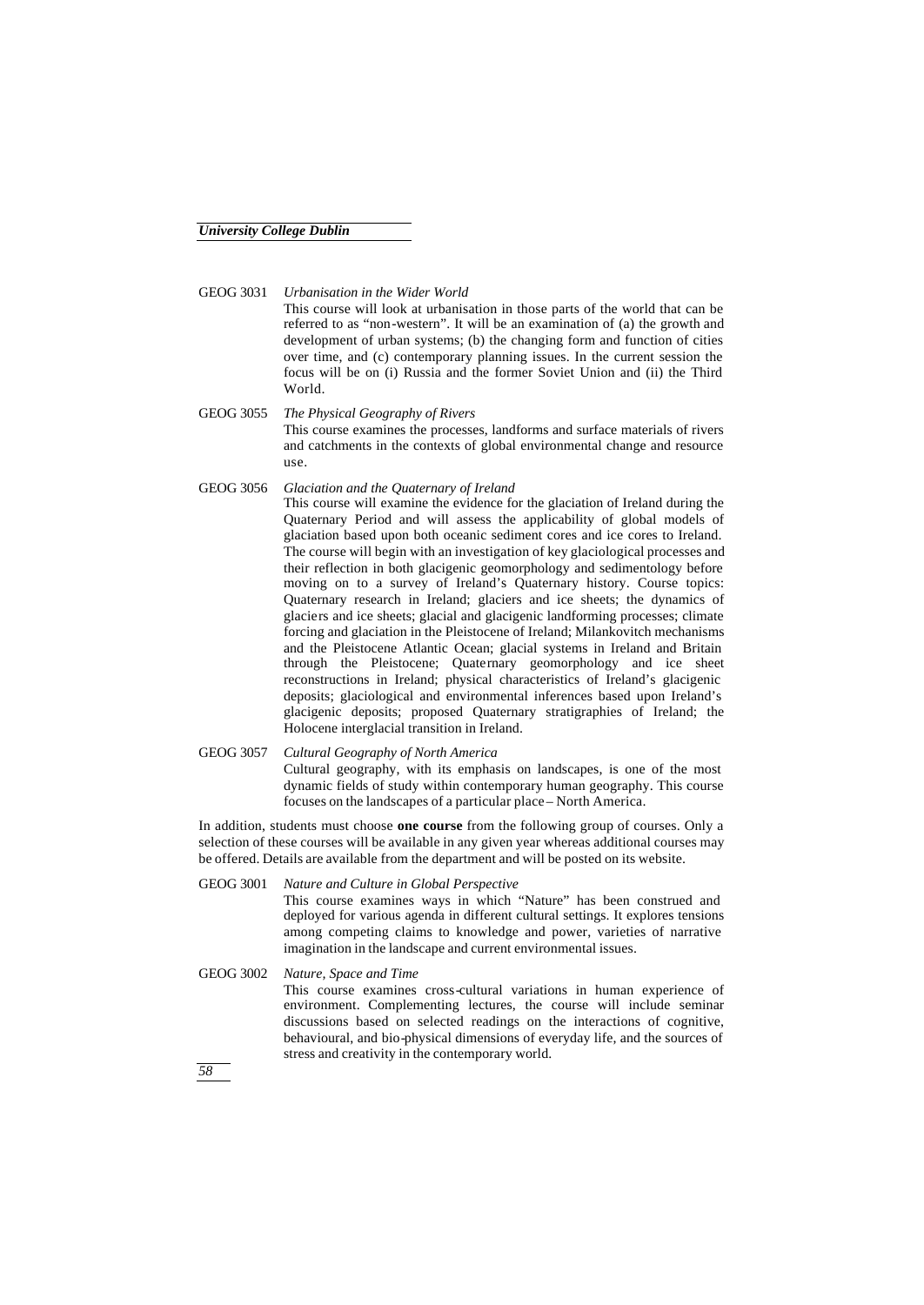GEOG 3031 *Urbanisation in the Wider World*

This course will look at urbanisation in those parts of the world that can be referred to as "non-western". It will be an examination of (a) the growth and development of urban systems; (b) the changing form and function of cities over time, and (c) contemporary planning issues. In the current session the focus will be on (i) Russia and the former Soviet Union and (ii) the Third World.

- GEOG 3055 *The Physical Geography of Rivers* This course examines the processes, landforms and surface materials of rivers and catchments in the contexts of global environmental change and resource use.
- GEOG 3056 *Glaciation and the Quaternary of Ireland* This course will examine the evidence for the glaciation of Ireland during the Quaternary Period and will assess the applicability of global models of glaciation based upon both oceanic sediment cores and ice cores to Ireland. The course will begin with an investigation of key glaciological processes and their reflection in both glacigenic geomorphology and sedimentology before moving on to a survey of Ireland's Quaternary history. Course topics: Quaternary research in Ireland; glaciers and ice sheets; the dynamics of glaciers and ice sheets; glacial and glacigenic landforming processes; climate forcing and glaciation in the Pleistocene of Ireland; Milankovitch mechanisms and the Pleistocene Atlantic Ocean; glacial systems in Ireland and Britain through the Pleistocene; Quaternary geomorphology and ice sheet reconstructions in Ireland; physical characteristics of Ireland's glacigenic deposits; glaciological and environmental inferences based upon Ireland's glacigenic deposits; proposed Quaternary stratigraphies of Ireland; the Holocene interglacial transition in Ireland.
- GEOG 3057 *Cultural Geography of North America* Cultural geography, with its emphasis on landscapes, is one of the most dynamic fields of study within contemporary human geography. This course focuses on the landscapes of a particular place – North America.

In addition, students must choose **one course** from the following group of courses. Only a selection of these courses will be available in any given year whereas additional courses may be offered. Details are available from the department and will be posted on its website.

GEOG 3001 *Nature and Culture in Global Perspective*

This course examines ways in which "Nature" has been construed and deployed for various agenda in different cultural settings. It explores tensions among competing claims to knowledge and power, varieties of narrative imagination in the landscape and current environmental issues.

GEOG 3002 *Nature, Space and Time* This course examines cross-cultural variations in human experience of environment. Complementing lectures, the course will include seminar discussions based on selected readings on the interactions of cognitive, behavioural, and bio-physical dimensions of everyday life, and the sources of stress and creativity in the contemporary world.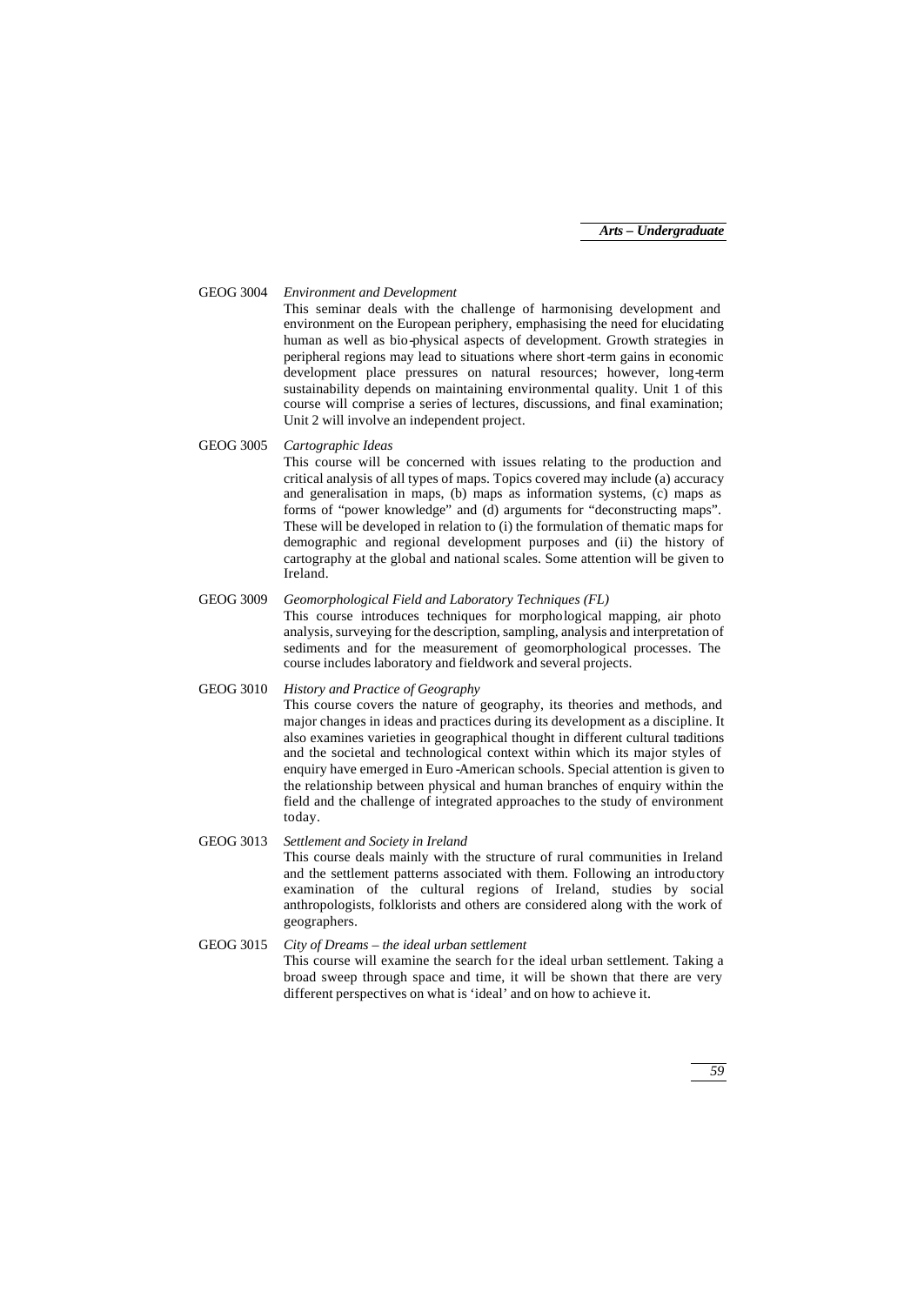GEOG 3004 *Environment and Development*

This seminar deals with the challenge of harmonising development and environment on the European periphery, emphasising the need for elucidating human as well as bio-physical aspects of development. Growth strategies in peripheral regions may lead to situations where short -term gains in economic development place pressures on natural resources; however, long-term sustainability depends on maintaining environmental quality. Unit 1 of this course will comprise a series of lectures, discussions, and final examination; Unit 2 will involve an independent project.

GEOG 3005 *Cartographic Ideas*

This course will be concerned with issues relating to the production and critical analysis of all types of maps. Topics covered may include (a) accuracy and generalisation in maps, (b) maps as information systems, (c) maps as forms of "power knowledge" and (d) arguments for "deconstructing maps". These will be developed in relation to (i) the formulation of thematic maps for demographic and regional development purposes and (ii) the history of cartography at the global and national scales. Some attention will be given to Ireland.

#### GEOG 3009 *Geomorphological Field and Laboratory Techniques (FL)*

This course introduces techniques for morphological mapping, air photo analysis, surveying for the description, sampling, analysis and interpretation of sediments and for the measurement of geomorphological processes. The course includes laboratory and fieldwork and several projects.

#### GEOG 3010 *History and Practice of Geography*

This course covers the nature of geography, its theories and methods, and major changes in ideas and practices during its development as a discipline. It also examines varieties in geographical thought in different cultural traditions and the societal and technological context within which its major styles of enquiry have emerged in Euro -American schools. Special attention is given to the relationship between physical and human branches of enquiry within the field and the challenge of integrated approaches to the study of environment today.

#### GEOG 3013 *Settlement and Society in Ireland* This course deals mainly with the structure of rural communities in Ireland and the settlement patterns associated with them. Following an introductory examination of the cultural regions of Ireland, studies by social anthropologists, folklorists and others are considered along with the work of geographers.

#### GEOG 3015 *City of Dreams – the ideal urban settlement* This course will examine the search for the ideal urban settlement. Taking a broad sweep through space and time, it will be shown that there are very different perspectives on what is 'ideal' and on how to achieve it.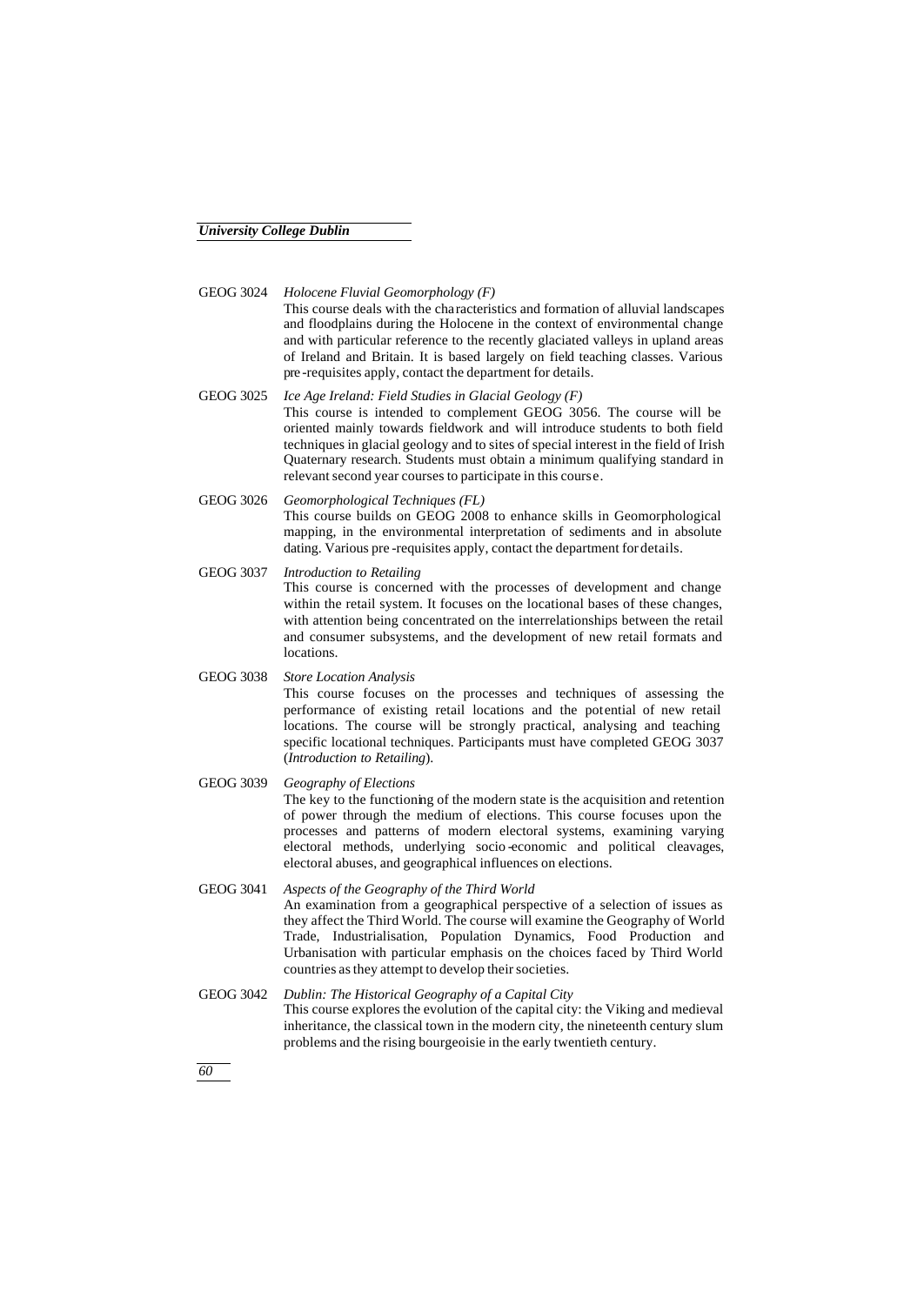GEOG 3024 *Holocene Fluvial Geomorphology (F)*

This course deals with the characteristics and formation of alluvial landscapes and floodplains during the Holocene in the context of environmental change and with particular reference to the recently glaciated valleys in upland areas of Ireland and Britain. It is based largely on field teaching classes. Various pre -requisites apply, contact the department for details.

- GEOG 3025 *Ice Age Ireland: Field Studies in Glacial Geology (F)* This course is intended to complement GEOG 3056. The course will be oriented mainly towards fieldwork and will introduce students to both field techniques in glacial geology and to sites of special interest in the field of Irish Quaternary research. Students must obtain a minimum qualifying standard in relevant second year courses to participate in this course.
- GEOG 3026 *Geomorphological Techniques (FL)* This course builds on GEOG 2008 to enhance skills in Geomorphological mapping, in the environmental interpretation of sediments and in absolute dating. Various pre -requisites apply, contact the department for details.
- GEOG 3037 *Introduction to Retailing* This course is concerned with the processes of development and change within the retail system. It focuses on the locational bases of these changes, with attention being concentrated on the interrelationships between the retail and consumer subsystems, and the development of new retail formats and locations.

#### GEOG 3038 *Store Location Analysis* This course focuses on the processes and techniques of assessing the performance of existing retail locations and the potential of new retail locations. The course will be strongly practical, analysing and teaching specific locational techniques. Participants must have completed GEOG 3037 (*Introduction to Retailing*).

- GEOG 3039 *Geography of Elections* The key to the functioning of the modern state is the acquisition and retention of power through the medium of elections. This course focuses upon the processes and patterns of modern electoral systems, examining varying electoral methods, underlying socio -economic and political cleavages, electoral abuses, and geographical influences on elections.
- GEOG 3041 *Aspects of the Geography of the Third World* An examination from a geographical perspective of a selection of issues as they affect the Third World. The course will examine the Geography of World Trade, Industrialisation, Population Dynamics, Food Production and Urbanisation with particular emphasis on the choices faced by Third World countries as they attempt to develop their societies.
- GEOG 3042 *Dublin: The Historical Geography of a Capital City* This course explores the evolution of the capital city: the Viking and medieval inheritance, the classical town in the modern city, the nineteenth century slum problems and the rising bourgeoisie in the early twentieth century.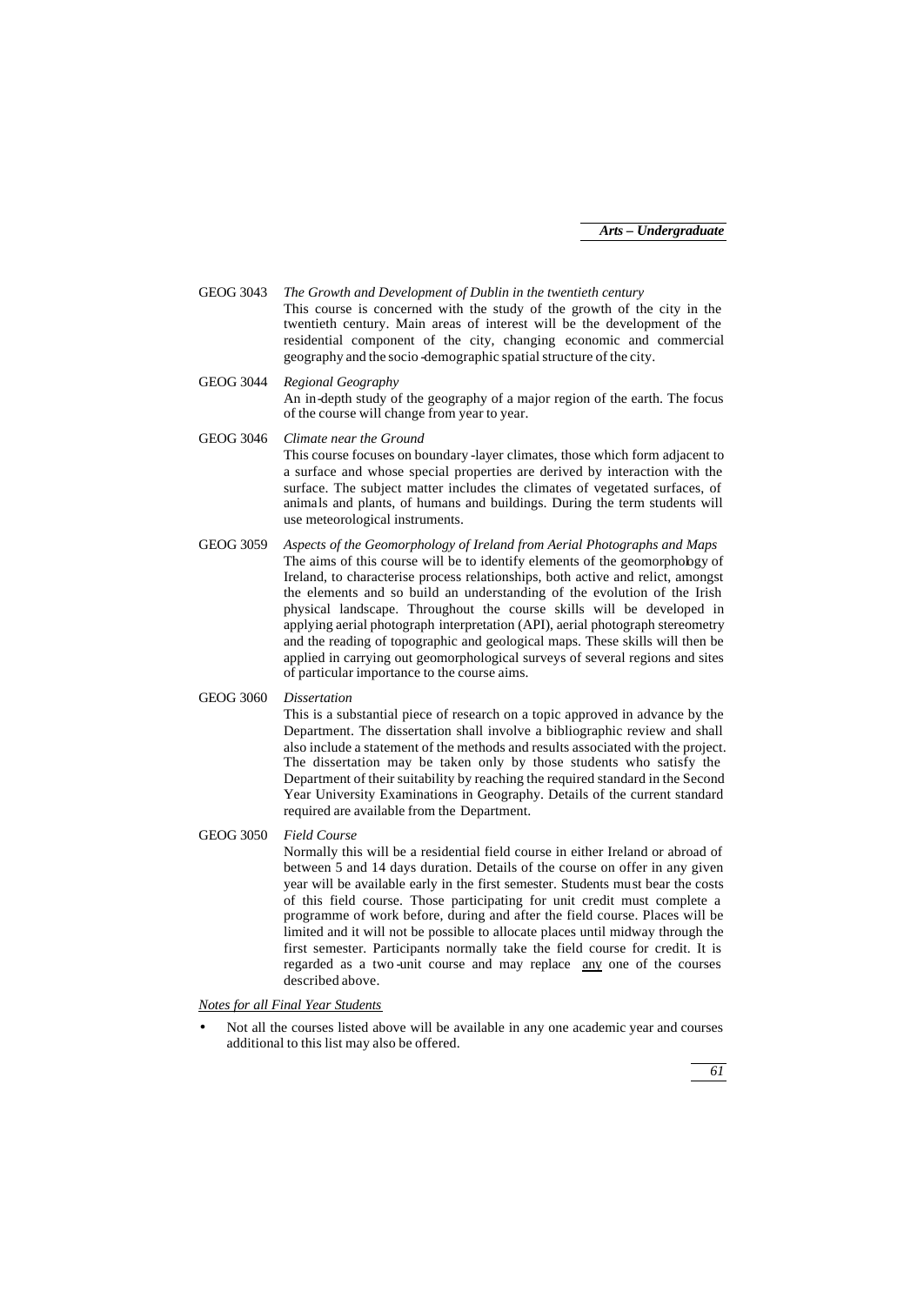GEOG 3043 *The Growth and Development of Dublin in the twentieth century* This course is concerned with the study of the growth of the city in the twentieth century. Main areas of interest will be the development of the residential component of the city, changing economic and commercial geography and the socio -demographic spatial structure of the city.

GEOG 3044 *Regional Geography* An in-depth study of the geography of a major region of the earth. The focus of the course will change from year to year.

GEOG 3046 *Climate near the Ground*

This course focuses on boundary -layer climates, those which form adjacent to a surface and whose special properties are derived by interaction with the surface. The subject matter includes the climates of vegetated surfaces, of animals and plants, of humans and buildings. During the term students will use meteorological instruments.

GEOG 3059 *Aspects of the Geomorphology of Ireland from Aerial Photographs and Maps* The aims of this course will be to identify elements of the geomorphology of Ireland, to characterise process relationships, both active and relict, amongst the elements and so build an understanding of the evolution of the Irish physical landscape. Throughout the course skills will be developed in applying aerial photograph interpretation (API), aerial photograph stereometry and the reading of topographic and geological maps. These skills will then be applied in carrying out geomorphological surveys of several regions and sites of particular importance to the course aims.

#### GEOG 3060 *Dissertation*

This is a substantial piece of research on a topic approved in advance by the Department. The dissertation shall involve a bibliographic review and shall also include a statement of the methods and results associated with the project. The dissertation may be taken only by those students who satisfy the Department of their suitability by reaching the required standard in the Second Year University Examinations in Geography. Details of the current standard required are available from the Department.

GEOG 3050 *Field Course*

Normally this will be a residential field course in either Ireland or abroad of between 5 and 14 days duration. Details of the course on offer in any given year will be available early in the first semester. Students must bear the costs of this field course. Those participating for unit credit must complete a programme of work before, during and after the field course. Places will be limited and it will not be possible to allocate places until midway through the first semester. Participants normally take the field course for credit. It is regarded as a two -unit course and may replace any one of the courses described above.

#### *Notes for all Final Year Students*

• Not all the courses listed above will be available in any one academic year and courses additional to this list may also be offered.

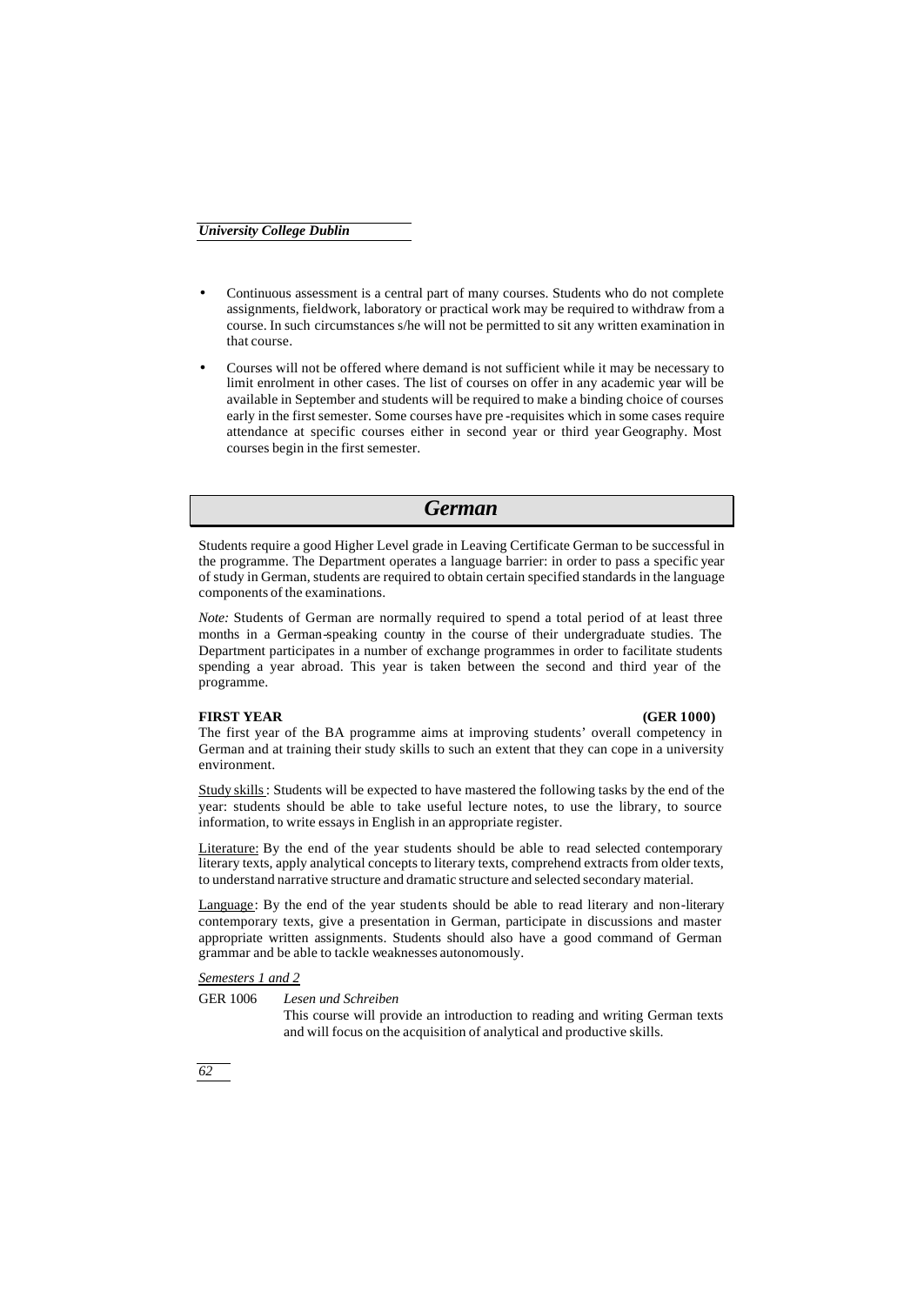- Continuous assessment is a central part of many courses. Students who do not complete assignments, fieldwork, laboratory or practical work may be required to withdraw from a course. In such circumstances s/he will not be permitted to sit any written examination in that course.
- Courses will not be offered where demand is not sufficient while it may be necessary to limit enrolment in other cases. The list of courses on offer in any academic year will be available in September and students will be required to make a binding choice of courses early in the first semester. Some courses have pre -requisites which in some cases require attendance at specific courses either in second year or third year Geography. Most courses begin in the first semester.

## *German*

Students require a good Higher Level grade in Leaving Certificate German to be successful in the programme. The Department operates a language barrier: in order to pass a specific year of study in German, students are required to obtain certain specified standards in the language components of the examinations.

*Note:* Students of German are normally required to spend a total period of at least three months in a German-speaking country in the course of their undergraduate studies. The Department participates in a number of exchange programmes in order to facilitate students spending a year abroad. This year is taken between the second and third year of the programme.

#### **FIRST YEAR (GER 1000)**

The first year of the BA programme aims at improving students' overall competency in German and at training their study skills to such an extent that they can cope in a university environment.

Study skills: Students will be expected to have mastered the following tasks by the end of the year: students should be able to take useful lecture notes, to use the library, to source information, to write essays in English in an appropriate register.

Literature: By the end of the year students should be able to read selected contemporary literary texts, apply analytical concepts to literary texts, comprehend extracts from older texts, to understand narrative structure and dramatic structure and selected secondary material.

Language: By the end of the year students should be able to read literary and non-literary contemporary texts, give a presentation in German, participate in discussions and master appropriate written assignments. Students should also have a good command of German grammar and be able to tackle weaknesses autonomously.

#### *Semesters 1 and 2*

GER 1006 *Lesen und Schreiben*

This course will provide an introduction to reading and writing German texts and will focus on the acquisition of analytical and productive skills.

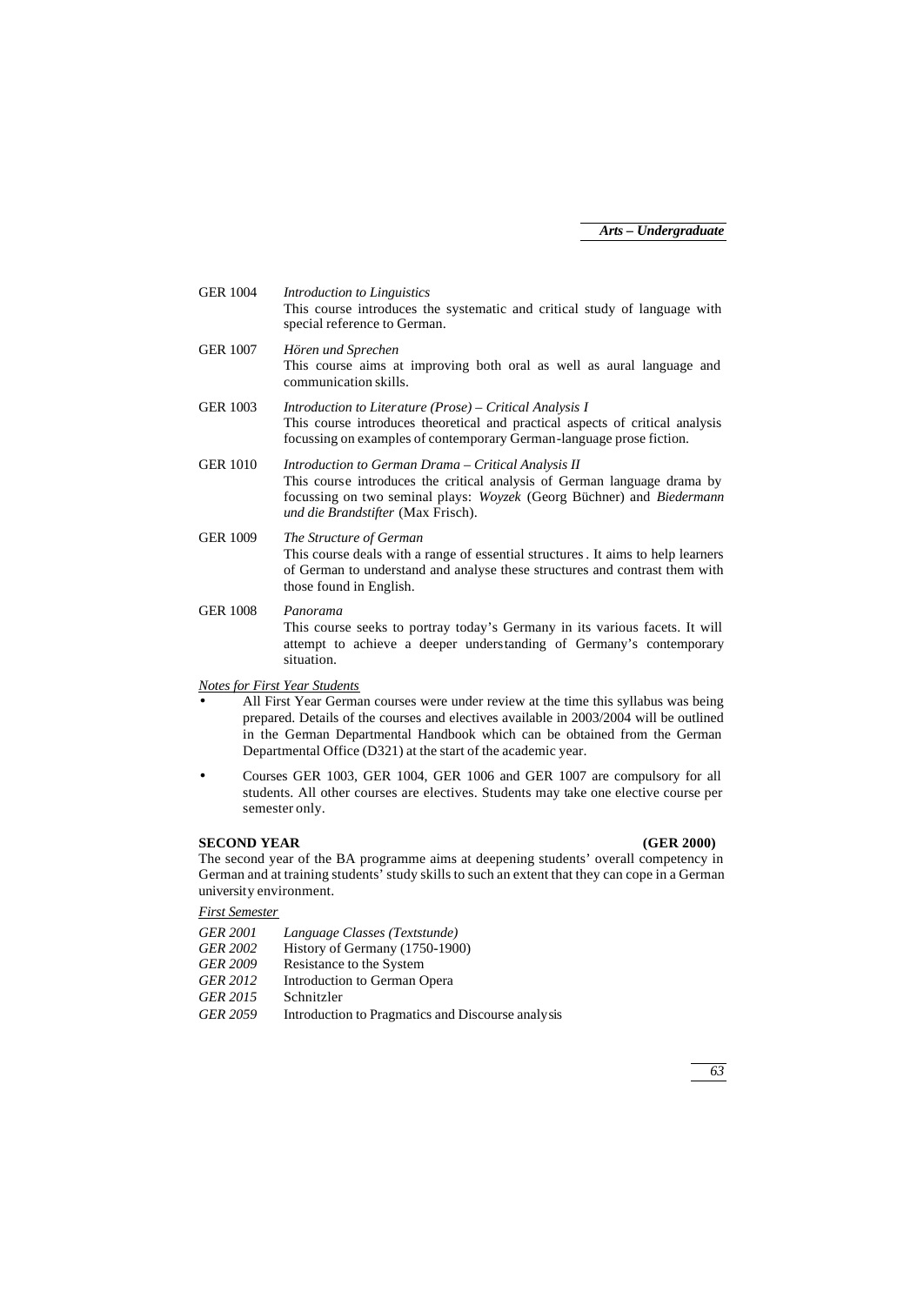| <b>GER 1004</b> | Introduction to Linguistics<br>This course introduces the systematic and critical study of language with<br>special reference to German.                                                                                                              |
|-----------------|-------------------------------------------------------------------------------------------------------------------------------------------------------------------------------------------------------------------------------------------------------|
| <b>GER 1007</b> | Hören und Sprechen<br>This course aims at improving both oral as well as aural language and<br>communication skills.                                                                                                                                  |
| <b>GER 1003</b> | Introduction to Literature (Prose) – Critical Analysis I<br>This course introduces theoretical and practical aspects of critical analysis<br>focussing on examples of contemporary German-language prose fiction.                                     |
| <b>GER 1010</b> | Introduction to German Drama - Critical Analysis II<br>This course introduces the critical analysis of German language drama by<br>focussing on two seminal plays: Woyzek (Georg Büchner) and Biedermann<br><i>und die Brandstifter</i> (Max Frisch). |
| <b>GER 1009</b> | The Structure of German<br>This course deals with a range of essential structures. It aims to help learners<br>of German to understand and analyse these structures and contrast them with<br>those found in English.                                 |
| <b>GER 1008</b> | Panorama<br>This course seeks to portray today's Germany in its various facets. It will                                                                                                                                                               |

attempt to achieve a deeper understanding of Germany's contemporary situation.

#### *Notes for First Year Students*

- All First Year German courses were under review at the time this syllabus was being prepared. Details of the courses and electives available in 2003/2004 will be outlined in the German Departmental Handbook which can be obtained from the German Departmental Office (D321) at the start of the academic year.
- Courses GER 1003, GER 1004, GER 1006 and GER 1007 are compulsory for all students. All other courses are electives. Students may take one elective course per semester only.

#### **SECOND YEAR (GER 2000)**

The second year of the BA programme aims at deepening students' overall competency in German and at training students' study skills to such an extent that they can cope in a German university environment.

#### *First Semester*

| <b>GER 2001</b> | Language Classes (Textstunde)                     |
|-----------------|---------------------------------------------------|
| <b>GER 2002</b> | History of Germany (1750-1900)                    |
| <b>GER 2009</b> | Resistance to the System                          |
| GER 2012        | Introduction to German Opera                      |
| GER 2015        | Schnitzler                                        |
| <b>GER 2059</b> | Introduction to Pragmatics and Discourse analysis |

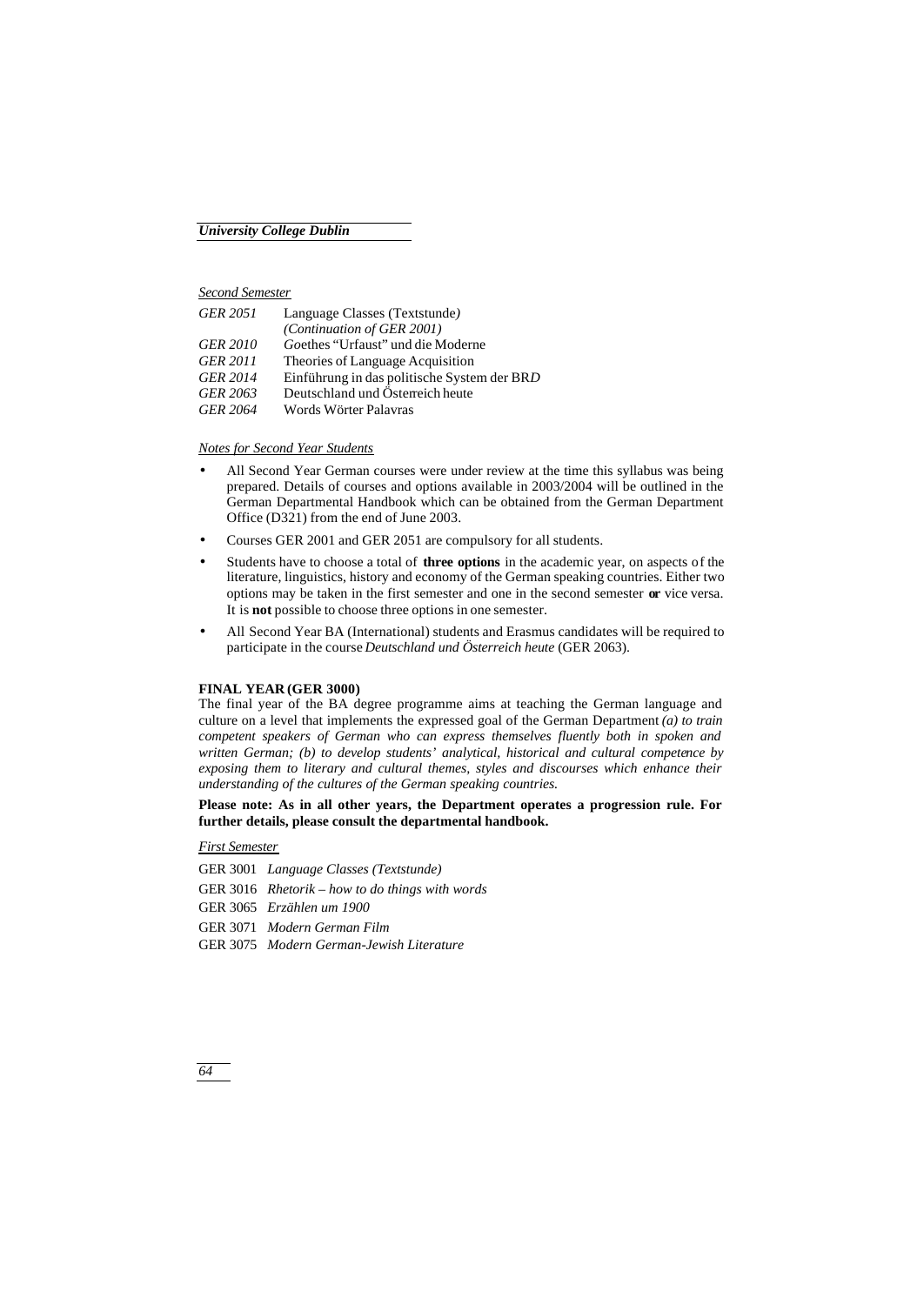#### *Second Semester*

| <b>GER 2051</b> | Language Classes (Textstunde)               |
|-----------------|---------------------------------------------|
|                 | (Continuation of GER 2001)                  |
| <b>GER 2010</b> | Goethes "Urfaust" und die Moderne           |
| <b>GER 2011</b> | Theories of Language Acquisition            |
| <b>GER 2014</b> | Einführung in das politische System der BRD |
| GER 2063        | Deutschland und Österreich heute            |
| <b>GER 2064</b> | Words Wörter Palavras                       |

#### *Notes for Second Year Students*

- All Second Year German courses were under review at the time this syllabus was being prepared. Details of courses and options available in 2003/2004 will be outlined in the German Departmental Handbook which can be obtained from the German Department Office (D321) from the end of June 2003.
- Courses GER 2001 and GER 2051 are compulsory for all students.
- Students have to choose a total of **three options** in the academic year, on aspects of the literature, linguistics, history and economy of the German speaking countries. Either two options may be taken in the first semester and one in the second semester **or** vice versa. It is **not** possible to choose three options in one semester.
- All Second Year BA (International) students and Erasmus candidates will be required to participate in the course *Deutschland und Österreich heute* (GER 2063).

#### **FINAL YEAR (GER 3000)**

The final year of the BA degree programme aims at teaching the German language and culture on a level that implements the expressed goal of the German Department *(a) to train competent speakers of German who can express themselves fluently both in spoken and written German; (b) to develop students' analytical, historical and cultural competence by exposing them to literary and cultural themes, styles and discourses which enhance their understanding of the cultures of the German speaking countries.*

#### **Please note: As in all other years, the Department operates a progression rule. For further details, please consult the departmental handbook.**

#### *First Semester*

GER 3001 *Language Classes (Textstunde)*

GER 3016 *Rhetorik – how to do things with words*

GER 3065 *Erzählen um 1900*

GER 3071 *Modern German Film*

GER 3075 *Modern German-Jewish Literature*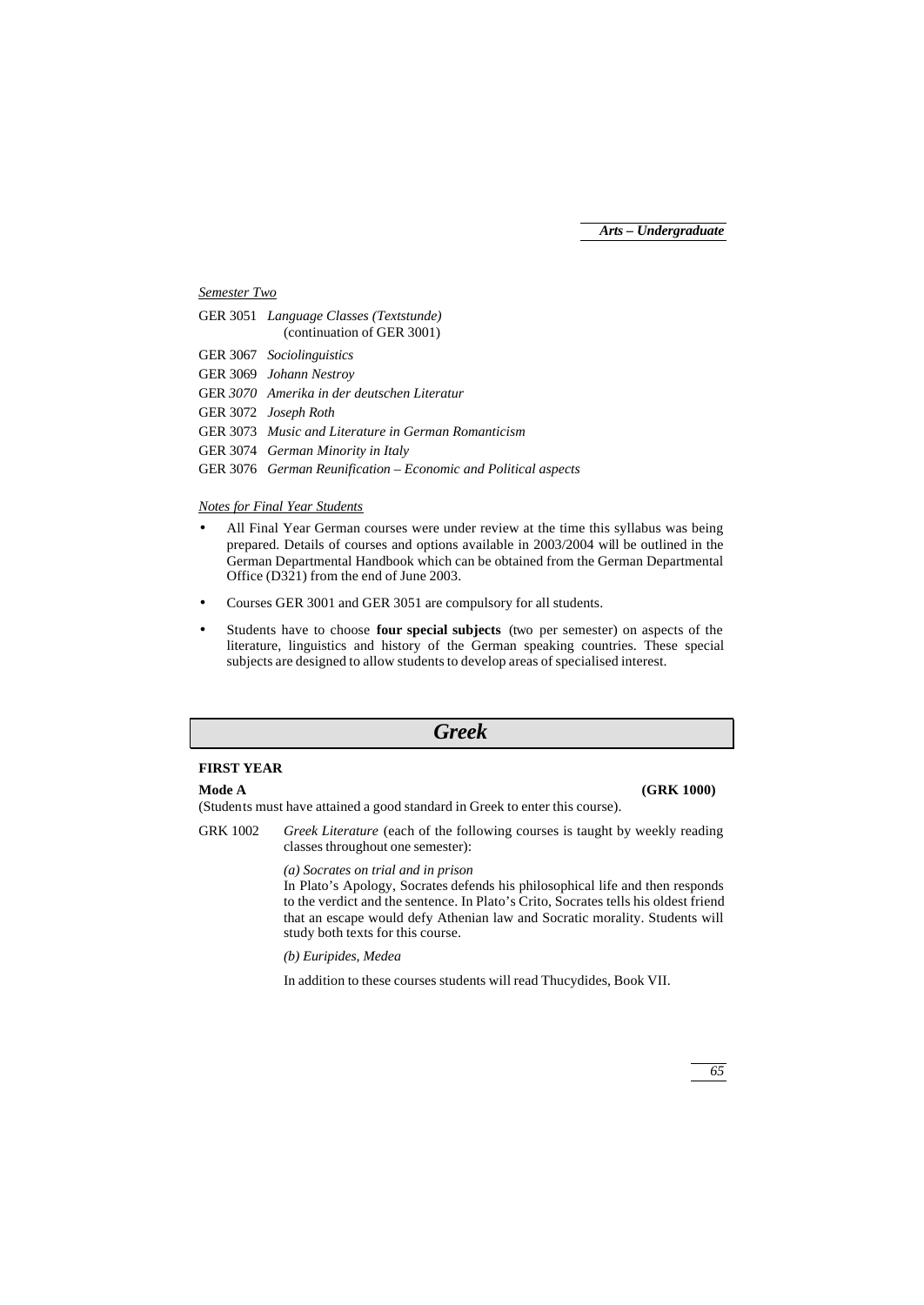#### *Semester Two*

| GER 3051 Language Classes (Textstunde)<br>(continuation of GER 3001) |
|----------------------------------------------------------------------|
| <b>GER</b> 3067 Sociolinguistics                                     |
| GER 3069 Johann Nestroy                                              |
| GER 3070 Amerika in der deutschen Literatur                          |
| GER 3072 Joseph Roth                                                 |
| GER 3073 Music and Literature in German Romanticism                  |
| GER 3074 German Minority in Italy                                    |
| GER 3076 German Reunification – Economic and Political aspects       |
|                                                                      |

#### *Notes for Final Year Students*

- All Final Year German courses were under review at the time this syllabus was being prepared. Details of courses and options available in 2003/2004 will be outlined in the German Departmental Handbook which can be obtained from the German Departmental Office (D321) from the end of June 2003.
- Courses GER 3001 and GER 3051 are compulsory for all students.
- Students have to choose **four special subjects** (two per semester) on aspects of the literature, linguistics and history of the German speaking countries. These special subjects are designed to allow students to develop areas of specialised interest.

#### *Greek*

### **FIRST YEAR**

#### **Mode A (GRK 1000)**

(Students must have attained a good standard in Greek to enter this course).

GRK 1002 *Greek Literature* (each of the following courses is taught by weekly reading classes throughout one semester):

*(a) Socrates on trial and in prison*

In Plato's Apology, Socrates defends his philosophical life and then responds to the verdict and the sentence. In Plato's Crito, Socrates tells his oldest friend that an escape would defy Athenian law and Socratic morality. Students will study both texts for this course.

*(b) Euripides, Medea*

In addition to these courses students will read Thucydides, Book VII.

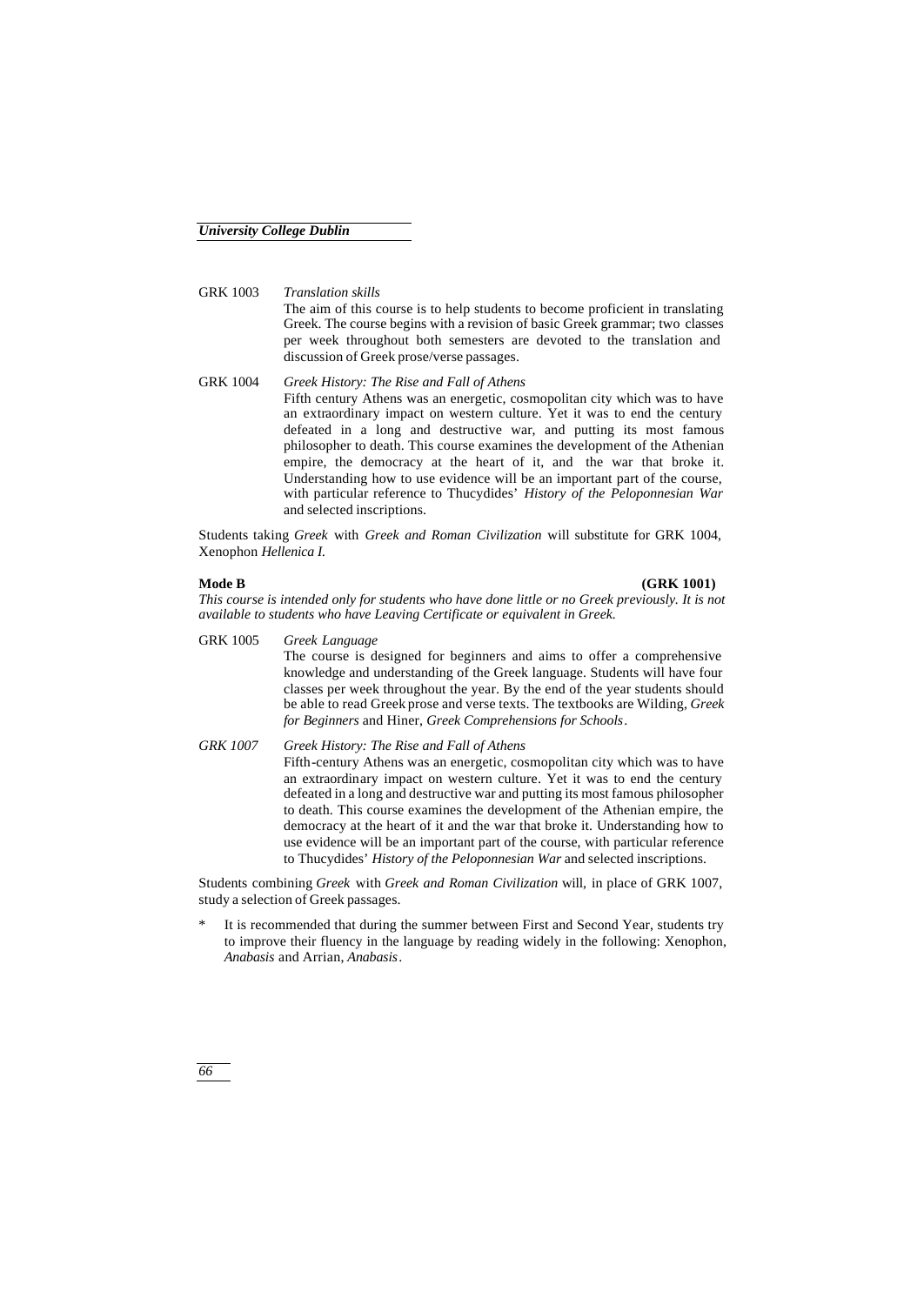GRK 1003 *Translation skills* The aim of this course is to help students to become proficient in translating Greek. The course begins with a revision of basic Greek grammar; two classes per week throughout both semesters are devoted to the translation and discussion of Greek prose/verse passages.

GRK 1004 *Greek History: The Rise and Fall of Athens* Fifth century Athens was an energetic, cosmopolitan city which was to have an extraordinary impact on western culture. Yet it was to end the century defeated in a long and destructive war, and putting its most famous philosopher to death. This course examines the development of the Athenian empire, the democracy at the heart of it, and the war that broke it. Understanding how to use evidence will be an important part of the course, with particular reference to Thucydides' *History of the Peloponnesian War* and selected inscriptions.

Students taking *Greek* with *Greek and Roman Civilization* will substitute for GRK 1004, Xenophon *Hellenica I.*

#### **Mode B (GRK 1001)**

*This course is intended only for students who have done little or no Greek previously. It is not available to students who have Leaving Certificate or equivalent in Greek.*

- GRK 1005 *Greek Language* The course is designed for beginners and aims to offer a comprehensive knowledge and understanding of the Greek language. Students will have four classes per week throughout the year. By the end of the year students should be able to read Greek prose and verse texts. The textbooks are Wilding, *Greek for Beginners* and Hiner, *Greek Comprehensions for Schools*. *GRK 1007 Greek History: The Rise and Fall of Athens*
	- Fifth-century Athens was an energetic, cosmopolitan city which was to have an extraordinary impact on western culture. Yet it was to end the century defeated in a long and destructive war and putting its most famous philosopher to death. This course examines the development of the Athenian empire, the democracy at the heart of it and the war that broke it. Understanding how to use evidence will be an important part of the course, with particular reference to Thucydides' *History of the Peloponnesian War* and selected inscriptions.

Students combining *Greek* with *Greek and Roman Civilization* will, in place of GRK 1007, study a selection of Greek passages.

It is recommended that during the summer between First and Second Year, students try to improve their fluency in the language by reading widely in the following: Xenophon, *Anabasis* and Arrian, *Anabasis*.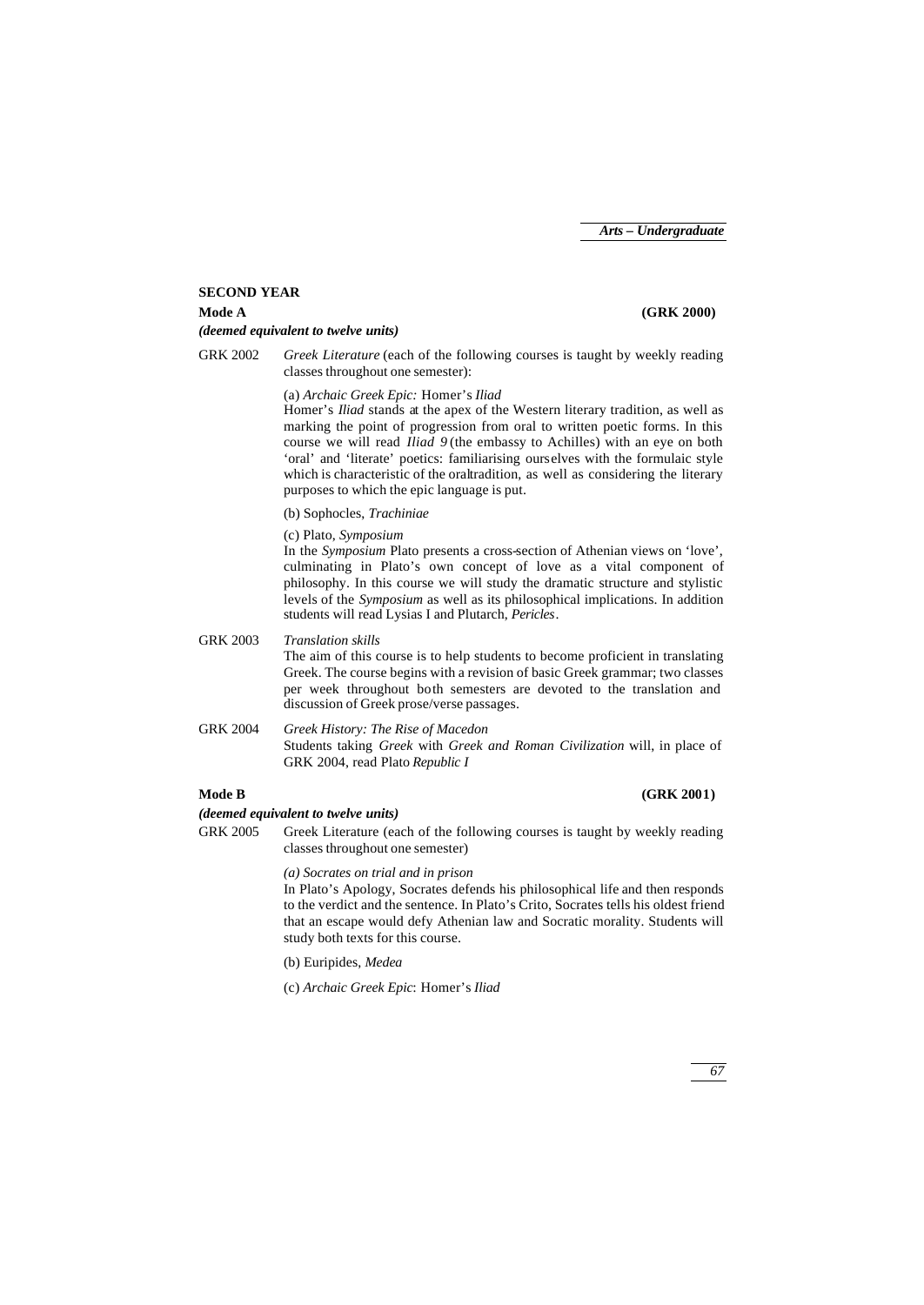#### **SECOND YEAR**

## **Mode A (GRK 2000)**

- *(deemed equivalent to twelve units)*
- GRK 2002 *Greek Literature* (each of the following courses is taught by weekly reading classes throughout one semester):

(a) *Archaic Greek Epic:* Homer's *Iliad*

Homer's *Iliad* stands at the apex of the Western literary tradition, as well as marking the point of progression from oral to written poetic forms. In this course we will read *Iliad 9* (the embassy to Achilles) with an eye on both 'oral' and 'literate' poetics: familiarising ourselves with the formulaic style which is characteristic of the oraltradition, as well as considering the literary purposes to which the epic language is put.

(b) Sophocles, *Trachiniae*

(c) Plato, *Symposium*

In the *Symposium* Plato presents a cross-section of Athenian views on 'love', culminating in Plato's own concept of love as a vital component of philosophy. In this course we will study the dramatic structure and stylistic levels of the *Symposium* as well as its philosophical implications. In addition students will read Lysias I and Plutarch, *Pericles*.

GRK 2003 *Translation skills*

The aim of this course is to help students to become proficient in translating Greek. The course begins with a revision of basic Greek grammar; two classes per week throughout both semesters are devoted to the translation and discussion of Greek prose/verse passages.

GRK 2004 *Greek History: The Rise of Macedon* Students taking *Greek* with *Greek and Roman Civilization* will, in place of GRK 2004, read Plato *Republic I*

#### **Mode B (GRK 2001)**

#### *(deemed equivalent to twelve units)*

GRK 2005 Greek Literature (each of the following courses is taught by weekly reading classes throughout one semester)

*(a) Socrates on trial and in prison*

In Plato's Apology, Socrates defends his philosophical life and then responds to the verdict and the sentence. In Plato's Crito, Socrates tells his oldest friend that an escape would defy Athenian law and Socratic morality. Students will study both texts for this course.

(b) Euripides, *Medea*

(c) *Archaic Greek Epic*: Homer's *Iliad*

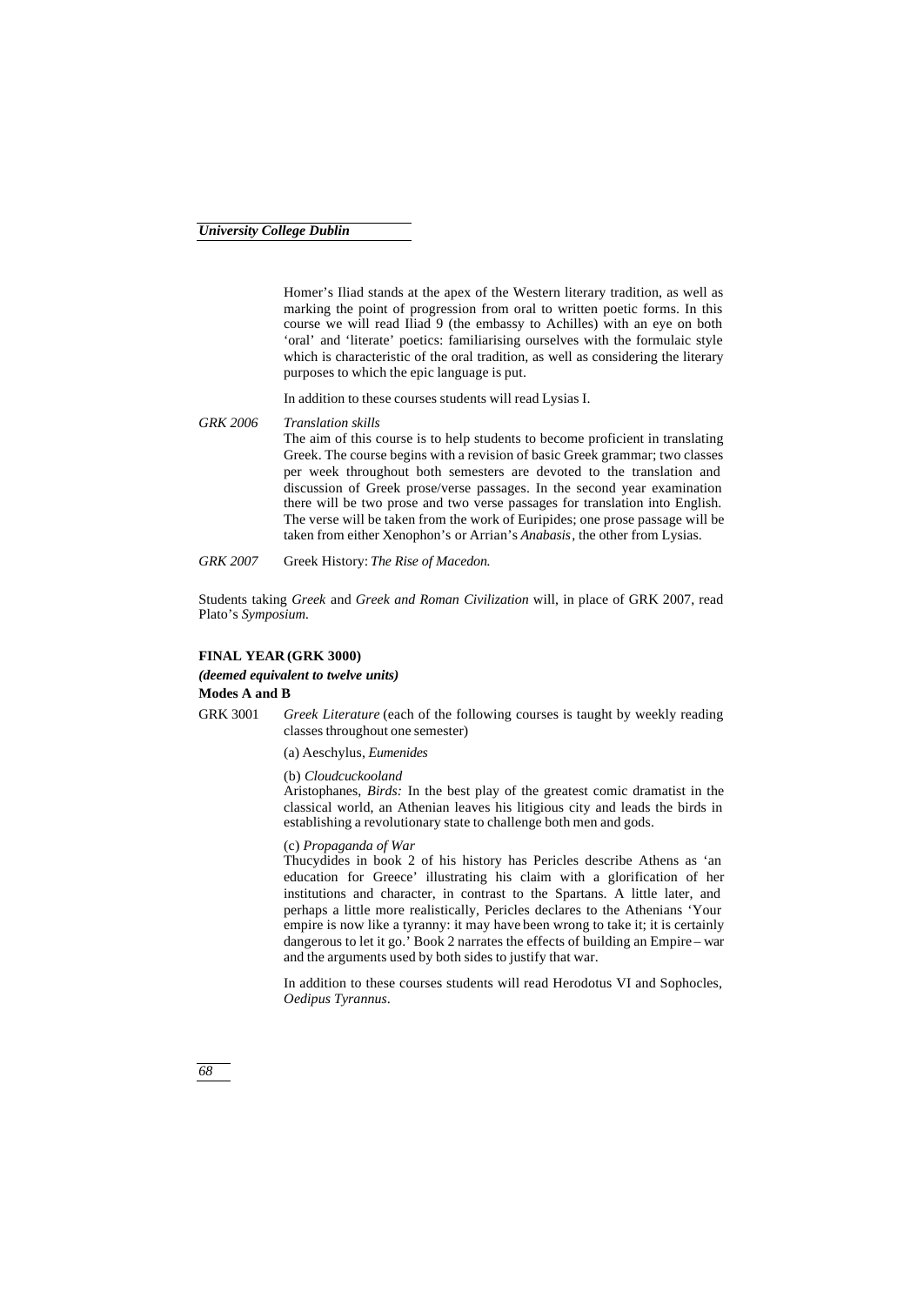Homer's Iliad stands at the apex of the Western literary tradition, as well as marking the point of progression from oral to written poetic forms. In this course we will read Iliad 9 (the embassy to Achilles) with an eye on both 'oral' and 'literate' poetics: familiarising ourselves with the formulaic style which is characteristic of the oral tradition, as well as considering the literary purposes to which the epic language is put.

In addition to these courses students will read Lysias I.

- *GRK 2006 Translation skills* The aim of this course is to help students to become proficient in translating Greek. The course begins with a revision of basic Greek grammar; two classes per week throughout both semesters are devoted to the translation and discussion of Greek prose/verse passages. In the second year examination there will be two prose and two verse passages for translation into English. The verse will be taken from the work of Euripides; one prose passage will be taken from either Xenophon's or Arrian's *Anabasis*, the other from Lysias.
- *GRK 2007* Greek History: *The Rise of Macedon.*

Students taking *Greek* and *Greek and Roman Civilization* will, in place of GRK 2007, read Plato's *Symposium.*

#### **FINAL YEAR (GRK 3000)**

### *(deemed equivalent to twelve units)*

### **Modes A and B**

GRK 3001 *Greek Literature* (each of the following courses is taught by weekly reading classes throughout one semester)

(a) Aeschylus, *Eumenides*

#### (b) *Cloudcuckooland*

Aristophanes, *Birds:* In the best play of the greatest comic dramatist in the classical world, an Athenian leaves his litigious city and leads the birds in establishing a revolutionary state to challenge both men and gods.

(c) *Propaganda of War*

Thucydides in book 2 of his history has Pericles describe Athens as 'an education for Greece' illustrating his claim with a glorification of her institutions and character, in contrast to the Spartans. A little later, and perhaps a little more realistically, Pericles declares to the Athenians 'Your empire is now like a tyranny: it may have been wrong to take it; it is certainly dangerous to let it go.' Book 2 narrates the effects of building an Empire – war and the arguments used by both sides to justify that war.

In addition to these courses students will read Herodotus VI and Sophocles, *Oedipus Tyrannus*.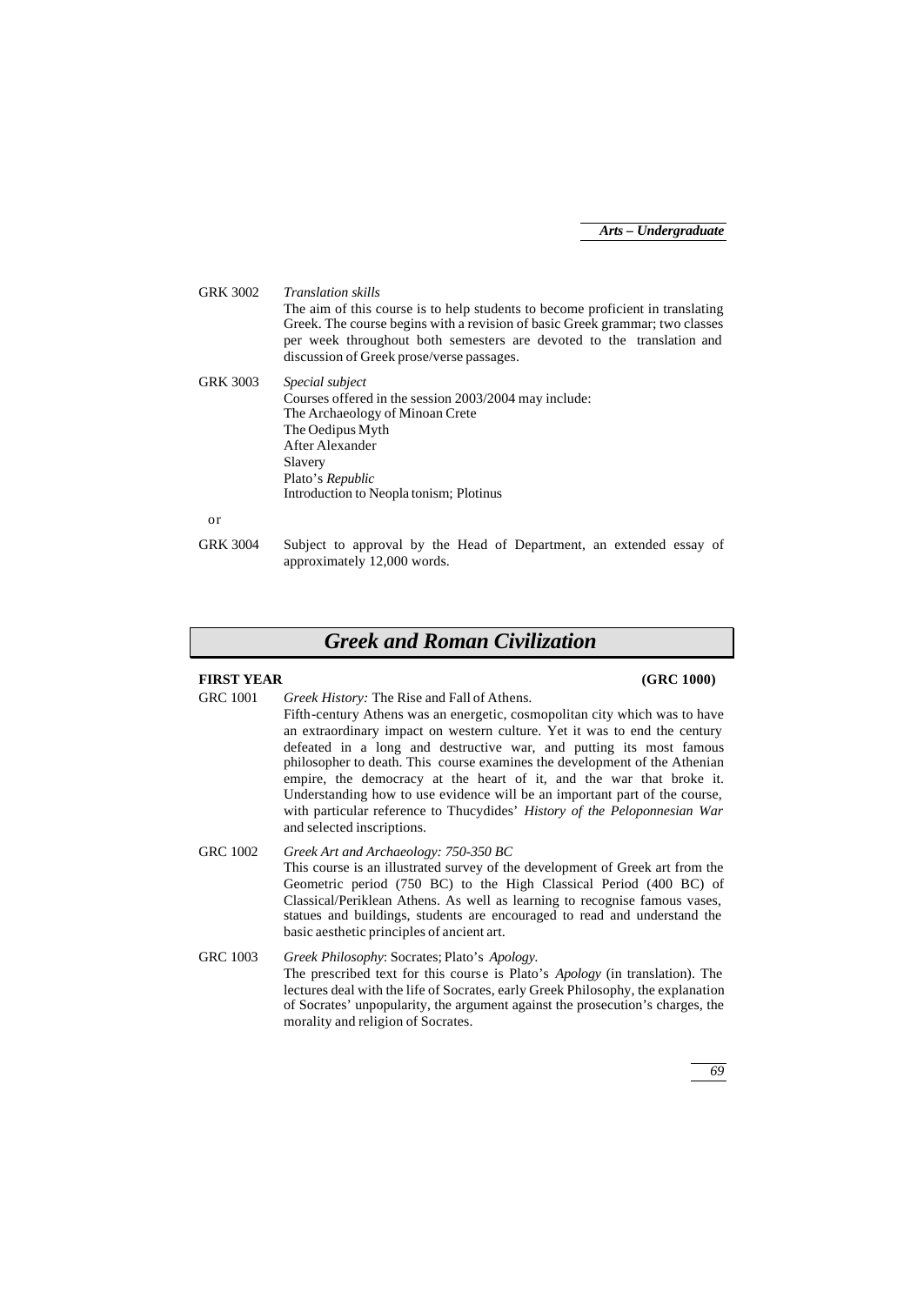| GRK 3002        | <i>Translation skills</i><br>The aim of this course is to help students to become proficient in translating<br>Greek. The course begins with a revision of basic Greek grammar; two classes<br>per week throughout both semesters are devoted to the translation and<br>discussion of Greek prose/verse passages. |
|-----------------|-------------------------------------------------------------------------------------------------------------------------------------------------------------------------------------------------------------------------------------------------------------------------------------------------------------------|
| <b>GRK 3003</b> | <i>Special subject</i><br>Courses offered in the session 2003/2004 may include:<br>The Archaeology of Minoan Crete<br>The Oedipus Myth<br>After Alexander<br>Slavery<br>Plato's Republic<br>Introduction to Neopla tonism; Plotinus                                                                               |
| or              |                                                                                                                                                                                                                                                                                                                   |
| <b>GRK 3004</b> | Subject to approval by the Head of Department, an extended essay of<br>approximately 12,000 words.                                                                                                                                                                                                                |

# *Greek and Roman Civilization*

### **FIRST YEAR (GRC 1000)**

GRC 1001 *Greek History:* The Rise and Fall of Athens*.* Fifth-century Athens was an energetic, cosmopolitan city which was to have an extraordinary impact on western culture. Yet it was to end the century defeated in a long and destructive war, and putting its most famous philosopher to death. This course examines the development of the Athenian empire, the democracy at the heart of it, and the war that broke it. Understanding how to use evidence will be an important part of the course, with particular reference to Thucydides' *History of the Peloponnesian War* and selected inscriptions.

GRC 1002 *Greek Art and Archaeology: 750-350 BC* This course is an illustrated survey of the development of Greek art from the Geometric period (750 BC) to the High Classical Period (400 BC) of Classical/Periklean Athens. As well as learning to recognise famous vases, statues and buildings, students are encouraged to read and understand the basic aesthetic principles of ancient art.

GRC 1003 *Greek Philosophy*: Socrates; Plato's *Apology.* The prescribed text for this course is Plato's *Apology* (in translation). The lectures deal with the life of Socrates, early Greek Philosophy, the explanation of Socrates' unpopularity, the argument against the prosecution's charges, the morality and religion of Socrates.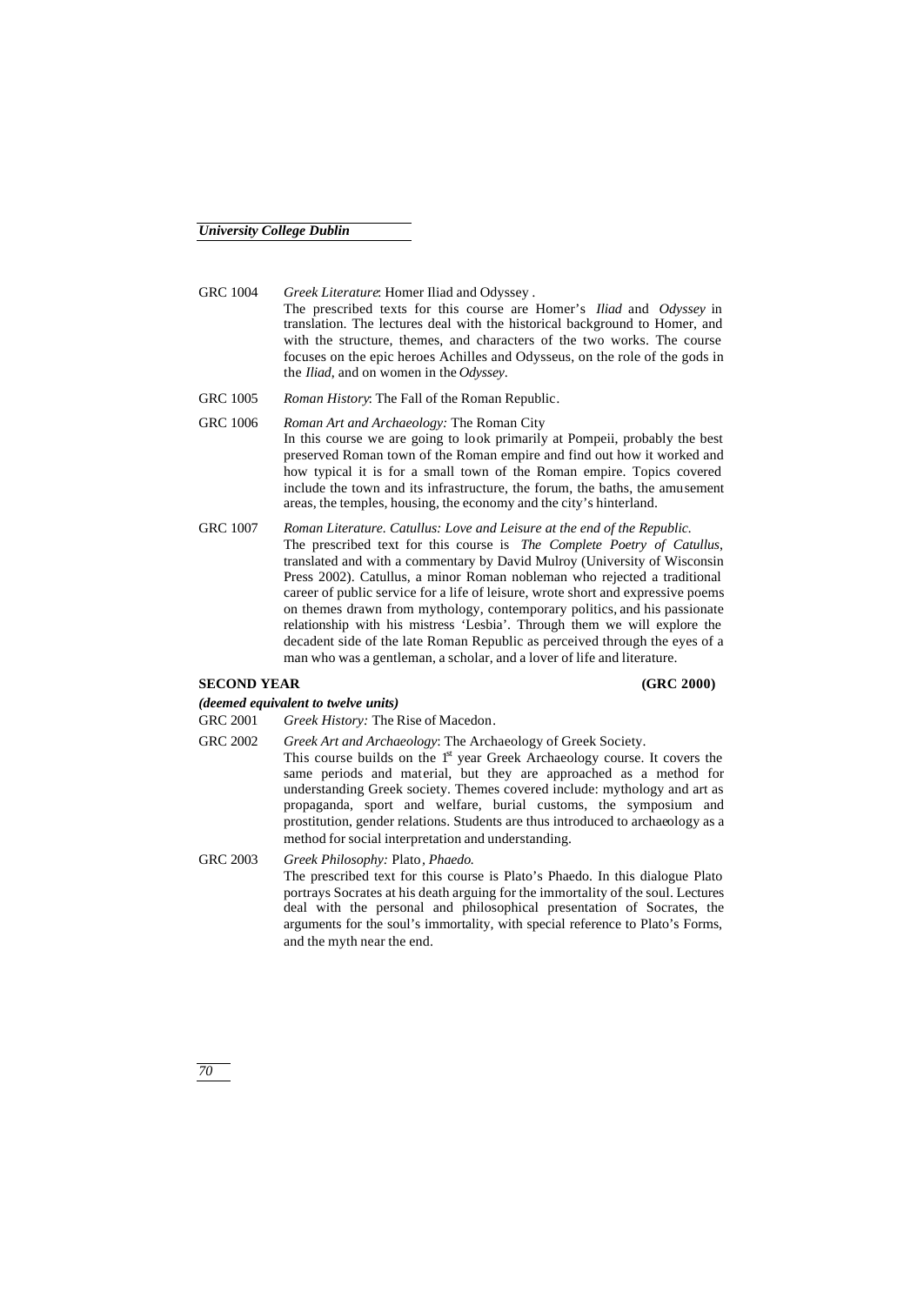GRC 1004 *Greek Literature*: Homer Iliad and Odyssey *.*

The prescribed texts for this course are Homer's *Iliad* and *Odyssey* in translation. The lectures deal with the historical background to Homer, and with the structure, themes, and characters of the two works. The course focuses on the epic heroes Achilles and Odysseus, on the role of the gods in the *Iliad*, and on women in the *Odyssey*.

- GRC 1005 *Roman History*: The Fall of the Roman Republic*.*
- GRC 1006 *Roman Art and Archaeology:* The Roman City In this course we are going to look primarily at Pompeii, probably the best preserved Roman town of the Roman empire and find out how it worked and how typical it is for a small town of the Roman empire. Topics covered include the town and its infrastructure, the forum, the baths, the amusement areas, the temples, housing, the economy and the city's hinterland.
- GRC 1007 *Roman Literature. Catullus: Love and Leisure at the end of the Republic.* The prescribed text for this course is *The Complete Poetry of Catullus*, translated and with a commentary by David Mulroy (University of Wisconsin Press 2002). Catullus, a minor Roman nobleman who rejected a traditional career of public service for a life of leisure, wrote short and expressive poems on themes drawn from mythology, contemporary politics, and his passionate relationship with his mistress 'Lesbia'. Through them we will explore the decadent side of the late Roman Republic as perceived through the eyes of a man who was a gentleman, a scholar, and a lover of life and literature.

#### **SECOND YEAR (GRC 2000)**

*(deemed equivalent to twelve units)*

GRC 2001 *Greek History:* The Rise of Macedon*.*

- GRC 2002 *Greek Art and Archaeology*: The Archaeology of Greek Society. This course builds on the 1<sup>st</sup> year Greek Archaeology course. It covers the same periods and material, but they are approached as a method for understanding Greek society. Themes covered include: mythology and art as propaganda, sport and welfare, burial customs, the symposium and prostitution, gender relations. Students are thus introduced to archaeology as a method for social interpretation and understanding.
- GRC 2003 *Greek Philosophy:* Plato*, Phaedo.* The prescribed text for this course is Plato's Phaedo. In this dialogue Plato portrays Socrates at his death arguing for the immortality of the soul. Lectures deal with the personal and philosophical presentation of Socrates, the arguments for the soul's immortality, with special reference to Plato's Forms, and the myth near the end.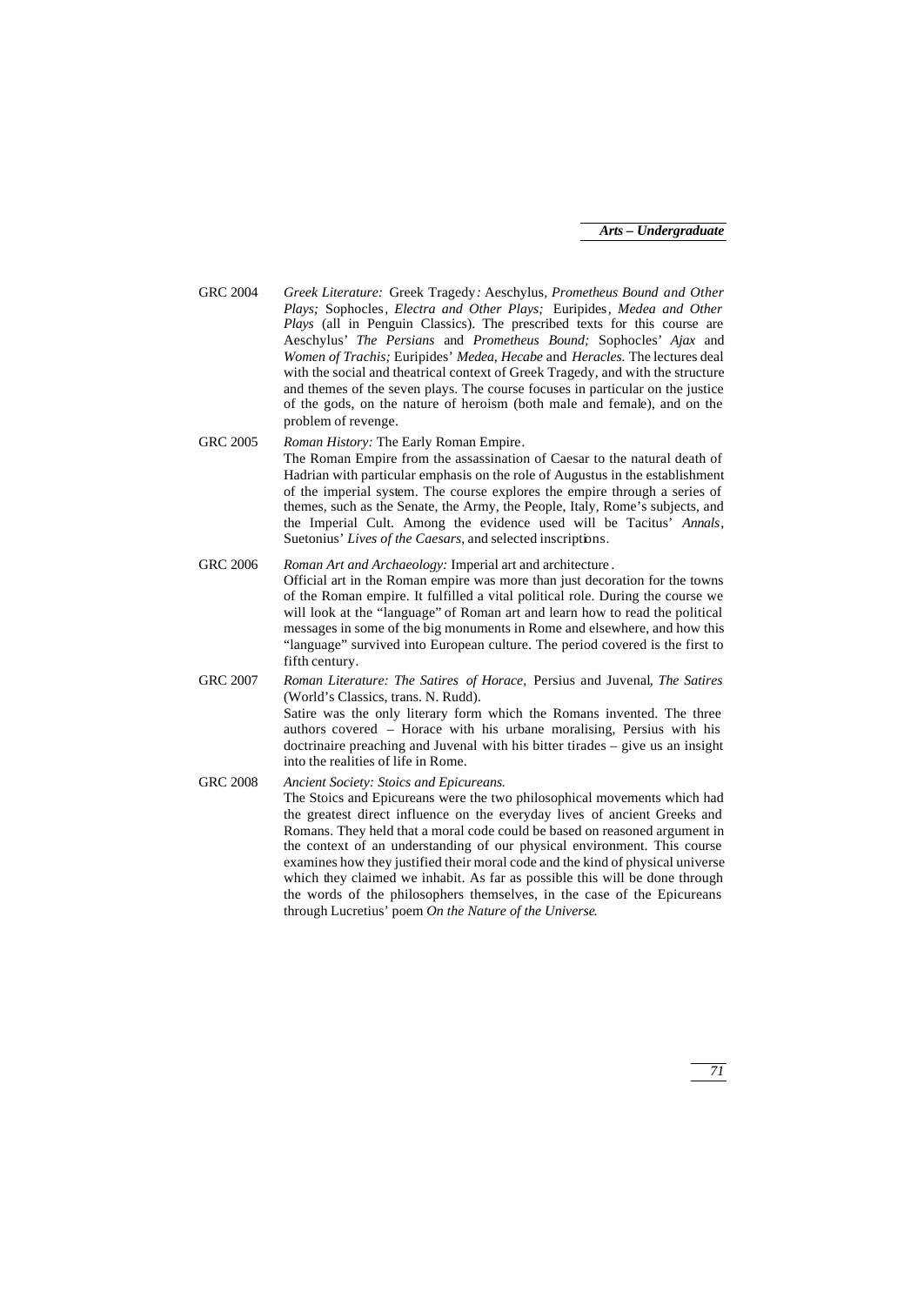- GRC 2004 *Greek Literature:* Greek Tragedy*:* Aeschylus*, Prometheus Bound and Other Plays;* Sophocles*, Electra and Other Plays;* Euripides*, Medea and Other Plays* (all in Penguin Classics). The prescribed texts for this course are Aeschylus' *The Persians* and *Prometheus Bound;* Sophocles' *Ajax* and *Women of Trachis;* Euripides' *Medea, Hecabe* and *Heracles.* The lectures deal with the social and theatrical context of Greek Tragedy, and with the structure and themes of the seven plays. The course focuses in particular on the justice of the gods, on the nature of heroism (both male and female), and on the problem of revenge.
- GRC 2005 *Roman History:* The Early Roman Empire*.* The Roman Empire from the assassination of Caesar to the natural death of Hadrian with particular emphasis on the role of Augustus in the establishment of the imperial system. The course explores the empire through a series of themes, such as the Senate, the Army, the People, Italy, Rome's subjects, and the Imperial Cult. Among the evidence used will be Tacitus' *Annals*, Suetonius' *Lives of the Caesars*, and selected inscriptions.
- GRC 2006 *Roman Art and Archaeology:* Imperial art and architecture *.* Official art in the Roman empire was more than just decoration for the towns of the Roman empire. It fulfilled a vital political role. During the course we will look at the "language" of Roman art and learn how to read the political messages in some of the big monuments in Rome and elsewhere, and how this "language" survived into European culture. The period covered is the first to fifth century.
- GRC 2007 *Roman Literature: The Satires of Horace,* Persius and Juvenal*, The Satires*  (World's Classics, trans. N. Rudd). Satire was the only literary form which the Romans invented. The three authors covered – Horace with his urbane moralising, Persius with his doctrinaire preaching and Juvenal with his bitter tirades – give us an insight into the realities of life in Rome.
- GRC 2008 *Ancient Society: Stoics and Epicureans.* The Stoics and Epicureans were the two philosophical movements which had the greatest direct influence on the everyday lives of ancient Greeks and Romans. They held that a moral code could be based on reasoned argument in the context of an understanding of our physical environment. This course examines how they justified their moral code and the kind of physical universe which they claimed we inhabit. As far as possible this will be done through the words of the philosophers themselves, in the case of the Epicureans through Lucretius' poem *On the Nature of the Universe*.

*71*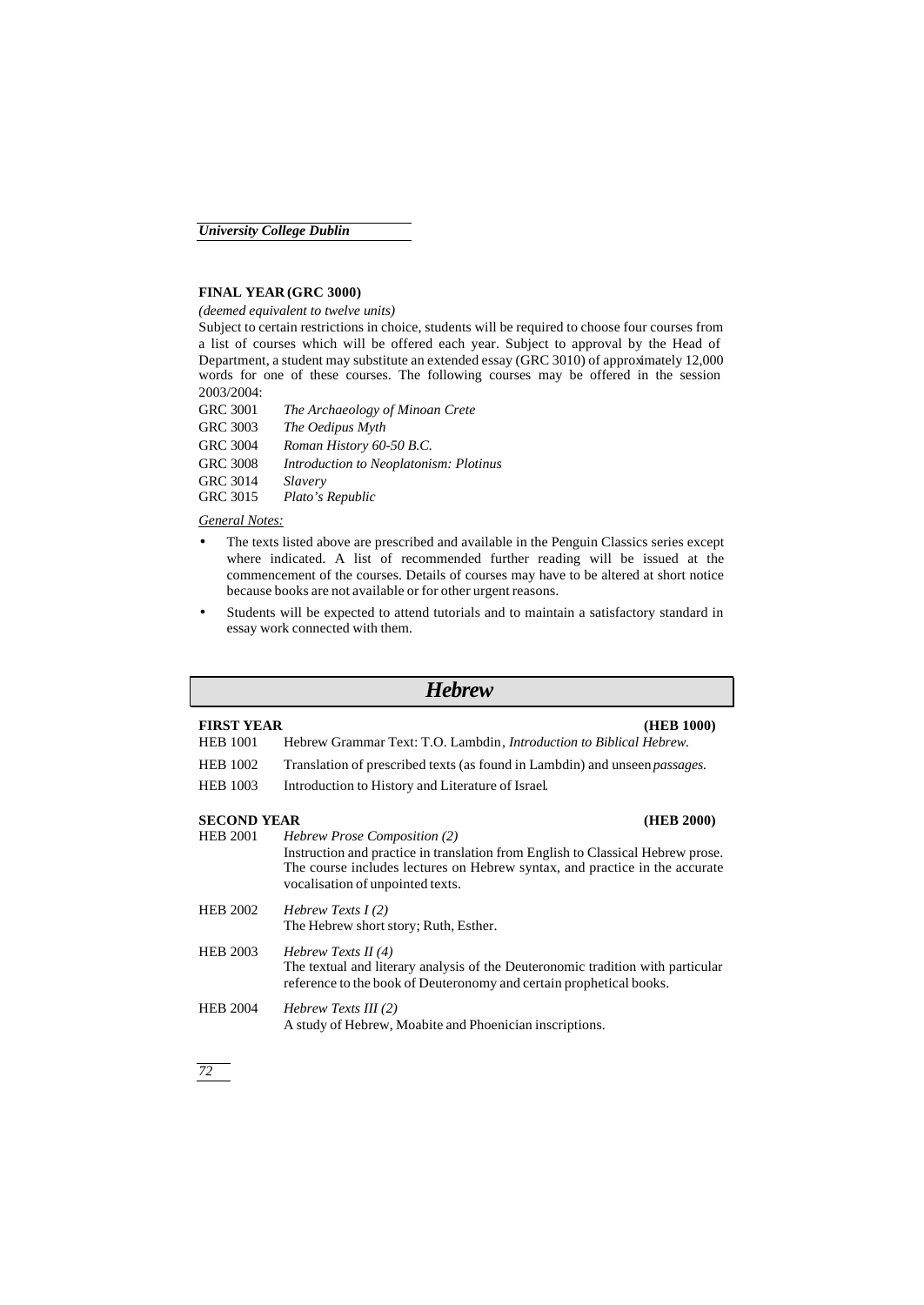#### **FINAL YEAR (GRC 3000)**

*(deemed equivalent to twelve units)*

Subject to certain restrictions in choice, students will be required to choose four courses from a list of courses which will be offered each year. Subject to approval by the Head of Department, a student may substitute an extended essay (GRC 3010) of approximately 12,000 words for one of these courses. The following courses may be offered in the session 2003/2004:

| <b>GRC 3001</b> | The Archaeology of Minoan Crete        |
|-----------------|----------------------------------------|
| GRC 3003        | The Oedipus Myth                       |
| <b>GRC 3004</b> | Roman History 60-50 B.C.               |
| <b>GRC 3008</b> | Introduction to Neoplatonism: Plotinus |
| <b>GRC 3014</b> | Slavery                                |
| GRC 3015        | Plato's Republic                       |

*General Notes:*

- The texts listed above are prescribed and available in the Penguin Classics series except where indicated. A list of recommended further reading will be issued at the commencement of the courses. Details of courses may have to be altered at short notice because books are not available or for other urgent reasons.
- Students will be expected to attend tutorials and to maintain a satisfactory standard in essay work connected with them.

| <b>Hebrew</b>      |                                                                                                                                                                                                                                           |  |  |
|--------------------|-------------------------------------------------------------------------------------------------------------------------------------------------------------------------------------------------------------------------------------------|--|--|
| <b>FIRST YEAR</b>  | (HEB 1000)                                                                                                                                                                                                                                |  |  |
| <b>HEB 1001</b>    | Hebrew Grammar Text: T.O. Lambdin, <i>Introduction to Biblical Hebrew</i> .                                                                                                                                                               |  |  |
| <b>HEB 1002</b>    | Translation of prescribed texts (as found in Lambdin) and unseen <i>passages</i> .                                                                                                                                                        |  |  |
| <b>HEB</b> 1003    | Introduction to History and Literature of Israel.                                                                                                                                                                                         |  |  |
| <b>SECOND YEAR</b> | (HEB 2000)                                                                                                                                                                                                                                |  |  |
| <b>HEB 2001</b>    | <i>Hebrew Prose Composition (2)</i><br>Instruction and practice in translation from English to Classical Hebrew prose.<br>The course includes lectures on Hebrew syntax, and practice in the accurate<br>vocalisation of unpointed texts. |  |  |
| <b>HEB 2002</b>    | Hebrew Texts $I(2)$<br>The Hebrew short story; Ruth, Esther.                                                                                                                                                                              |  |  |
| <b>HEB 2003</b>    | Hebrew Texts II $(4)$<br>The textual and literary analysis of the Deuteronomic tradition with particular<br>reference to the book of Deuteronomy and certain prophetical books.                                                           |  |  |
| <b>HEB 2004</b>    | Hebrew Texts III $(2)$<br>A study of Hebrew, Moabite and Phoenician inscriptions.                                                                                                                                                         |  |  |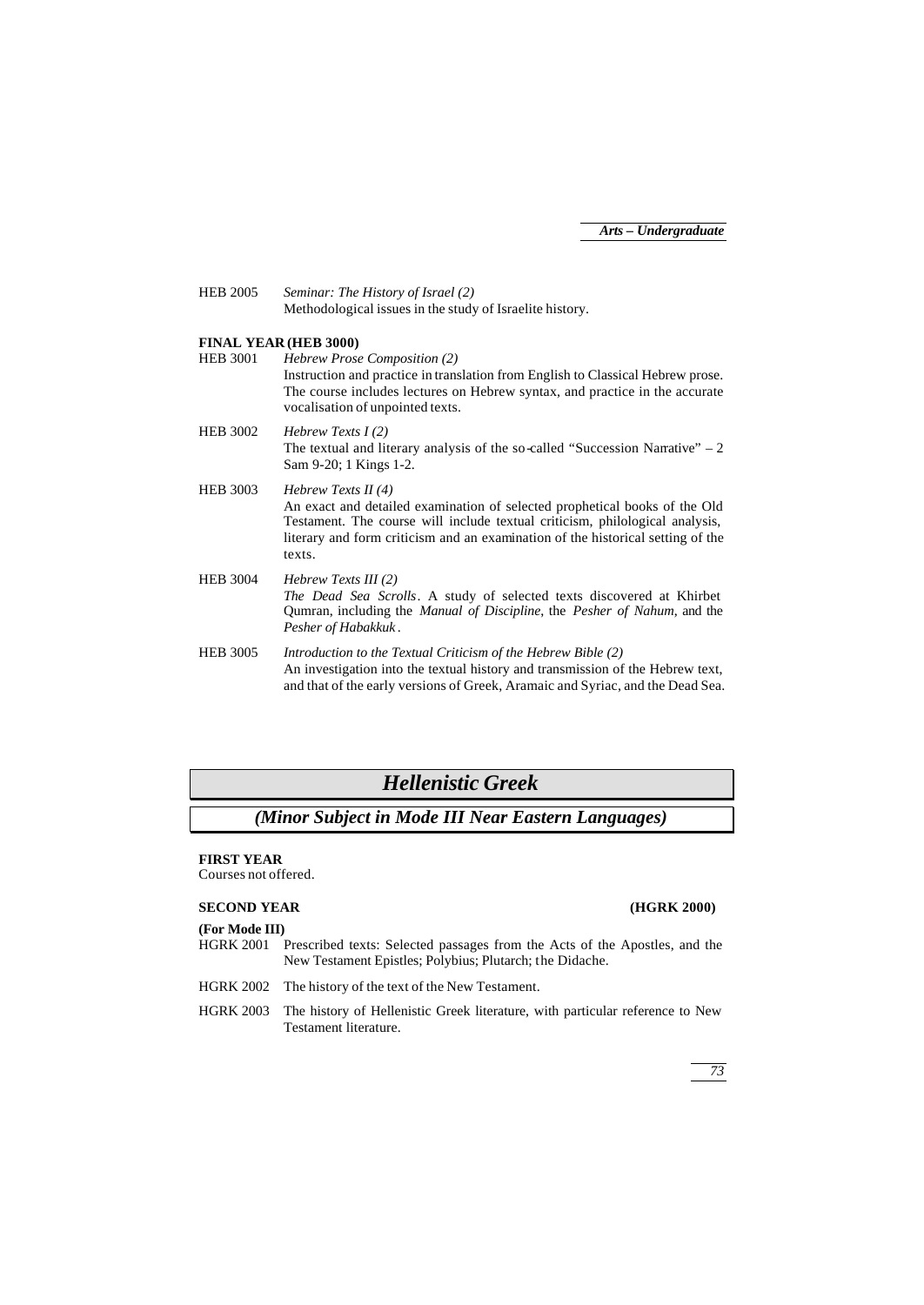HEB 2005 *Seminar: The History of Israel (2)* Methodological issues in the study of Israelite history.

## **FINAL YEAR (HEB 3000)**

HEB 3001 *Hebrew Prose Composition (2)* Instruction and practice in translation from English to Classical Hebrew prose. The course includes lectures on Hebrew syntax, and practice in the accurate vocalisation of unpointed texts.

HEB 3002 *Hebrew Texts I (2)* The textual and literary analysis of the so-called "Succession Narrative"  $-2$ Sam 9-20; 1 Kings 1-2.

HEB 3003 *Hebrew Texts II (4)* An exact and detailed examination of selected prophetical books of the Old Testament. The course will include textual criticism, philological analysis, literary and form criticism and an examination of the historical setting of the texts.

HEB 3004 *Hebrew Texts III (2) The Dead Sea Scrolls*. A study of selected texts discovered at Khirbet Qumran, including the *Manual of Discipline*, the *Pesher of Nahum*, and the *Pesher of Habakkuk* .

HEB 3005 *Introduction to the Textual Criticism of the Hebrew Bible (2)* An investigation into the textual history and transmission of the Hebrew text, and that of the early versions of Greek, Aramaic and Syriac, and the Dead Sea.

# *Hellenistic Greek*

*(Minor Subject in Mode III Near Eastern Languages)*

### **FIRST YEAR**

Courses not offered.

### **SECOND YEAR (HGRK 2000)**

#### **(For Mode III)**

- HGRK 2001 Prescribed texts: Selected passages from the Acts of the Apostles, and the New Testament Epistles; Polybius; Plutarch; the Didache.
- HGRK 2002 The history of the text of the New Testament.
- HGRK 2003 The history of Hellenistic Greek literature, with particular reference to New Testament literature.

*73*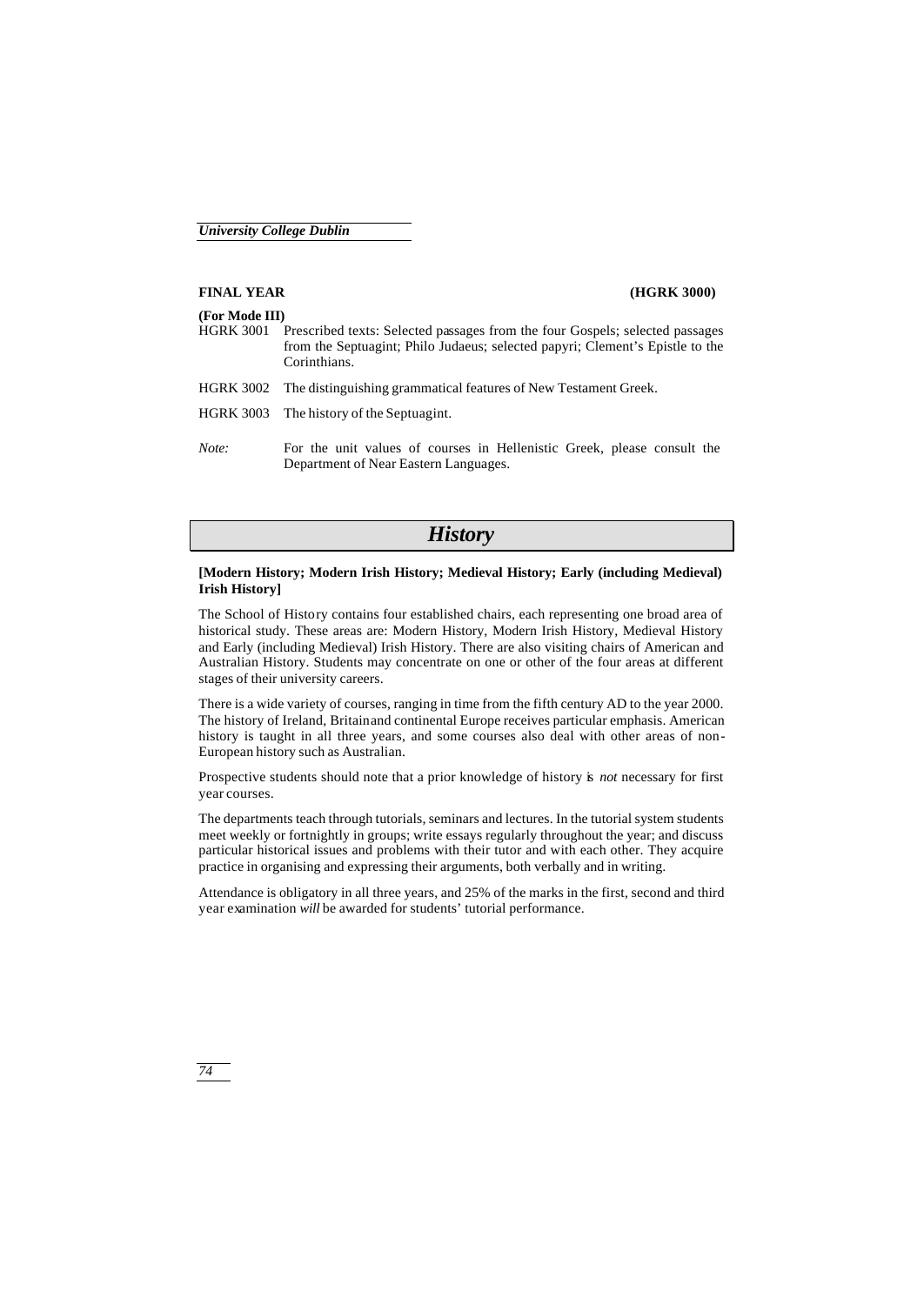# **FINAL YEAR (HGRK 3000) (For Mode III)** HGRK 3001 Prescribed texts: Selected passages from the four Gospels; selected passages from the Septuagint; Philo Judaeus; selected papyri; Clement's Epistle to the Corinthians. HGRK 3002 The distinguishing grammatical features of New Testament Greek. HGRK 3003 The history of the Septuagint. *Note:* For the unit values of courses in Hellenistic Greek, please consult the Department of Near Eastern Languages.

# *History*

## **[Modern History; Modern Irish History; Medieval History; Early (including Medieval) Irish History]**

The School of History contains four established chairs, each representing one broad area of historical study. These areas are: Modern History, Modern Irish History, Medieval History and Early (including Medieval) Irish History. There are also visiting chairs of American and Australian History. Students may concentrate on one or other of the four areas at different stages of their university careers.

There is a wide variety of courses, ranging in time from the fifth century AD to the year 2000. The history of Ireland, Britain and continental Europe receives particular emphasis. American history is taught in all three years, and some courses also deal with other areas of non-European history such as Australian.

Prospective students should note that a prior knowledge of history is *not* necessary for first year courses.

The departments teach through tutorials, seminars and lectures. In the tutorial system students meet weekly or fortnightly in groups; write essays regularly throughout the year; and discuss particular historical issues and problems with their tutor and with each other. They acquire practice in organising and expressing their arguments, both verbally and in writing.

Attendance is obligatory in all three years, and 25% of the marks in the first, second and third year examination *will* be awarded for students' tutorial performance.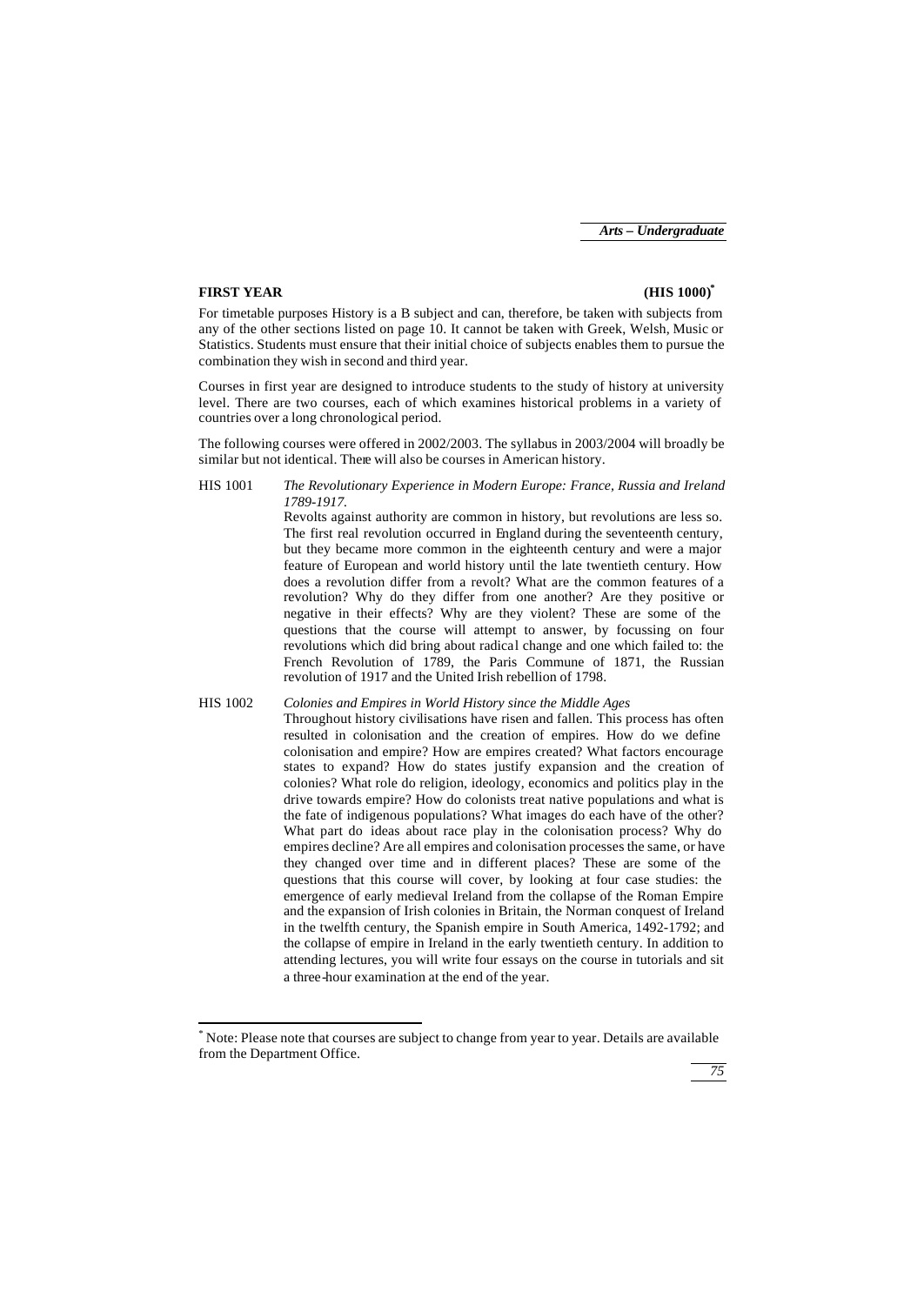### **FIRST YEAR (HIS 1000)\***

j

For timetable purposes History is a B subject and can, therefore, be taken with subjects from any of the other sections listed on page 10. It cannot be taken with Greek, Welsh, Music or Statistics. Students must ensure that their initial choice of subjects enables them to pursue the combination they wish in second and third year.

Courses in first year are designed to introduce students to the study of history at university level. There are two courses, each of which examines historical problems in a variety of countries over a long chronological period.

The following courses were offered in 2002/2003. The syllabus in 2003/2004 will broadly be similar but not identical. There will also be courses in American history.

HIS 1001 *The Revolutionary Experience in Modern Europe: France, Russia and Ireland 1789-1917.*

Revolts against authority are common in history, but revolutions are less so. The first real revolution occurred in England during the seventeenth century, but they became more common in the eighteenth century and were a major feature of European and world history until the late twentieth century. How does a revolution differ from a revolt? What are the common features of a revolution? Why do they differ from one another? Are they positive or negative in their effects? Why are they violent? These are some of the questions that the course will attempt to answer, by focussing on four revolutions which did bring about radical change and one which failed to: the French Revolution of 1789, the Paris Commune of 1871, the Russian revolution of 1917 and the United Irish rebellion of 1798.

HIS 1002 *Colonies and Empires in World History since the Middle Ages* Throughout history civilisations have risen and fallen. This process has often resulted in colonisation and the creation of empires. How do we define colonisation and empire? How are empires created? What factors encourage states to expand? How do states justify expansion and the creation of colonies? What role do religion, ideology, economics and politics play in the drive towards empire? How do colonists treat native populations and what is the fate of indigenous populations? What images do each have of the other? What part do ideas about race play in the colonisation process? Why do empires decline? Are all empires and colonisation processes the same, or have they changed over time and in different places? These are some of the questions that this course will cover, by looking at four case studies: the emergence of early medieval Ireland from the collapse of the Roman Empire and the expansion of Irish colonies in Britain, the Norman conquest of Ireland in the twelfth century, the Spanish empire in South America, 1492-1792; and the collapse of empire in Ireland in the early twentieth century. In addition to attending lectures, you will write four essays on the course in tutorials and sit a three-hour examination at the end of the year.

<sup>\*</sup> Note: Please note that courses are subject to change from year to year. Details are available from the Department Office.

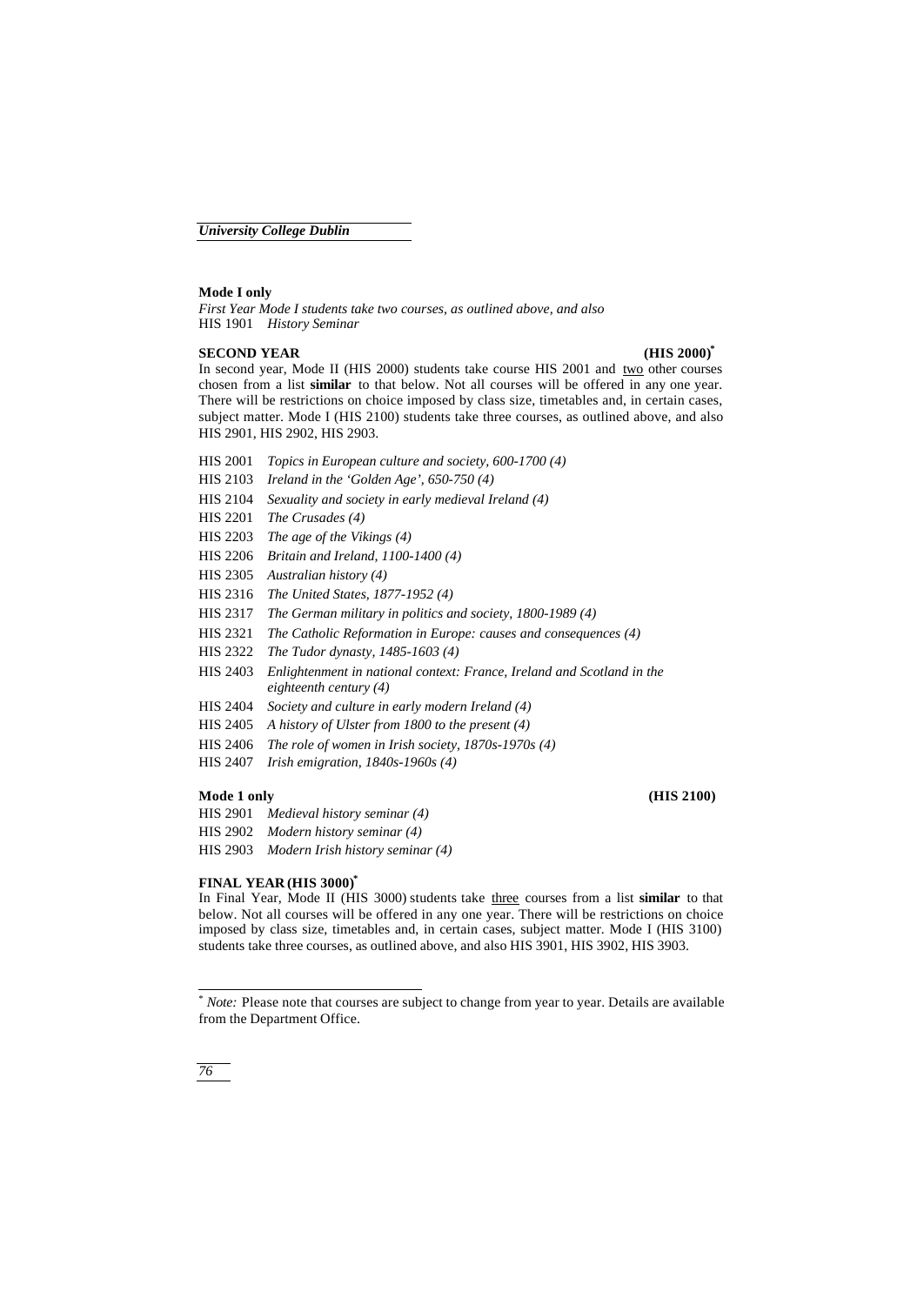#### **Mode I only**

*First Year Mode I students take two courses, as outlined above, and also* HIS 1901 *History Seminar*

#### **SECOND YEAR (HIS 2000)\***

In second year, Mode II (HIS 2000) students take course HIS 2001 and two other courses chosen from a list **similar** to that below. Not all courses will be offered in any one year. There will be restrictions on choice imposed by class size, timetables and, in certain cases, subject matter. Mode I (HIS 2100) students take three courses, as outlined above, and also HIS 2901, HIS 2902, HIS 2903.

- HIS 2001 *Topics in European culture and society, 600-1700 (4)*
- HIS 2103 *Ireland in the 'Golden Age', 650-750 (4)*
- HIS 2104 *Sexuality and society in early medieval Ireland (4)*
- HIS 2201 *The Crusades (4)*
- HIS 2203 *The age of the Vikings (4)*
- HIS 2206 *Britain and Ireland, 1100-1400 (4)*
- HIS 2305 *Australian history (4)*
- HIS 2316 *The United States, 1877-1952 (4)*
- HIS 2317 *The German military in politics and society, 1800-1989 (4)*
- HIS 2321 *The Catholic Reformation in Europe: causes and consequences (4)*
- HIS 2322 *The Tudor dynasty, 1485-1603 (4)*
- HIS 2403 *Enlightenment in national context: France, Ireland and Scotland in the eighteenth century (4)*
- HIS 2404 *Society and culture in early modern Ireland (4)*
- HIS 2405 *A history of Ulster from 1800 to the present (4)*
- HIS 2406 *The role of women in Irish society, 1870s-1970s (4)*
- HIS 2407 *Irish emigration, 1840s-1960s (4)*

### **Mode 1 only (HIS 2100)**

- HIS 2901 *Medieval history seminar (4)* HIS 2902 *Modern history seminar (4)*
- HIS 2903 *Modern Irish history seminar (4)*

#### **FINAL YEAR (HIS 3000)\***

In Final Year, Mode II (HIS 3000) students take three courses from a list **similar** to that below. Not all courses will be offered in any one year. There will be restrictions on choice imposed by class size, timetables and, in certain cases, subject matter. Mode I (HIS 3100) students take three courses, as outlined above, and also HIS 3901, HIS 3902, HIS 3903.

j

<sup>\*</sup> *Note:* Please note that courses are subject to change from year to year. Details are available from the Department Office.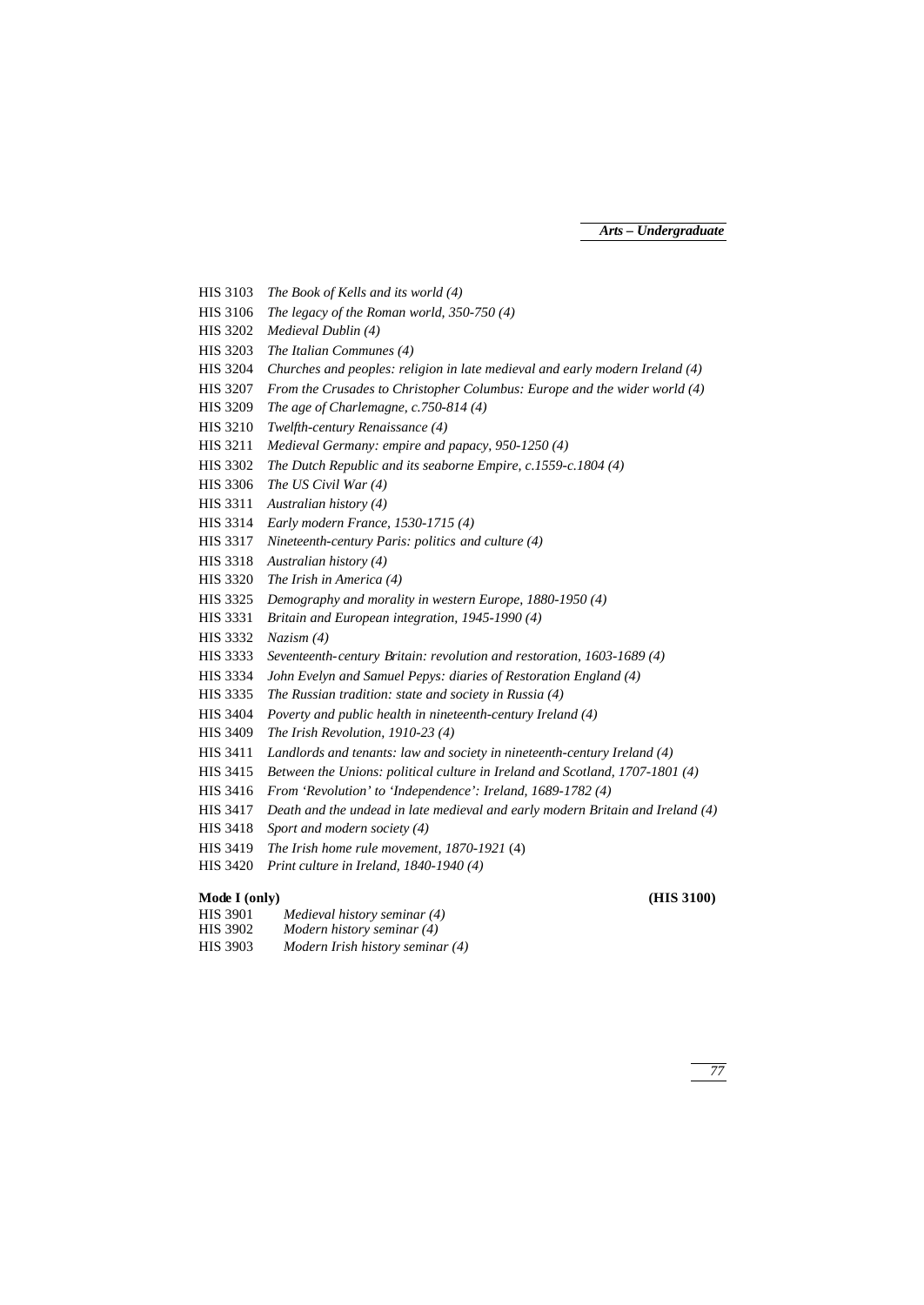HIS 3103 *The Book of Kells and its world (4)* HIS 3106 *The legacy of the Roman world, 350-750 (4)* HIS 3202 *Medieval Dublin (4)* HIS 3203 *The Italian Communes (4)* HIS 3204 *Churches and peoples: religion in late medieval and early modern Ireland (4)* HIS 3207 *From the Crusades to Christopher Columbus: Europe and the wider world (4)* HIS 3209 *The age of Charlemagne, c.750-814 (4)* HIS 3210 *Twelfth-century Renaissance (4)* HIS 3211 *Medieval Germany: empire and papacy, 950-1250 (4)* HIS 3302 *The Dutch Republic and its seaborne Empire, c.1559-c.1804 (4)* HIS 3306 *The US Civil War (4)* HIS 3311 *Australian history (4)* HIS 3314 *Early modern France, 1530-1715 (4)* HIS 3317 *Nineteenth-century Paris: politics and culture (4)* HIS 3318 *Australian history (4)* HIS 3320 *The Irish in America (4)* HIS 3325 *Demography and morality in western Europe, 1880-1950 (4)* HIS 3331 *Britain and European integration, 1945-1990 (4)* HIS 3332 *Nazism (4)* HIS 3333 *Seventeenth-century Britain: revolution and restoration, 1603-1689 (4)*

- HIS 3334 *John Evelyn and Samuel Pepys: diaries of Restoration England (4)*
- HIS 3335 *The Russian tradition: state and society in Russia (4)*
- HIS 3404 *Poverty and public health in nineteenth-century Ireland (4)*
- HIS 3409 *The Irish Revolution, 1910-23 (4)*
- HIS 3411 *Landlords and tenants: law and society in nineteenth-century Ireland (4)*
- HIS 3415 *Between the Unions: political culture in Ireland and Scotland, 1707-1801 (4)*
- HIS 3416 *From 'Revolution' to 'Independence': Ireland, 1689-1782 (4)*
- HIS 3417 *Death and the undead in late medieval and early modern Britain and Ireland (4)*
- HIS 3418 *Sport and modern society (4)*
- HIS 3419 *The Irish home rule movement, 1870-1921* (4)
- HIS 3420 *Print culture in Ireland, 1840-1940 (4)*

## **Mode I (only) (HIS 3100)**

- HIS 3901 *Medieval history seminar (4)* HIS 3902 *Modern history seminar (4)*
- HIS 3903 *Modern Irish history seminar (4)*

*77*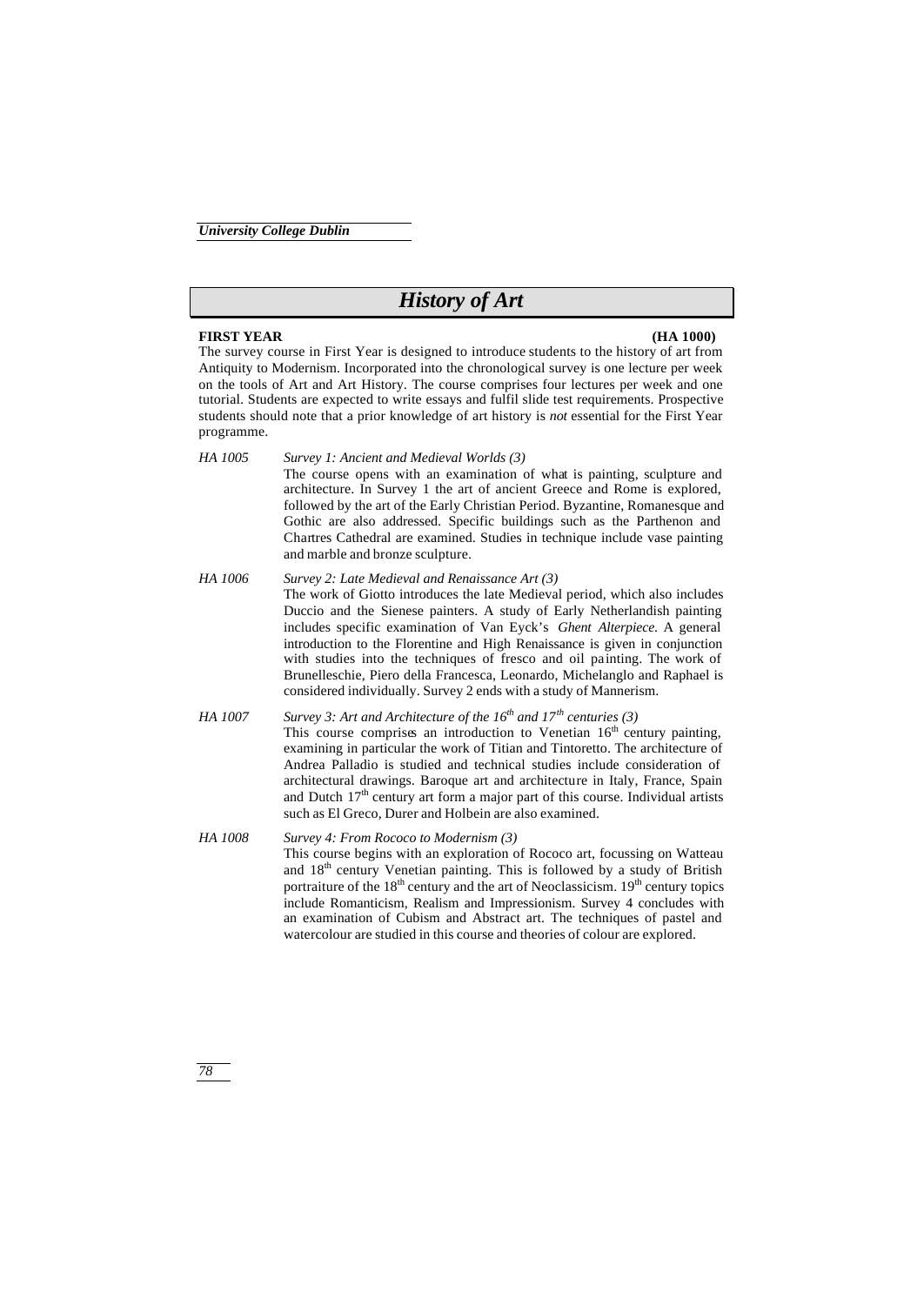# *History of Art*

### **FIRST YEAR (HA 1000)**

*78*

The survey course in First Year is designed to introduce students to the history of art from Antiquity to Modernism. Incorporated into the chronological survey is one lecture per week on the tools of Art and Art History. The course comprises four lectures per week and one tutorial. Students are expected to write essays and fulfil slide test requirements. Prospective students should note that a prior knowledge of art history is *not* essential for the First Year programme.

- *HA 1005 Survey 1: Ancient and Medieval Worlds (3)* The course opens with an examination of what is painting, sculpture and architecture. In Survey 1 the art of ancient Greece and Rome is explored, followed by the art of the Early Christian Period. Byzantine, Romanesque and Gothic are also addressed. Specific buildings such as the Parthenon and Chartres Cathedral are examined. Studies in technique include vase painting and marble and bronze sculpture.
- *HA 1006 Survey 2: Late Medieval and Renaissance Art (3)* The work of Giotto introduces the late Medieval period, which also includes Duccio and the Sienese painters. A study of Early Netherlandish painting includes specific examination of Van Eyck's *Ghent Alterpiece*. A general introduction to the Florentine and High Renaissance is given in conjunction with studies into the techniques of fresco and oil painting. The work of Brunelleschie, Piero della Francesca, Leonardo, Michelanglo and Raphael is considered individually. Survey 2 ends with a study of Mannerism.
- *HA 1007 Survey 3: Art and Architecture of the 16th and 17th centuries (3)* This course comprises an introduction to Venetian  $16<sup>th</sup>$  century painting, examining in particular the work of Titian and Tintoretto. The architecture of Andrea Palladio is studied and technical studies include consideration of architectural drawings. Baroque art and architecture in Italy, France, Spain and Dutch 17<sup>th</sup> century art form a major part of this course. Individual artists such as El Greco, Durer and Holbein are also examined.
- *HA 1008 Survey 4: From Rococo to Modernism (3)* This course begins with an exploration of Rococo art, focussing on Watteau and 18<sup>th</sup> century Venetian painting. This is followed by a study of British portraiture of the  $18<sup>th</sup>$  century and the art of Neoclassicism.  $19<sup>th</sup>$  century topics include Romanticism, Realism and Impressionism. Survey 4 concludes with an examination of Cubism and Abstract art. The techniques of pastel and watercolour are studied in this course and theories of colour are explored.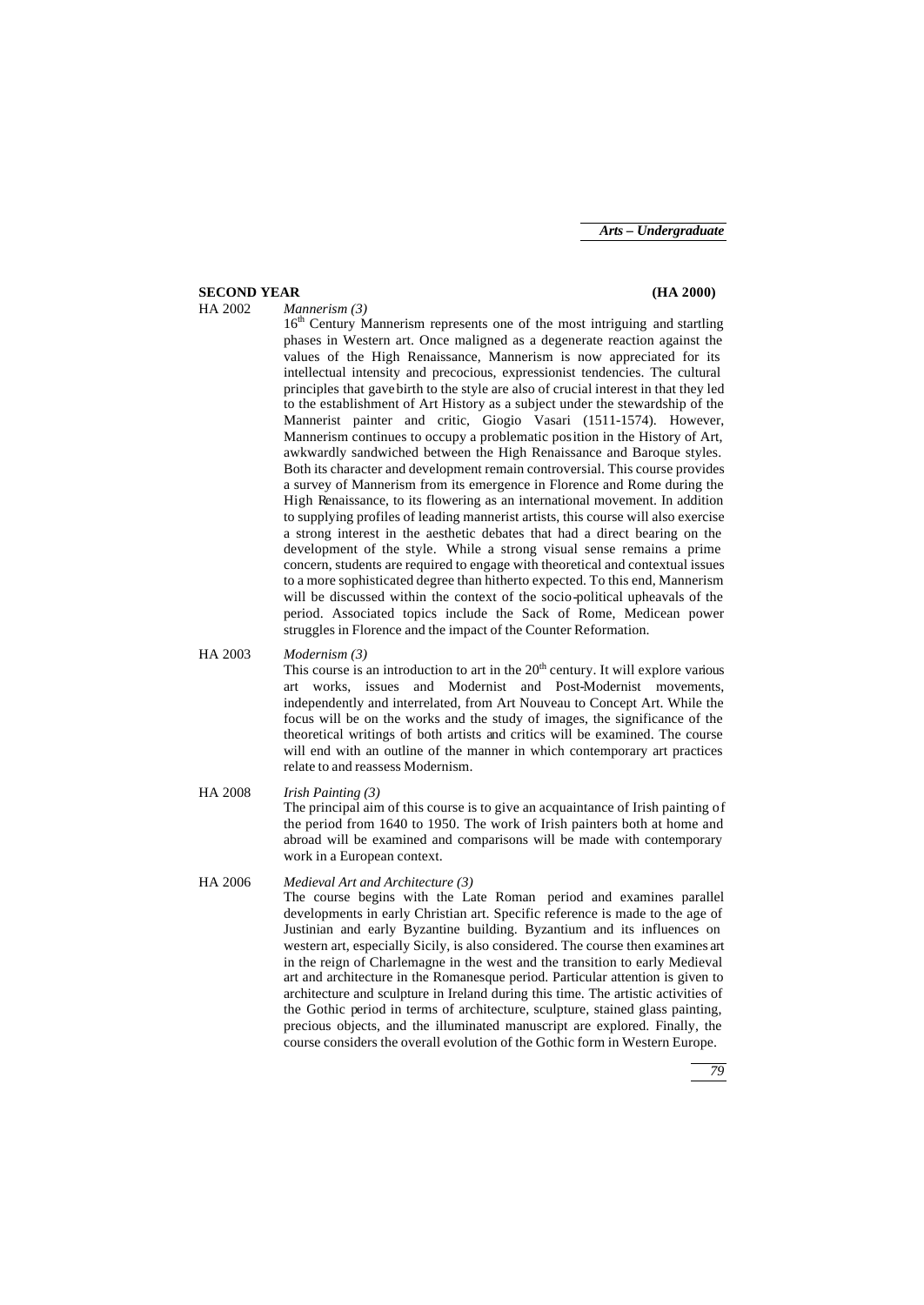# **SECOND YEAR (HA 2000)**

#### HA 2002 *Mannerism (3)*

16<sup>th</sup> Century Mannerism represents one of the most intriguing and startling phases in Western art. Once maligned as a degenerate reaction against the values of the High Renaissance, Mannerism is now appreciated for its intellectual intensity and precocious, expressionist tendencies. The cultural principles that gave birth to the style are also of crucial interest in that they led to the establishment of Art History as a subject under the stewardship of the Mannerist painter and critic, Giogio Vasari (1511-1574). However, Mannerism continues to occupy a problematic position in the History of Art, awkwardly sandwiched between the High Renaissance and Baroque styles. Both its character and development remain controversial. This course provides a survey of Mannerism from its emergence in Florence and Rome during the High Renaissance, to its flowering as an international movement. In addition to supplying profiles of leading mannerist artists, this course will also exercise a strong interest in the aesthetic debates that had a direct bearing on the development of the style. While a strong visual sense remains a prime concern, students are required to engage with theoretical and contextual issues to a more sophisticated degree than hitherto expected. To this end, Mannerism will be discussed within the context of the socio-political upheavals of the period. Associated topics include the Sack of Rome, Medicean power struggles in Florence and the impact of the Counter Reformation.

# HA 2003 *Modernism (3)*

This course is an introduction to art in the  $20<sup>th</sup>$  century. It will explore various art works, issues and Modernist and Post-Modernist movements, independently and interrelated, from Art Nouveau to Concept Art. While the focus will be on the works and the study of images, the significance of the theoretical writings of both artists and critics will be examined. The course will end with an outline of the manner in which contemporary art practices relate to and reassess Modernism.

HA 2008 *Irish Painting (3)* The principal aim of this course is to give an acquaintance of Irish painting of the period from 1640 to 1950. The work of Irish painters both at home and abroad will be examined and comparisons will be made with contemporary work in a European context.

#### HA 2006 *Medieval Art and Architecture (3)*

The course begins with the Late Roman period and examines parallel developments in early Christian art. Specific reference is made to the age of Justinian and early Byzantine building. Byzantium and its influences on western art, especially Sicily, is also considered. The course then examines art in the reign of Charlemagne in the west and the transition to early Medieval art and architecture in the Romanesque period. Particular attention is given to architecture and sculpture in Ireland during this time. The artistic activities of the Gothic period in terms of architecture, sculpture, stained glass painting, precious objects, and the illuminated manuscript are explored. Finally, the course considers the overall evolution of the Gothic form in Western Europe.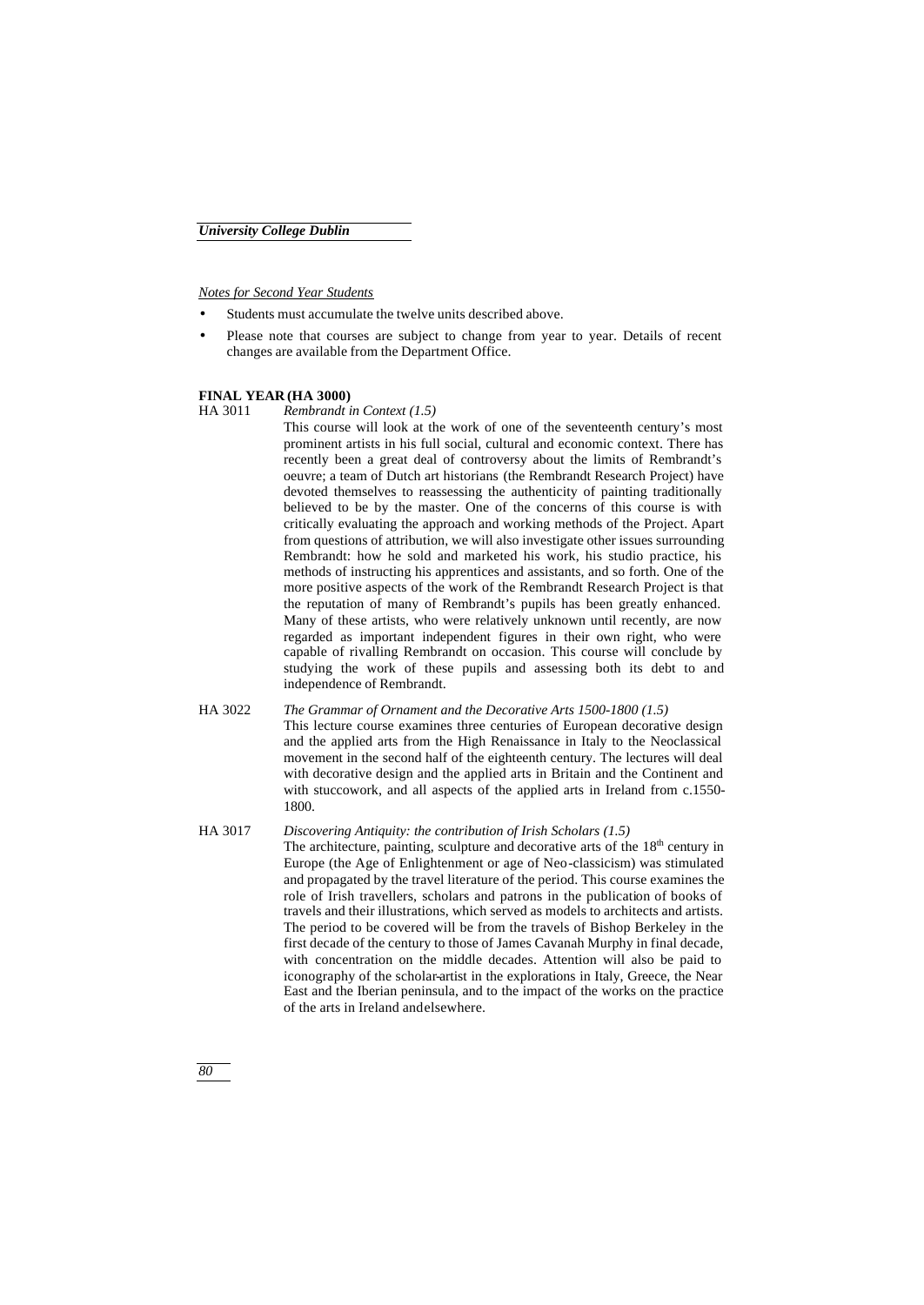*Notes for Second Year Students*

- Students must accumulate the twelve units described above.
- Please note that courses are subject to change from year to year. Details of recent changes are available from the Department Office.

### **FINAL YEAR (HA 3000)**

HA 3011 *Rembrandt in Context (1.5)*

This course will look at the work of one of the seventeenth century's most prominent artists in his full social, cultural and economic context. There has recently been a great deal of controversy about the limits of Rembrandt's oeuvre; a team of Dutch art historians (the Rembrandt Research Project) have devoted themselves to reassessing the authenticity of painting traditionally believed to be by the master. One of the concerns of this course is with critically evaluating the approach and working methods of the Project. Apart from questions of attribution, we will also investigate other issues surrounding Rembrandt: how he sold and marketed his work, his studio practice, his methods of instructing his apprentices and assistants, and so forth. One of the more positive aspects of the work of the Rembrandt Research Project is that the reputation of many of Rembrandt's pupils has been greatly enhanced. Many of these artists, who were relatively unknown until recently, are now regarded as important independent figures in their own right, who were capable of rivalling Rembrandt on occasion. This course will conclude by studying the work of these pupils and assessing both its debt to and independence of Rembrandt.

- HA 3022 *The Grammar of Ornament and the Decorative Arts 1500-1800 (1.5)* This lecture course examines three centuries of European decorative design and the applied arts from the High Renaissance in Italy to the Neoclassical movement in the second half of the eighteenth century. The lectures will deal with decorative design and the applied arts in Britain and the Continent and with stuccowork, and all aspects of the applied arts in Ireland from c.1550- 1800.
- HA 3017 *Discovering Antiquity: the contribution of Irish Scholars (1.5)* The architecture, painting, sculpture and decorative arts of the 18<sup>th</sup> century in Europe (the Age of Enlightenment or age of Neo-classicism) was stimulated and propagated by the travel literature of the period. This course examines the role of Irish travellers, scholars and patrons in the publication of books of travels and their illustrations, which served as models to architects and artists. The period to be covered will be from the travels of Bishop Berkeley in the first decade of the century to those of James Cavanah Murphy in final decade, with concentration on the middle decades. Attention will also be paid to iconography of the scholar-artist in the explorations in Italy, Greece, the Near East and the Iberian peninsula, and to the impact of the works on the practice of the arts in Ireland and elsewhere.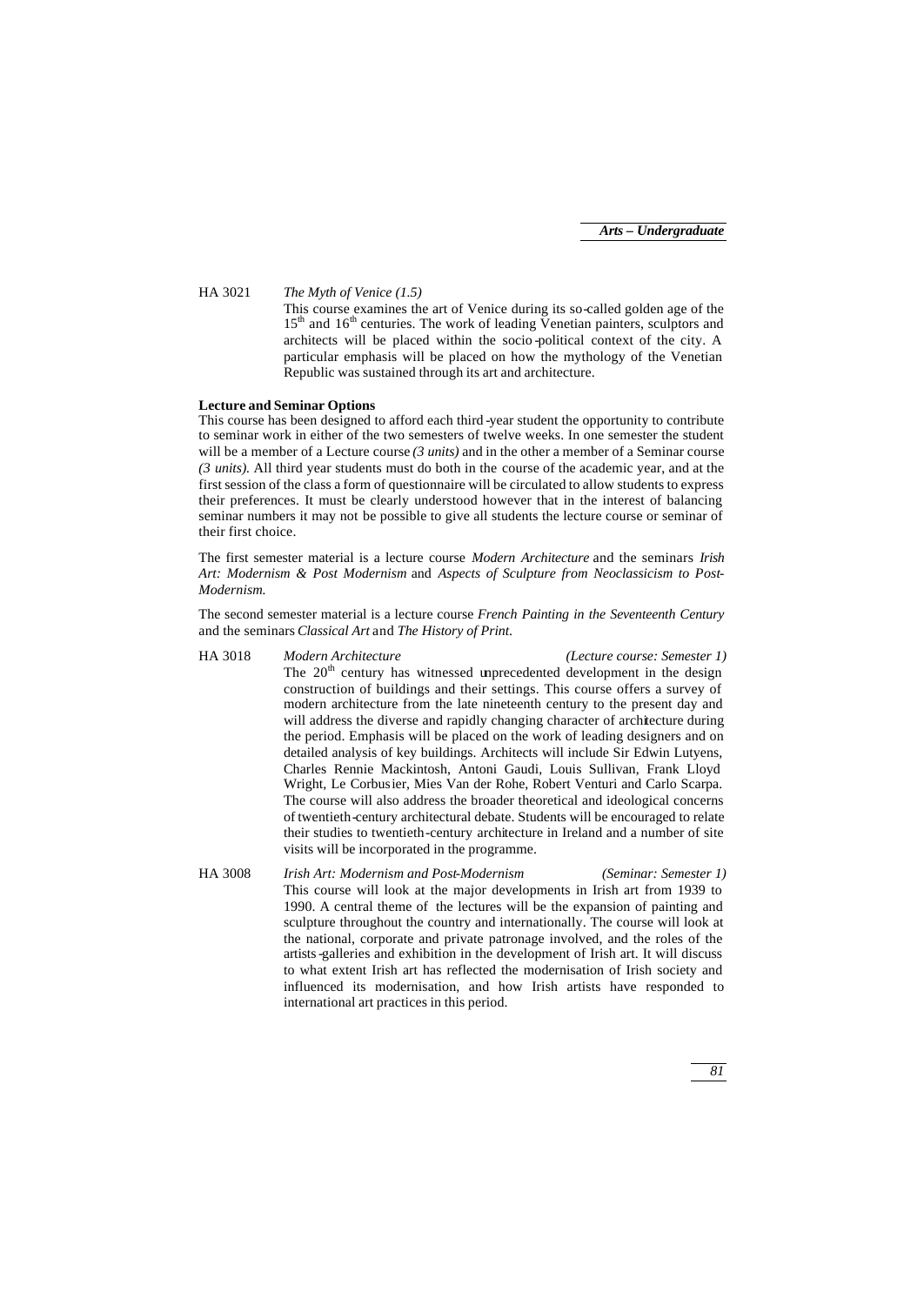HA 3021 *The Myth of Venice (1.5)*

This course examines the art of Venice during its so-called golden age of the  $15<sup>th</sup>$  and  $16<sup>th</sup>$  centuries. The work of leading Venetian painters, sculptors and architects will be placed within the socio -political context of the city. A particular emphasis will be placed on how the mythology of the Venetian Republic was sustained through its art and architecture.

## **Lecture and Seminar Options**

This course has been designed to afford each third -year student the opportunity to contribute to seminar work in either of the two semesters of twelve weeks. In one semester the student will be a member of a Lecture course *(3 units)* and in the other a member of a Seminar course *(3 units).* All third year students must do both in the course of the academic year, and at the first session of the class a form of questionnaire will be circulated to allow students to express their preferences. It must be clearly understood however that in the interest of balancing seminar numbers it may not be possible to give all students the lecture course or seminar of their first choice.

The first semester material is a lecture course *Modern Architecture* and the seminars *Irish Art: Modernism & Post Modernism* and *Aspects of Sculpture from Neoclassicism to Post-Modernism.*

The second semester material is a lecture course *French Painting in the Seventeenth Century* and the seminars *Classical Art* and *The History of Print*.

HA 3018 *Modern Architecture (Lecture course: Semester 1)* The  $20<sup>th</sup>$  century has witnessed unprecedented development in the design construction of buildings and their settings. This course offers a survey of modern architecture from the late nineteenth century to the present day and will address the diverse and rapidly changing character of architecture during the period. Emphasis will be placed on the work of leading designers and on detailed analysis of key buildings. Architects will include Sir Edwin Lutyens, Charles Rennie Mackintosh, Antoni Gaudi, Louis Sullivan, Frank Lloyd Wright, Le Corbusier, Mies Van der Rohe, Robert Venturi and Carlo Scarpa. The course will also address the broader theoretical and ideological concerns of twentieth-century architectural debate. Students will be encouraged to relate their studies to twentieth-century architecture in Ireland and a number of site visits will be incorporated in the programme.

HA 3008 *Irish Art: Modernism and Post-Modernism (Seminar: Semester 1)* This course will look at the major developments in Irish art from 1939 to 1990. A central theme of the lectures will be the expansion of painting and sculpture throughout the country and internationally. The course will look at the national, corporate and private patronage involved, and the roles of the artists-galleries and exhibition in the development of Irish art. It will discuss to what extent Irish art has reflected the modernisation of Irish society and influenced its modernisation, and how Irish artists have responded to international art practices in this period.

*81*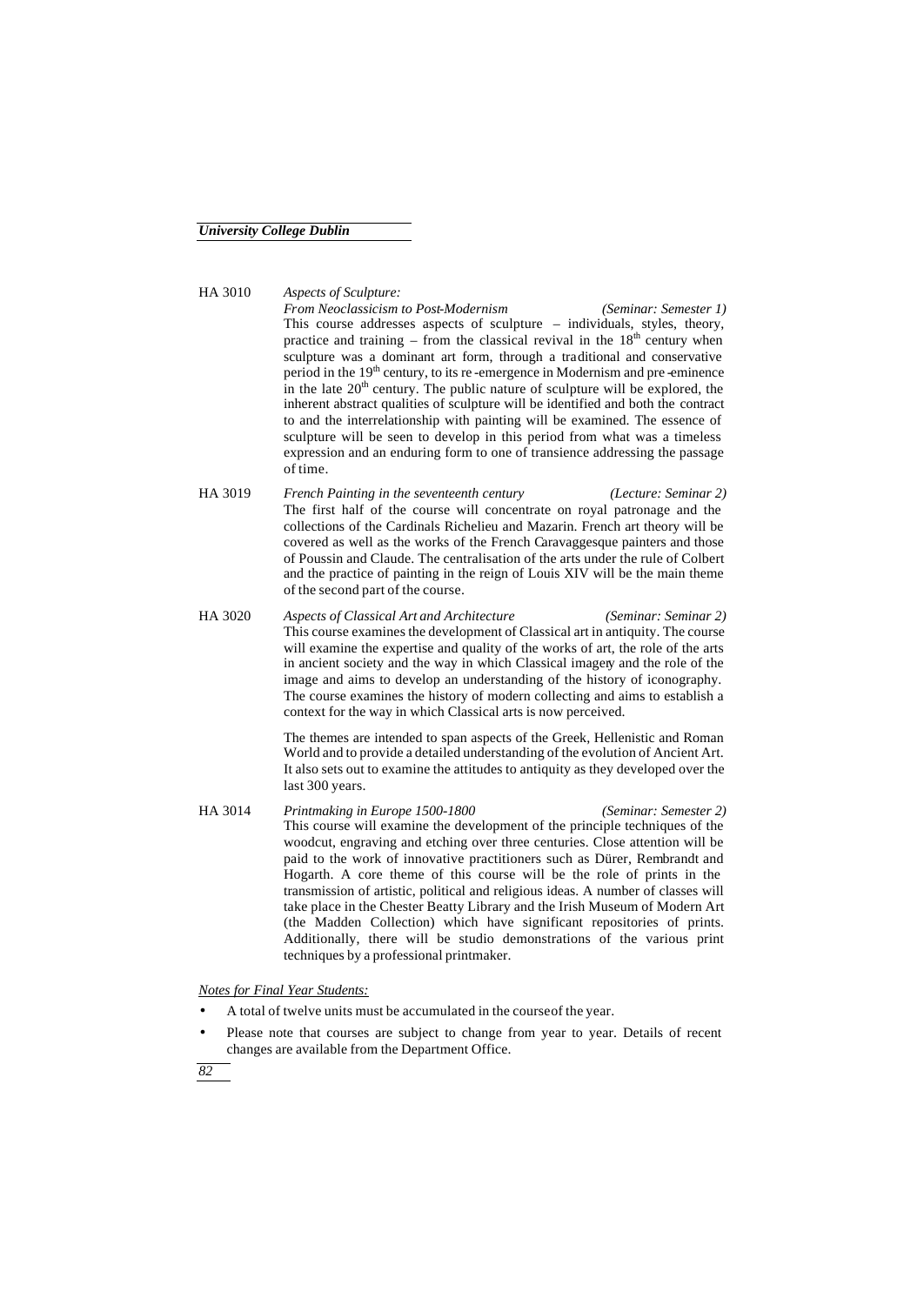HA 3010 *Aspects of Sculpture: From Neoclassicism to Post-Modernism (Seminar: Semester 1)* This course addresses aspects of sculpture – individuals, styles, theory, practice and training – from the classical revival in the  $18<sup>th</sup>$  century when sculpture was a dominant art form, through a traditional and conservative period in the 19<sup>th</sup> century, to its re-emergence in Modernism and pre-eminence in the late  $20<sup>th</sup>$  century. The public nature of sculpture will be explored, the inherent abstract qualities of sculpture will be identified and both the contract to and the interrelationship with painting will be examined. The essence of sculpture will be seen to develop in this period from what was a timeless expression and an enduring form to one of transience addressing the passage of time.

- HA 3019 *French Painting in the seventeenth century (Lecture: Seminar 2)* The first half of the course will concentrate on royal patronage and the collections of the Cardinals Richelieu and Mazarin. French art theory will be covered as well as the works of the French Caravaggesque painters and those of Poussin and Claude. The centralisation of the arts under the rule of Colbert and the practice of painting in the reign of Louis XIV will be the main theme of the second part of the course.
- HA 3020 *Aspects of Classical Art and Architecture (Seminar: Seminar 2)* This course examines the development of Classical art in antiquity. The course will examine the expertise and quality of the works of art, the role of the arts in ancient society and the way in which Classical imagery and the role of the image and aims to develop an understanding of the history of iconography. The course examines the history of modern collecting and aims to establish a context for the way in which Classical arts is now perceived.

The themes are intended to span aspects of the Greek, Hellenistic and Roman World and to provide a detailed understanding of the evolution of Ancient Art. It also sets out to examine the attitudes to antiquity as they developed over the last 300 years.

HA 3014 *Printmaking in Europe 1500-1800 (Seminar: Semester 2)* This course will examine the development of the principle techniques of the woodcut, engraving and etching over three centuries. Close attention will be paid to the work of innovative practitioners such as Dürer, Rembrandt and Hogarth. A core theme of this course will be the role of prints in the transmission of artistic, political and religious ideas. A number of classes will take place in the Chester Beatty Library and the Irish Museum of Modern Art (the Madden Collection) which have significant repositories of prints. Additionally, there will be studio demonstrations of the various print techniques by a professional printmaker.

*Notes for Final Year Students:*

- A total of twelve units must be accumulated in the course of the year.
- Please note that courses are subject to change from year to year. Details of recent changes are available from the Department Office.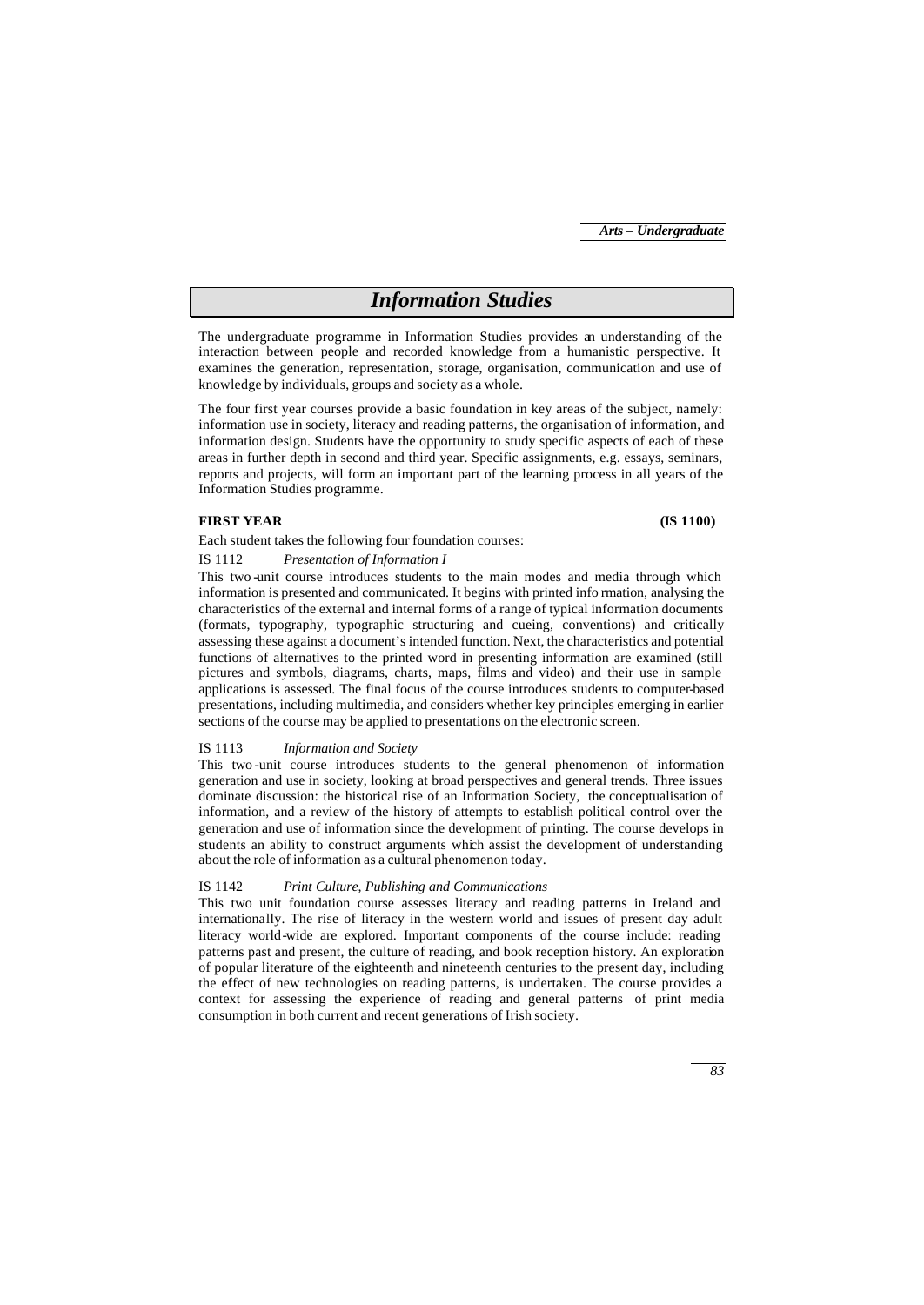# *Information Studies*

The undergraduate programme in Information Studies provides an understanding of the interaction between people and recorded knowledge from a humanistic perspective. It examines the generation, representation, storage, organisation, communication and use of knowledge by individuals, groups and society as a whole.

The four first year courses provide a basic foundation in key areas of the subject, namely: information use in society, literacy and reading patterns, the organisation of information, and information design. Students have the opportunity to study specific aspects of each of these areas in further depth in second and third year. Specific assignments, e.g. essays, seminars, reports and projects, will form an important part of the learning process in all years of the Information Studies programme.

# **FIRST YEAR (IS 1100)**

Each student takes the following four foundation courses:

#### IS 1112 *Presentation of Information I*

This two -unit course introduces students to the main modes and media through which information is presented and communicated. It begins with printed info rmation, analysing the characteristics of the external and internal forms of a range of typical information documents (formats, typography, typographic structuring and cueing, conventions) and critically assessing these against a document's intended function. Next, the characteristics and potential functions of alternatives to the printed word in presenting information are examined (still pictures and symbols, diagrams, charts, maps, films and video) and their use in sample applications is assessed. The final focus of the course introduces students to computer-based presentations, including multimedia, and considers whether key principles emerging in earlier sections of the course may be applied to presentations on the electronic screen.

### IS 1113 *Information and Society*

This two -unit course introduces students to the general phenomenon of information generation and use in society, looking at broad perspectives and general trends. Three issues dominate discussion: the historical rise of an Information Society, the conceptualisation of information, and a review of the history of attempts to establish political control over the generation and use of information since the development of printing. The course develops in students an ability to construct arguments which assist the development of understanding about the role of information as a cultural phenomenon today.

### IS 1142 *Print Culture, Publishing and Communications*

This two unit foundation course assesses literacy and reading patterns in Ireland and internationally. The rise of literacy in the western world and issues of present day adult literacy world-wide are explored. Important components of the course include: reading patterns past and present, the culture of reading, and book reception history. An exploration of popular literature of the eighteenth and nineteenth centuries to the present day, including the effect of new technologies on reading patterns, is undertaken. The course provides a context for assessing the experience of reading and general patterns of print media consumption in both current and recent generations of Irish society.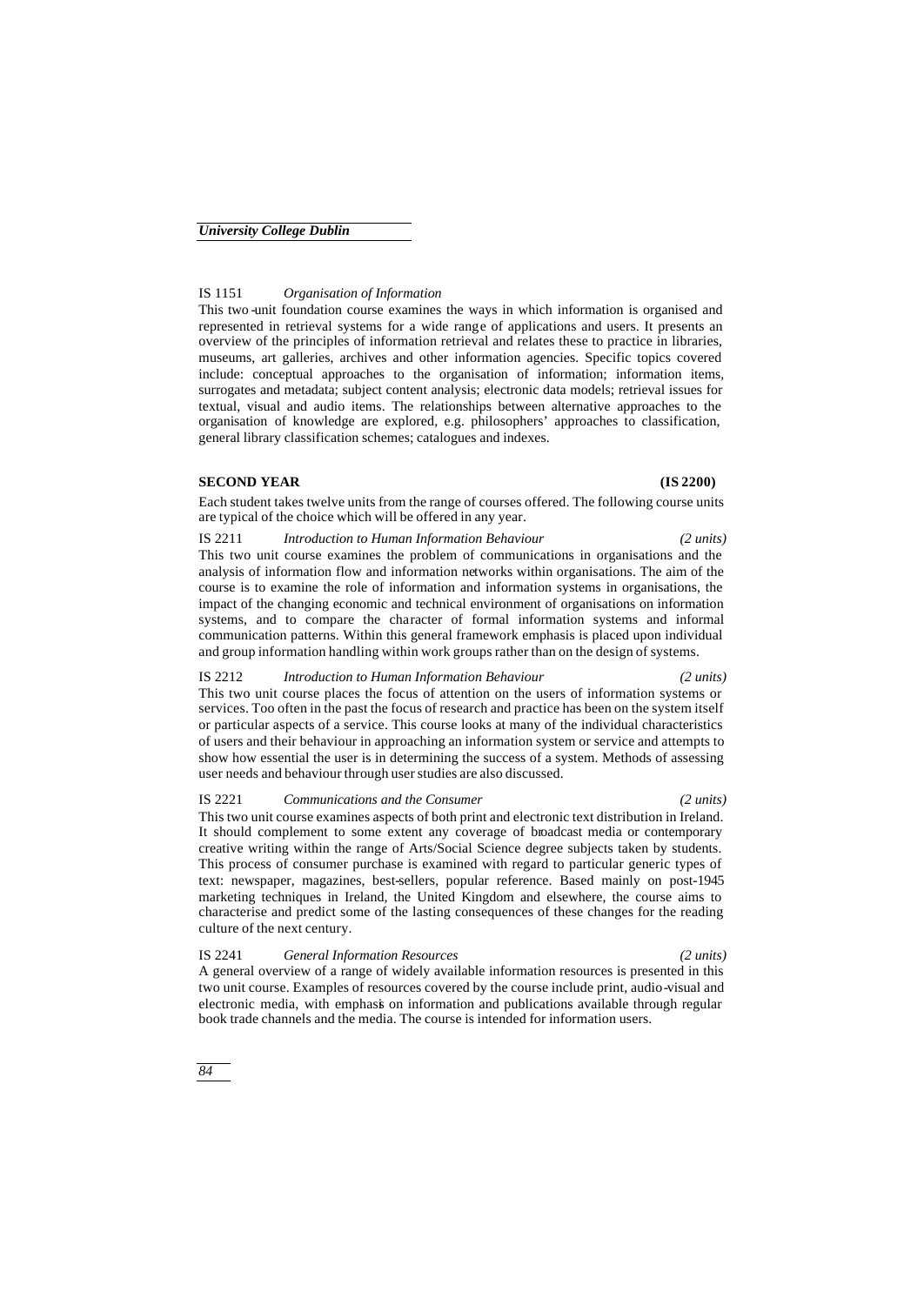# IS 1151 *Organisation of Information*

This two -unit foundation course examines the ways in which information is organised and represented in retrieval systems for a wide range of applications and users. It presents an overview of the principles of information retrieval and relates these to practice in libraries, museums, art galleries, archives and other information agencies. Specific topics covered include: conceptual approaches to the organisation of information; information items, surrogates and metadata; subject content analysis; electronic data models; retrieval issues for textual, visual and audio items. The relationships between alternative approaches to the organisation of knowledge are explored, e.g. philosophers' approaches to classification, general library classification schemes; catalogues and indexes.

# **SECOND YEAR (IS 2200)**

Each student takes twelve units from the range of courses offered. The following course units are typical of the choice which will be offered in any year.

IS 2211 *Introduction to Human Information Behaviour (2 units)* This two unit course examines the problem of communications in organisations and the analysis of information flow and information networks within organisations. The aim of the course is to examine the role of information and information systems in organisations, the impact of the changing economic and technical environment of organisations on information systems, and to compare the character of formal information systems and informal communication patterns. Within this general framework emphasis is placed upon individual and group information handling within work groups rather than on the design of systems.

#### IS 2212 *Introduction to Human Information Behaviour (2 units)*

This two unit course places the focus of attention on the users of information systems or services. Too often in the past the focus of research and practice has been on the system itself or particular aspects of a service. This course looks at many of the individual characteristics of users and their behaviour in approaching an information system or service and attempts to show how essential the user is in determining the success of a system. Methods of assessing user needs and behaviour through user studies are also discussed.

IS 2221 *Communications and the Consumer (2 units)* This two unit course examines aspects of both print and electronic text distribution in Ireland. It should complement to some extent any coverage of broadcast media or contemporary creative writing within the range of Arts/Social Science degree subjects taken by students. This process of consumer purchase is examined with regard to particular generic types of text: newspaper, magazines, best-sellers, popular reference. Based mainly on post-1945 marketing techniques in Ireland, the United Kingdom and elsewhere, the course aims to characterise and predict some of the lasting consequences of these changes for the reading culture of the next century.

IS 2241 *General Information Resources (2 units)* A general overview of a range of widely available information resources is presented in this two unit course. Examples of resources covered by the course include print, audio-visual and electronic media, with emphasis on information and publications available through regular book trade channels and the media. The course is intended for information users.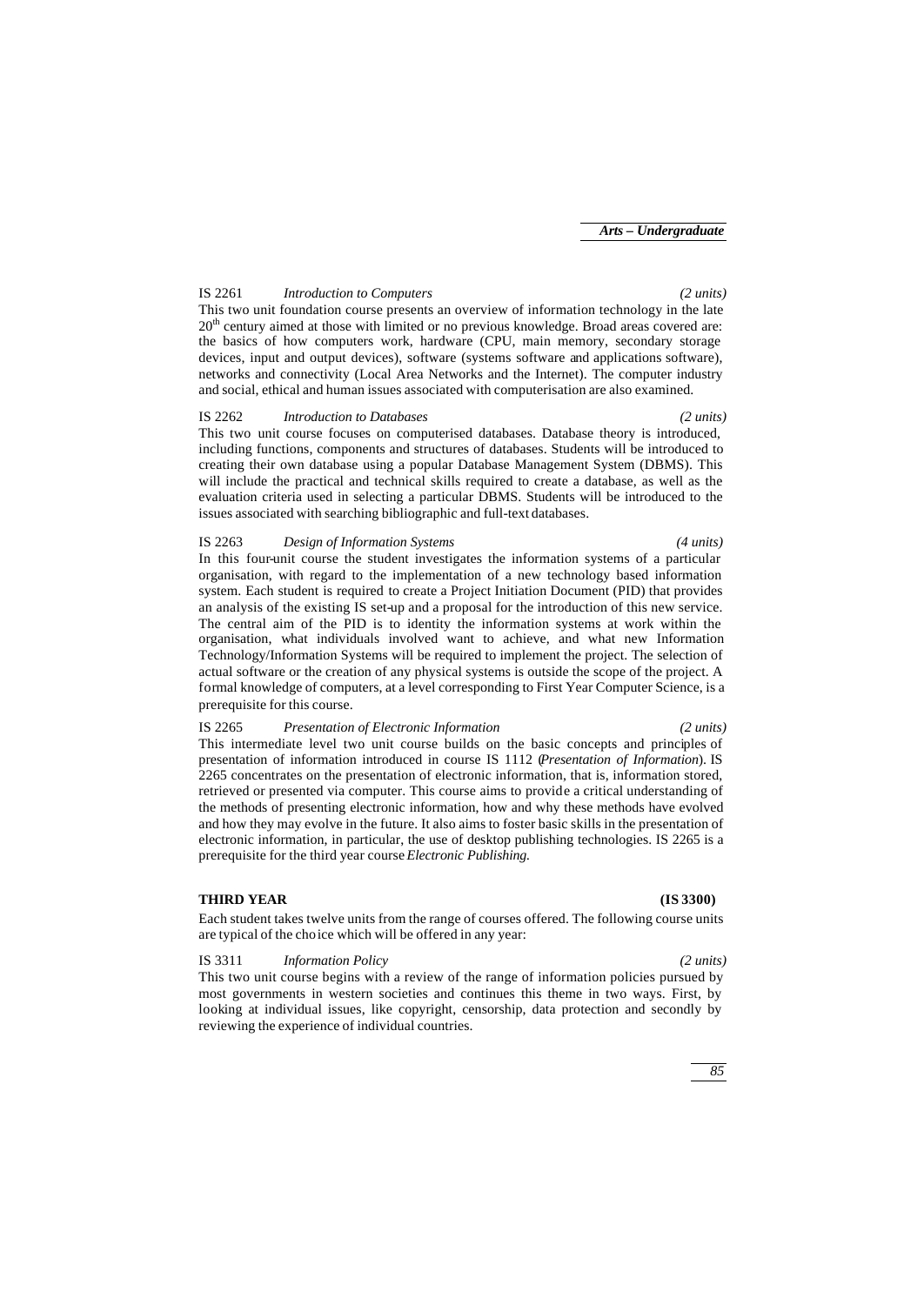## IS 2261 *Introduction to Computers (2 units)*

This two unit foundation course presents an overview of information technology in the late 20<sup>th</sup> century aimed at those with limited or no previous knowledge. Broad areas covered are: the basics of how computers work, hardware (CPU, main memory, secondary storage devices, input and output devices), software (systems software and applications software), networks and connectivity (Local Area Networks and the Internet). The computer industry and social, ethical and human issues associated with computerisation are also examined.

#### IS 2262 *Introduction to Databases (2 units)*

This two unit course focuses on computerised databases. Database theory is introduced, including functions, components and structures of databases. Students will be introduced to creating their own database using a popular Database Management System (DBMS). This will include the practical and technical skills required to create a database, as well as the evaluation criteria used in selecting a particular DBMS. Students will be introduced to the issues associated with searching bibliographic and full-text databases.

### IS 2263 *Design of Information Systems (4 units)*

In this four-unit course the student investigates the information systems of a particular organisation, with regard to the implementation of a new technology based information system. Each student is required to create a Project Initiation Document (PID) that provides an analysis of the existing IS set-up and a proposal for the introduction of this new service. The central aim of the PID is to identity the information systems at work within the organisation, what individuals involved want to achieve, and what new Information Technology/Information Systems will be required to implement the project. The selection of actual software or the creation of any physical systems is outside the scope of the project. A formal knowledge of computers, at a level corresponding to First Year Computer Science, is a prerequisite for this course.

### IS 2265 *Presentation of Electronic Information (2 units)*

## This intermediate level two unit course builds on the basic concepts and principles of presentation of information introduced in course IS 1112 (*Presentation of Information*). IS 2265 concentrates on the presentation of electronic information, that is, information stored, retrieved or presented via computer. This course aims to provide a critical understanding of the methods of presenting electronic information, how and why these methods have evolved and how they may evolve in the future. It also aims to foster basic skills in the presentation of electronic information, in particular, the use of desktop publishing technologies. IS 2265 is a prerequisite for the third year course *Electronic Publishing.*

#### **THIRD YEAR (IS 3300)**

Each student takes twelve units from the range of courses offered. The following course units are typical of the choice which will be offered in any year:

#### IS 3311 *Information Policy (2 units)*

This two unit course begins with a review of the range of information policies pursued by most governments in western societies and continues this theme in two ways. First, by looking at individual issues, like copyright, censorship, data protection and secondly by reviewing the experience of individual countries.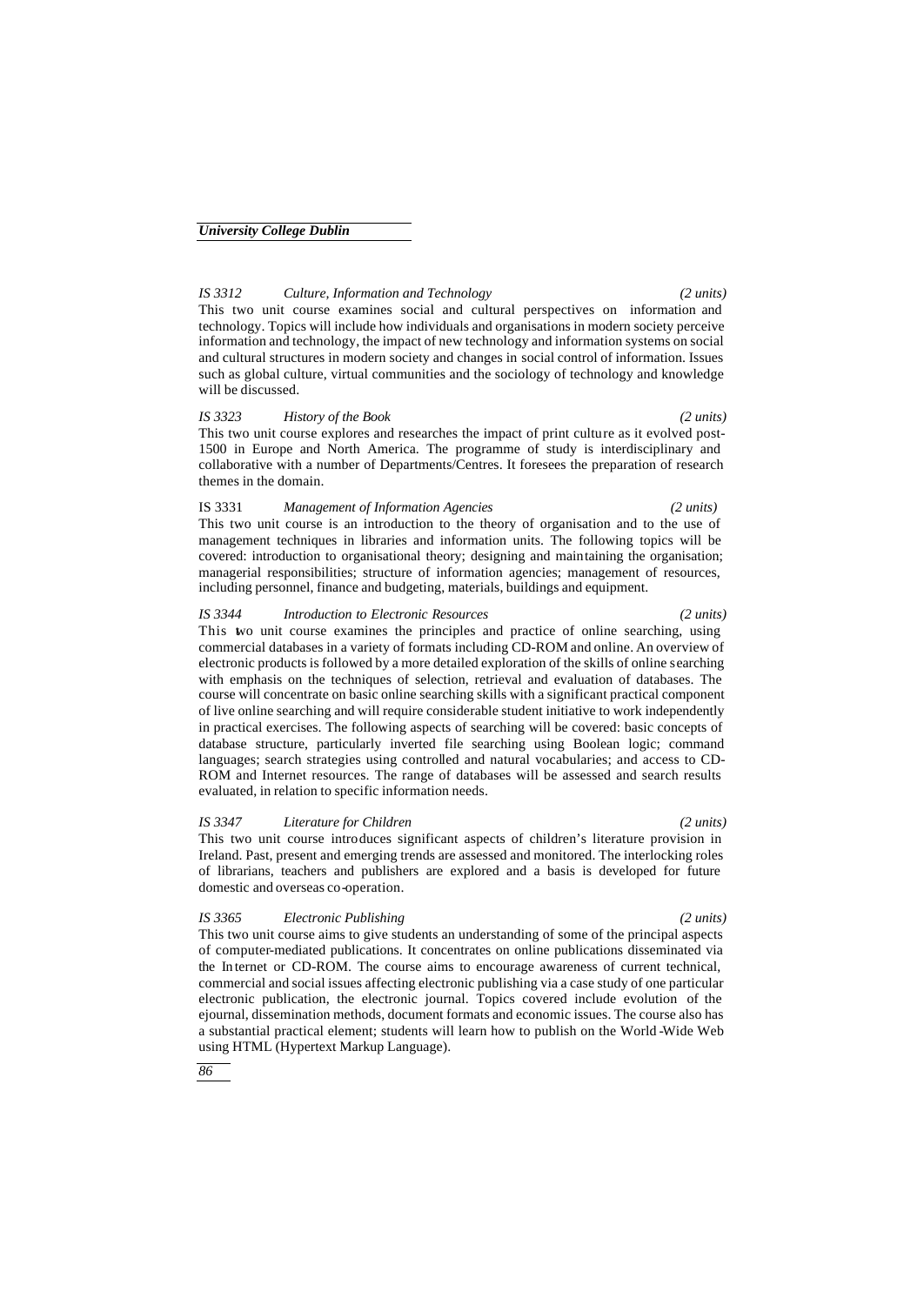# *IS 3312 Culture, Information and Technology (2 units)*

This two unit course examines social and cultural perspectives on information and technology. Topics will include how individuals and organisations in modern society perceive information and technology, the impact of new technology and information systems on social and cultural structures in modern society and changes in social control of information. Issues such as global culture, virtual communities and the sociology of technology and knowledge will be discussed.

### *IS 3323 History of the Book (2 units)*

This two unit course explores and researches the impact of print culture as it evolved post-1500 in Europe and North America. The programme of study is interdisciplinary and collaborative with a number of Departments/Centres. It foresees the preparation of research themes in the domain.

# This two unit course is an introduction to the theory of organisation and to the use of

management techniques in libraries and information units. The following topics will be covered: introduction to organisational theory; designing and maintaining the organisation; managerial responsibilities; structure of information agencies; management of resources, including personnel, finance and budgeting, materials, buildings and equipment.

IS 3331 *Management of Information Agencies (2 units)*

#### *IS 3344 Introduction to Electronic Resources (2 units)*

This two unit course examines the principles and practice of online searching, using commercial databases in a variety of formats including CD-ROM and online. An overview of electronic products is followed by a more detailed exploration of the skills of online searching with emphasis on the techniques of selection, retrieval and evaluation of databases. The course will concentrate on basic online searching skills with a significant practical component of live online searching and will require considerable student initiative to work independently in practical exercises. The following aspects of searching will be covered: basic concepts of database structure, particularly inverted file searching using Boolean logic; command languages; search strategies using controlled and natural vocabularies; and access to CD-ROM and Internet resources. The range of databases will be assessed and search results evaluated, in relation to specific information needs.

*IS 3347 Literature for Children (2 units)* This two unit course introduces significant aspects of children's literature provision in Ireland. Past, present and emerging trends are assessed and monitored. The interlocking roles of librarians, teachers and publishers are explored and a basis is developed for future domestic and overseas co-operation.

#### *IS 3365 Electronic Publishing (2 units)*

This two unit course aims to give students an understanding of some of the principal aspects of computer-mediated publications. It concentrates on online publications disseminated via the In ternet or CD-ROM. The course aims to encourage awareness of current technical, commercial and social issues affecting electronic publishing via a case study of one particular electronic publication, the electronic journal. Topics covered include evolution of the ejournal, dissemination methods, document formats and economic issues. The course also has a substantial practical element; students will learn how to publish on the World -Wide Web using HTML (Hypertext Markup Language).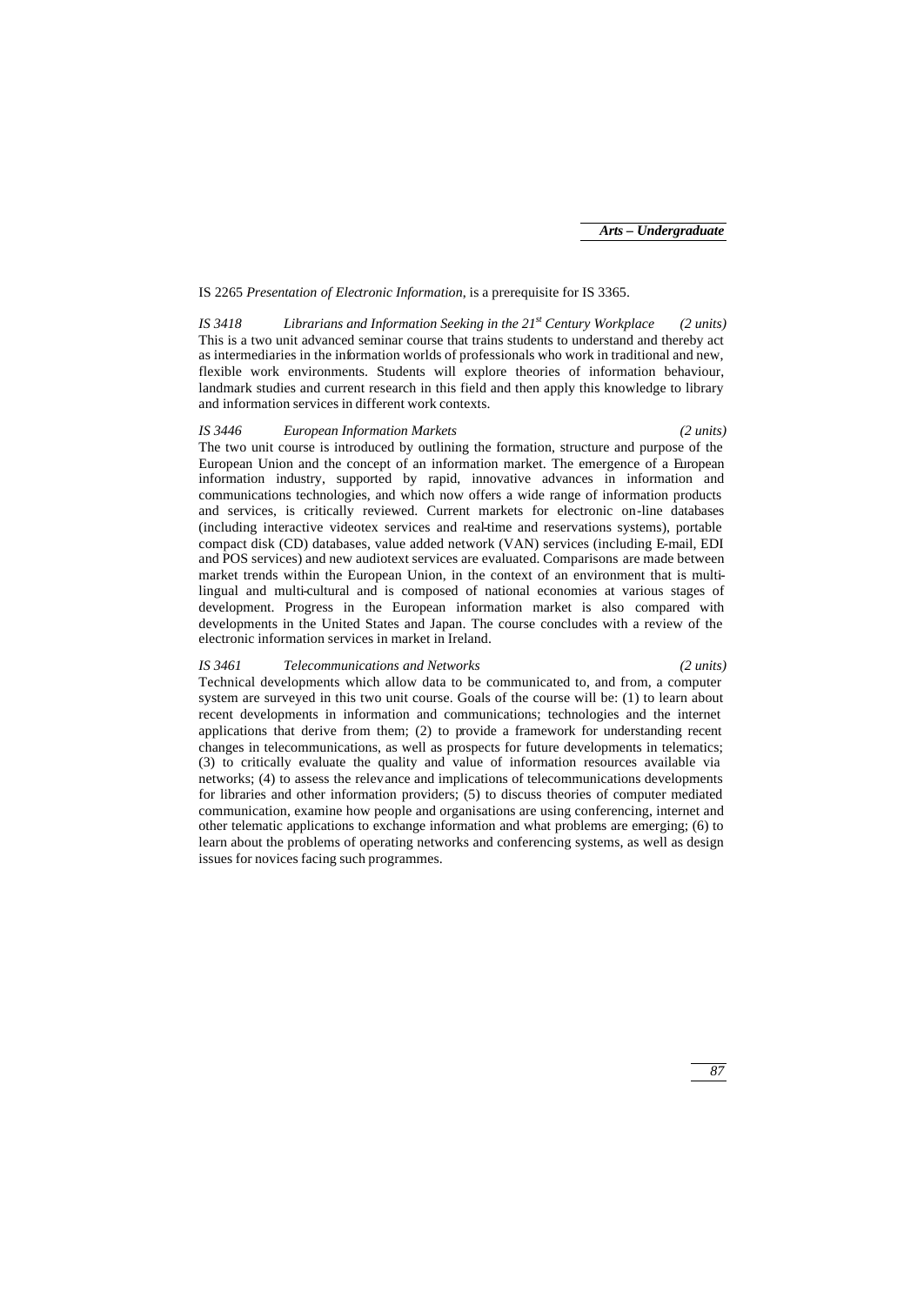### IS 2265 *Presentation of Electronic Information*, is a prerequisite for IS 3365.

*IS 3418 Librarians and Information Seeking in the 21st Century Workplace (2 units)* This is a two unit advanced seminar course that trains students to understand and thereby act as intermediaries in the information worlds of professionals who work in traditional and new, flexible work environments. Students will explore theories of information behaviour, landmark studies and current research in this field and then apply this knowledge to library and information services in different work contexts.

### *IS 3446 European Information Markets (2 units)*

The two unit course is introduced by outlining the formation, structure and purpose of the European Union and the concept of an information market. The emergence of a European information industry, supported by rapid, innovative advances in information and communications technologies, and which now offers a wide range of information products and services, is critically reviewed. Current markets for electronic on-line databases (including interactive videotex services and real-time and reservations systems), portable compact disk (CD) databases, value added network (VAN) services (including E-mail, EDI and POS services) and new audiotext services are evaluated. Comparisons are made between market trends within the European Union, in the context of an environment that is multilingual and multi-cultural and is composed of national economies at various stages of development. Progress in the European information market is also compared with developments in the United States and Japan. The course concludes with a review of the electronic information services in market in Ireland.

#### *IS 3461 Telecommunications and Networks (2 units)*

Technical developments which allow data to be communicated to, and from, a computer system are surveyed in this two unit course. Goals of the course will be: (1) to learn about recent developments in information and communications; technologies and the internet applications that derive from them; (2) to provide a framework for understanding recent changes in telecommunications, as well as prospects for future developments in telematics; (3) to critically evaluate the quality and value of information resources available via networks; (4) to assess the relevance and implications of telecommunications developments for libraries and other information providers; (5) to discuss theories of computer mediated communication, examine how people and organisations are using conferencing, internet and other telematic applications to exchange information and what problems are emerging; (6) to learn about the problems of operating networks and conferencing systems, as well as design issues for novices facing such programmes.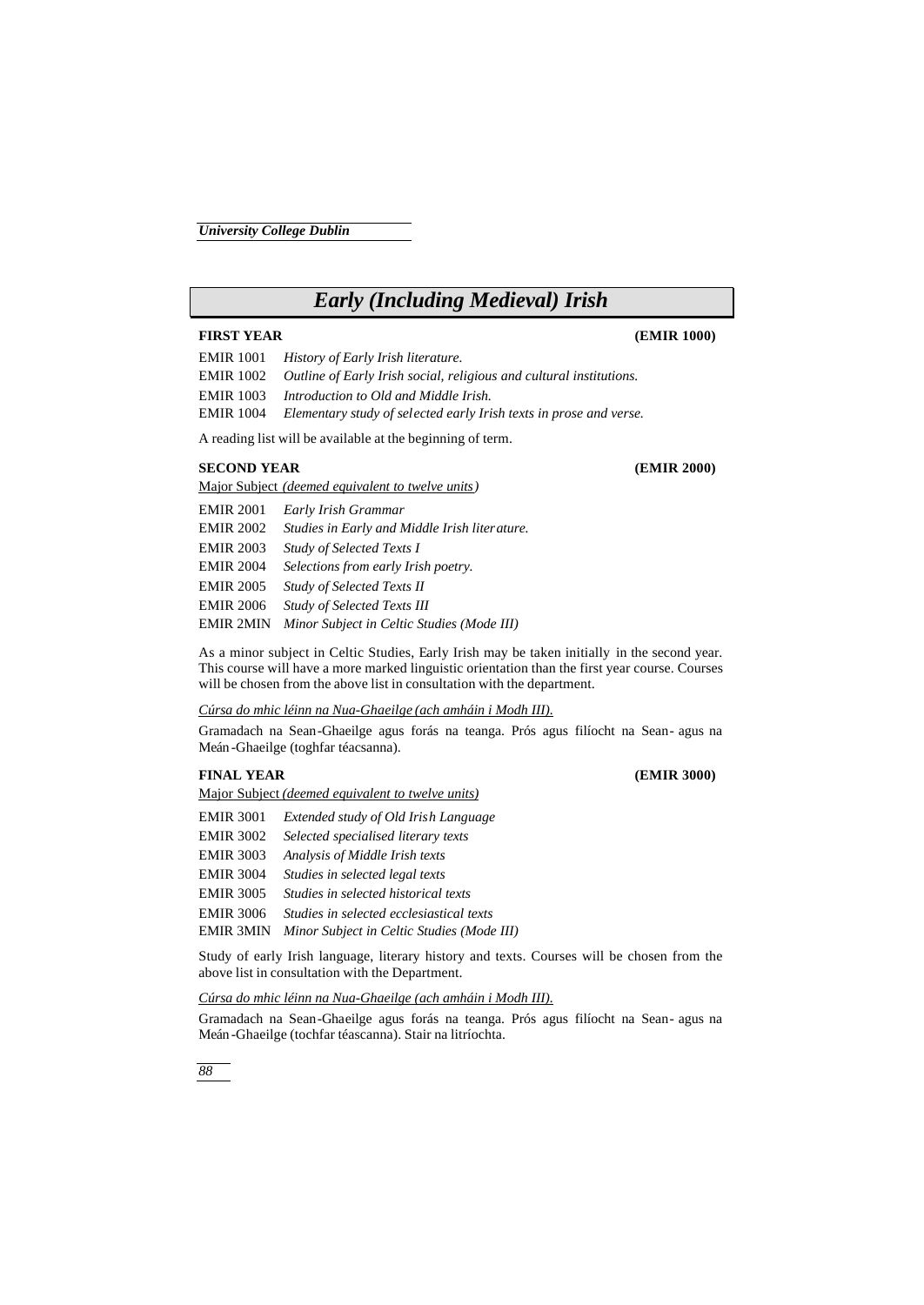# *Early (Including Medieval) Irish*

# **FIRST YEAR (EMIR 1000)**

EMIR 1001 *History of Early Irish literature.* EMIR 1002 *Outline of Early Irish social, religious and cultural institutions.* EMIR 1003 *Introduction to Old and Middle Irish.*

EMIR 1004 *Elementary study of selected early Irish texts in prose and verse.*

A reading list will be available at the beginning of term.

Major Subject *(deemed equivalent to twelve units)*

## **SECOND YEAR (EMIR 2000)**

EMIR 2001 *Early Irish Grammar* EMIR 2002 *Studies in Early and Middle Irish literature.* EMIR 2003 *Study of Selected Texts I* EMIR 2004 *Selections from early Irish poetry.* EMIR 2005 *Study of Selected Texts II* EMIR 2006 *Study of Selected Texts III* EMIR 2MIN *Minor Subject in Celtic Studies (Mode III)*

As a minor subject in Celtic Studies, Early Irish may be taken initially in the second year. This course will have a more marked linguistic orientation than the first year course. Courses will be chosen from the above list in consultation with the department.

# *Cúrsa do mhic léinn na Nua-Ghaeilge (ach amháin i Modh III).*

Gramadach na Sean-Ghaeilge agus forás na teanga. Prós agus filíocht na Sean- agus na Meán -Ghaeilge (toghfar téacsanna).

# **FINAL YEAR (EMIR 3000)**

Major Subject *(deemed equivalent to twelve units)*

| <b>EMIR 3001</b> | Extended study of Old Irish Language       |
|------------------|--------------------------------------------|
| <b>EMIR 3002</b> | Selected specialised literary texts        |
| <b>EMIR 3003</b> | Analysis of Middle Irish texts             |
| <b>EMIR 3004</b> | Studies in selected legal texts            |
| <b>EMIR 3005</b> | Studies in selected historical texts       |
| <b>EMIR 3006</b> | Studies in selected ecclesiastical texts   |
| <b>EMIR 3MIN</b> | Minor Subject in Celtic Studies (Mode III) |

Study of early Irish language, literary history and texts. Courses will be chosen from the above list in consultation with the Department.

### *Cúrsa do mhic léinn na Nua-Ghaeilge (ach amháin i Modh III).*

Gramadach na Sean-Ghaeilge agus forás na teanga. Prós agus filíocht na Sean- agus na Meán -Ghaeilge (tochfar téascanna). Stair na litríochta.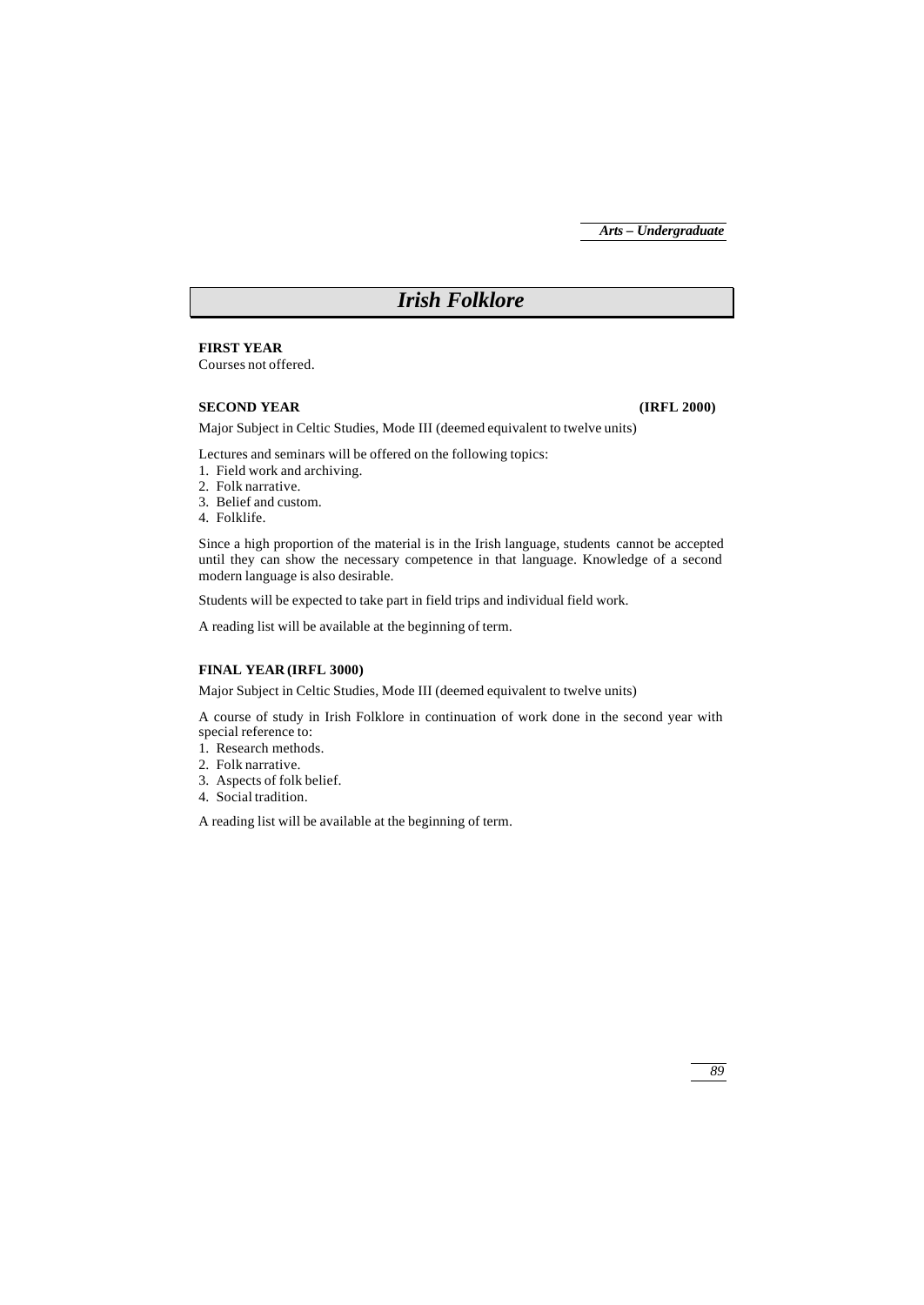# *Irish Folklore*

**FIRST YEAR**

Courses not offered.

## **SECOND YEAR (IRFL 2000)**

Major Subject in Celtic Studies, Mode III (deemed equivalent to twelve units)

Lectures and seminars will be offered on the following topics:

- 1. Field work and archiving.
- 2. Folk narrative.
- 3. Belief and custom.
- 4. Folklife.

Since a high proportion of the material is in the Irish language, students cannot be accepted until they can show the necessary competence in that language. Knowledge of a second modern language is also desirable.

Students will be expected to take part in field trips and individual field work.

A reading list will be available at the beginning of term.

## **FINAL YEAR (IRFL 3000)**

Major Subject in Celtic Studies, Mode III (deemed equivalent to twelve units)

A course of study in Irish Folklore in continuation of work done in the second year with special reference to:

- 1. Research methods.
- 2. Folk narrative.
- 3. Aspects of folk belief.
- 4. Social tradition.

A reading list will be available at the beginning of term.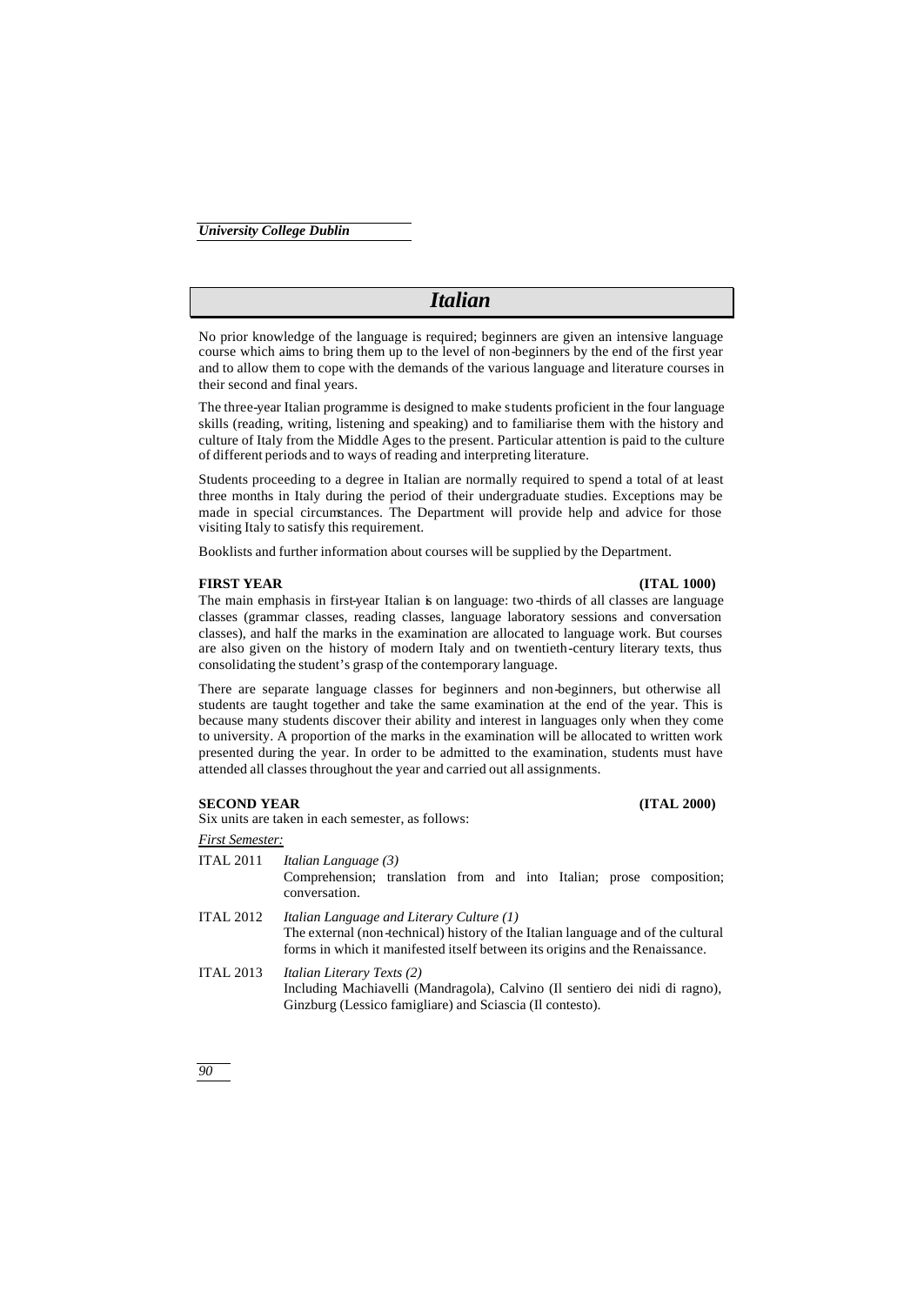# *Italian*

No prior knowledge of the language is required; beginners are given an intensive language course which aims to bring them up to the level of non-beginners by the end of the first year and to allow them to cope with the demands of the various language and literature courses in their second and final years.

The three-year Italian programme is designed to make students proficient in the four language skills (reading, writing, listening and speaking) and to familiarise them with the history and culture of Italy from the Middle Ages to the present. Particular attention is paid to the culture of different periods and to ways of reading and interpreting literature.

Students proceeding to a degree in Italian are normally required to spend a total of at least three months in Italy during the period of their undergraduate studies. Exceptions may be made in special circumstances. The Department will provide help and advice for those visiting Italy to satisfy this requirement.

Booklists and further information about courses will be supplied by the Department.

#### **FIRST YEAR (ITAL 1000)**

The main emphasis in first-year Italian is on language: two -thirds of all classes are language classes (grammar classes, reading classes, language laboratory sessions and conversation classes), and half the marks in the examination are allocated to language work. But courses are also given on the history of modern Italy and on twentieth-century literary texts, thus consolidating the student's grasp of the contemporary language.

There are separate language classes for beginners and non-beginners, but otherwise all students are taught together and take the same examination at the end of the year. This is because many students discover their ability and interest in languages only when they come to university. A proportion of the marks in the examination will be allocated to written work presented during the year. In order to be admitted to the examination, students must have attended all classes throughout the year and carried out all assignments.

# **SECOND YEAR (ITAL 2000)**

Six units are taken in each semester, as follows:

*First Semester:*

ITAL 2011 *Italian Language (3)* Comprehension; translation from and into Italian; prose composition; conversation.

- ITAL 2012 *Italian Language and Literary Culture (1)* The external (non-technical) history of the Italian language and of the cultural forms in which it manifested itself between its origins and the Renaissance.
- ITAL 2013 *Italian Literary Texts (2)* Including Machiavelli (Mandragola), Calvino (Il sentiero dei nidi di ragno), Ginzburg (Lessico famigliare) and Sciascia (Il contesto).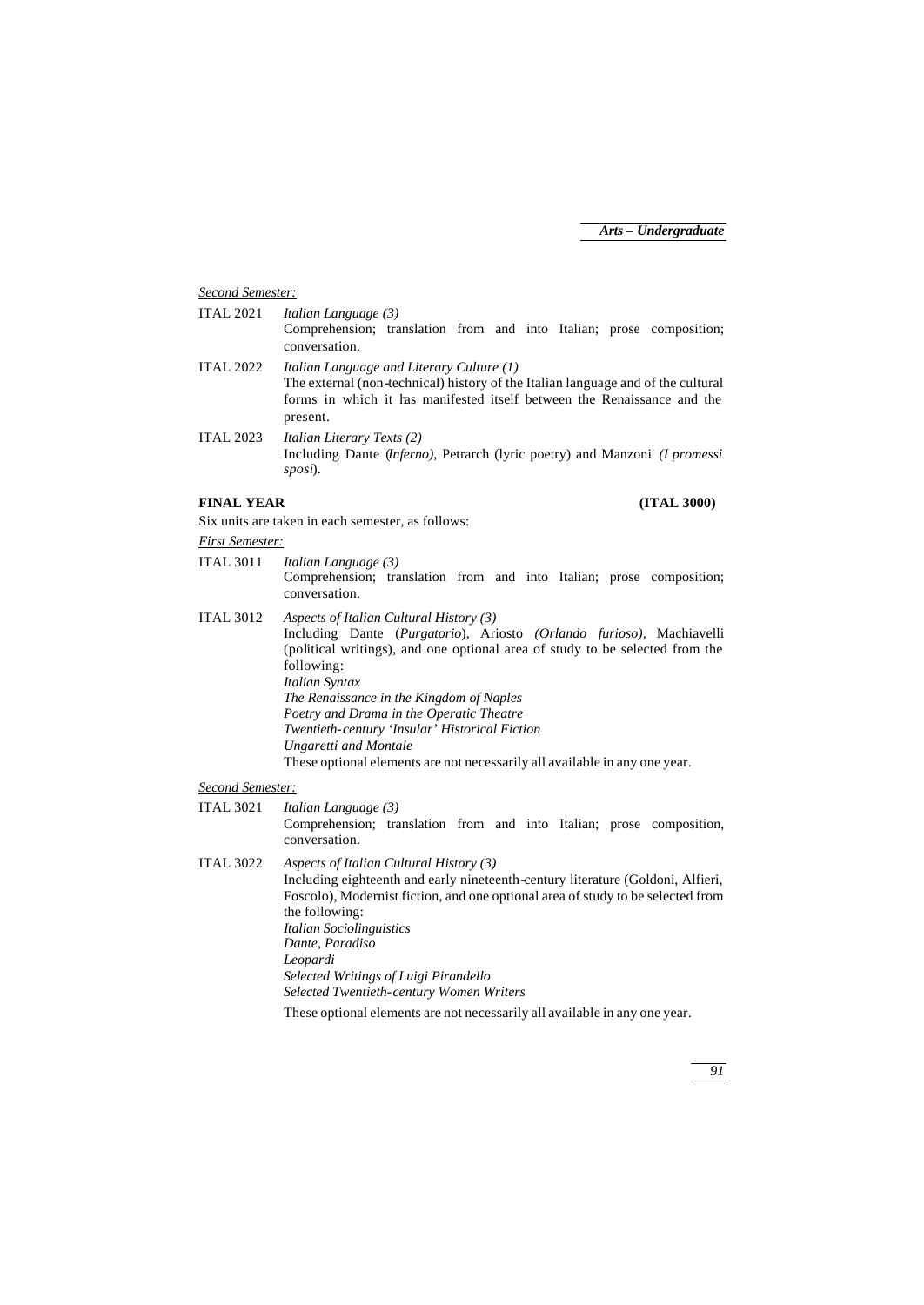# *Second Semester:*

| <b>ITAL 2021</b> | Italian Language (3)                                                                  |  |  |
|------------------|---------------------------------------------------------------------------------------|--|--|
|                  | Comprehension; translation from and into Italian; prose composition;<br>conversation. |  |  |
|                  |                                                                                       |  |  |
| <b>ITAL 2022</b> | Italian Language and Literary Culture (1)                                             |  |  |
|                  | The external (non-technical) history of the Italian language and of the cultural      |  |  |
|                  | forms in which it has manifested itself between the Renaissance and the               |  |  |
|                  | present.                                                                              |  |  |
| <b>ITAL 2023</b> | <i>Italian Literary Texts (2)</i>                                                     |  |  |
|                  | Including Dante (Inferno), Petrarch (lyric poetry) and Manzoni (I promessi            |  |  |
|                  | sposi).                                                                               |  |  |
|                  |                                                                                       |  |  |
|                  |                                                                                       |  |  |

# **FINAL YEAR (ITAL 3000)**

Six units are taken in each semester, as follows:

#### *First Semester:*

- ITAL 3011 *Italian Language (3)* Comprehension; translation from and into Italian; prose composition; conversation.
- ITAL 3012 *Aspects of Italian Cultural History (3)* Including Dante (*Purgatorio*), Ariosto *(Orlando furioso),* Machiavelli (political writings), and one optional area of study to be selected from the following: *Italian Syntax The Renaissance in the Kingdom of Naples Poetry and Drama in the Operatic Theatre Twentieth-century 'Insular' Historical Fiction Ungaretti and Montale* These optional elements are not necessarily all available in any one year.

# *Second Semester:*

ITAL 3021 *Italian Language (3)* Comprehension; translation from and into Italian; prose composition, conversation.

- ITAL 3022 *Aspects of Italian Cultural History (3)* Including eighteenth and early nineteenth-century literature (Goldoni, Alfieri, Foscolo), Modernist fiction, and one optional area of study to be selected from the following: *Italian Sociolinguistics Dante, Paradiso Leopardi Selected Writings of Luigi Pirandello Selected Twentieth-century Women Writers*
	- These optional elements are not necessarily all available in any one year.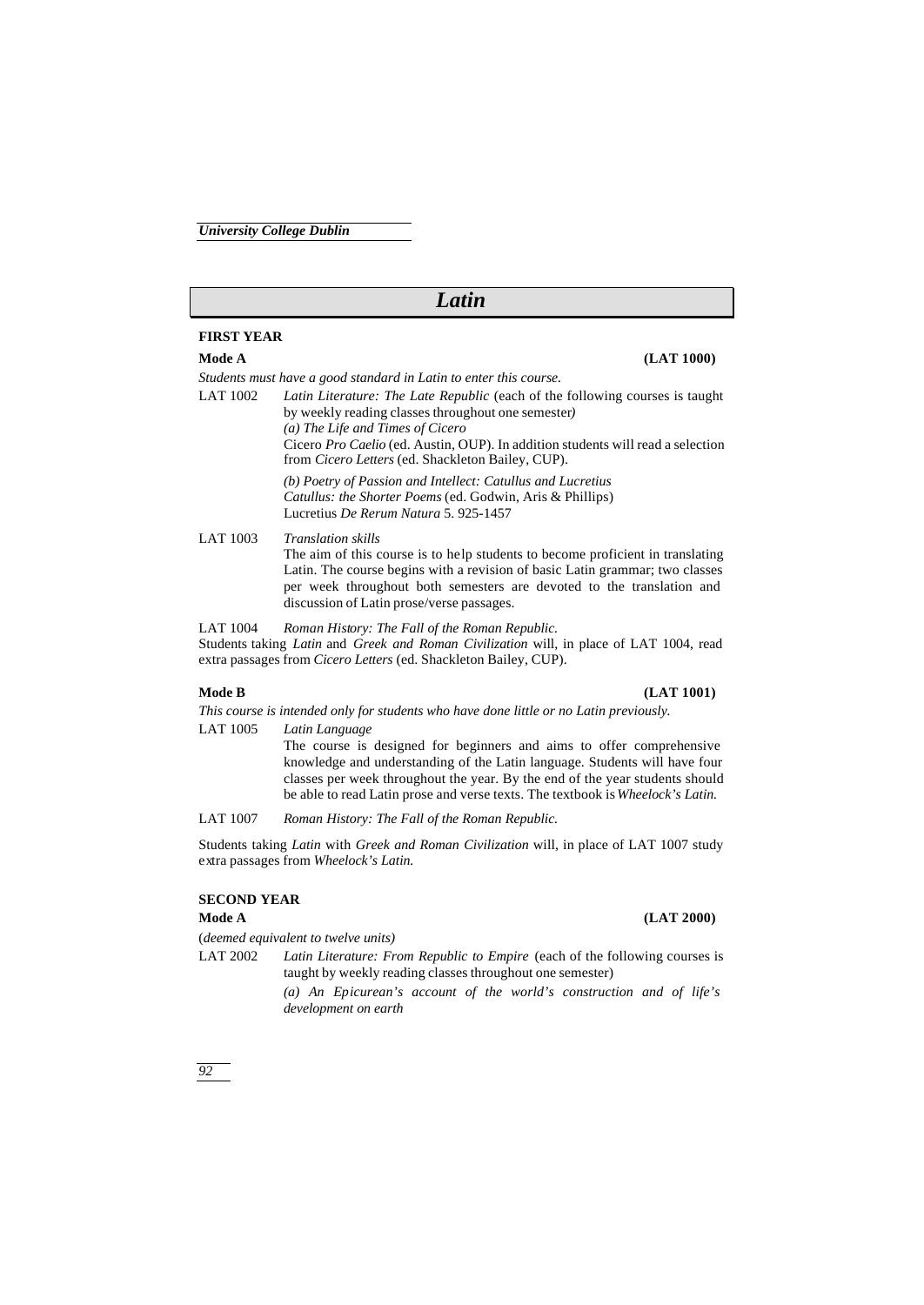# *Latin*

# **FIRST YEAR**

*Students must have a good standard in Latin to enter this course.*

LAT 1002 *Latin Literature: The Late Republic* (each of the following courses is taught by weekly reading classes throughout one semester*) (a) The Life and Times of Cicero*

> Cicero *Pro Caelio* (ed. Austin, OUP). In addition students will read a selection from *Cicero Letters* (ed. Shackleton Bailey, CUP).

*(b) Poetry of Passion and Intellect: Catullus and Lucretius Catullus: the Shorter Poems* (ed. Godwin, Aris & Phillips) Lucretius *De Rerum Natura* 5. 925-1457

LAT 1003 *Translation skills* The aim of this course is to help students to become proficient in translating Latin. The course begins with a revision of basic Latin grammar; two classes per week throughout both semesters are devoted to the translation and discussion of Latin prose/verse passages.

LAT 1004 *Roman History: The Fall of the Roman Republic.* Students taking *Latin* and *Greek and Roman Civilization* will, in place of LAT 1004, read extra passages from *Cicero Letters* (ed. Shackleton Bailey, CUP).

#### **Mode B (LAT 1001)**

*This course is intended only for students who have done little or no Latin previously.*

LAT 1005 *Latin Language*

The course is designed for beginners and aims to offer comprehensive knowledge and understanding of the Latin language. Students will have four classes per week throughout the year. By the end of the year students should be able to read Latin prose and verse texts. The textbook is *Wheelock's Latin.*

LAT 1007 *Roman History: The Fall of the Roman Republic.*

Students taking *Latin* with *Greek and Roman Civilization* will, in place of LAT 1007 study extra passages from *Wheelock's Latin.*

# **SECOND YEAR**

(*deemed equivalent to twelve units)*

LAT 2002 *Latin Literature: From Republic to Empire* (each of the following courses is taught by weekly reading classes throughout one semester)

> *(a) An Epicurean's account of the world's construction and of life's development on earth*

*92*

# **Mode A (LAT 2000)**

# **Mode A (LAT 1000)**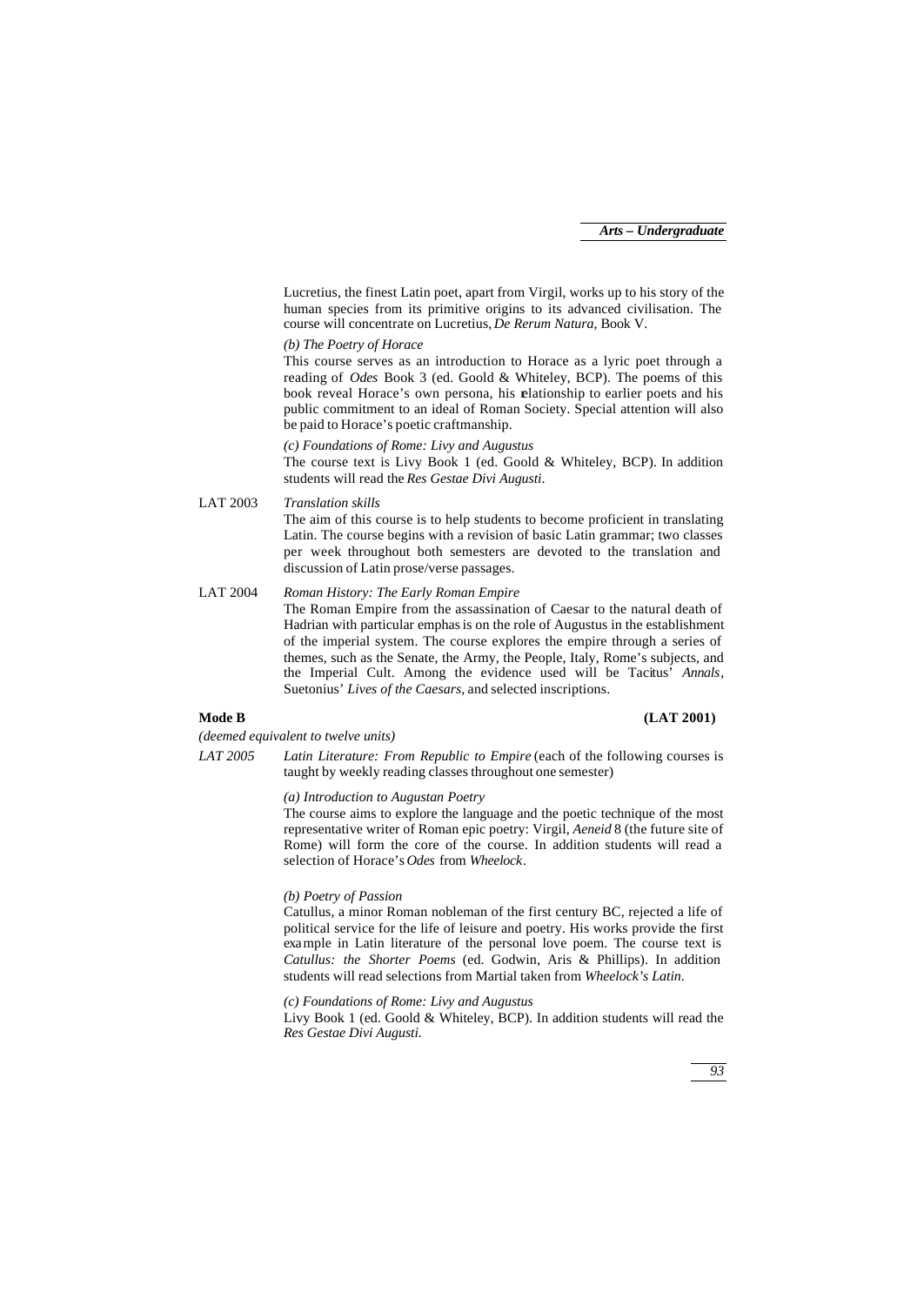Lucretius, the finest Latin poet, apart from Virgil, works up to his story of the human species from its primitive origins to its advanced civilisation. The course will concentrate on Lucretius, *De Rerum Natura*, Book V.

# *(b) The Poetry of Horace*

This course serves as an introduction to Horace as a lyric poet through a reading of *Odes* Book 3 (ed. Goold & Whiteley, BCP). The poems of this book reveal Horace's own persona, his elationship to earlier poets and his public commitment to an ideal of Roman Society. Special attention will also be paid to Horace's poetic craftmanship.

#### *(c) Foundations of Rome: Livy and Augustus*

The course text is Livy Book 1 (ed. Goold & Whiteley, BCP). In addition students will read the *Res Gestae Divi Augusti*.

LAT 2003 *Translation skills*

The aim of this course is to help students to become proficient in translating Latin. The course begins with a revision of basic Latin grammar; two classes per week throughout both semesters are devoted to the translation and discussion of Latin prose/verse passages.

LAT 2004 *Roman History: The Early Roman Empire* The Roman Empire from the assassination of Caesar to the natural death of Hadrian with particular emphasis on the role of Augustus in the establishment of the imperial system. The course explores the empire through a series of themes, such as the Senate, the Army, the People, Italy, Rome's subjects, and the Imperial Cult. Among the evidence used will be Tacitus' *Annals*, Suetonius' *Lives of the Caesars*, and selected inscriptions.

### **Mode B (LAT 2001)**

*(deemed equivalent to twelve units)*

*LAT 2005 Latin Literature: From Republic to Empire* (each of the following courses is taught by weekly reading classes throughout one semester)

## *(a) Introduction to Augustan Poetry*

The course aims to explore the language and the poetic technique of the most representative writer of Roman epic poetry: Virgil, *Aeneid* 8 (the future site of Rome) will form the core of the course. In addition students will read a selection of Horace's *Odes* from *Wheelock*.

### *(b) Poetry of Passion*

Catullus, a minor Roman nobleman of the first century BC, rejected a life of political service for the life of leisure and poetry. His works provide the first example in Latin literature of the personal love poem. The course text is *Catullus: the Shorter Poems* (ed. Godwin, Aris & Phillips). In addition students will read selections from Martial taken from *Wheelock's Latin*.

*(c) Foundations of Rome: Livy and Augustus*

Livy Book 1 (ed. Goold & Whiteley, BCP). In addition students will read the *Res Gestae Divi Augusti*.

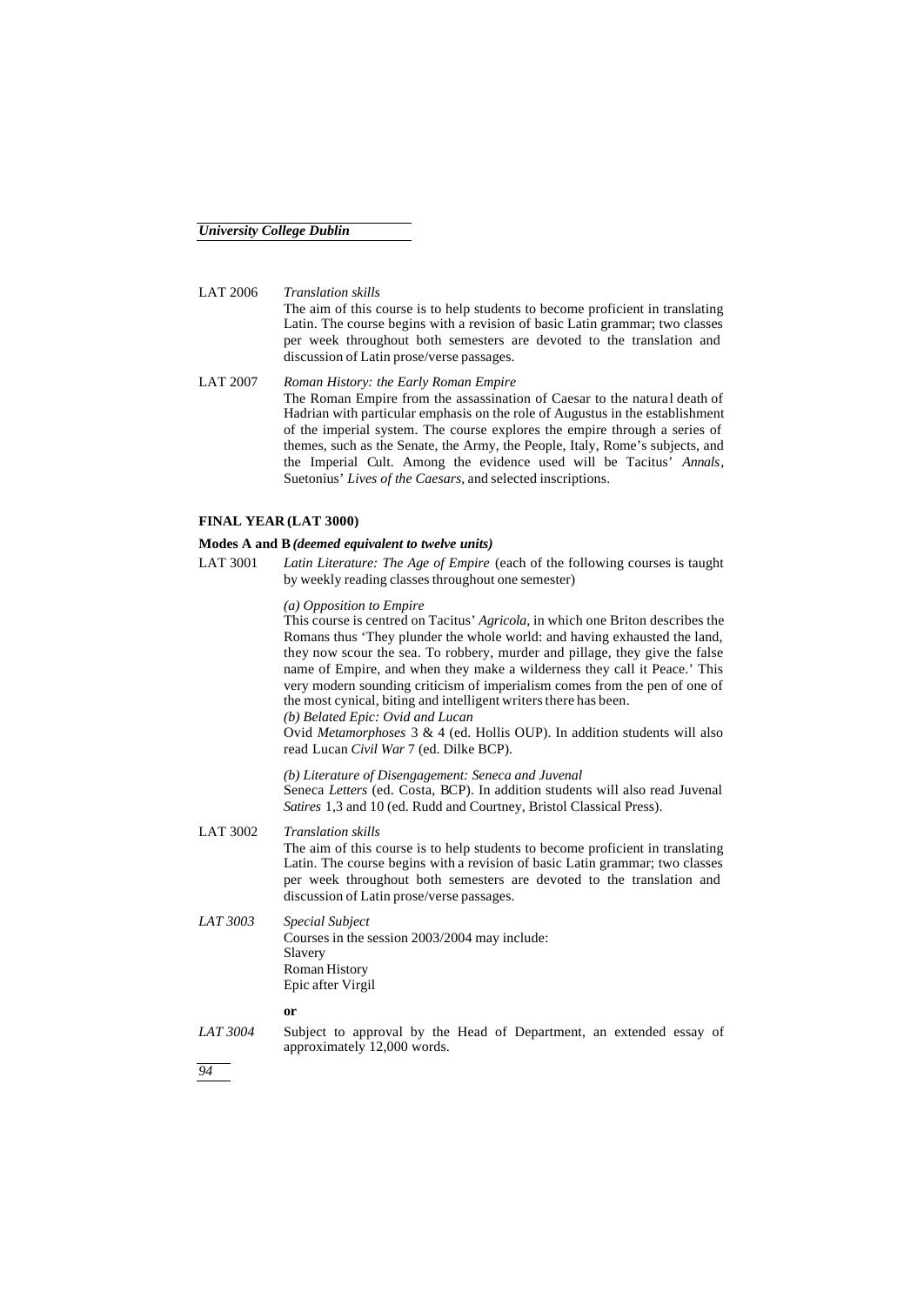LAT 2006 *Translation skills* The aim of this course is to help students to become proficient in translating Latin. The course begins with a revision of basic Latin grammar; two classes per week throughout both semesters are devoted to the translation and discussion of Latin prose/verse passages.

LAT 2007 *Roman History: the Early Roman Empire* The Roman Empire from the assassination of Caesar to the natural death of Hadrian with particular emphasis on the role of Augustus in the establishment of the imperial system. The course explores the empire through a series of themes, such as the Senate, the Army, the People, Italy, Rome's subjects, and the Imperial Cult. Among the evidence used will be Tacitus' *Annals*, Suetonius' *Lives of the Caesars*, and selected inscriptions.

# **FINAL YEAR (LAT 3000)**

### **Modes A and B***(deemed equivalent to twelve units)*

LAT 3001 *Latin Literature: The Age of Empire* (each of the following courses is taught by weekly reading classes throughout one semester)

### *(a) Opposition to Empire*

This course is centred on Tacitus' *Agricola*, in which one Briton describes the Romans thus 'They plunder the whole world: and having exhausted the land, they now scour the sea. To robbery, murder and pillage, they give the false name of Empire, and when they make a wilderness they call it Peace.' This very modern sounding criticism of imperialism comes from the pen of one of the most cynical, biting and intelligent writers there has been. *(b) Belated Epic: Ovid and Lucan*

Ovid *Metamorphoses* 3 & 4 (ed. Hollis OUP). In addition students will also read Lucan *Civil War* 7 (ed. Dilke BCP).

*(b) Literature of Disengagement: Seneca and Juvenal* Seneca *Letters* (ed. Costa, BCP). In addition students will also read Juvenal *Satires* 1,3 and 10 (ed. Rudd and Courtney, Bristol Classical Press).

- LAT 3002 *Translation skills* The aim of this course is to help students to become proficient in translating Latin. The course begins with a revision of basic Latin grammar; two classes per week throughout both semesters are devoted to the translation and discussion of Latin prose/verse passages.
- *LAT 3003 Special Subject* Courses in the session 2003/2004 may include: Slavery Roman History Epic after Virgil

**or**

*LAT 3004* Subject to approval by the Head of Department, an extended essay of approximately 12,000 words.

*94*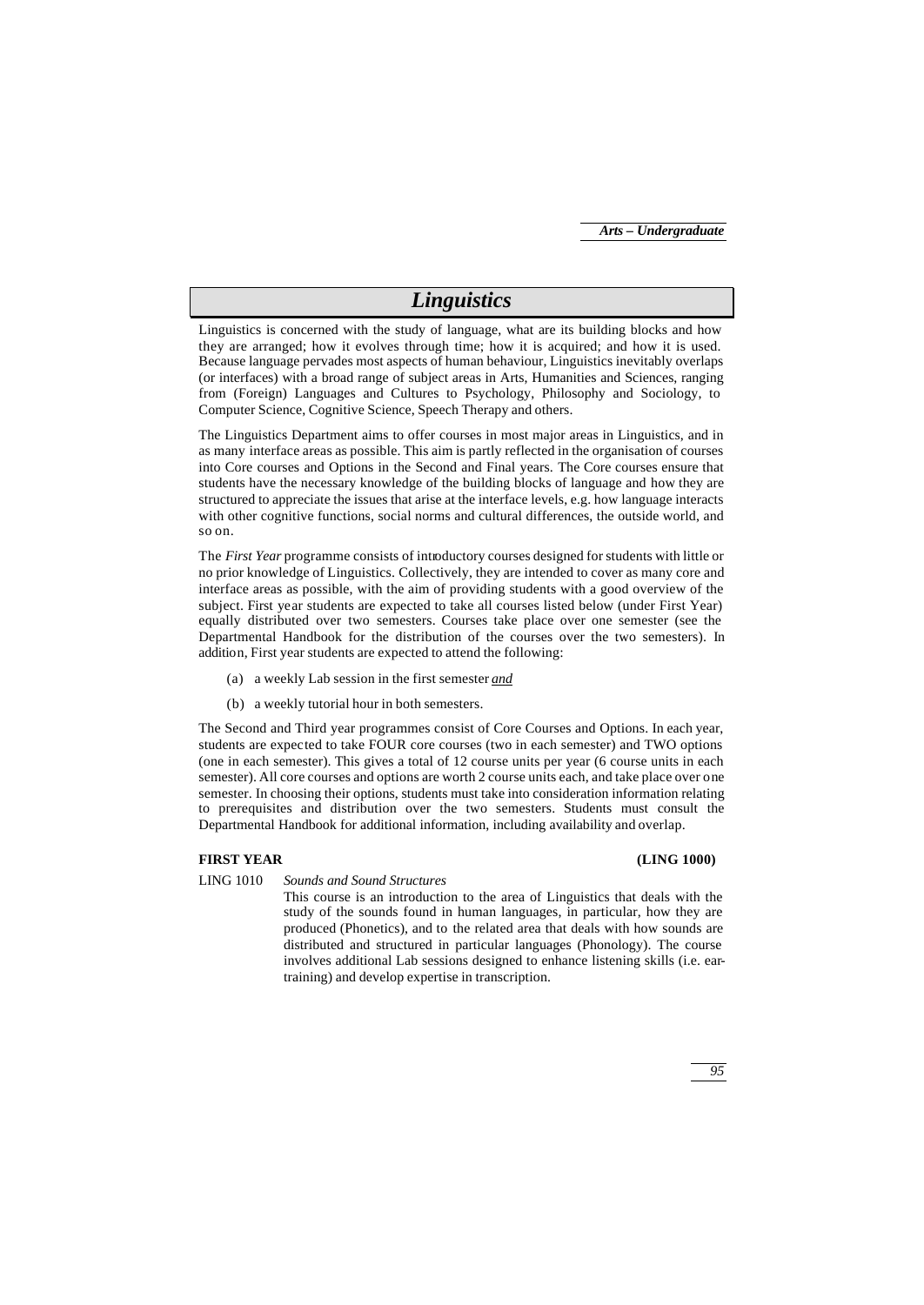# *Linguistics*

Linguistics is concerned with the study of language, what are its building blocks and how they are arranged; how it evolves through time; how it is acquired; and how it is used. Because language pervades most aspects of human behaviour, Linguistics inevitably overlaps (or interfaces) with a broad range of subject areas in Arts, Humanities and Sciences, ranging from (Foreign) Languages and Cultures to Psychology, Philosophy and Sociology, to Computer Science, Cognitive Science, Speech Therapy and others.

The Linguistics Department aims to offer courses in most major areas in Linguistics, and in as many interface areas as possible. This aim is partly reflected in the organisation of courses into Core courses and Options in the Second and Final years. The Core courses ensure that students have the necessary knowledge of the building blocks of language and how they are structured to appreciate the issues that arise at the interface levels, e.g. how language interacts with other cognitive functions, social norms and cultural differences, the outside world, and so on.

The *First Year* programme consists of introductory courses designed for students with little or no prior knowledge of Linguistics. Collectively, they are intended to cover as many core and interface areas as possible, with the aim of providing students with a good overview of the subject. First year students are expected to take all courses listed below (under First Year) equally distributed over two semesters. Courses take place over one semester (see the Departmental Handbook for the distribution of the courses over the two semesters). In addition, First year students are expected to attend the following:

- (a) a weekly Lab session in the first semester *and*
- (b) a weekly tutorial hour in both semesters.

The Second and Third year programmes consist of Core Courses and Options. In each year, students are expected to take FOUR core courses (two in each semester) and TWO options (one in each semester). This gives a total of 12 course units per year (6 course units in each semester). All core courses and options are worth 2 course units each, and take place over one semester. In choosing their options, students must take into consideration information relating to prerequisites and distribution over the two semesters. Students must consult the Departmental Handbook for additional information, including availability and overlap.

## **FIRST YEAR (LING 1000)**

LING 1010 *Sounds and Sound Structures*

This course is an introduction to the area of Linguistics that deals with the study of the sounds found in human languages, in particular, how they are produced (Phonetics), and to the related area that deals with how sounds are distributed and structured in particular languages (Phonology). The course involves additional Lab sessions designed to enhance listening skills (i.e. eartraining) and develop expertise in transcription.

*95*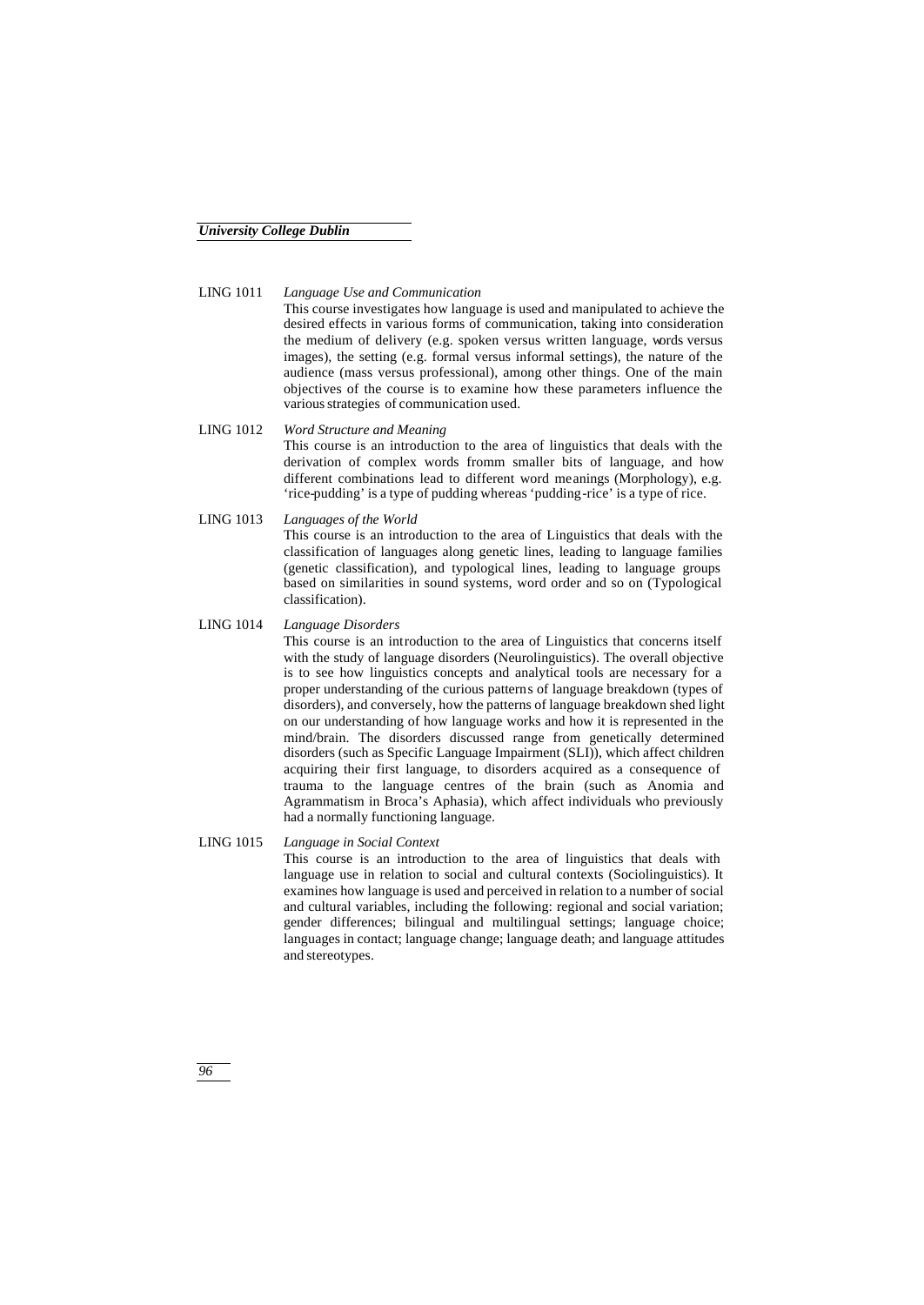## LING 1011 *Language Use and Communication*

This course investigates how language is used and manipulated to achieve the desired effects in various forms of communication, taking into consideration the medium of delivery (e.g. spoken versus written language, words versus images), the setting (e.g. formal versus informal settings), the nature of the audience (mass versus professional), among other things. One of the main objectives of the course is to examine how these parameters influence the various strategies of communication used.

# LING 1012 *Word Structure and Meaning*

This course is an introduction to the area of linguistics that deals with the derivation of complex words fromm smaller bits of language, and how different combinations lead to different word meanings (Morphology), e.g. 'rice-pudding' is a type of pudding whereas 'pudding-rice' is a type of rice.

LING 1013 *Languages of the World*

This course is an introduction to the area of Linguistics that deals with the classification of languages along genetic lines, leading to language families (genetic classification), and typological lines, leading to language groups based on similarities in sound systems, word order and so on (Typological classification).

LING 1014 *Language Disorders*

This course is an introduction to the area of Linguistics that concerns itself with the study of language disorders (Neurolinguistics). The overall objective is to see how linguistics concepts and analytical tools are necessary for a proper understanding of the curious patterns of language breakdown (types of disorders), and conversely, how the patterns of language breakdown shed light on our understanding of how language works and how it is represented in the mind/brain. The disorders discussed range from genetically determined disorders (such as Specific Language Impairment (SLI)), which affect children acquiring their first language, to disorders acquired as a consequence of trauma to the language centres of the brain (such as Anomia and Agrammatism in Broca's Aphasia), which affect individuals who previously had a normally functioning language.

## LING 1015 *Language in Social Context*

This course is an introduction to the area of linguistics that deals with language use in relation to social and cultural contexts (Sociolinguistics). It examines how language is used and perceived in relation to a number of social and cultural variables, including the following: regional and social variation; gender differences; bilingual and multilingual settings; language choice; languages in contact; language change; language death; and language attitudes and stereotypes.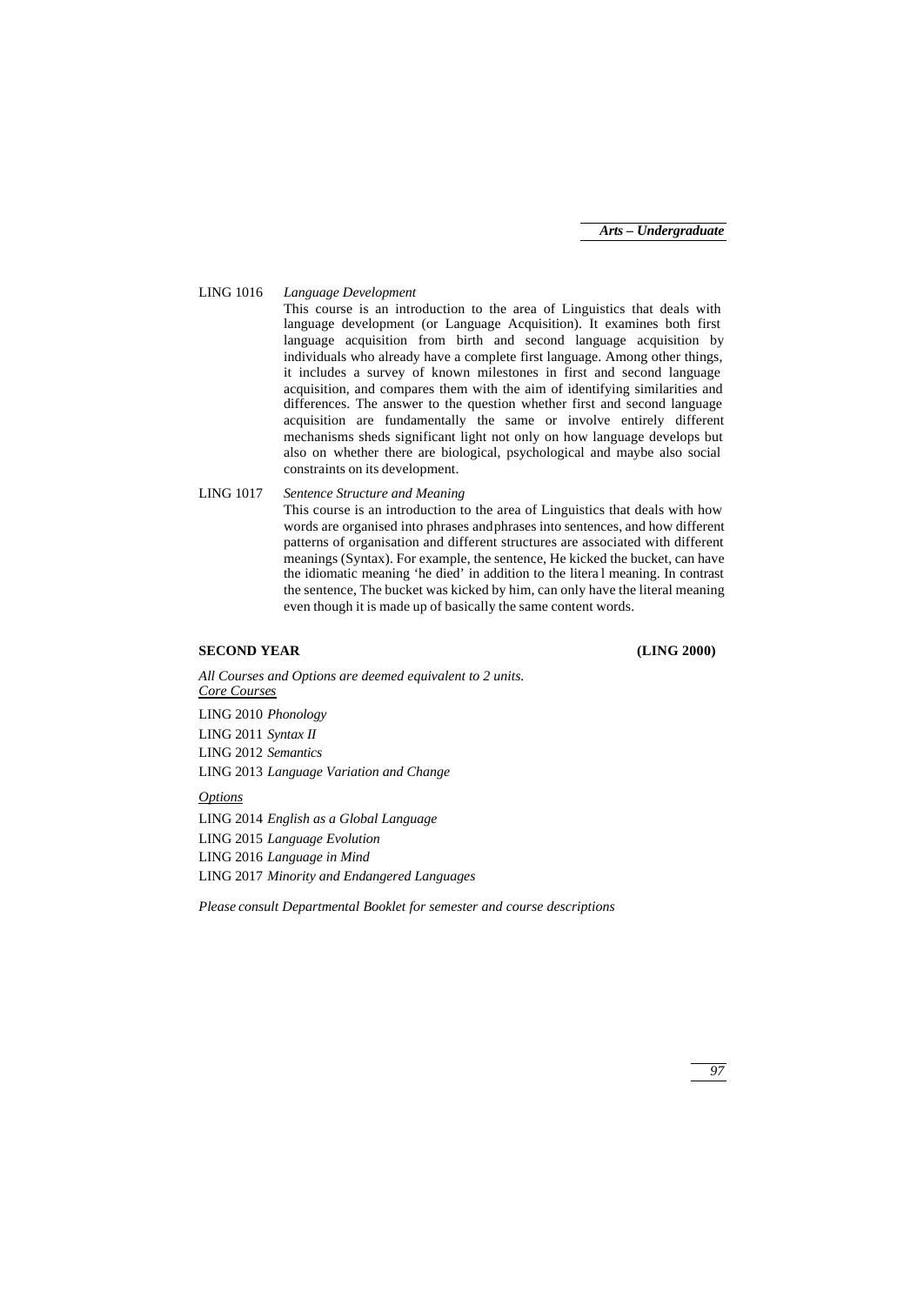### LING 1016 *Language Development*

This course is an introduction to the area of Linguistics that deals with language development (or Language Acquisition). It examines both first language acquisition from birth and second language acquisition by individuals who already have a complete first language. Among other things, it includes a survey of known milestones in first and second language acquisition, and compares them with the aim of identifying similarities and differences. The answer to the question whether first and second language acquisition are fundamentally the same or involve entirely different mechanisms sheds significant light not only on how language develops but also on whether there are biological, psychological and maybe also social constraints on its development.

LING 1017 *Sentence Structure and Meaning*

This course is an introduction to the area of Linguistics that deals with how words are organised into phrases and phrases into sentences, and how different patterns of organisation and different structures are associated with different meanings (Syntax). For example, the sentence, He kicked the bucket, can have the idiomatic meaning 'he died' in addition to the litera l meaning. In contrast the sentence, The bucket was kicked by him, can only have the literal meaning even though it is made up of basically the same content words.

## **SECOND YEAR (LING 2000)**

*All Courses and Options are deemed equivalent to 2 units. Core Courses* LING 2010 *Phonology* LING 2011 *Syntax II*

LING 2012 *Semantics*

LING 2013 *Language Variation and Change*

*Options*

LING 2014 *English as a Global Language* LING 2015 *Language Evolution* LING 2016 *Language in Mind* LING 2017 *Minority and Endangered Languages*

*Please consult Departmental Booklet for semester and course descriptions*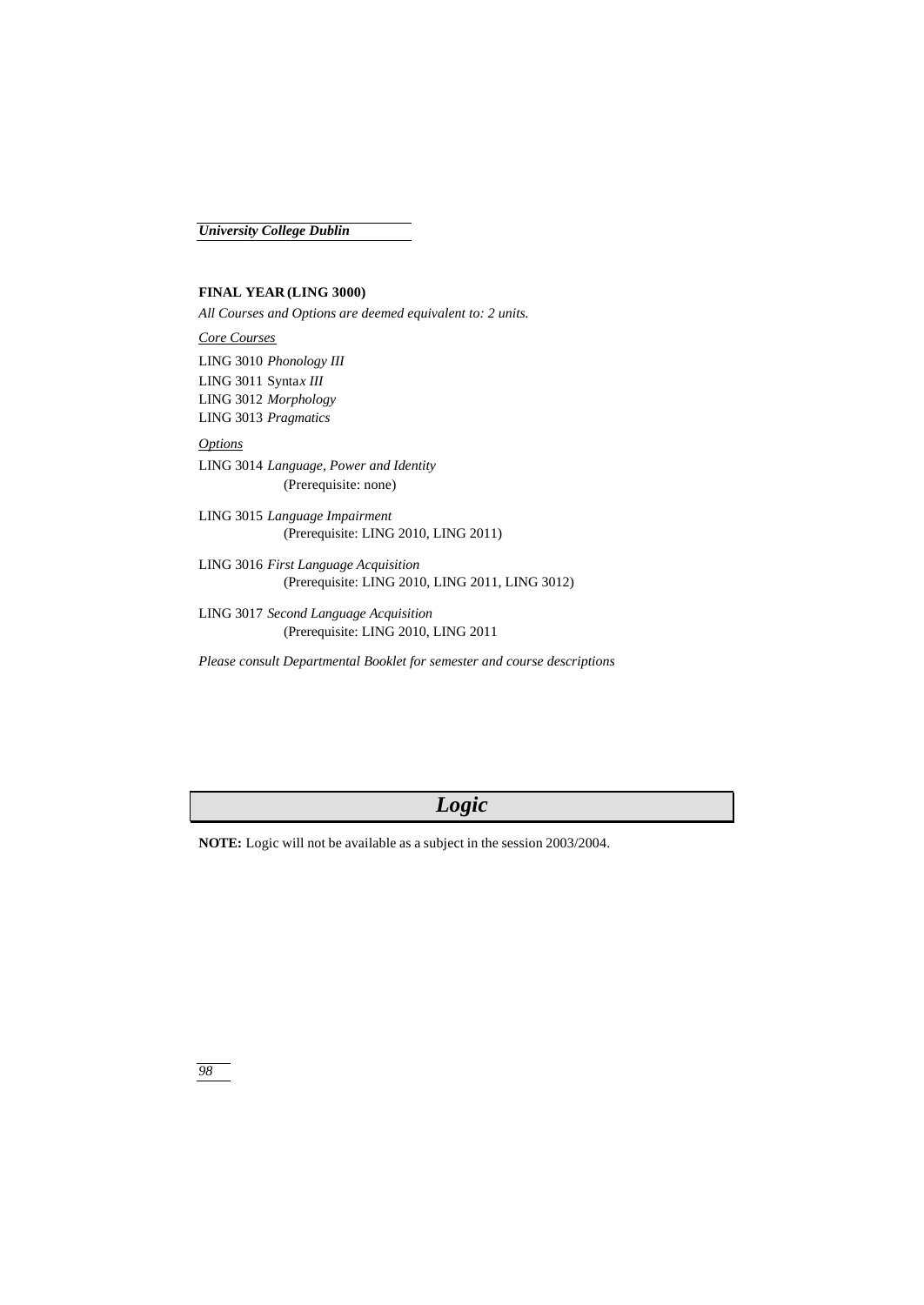# **FINAL YEAR (LING 3000)**

*All Courses and Options are deemed equivalent to: 2 units.*

*Core Courses* LING 3010 *Phonology III* LING 3011 Synta*x III*

LING 3012 *Morphology* LING 3013 *Pragmatics*

# *Options*

LING 3014 *Language, Power and Identity* (Prerequisite: none)

LING 3015 *Language Impairment* (Prerequisite: LING 2010, LING 2011)

LING 3016 *First Language Acquisition* (Prerequisite: LING 2010, LING 2011, LING 3012)

LING 3017 *Second Language Acquisition* (Prerequisite: LING 2010, LING 2011

*Please consult Departmental Booklet for semester and course descriptions*

# *Logic*

**NOTE:** Logic will not be available as a subject in the session 2003/2004.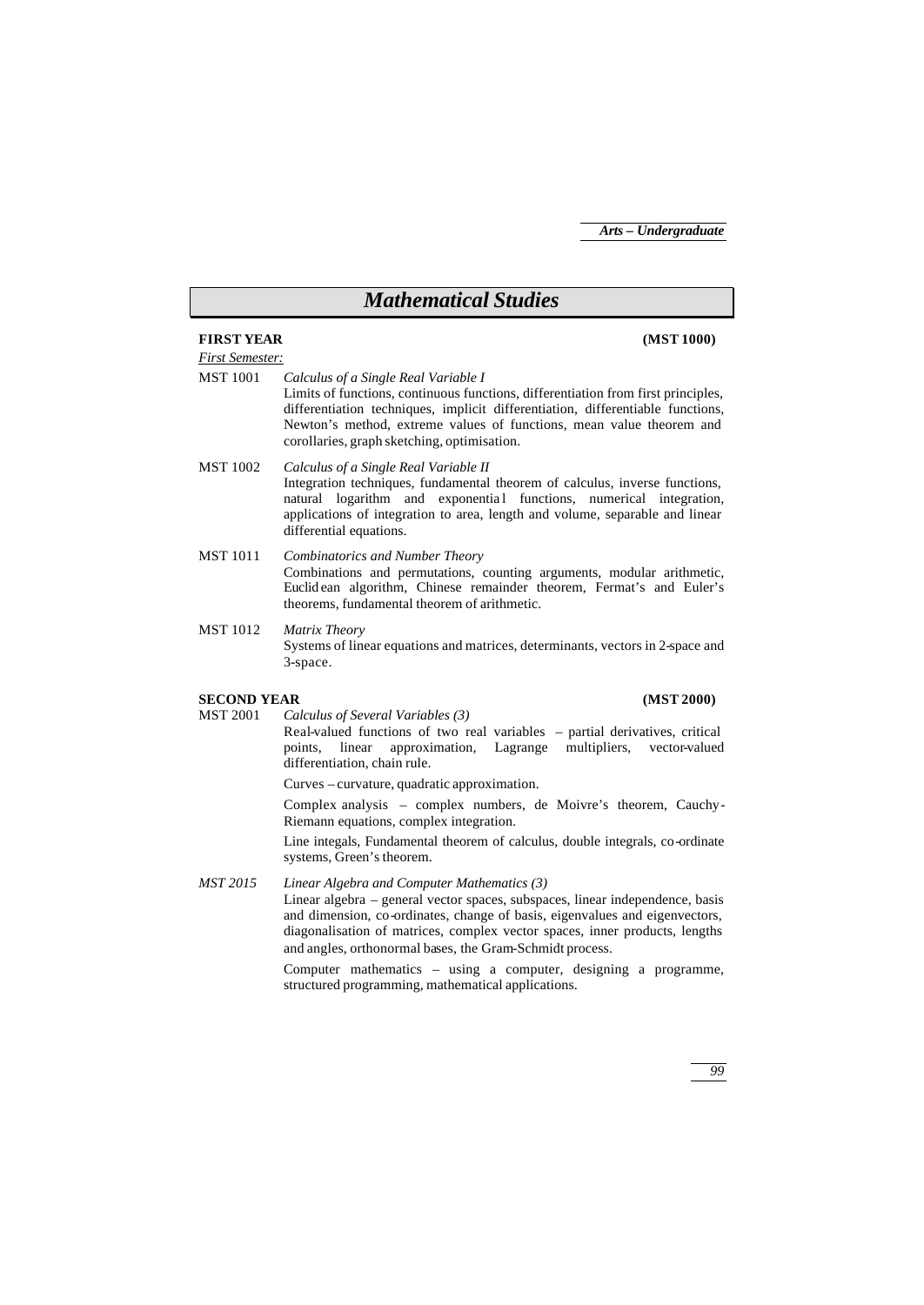# *Mathematical Studies* **FIRST YEAR (MST 1000)** *First Semester:* MST 1001 *Calculus of a Single Real Variable I* Limits of functions, continuous functions, differentiation from first principles, differentiation techniques, implicit differentiation, differentiable functions, Newton's method, extreme values of functions, mean value theorem and corollaries, graph sketching, optimisation. MST 1002 *Calculus of a Single Real Variable II* Integration techniques, fundamental theorem of calculus, inverse functions, natural logarithm and exponential functions, numerical integration, applications of integration to area, length and volume, separable and linear differential equations. MST 1011 *Combinatorics and Number Theory* Combinations and permutations, counting arguments, modular arithmetic, Euclid ean algorithm, Chinese remainder theorem, Fermat's and Euler's theorems, fundamental theorem of arithmetic. MST 1012 *Matrix Theory* Systems of linear equations and matrices, determinants, vectors in 2-space and 3-space. **SECOND YEAR (MST 2000)** MST 2001 *Calculus of Several Variables (3)* Real-valued functions of two real variables – partial derivatives, critical points, linear approximation, Lagrange multipliers, vector-valued differentiation, chain rule. Curves – curvature, quadratic approximation. Complex analysis – complex numbers, de Moivre's theorem, Cauchy-Riemann equations, complex integration. Line integals, Fundamental theorem of calculus, double integrals, co-ordinate systems, Green's theorem. *MST 2015 Linear Algebra and Computer Mathematics (3)* Linear algebra – general vector spaces, subspaces, linear independence, basis and dimension, co-ordinates, change of basis, eigenvalues and eigenvectors, diagonalisation of matrices, complex vector spaces, inner products, lengths and angles, orthonormal bases, the Gram-Schmidt process. Computer mathematics – using a computer, designing a programme, structured programming, mathematical applications.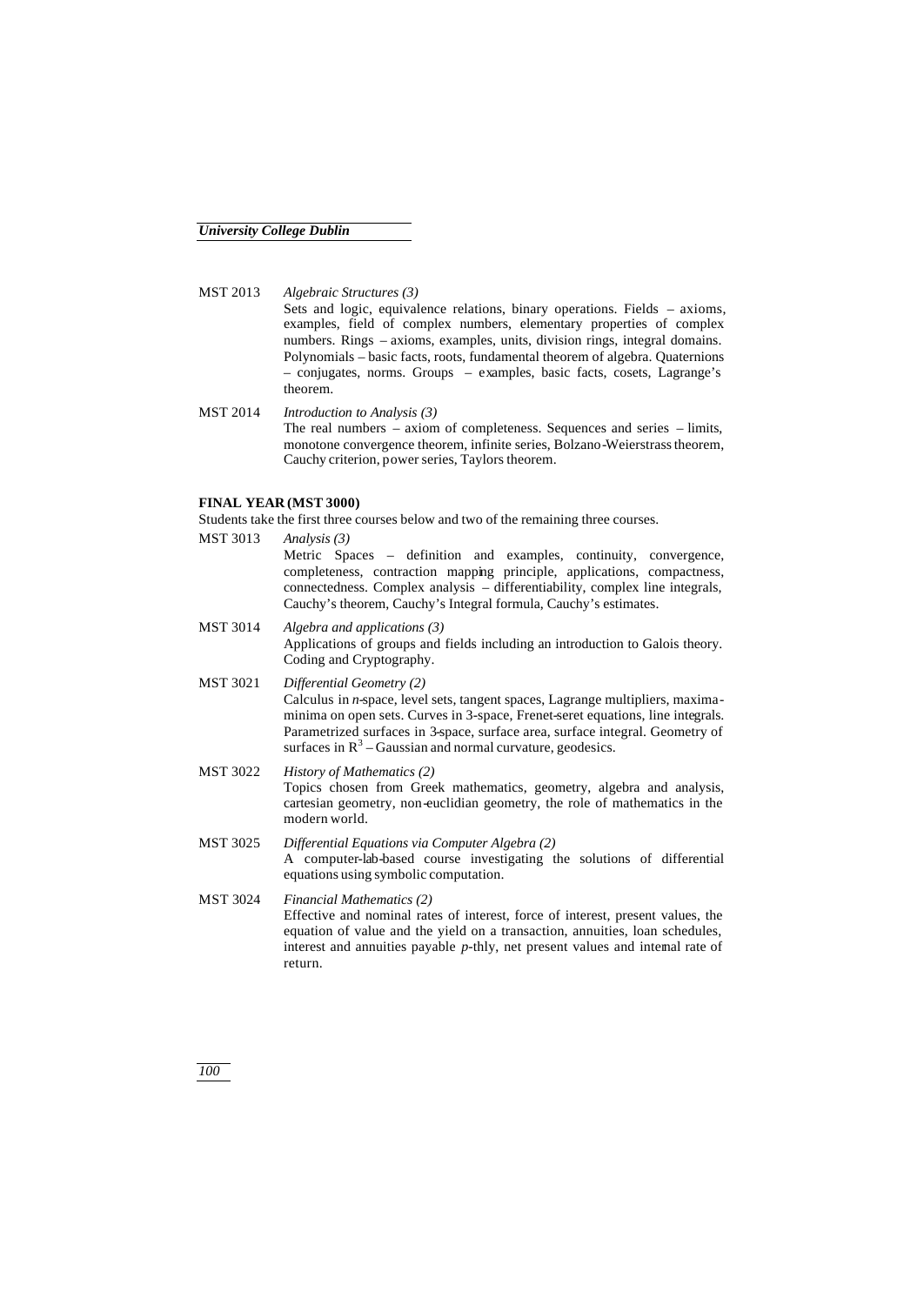MST 2013 *Algebraic Structures (3)* Sets and logic, equivalence relations, binary operations. Fields – axioms, examples, field of complex numbers, elementary properties of complex numbers. Rings – axioms, examples, units, division rings, integral domains. Polynomials – basic facts, roots, fundamental theorem of algebra. Quaternions – conjugates, norms. Groups – examples, basic facts, cosets, Lagrange's theorem.

MST 2014 *Introduction to Analysis (3)* The real numbers – axiom of completeness. Sequences and series – limits, monotone convergence theorem, infinite series, Bolzano-Weierstrass theorem, Cauchy criterion, power series, Taylors theorem.

### **FINAL YEAR (MST 3000)**

Students take the first three courses below and two of the remaining three courses.

- MST 3013 *Analysis (3)* Metric Spaces – definition and examples, continuity, convergence, completeness, contraction mapping principle, applications, compactness, connectedness. Complex analysis – differentiability, complex line integrals, Cauchy's theorem, Cauchy's Integral formula, Cauchy's estimates. MST 3014 *Algebra and applications (3)* Applications of groups and fields including an introduction to Galois theory. Coding and Cryptography. MST 3021 *Differential Geometry (2)* Calculus in *n*-space, level sets, tangent spaces, Lagrange multipliers, maximaminima on open sets. Curves in 3-space, Frenet-seret equations, line integrals. Parametrized surfaces in 3-space, surface area, surface integral. Geometry of surfaces in  $R<sup>3</sup> - Gaussian$  and normal curvature, geodesics.
- MST 3022 *History of Mathematics (2)* Topics chosen from Greek mathematics, geometry, algebra and analysis, cartesian geometry, non-euclidian geometry, the role of mathematics in the modern world.
- MST 3025 *Differential Equations via Computer Algebra (2)* A computer-lab-based course investigating the solutions of differential equations using symbolic computation.

MST 3024 *Financial Mathematics (2)* Effective and nominal rates of interest, force of interest, present values, the equation of value and the yield on a transaction, annuities, loan schedules, interest and annuities payable *p*-thly, net present values and internal rate of return.

*100*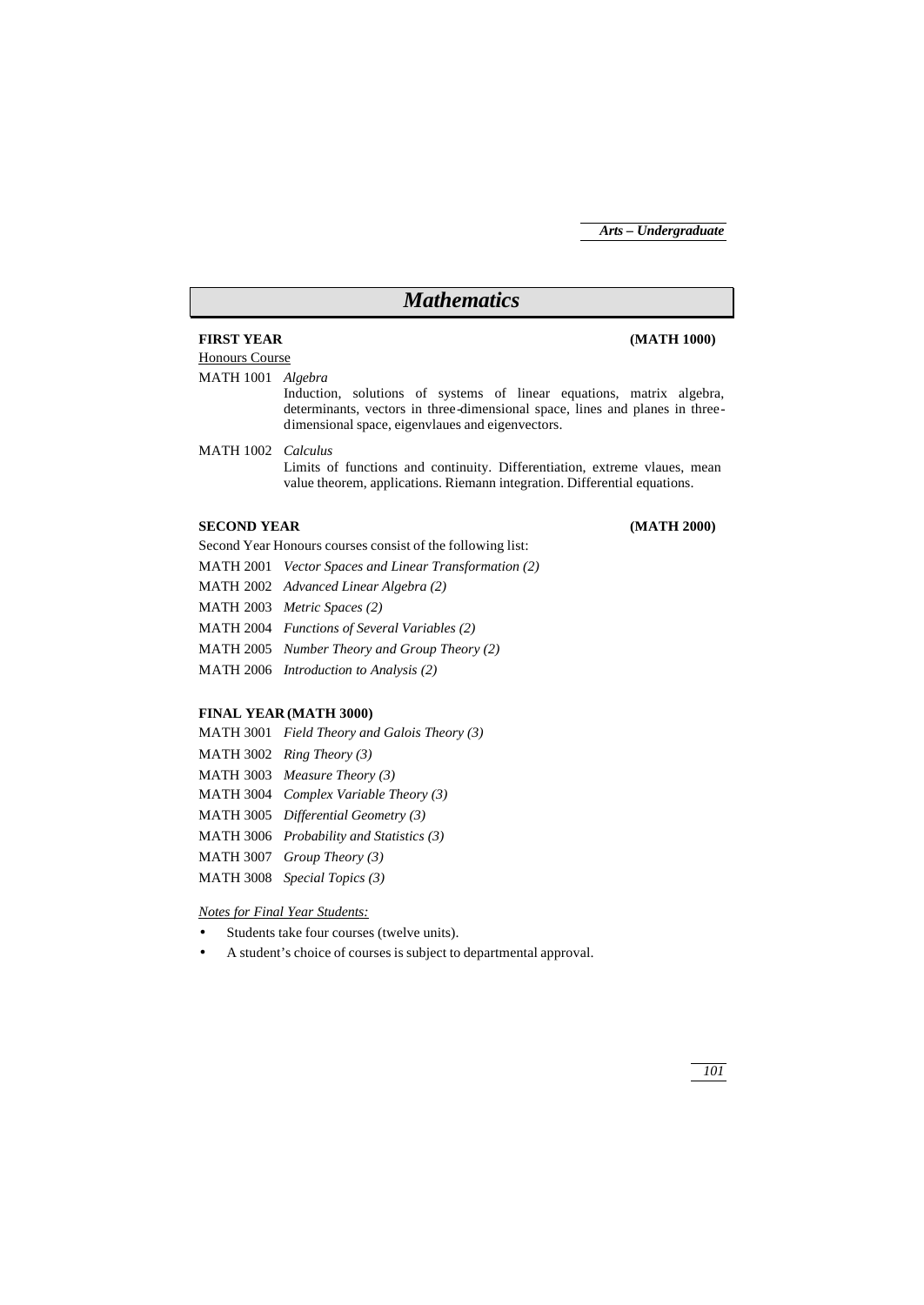# *Mathematics*

## **FIRST YEAR (MATH 1000)**

# Honours Course

MATH 1001 *Algebra*

Induction, solutions of systems of linear equations, matrix algebra, determinants, vectors in three-dimensional space, lines and planes in threedimensional space, eigenvlaues and eigenvectors.

MATH 1002 *Calculus*

Limits of functions and continuity. Differentiation, extreme vlaues, mean value theorem, applications. Riemann integration. Differential equations.

# **SECOND YEAR (MATH 2000)**

Second Year Honours courses consist of the following list:

- MATH 2001 *Vector Spaces and Linear Transformation (2)*
- MATH 2002 *Advanced Linear Algebra (2)*

MATH 2003 *Metric Spaces (2)*

- MATH 2004 *Functions of Several Variables (2)*
- MATH 2005 *Number Theory and Group Theory (2)*

MATH 2006 *Introduction to Analysis (2)*

# **FINAL YEAR (MATH 3000)**

MATH 3001 *Field Theory and Galois Theory (3)* MATH 3002 *Ring Theory (3)* MATH 3003 *Measure Theory (3)* MATH 3004 *Complex Variable Theory (3)* MATH 3005 *Differential Geometry (3)* MATH 3006 *Probability and Statistics (3)* MATH 3007 *Group Theory (3)*

MATH 3008 *Special Topics (3)*

## *Notes for Final Year Students:*

- Students take four courses (twelve units).
- A student's choice of courses is subject to departmental approval.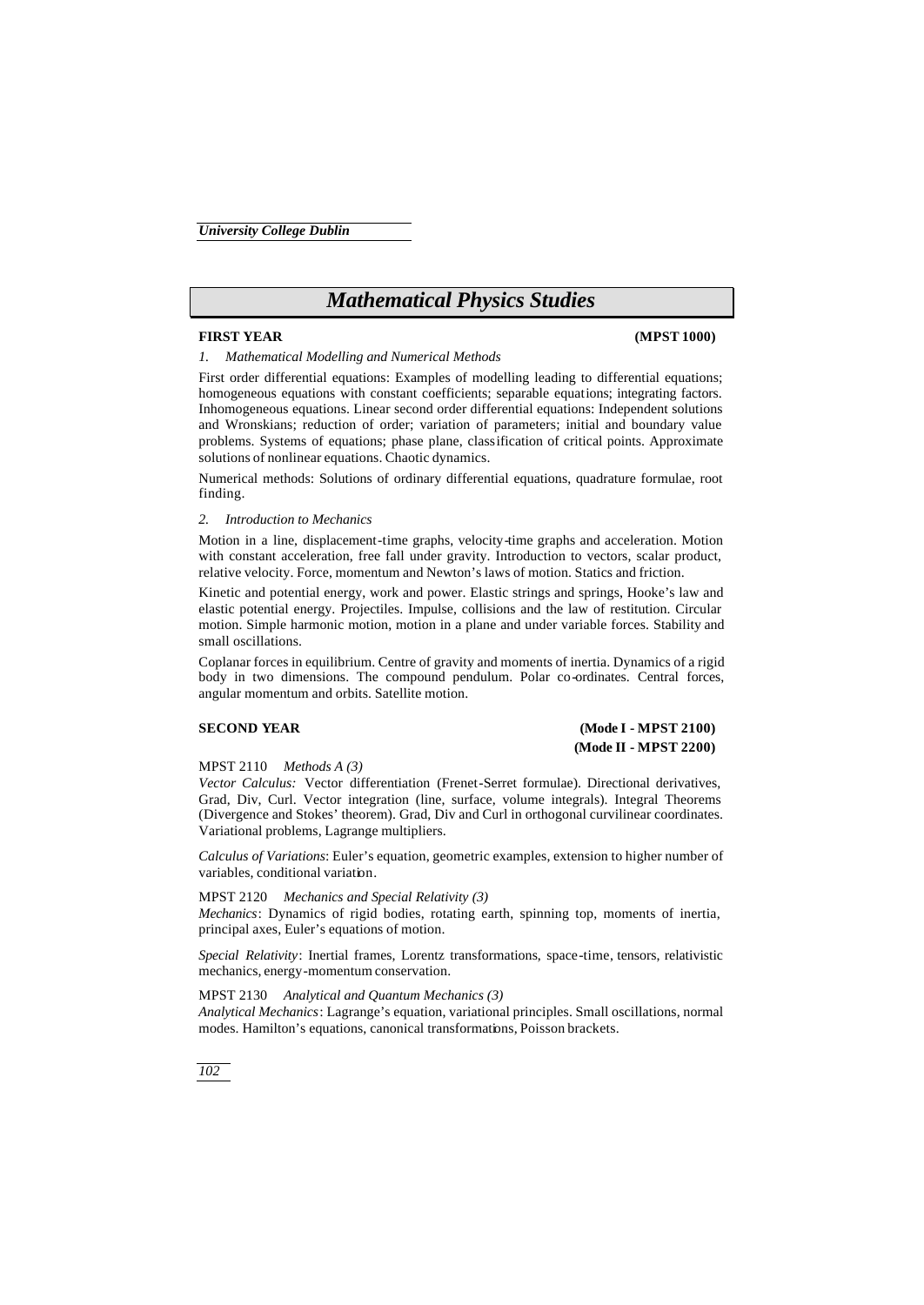# *Mathematical Physics Studies*

## **FIRST YEAR (MPST 1000)**

*1. Mathematical Modelling and Numerical Methods*

First order differential equations: Examples of modelling leading to differential equations; homogeneous equations with constant coefficients; separable equations; integrating factors. Inhomogeneous equations. Linear second order differential equations: Independent solutions and Wronskians; reduction of order; variation of parameters; initial and boundary value problems. Systems of equations; phase plane, classification of critical points. Approximate solutions of nonlinear equations. Chaotic dynamics.

Numerical methods: Solutions of ordinary differential equations, quadrature formulae, root finding.

### *2. Introduction to Mechanics*

Motion in a line, displacement-time graphs, velocity-time graphs and acceleration. Motion with constant acceleration, free fall under gravity. Introduction to vectors, scalar product, relative velocity. Force, momentum and Newton's laws of motion. Statics and friction.

Kinetic and potential energy, work and power. Elastic strings and springs, Hooke's law and elastic potential energy. Projectiles. Impulse, collisions and the law of restitution. Circular motion. Simple harmonic motion, motion in a plane and under variable forces. Stability and small oscillations.

Coplanar forces in equilibrium. Centre of gravity and moments of inertia. Dynamics of a rigid body in two dimensions. The compound pendulum. Polar co-ordinates. Central forces, angular momentum and orbits. Satellite motion.

# **SECOND YEAR (Mode I - MPST 2100) (Mode II - MPST 2200)**

MPST 2110 *Methods A (3)*

*Vector Calculus:* Vector differentiation (Frenet-Serret formulae). Directional derivatives, Grad, Div, Curl. Vector integration (line, surface, volume integrals). Integral Theorems (Divergence and Stokes' theorem). Grad, Div and Curl in orthogonal curvilinear coordinates. Variational problems, Lagrange multipliers.

*Calculus of Variations*: Euler's equation, geometric examples, extension to higher number of variables, conditional variation.

# MPST 2120 *Mechanics and Special Relativity (3)*

*Mechanics*: Dynamics of rigid bodies, rotating earth, spinning top, moments of inertia, principal axes, Euler's equations of motion.

*Special Relativity*: Inertial frames, Lorentz transformations, space-time, tensors, relativistic mechanics, energy-momentum conservation.

#### MPST 2130 *Analytical and Quantum Mechanics (3)*

*Analytical Mechanics*: Lagrange's equation, variational principles. Small oscillations, normal modes. Hamilton's equations, canonical transformations, Poisson brackets.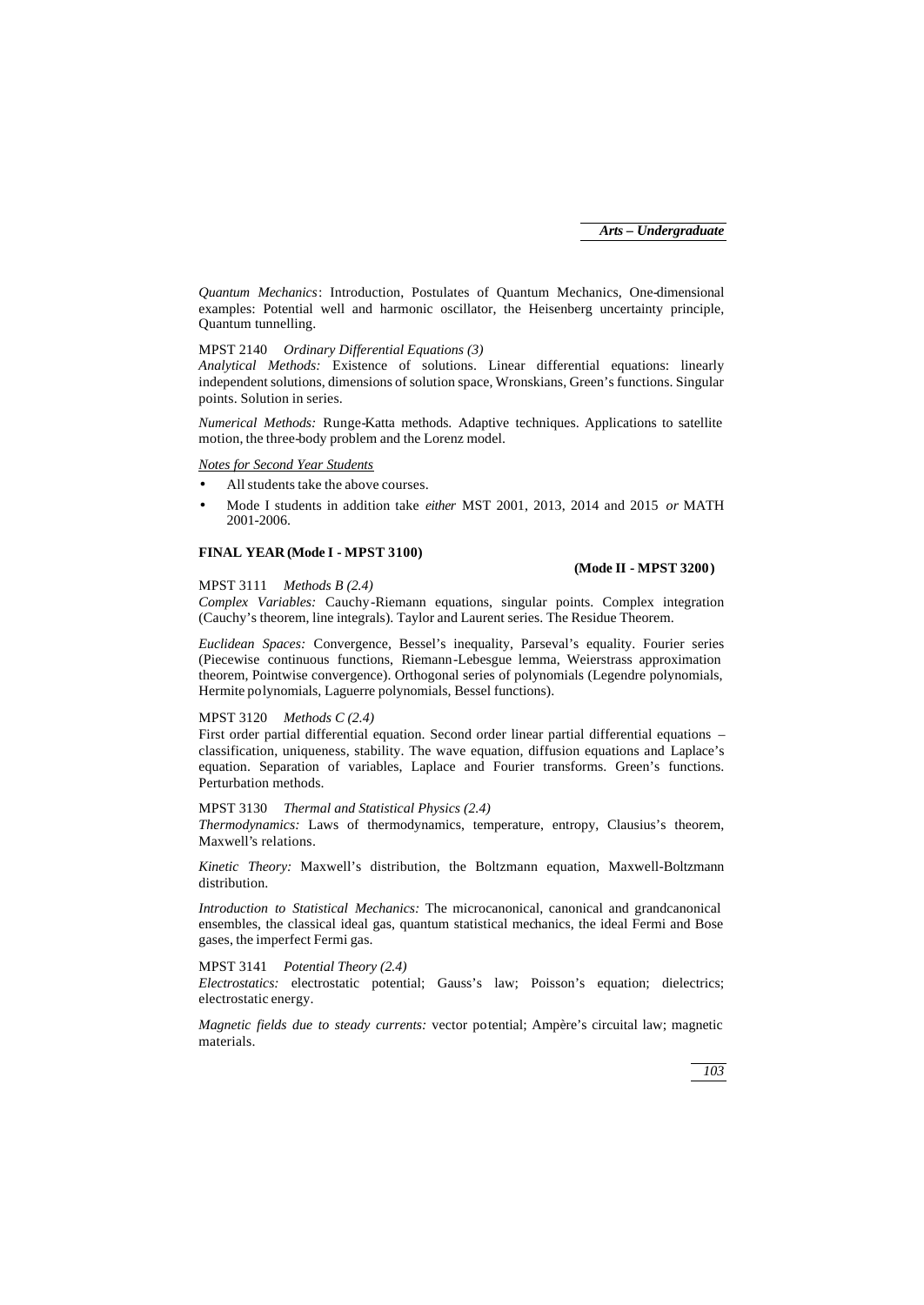*Quantum Mechanics*: Introduction, Postulates of Quantum Mechanics, One-dimensional examples: Potential well and harmonic oscillator, the Heisenberg uncertainty principle, Quantum tunnelling.

# MPST 2140 *Ordinary Differential Equations (3)*

*Analytical Methods:* Existence of solutions. Linear differential equations: linearly independent solutions, dimensions of solution space, Wronskians, Green's functions. Singular points. Solution in series.

*Numerical Methods:* Runge-Katta methods. Adaptive techniques. Applications to satellite motion, the three-body problem and the Lorenz model.

### *Notes for Second Year Students*

- All students take the above courses.
- Mode I students in addition take *either* MST 2001, 2013, 2014 and 2015 *or* MATH 2001-2006.

### **FINAL YEAR (Mode I - MPST 3100)**

### **(Mode II - MPST 3200)**

#### MPST 3111 *Methods B (2.4)*

*Complex Variables:* Cauchy-Riemann equations, singular points. Complex integration (Cauchy's theorem, line integrals). Taylor and Laurent series. The Residue Theorem.

*Euclidean Spaces:* Convergence, Bessel's inequality, Parseval's equality. Fourier series (Piecewise continuous functions, Riemann-Lebesgue lemma, Weierstrass approximation theorem, Pointwise convergence). Orthogonal series of polynomials (Legendre polynomials, Hermite polynomials, Laguerre polynomials, Bessel functions).

## MPST 3120 *Methods C (2.4)*

First order partial differential equation. Second order linear partial differential equations – classification, uniqueness, stability. The wave equation, diffusion equations and Laplace's equation. Separation of variables, Laplace and Fourier transforms. Green's functions. Perturbation methods.

### MPST 3130 *Thermal and Statistical Physics (2.4)*

*Thermodynamics:* Laws of thermodynamics, temperature, entropy, Clausius's theorem, Maxwell's relations.

*Kinetic Theory:* Maxwell's distribution, the Boltzmann equation, Maxwell-Boltzmann distribution.

*Introduction to Statistical Mechanics:* The microcanonical, canonical and grandcanonical ensembles, the classical ideal gas, quantum statistical mechanics, the ideal Fermi and Bose gases, the imperfect Fermi gas.

### MPST 3141 *Potential Theory (2.4)*

*Electrostatics:* electrostatic potential; Gauss's law; Poisson's equation; dielectrics; electrostatic energy.

*Magnetic fields due to steady currents:* vector potential; Ampère's circuital law; magnetic materials.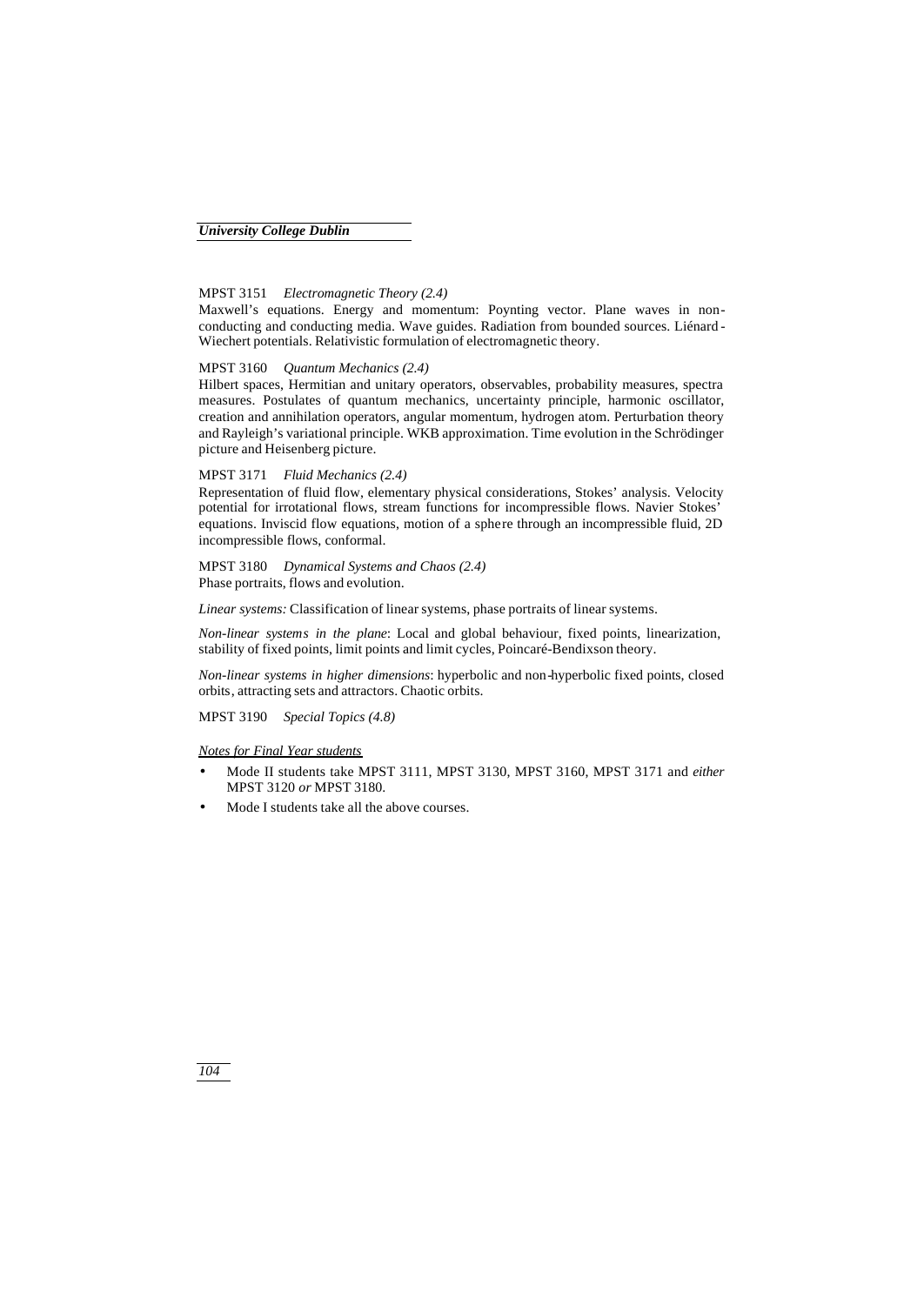# MPST 3151 *Electromagnetic Theory (2.4)*

Maxwell's equations. Energy and momentum: Poynting vector. Plane waves in nonconducting and conducting media. Wave guides. Radiation from bounded sources. Liénard - Wiechert potentials. Relativistic formulation of electromagnetic theory.

#### MPST 3160 *Quantum Mechanics (2.4)*

Hilbert spaces, Hermitian and unitary operators, observables, probability measures, spectra measures. Postulates of quantum mechanics, uncertainty principle, harmonic oscillator, creation and annihilation operators, angular momentum, hydrogen atom. Perturbation theory and Rayleigh's variational principle. WKB approximation. Time evolution in the Schrödinger picture and Heisenberg picture.

# MPST 3171 *Fluid Mechanics (2.4)*

Representation of fluid flow, elementary physical considerations, Stokes' analysis. Velocity potential for irrotational flows, stream functions for incompressible flows. Navier Stokes' equations. Inviscid flow equations, motion of a sphere through an incompressible fluid, 2D incompressible flows, conformal.

## MPST 3180 *Dynamical Systems and Chaos (2.4)* Phase portraits, flows and evolution.

*Linear systems:* Classification of linear systems, phase portraits of linear systems.

*Non-linear systems in the plane*: Local and global behaviour, fixed points, linearization, stability of fixed points, limit points and limit cycles, Poincaré-Bendixson theory.

*Non-linear systems in higher dimensions*: hyperbolic and non-hyperbolic fixed points, closed orbits, attracting sets and attractors. Chaotic orbits.

MPST 3190 *Special Topics (4.8)*

#### *Notes for Final Year students*

- Mode II students take MPST 3111, MPST 3130, MPST 3160, MPST 3171 and *either*  MPST 3120 *or* MPST 3180.
- Mode I students take all the above courses.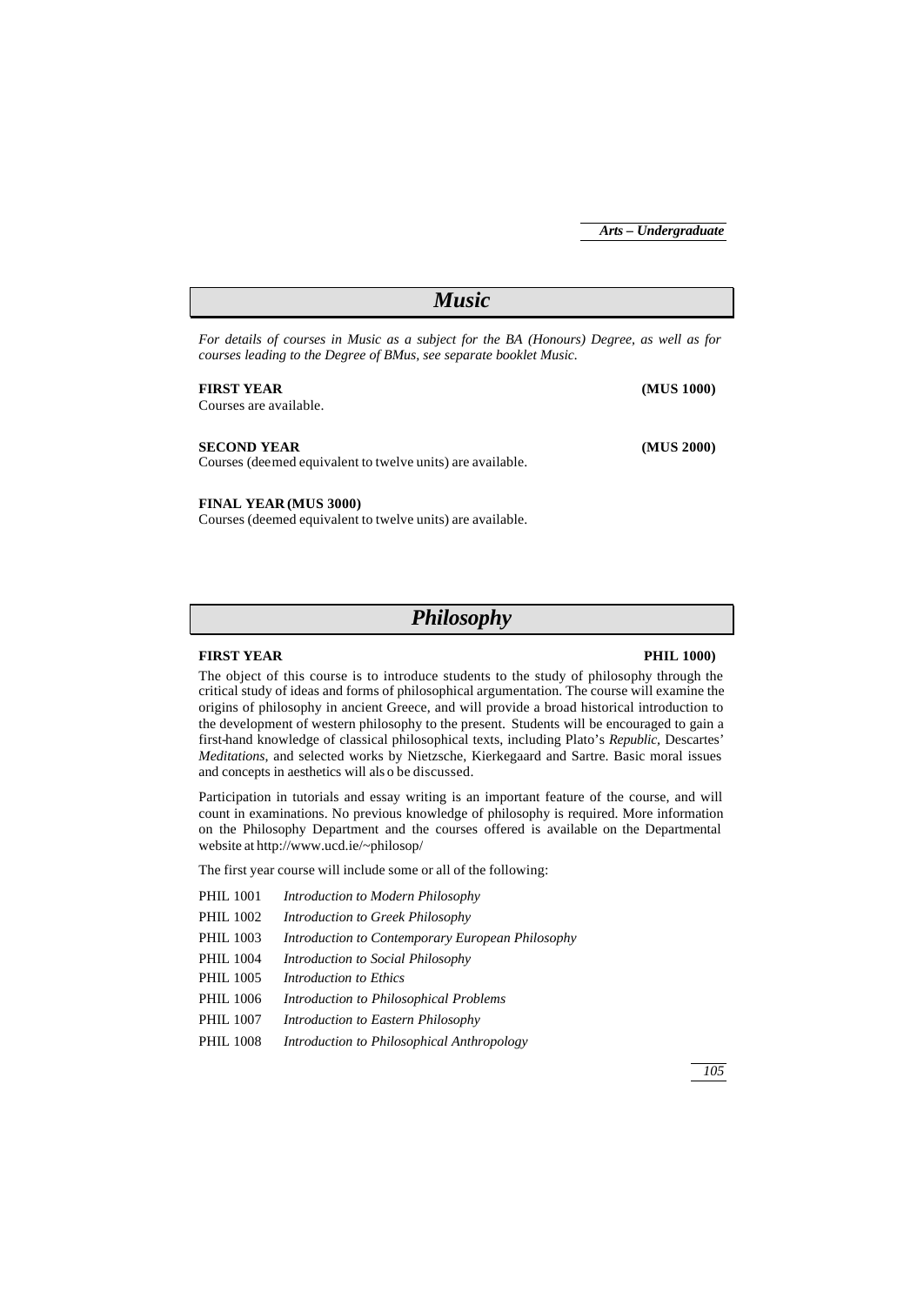| <b>Music</b>                                                                                                                                                   |            |  |
|----------------------------------------------------------------------------------------------------------------------------------------------------------------|------------|--|
| For details of courses in Music as a subject for the BA (Honours) Degree, as well as for<br>courses leading to the Degree of BMus, see separate booklet Music. |            |  |
| <b>FIRST YEAR</b><br>Courses are available.                                                                                                                    | (MUS 1000) |  |
| <b>SECOND YEAR</b><br>Courses (deemed equivalent to twelve units) are available.                                                                               | (MUS 2000) |  |
| <b>FINAL YEAR (MUS 3000)</b>                                                                                                                                   |            |  |

Courses (deemed equivalent to twelve units) are available.

*Philosophy*

### **FIRST YEAR PHIL 1000)**

The object of this course is to introduce students to the study of philosophy through the critical study of ideas and forms of philosophical argumentation. The course will examine the origins of philosophy in ancient Greece, and will provide a broad historical introduction to the development of western philosophy to the present. Students will be encouraged to gain a first-hand knowledge of classical philosophical texts, including Plato's *Republic,* Descartes' *Meditations*, and selected works by Nietzsche, Kierkegaard and Sartre. Basic moral issues and concepts in aesthetics will als o be discussed.

Participation in tutorials and essay writing is an important feature of the course, and will count in examinations. No previous knowledge of philosophy is required. More information on the Philosophy Department and the courses offered is available on the Departmental website at http://www.ucd.ie/~philosop/

The first year course will include some or all of the following:

- PHIL 1001 *Introduction to Modern Philosophy*
- PHIL 1002 *Introduction to Greek Philosophy*
- PHIL 1003 *Introduction to Contemporary European Philosophy*
- PHIL 1004 *Introduction to Social Philosophy*
- PHIL 1005 *Introduction to Ethics*
- PHIL 1006 *Introduction to Philosophical Problems*
- PHIL 1007 *Introduction to Eastern Philosophy*
- PHIL 1008 *Introduction to Philosophical Anthropology*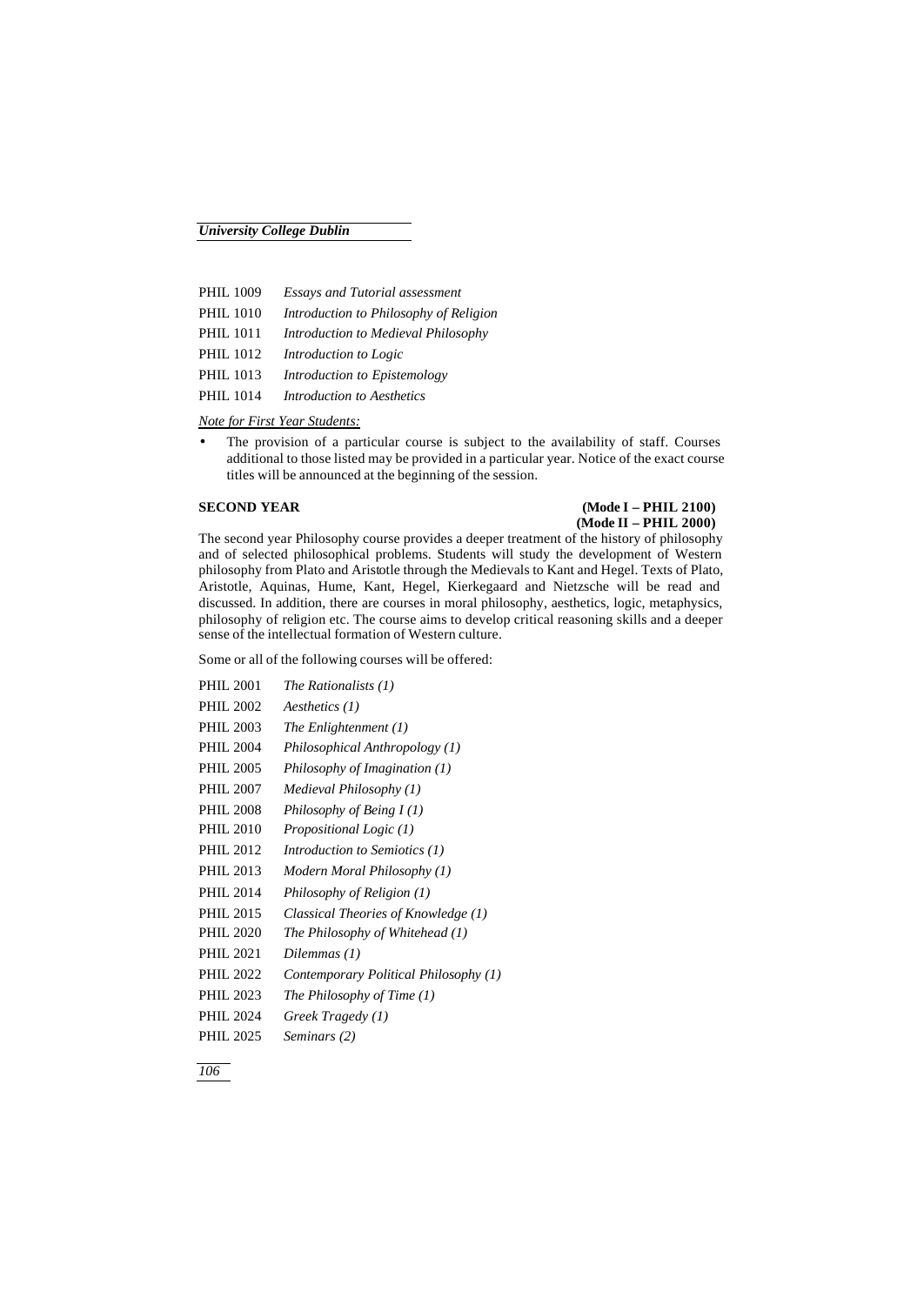| <b>PHIL 1009</b> | <b>Essays and Tutorial assessment</b>  |
|------------------|----------------------------------------|
| <b>PHIL 1010</b> | Introduction to Philosophy of Religion |
| <b>PHIL 1011</b> | Introduction to Medieval Philosophy    |
| PHIL 1012        | Introduction to Logic                  |
| <b>PHIL 1013</b> | Introduction to Epistemology           |
| <b>PHIL 1014</b> | <b>Introduction to Aesthetics</b>      |

*Note for First Year Students:*

• The provision of a particular course is subject to the availability of staff. Courses additional to those listed may be provided in a particular year. Notice of the exact course titles will be announced at the beginning of the session.

## **SECOND YEAR (Mode I – PHIL 2100) (Mode II – PHIL 2000)**

The second year Philosophy course provides a deeper treatment of the history of philosophy and of selected philosophical problems. Students will study the development of Western philosophy from Plato and Aristotle through the Medievals to Kant and Hegel. Texts of Plato, Aristotle, Aquinas, Hume, Kant, Hegel, Kierkegaard and Nietzsche will be read and discussed. In addition, there are courses in moral philosophy, aesthetics, logic, metaphysics, philosophy of religion etc. The course aims to develop critical reasoning skills and a deeper sense of the intellectual formation of Western culture.

Some or all of the following courses will be offered:

| <b>PHIL 2001</b> | The Rationalists (1)                  |
|------------------|---------------------------------------|
| <b>PHIL 2002</b> | $A$ <i>esthetics</i> $(1)$            |
| <b>PHIL 2003</b> | The Enlightenment $(1)$               |
| <b>PHIL 2004</b> | Philosophical Anthropology (1)        |
| <b>PHIL 2005</b> | Philosophy of Imagination $(1)$       |
| <b>PHIL 2007</b> | Medieval Philosophy (1)               |
| <b>PHIL 2008</b> | Philosophy of Being $I(1)$            |
| <b>PHIL 2010</b> | <i>Propositional Logic (1)</i>        |
| <b>PHIL 2012</b> | Introduction to Semiotics (1)         |
| <b>PHIL 2013</b> | Modern Moral Philosophy (1)           |
| <b>PHIL 2014</b> | Philosophy of Religion (1)            |
| <b>PHIL 2015</b> | Classical Theories of Knowledge (1)   |
| <b>PHIL 2020</b> | The Philosophy of Whitehead (1)       |
| <b>PHIL 2021</b> | Dilemmas (1)                          |
| <b>PHIL 2022</b> | Contemporary Political Philosophy (1) |
| <b>PHIL 2023</b> | The Philosophy of Time (1)            |
| <b>PHIL 2024</b> | Greek Tragedy (1)                     |
| <b>PHIL 2025</b> | Seminars (2)                          |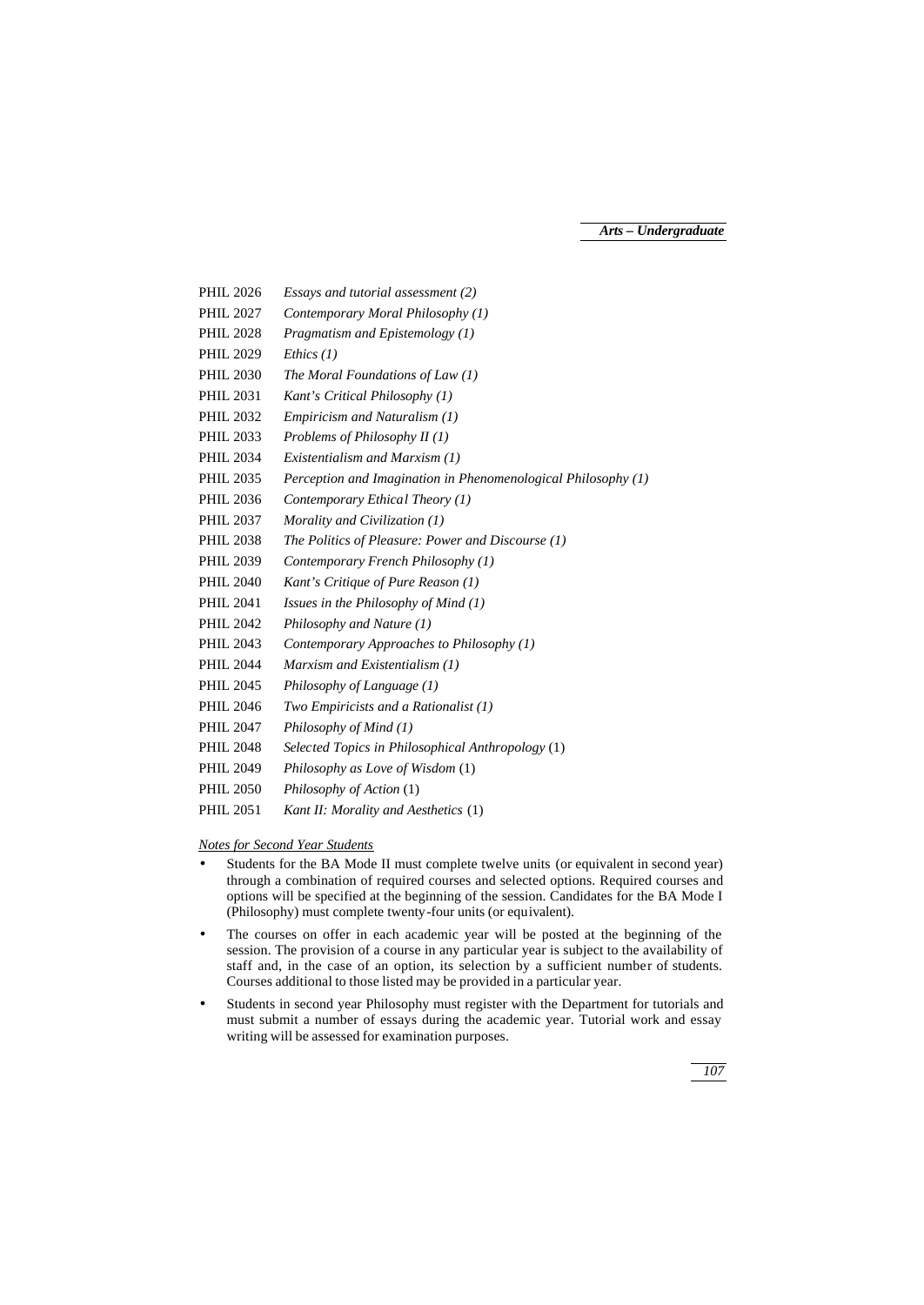- PHIL 2026 *Essays and tutorial assessment (2)*
- PHIL 2027 *Contemporary Moral Philosophy (1)*
- PHIL 2028 *Pragmatism and Epistemology (1)*
- PHIL 2029 *Ethics (1)*
- PHIL 2030 *The Moral Foundations of Law (1)*
- PHIL 2031 *Kant's Critical Philosophy (1)*
- PHIL 2032 *Empiricism and Naturalism (1)*
- PHIL 2033 *Problems of Philosophy II (1)*
- PHIL 2034 *Existentialism and Marxism (1)*
- PHIL 2035 *Perception and Imagination in Phenomenological Philosophy (1)*
- PHIL 2036 *Contemporary Ethical Theory (1)*
- PHIL 2037 *Morality and Civilization (1)*
- PHIL 2038 *The Politics of Pleasure: Power and Discourse (1)*
- PHIL 2039 *Contemporary French Philosophy (1)*
- PHIL 2040 *Kant's Critique of Pure Reason (1)*
- PHIL 2041 *Issues in the Philosophy of Mind (1)*
- PHIL 2042 *Philosophy and Nature (1)*
- PHIL 2043 *Contemporary Approaches to Philosophy (1)*
- PHIL 2044 *Marxism and Existentialism (1)*
- PHIL 2045 *Philosophy of Language (1)*
- PHIL 2046 *Two Empiricists and a Rationalist (1)*
- PHIL 2047 *Philosophy of Mind (1)*
- PHIL 2048 *Selected Topics in Philosophical Anthropology* (1)
- PHIL 2049 *Philosophy as Love of Wisdom* (1)
- PHIL 2050 *Philosophy of Action* (1)
- PHIL 2051 *Kant II: Morality and Aesthetics* (1)

*Notes for Second Year Students*

- Students for the BA Mode II must complete twelve units (or equivalent in second year) through a combination of required courses and selected options. Required courses and options will be specified at the beginning of the session. Candidates for the BA Mode I (Philosophy) must complete twenty-four units (or equivalent).
- The courses on offer in each academic year will be posted at the beginning of the session. The provision of a course in any particular year is subject to the availability of staff and, in the case of an option, its selection by a sufficient number of students. Courses additional to those listed may be provided in a particular year.
- Students in second year Philosophy must register with the Department for tutorials and must submit a number of essays during the academic year. Tutorial work and essay writing will be assessed for examination purposes.

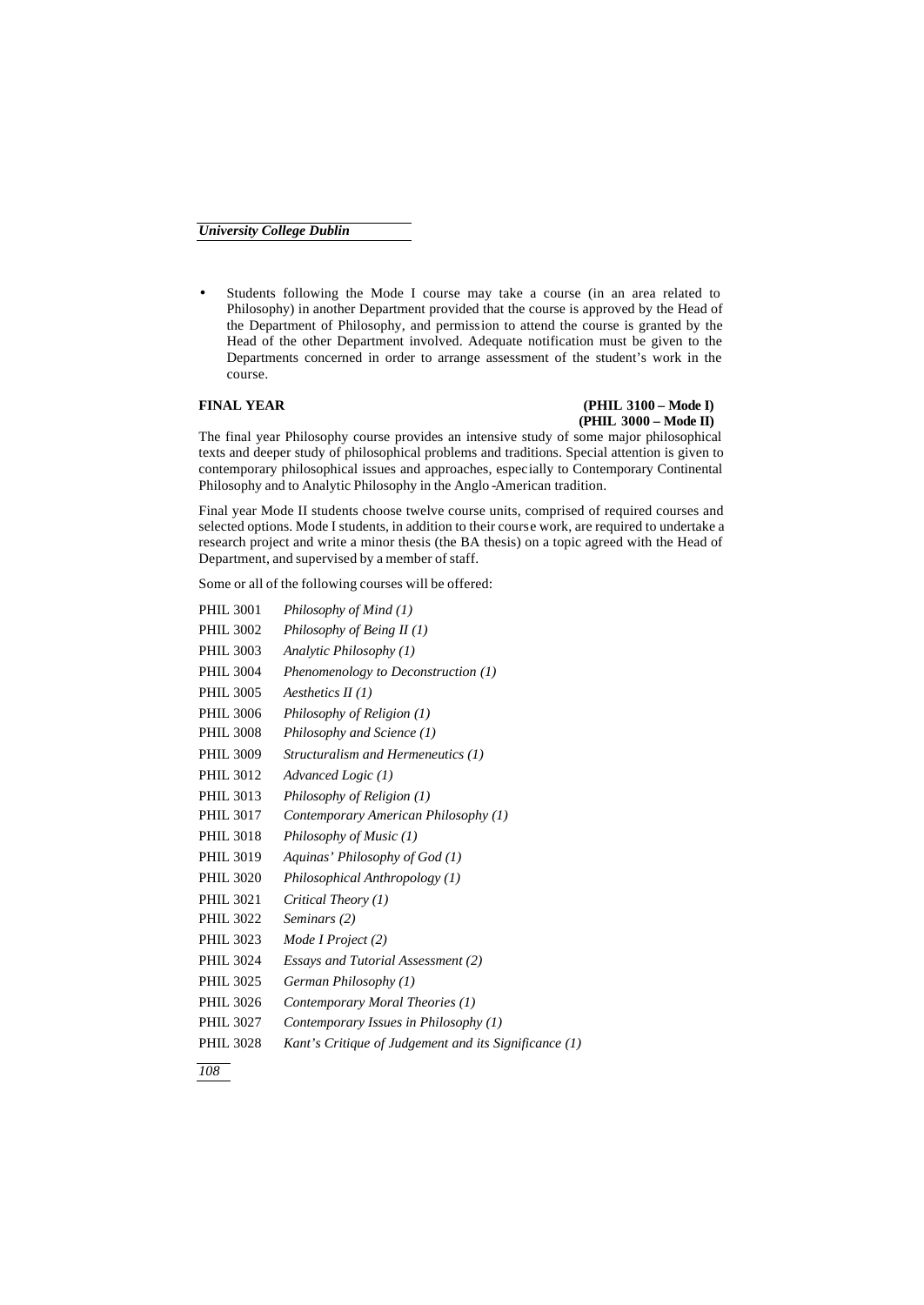• Students following the Mode I course may take a course (in an area related to Philosophy) in another Department provided that the course is approved by the Head of the Department of Philosophy, and permission to attend the course is granted by the Head of the other Department involved. Adequate notification must be given to the Departments concerned in order to arrange assessment of the student's work in the course.

# **FINAL YEAR (PHIL 3100 – Mode I) (PHIL 3000 – Mode II)**

The final year Philosophy course provides an intensive study of some major philosophical texts and deeper study of philosophical problems and traditions. Special attention is given to contemporary philosophical issues and approaches, especially to Contemporary Continental Philosophy and to Analytic Philosophy in the Anglo -American tradition.

Final year Mode II students choose twelve course units, comprised of required courses and selected options. Mode I students, in addition to their course work, are required to undertake a research project and write a minor thesis (the BA thesis) on a topic agreed with the Head of Department, and supervised by a member of staff.

Some or all of the following courses will be offered:

| <b>PHIL 3001</b> | Philosophy of Mind (1)                                |
|------------------|-------------------------------------------------------|
| <b>PHIL 3002</b> | Philosophy of Being $II(1)$                           |
| <b>PHIL 3003</b> | Analytic Philosophy (1)                               |
| <b>PHIL 3004</b> | Phenomenology to Deconstruction $(1)$                 |
| <b>PHIL 3005</b> | Aesthetics $II(1)$                                    |
| <b>PHIL 3006</b> | Philosophy of Religion (1)                            |
| <b>PHIL 3008</b> | Philosophy and Science (1)                            |
| <b>PHIL 3009</b> | Structuralism and Hermeneutics (1)                    |
| <b>PHIL 3012</b> | Advanced Logic (1)                                    |
| <b>PHIL 3013</b> | Philosophy of Religion (1)                            |
| <b>PHIL 3017</b> | Contemporary American Philosophy (1)                  |
| <b>PHIL 3018</b> | Philosophy of Music (1)                               |
| <b>PHIL 3019</b> | Aquinas' Philosophy of God (1)                        |
| <b>PHIL 3020</b> | Philosophical Anthropology (1)                        |
| <b>PHIL 3021</b> | Critical Theory (1)                                   |
| <b>PHIL 3022</b> | Seminars (2)                                          |
| PHIL 3023        | Mode I Project (2)                                    |
| <b>PHIL 3024</b> | Essays and Tutorial Assessment (2)                    |
| <b>PHIL 3025</b> | German Philosophy (1)                                 |
| <b>PHIL 3026</b> | Contemporary Moral Theories (1)                       |
| <b>PHIL 3027</b> | Contemporary Issues in Philosophy (1)                 |
| <b>PHIL 3028</b> | Kant's Critique of Judgement and its Significance (1) |

*108*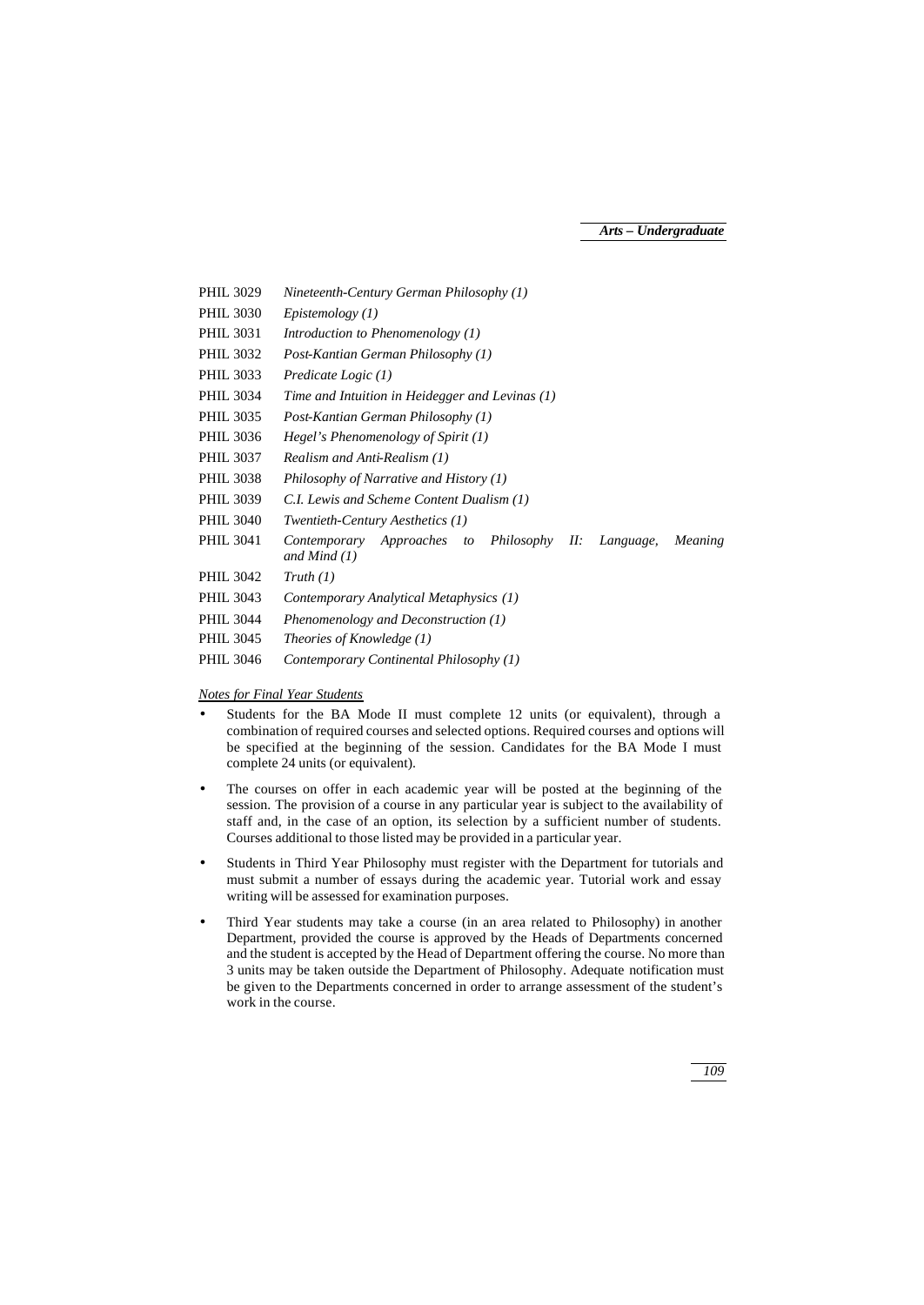PHIL 3029 *Nineteenth-Century German Philosophy (1)* PHIL 3030 *Epistemology (1)* PHIL 3031 *Introduction to Phenomenology (1)* PHIL 3032 *Post-Kantian German Philosophy (1)* PHIL 3033 *Predicate Logic (1)* PHIL 3034 *Time and Intuition in Heidegger and Levinas (1)* PHIL 3035 *Post-Kantian German Philosophy (1)* PHIL 3036 *Hegel's Phenomenology of Spirit (1)* PHIL 3037 *Realism and Anti-Realism (1)* PHIL 3038 *Philosophy of Narrative and History (1)* PHIL 3039 *C.I. Lewis and Scheme Content Dualism (1)* PHIL 3040 *Twentieth-Century Aesthetics (1)* PHIL 3041 *Contemporary Approaches to Philosophy II: Language, Meaning and Mind (1)* PHIL 3042 *Truth (1)* PHIL 3043 *Contemporary Analytical Metaphysics (1)* PHIL 3044 *Phenomenology and Deconstruction (1)* PHIL 3045 *Theories of Knowledge (1)* PHIL 3046 *Contemporary Continental Philosophy (1)*

## *Notes for Final Year Students*

- Students for the BA Mode II must complete 12 units (or equivalent), through a combination of required courses and selected options. Required courses and options will be specified at the beginning of the session. Candidates for the BA Mode I must complete 24 units (or equivalent).
- The courses on offer in each academic year will be posted at the beginning of the session. The provision of a course in any particular year is subject to the availability of staff and, in the case of an option, its selection by a sufficient number of students. Courses additional to those listed may be provided in a particular year.
- Students in Third Year Philosophy must register with the Department for tutorials and must submit a number of essays during the academic year. Tutorial work and essay writing will be assessed for examination purposes.
- Third Year students may take a course (in an area related to Philosophy) in another Department, provided the course is approved by the Heads of Departments concerned and the student is accepted by the Head of Department offering the course. No more than 3 units may be taken outside the Department of Philosophy. Adequate notification must be given to the Departments concerned in order to arrange assessment of the student's work in the course.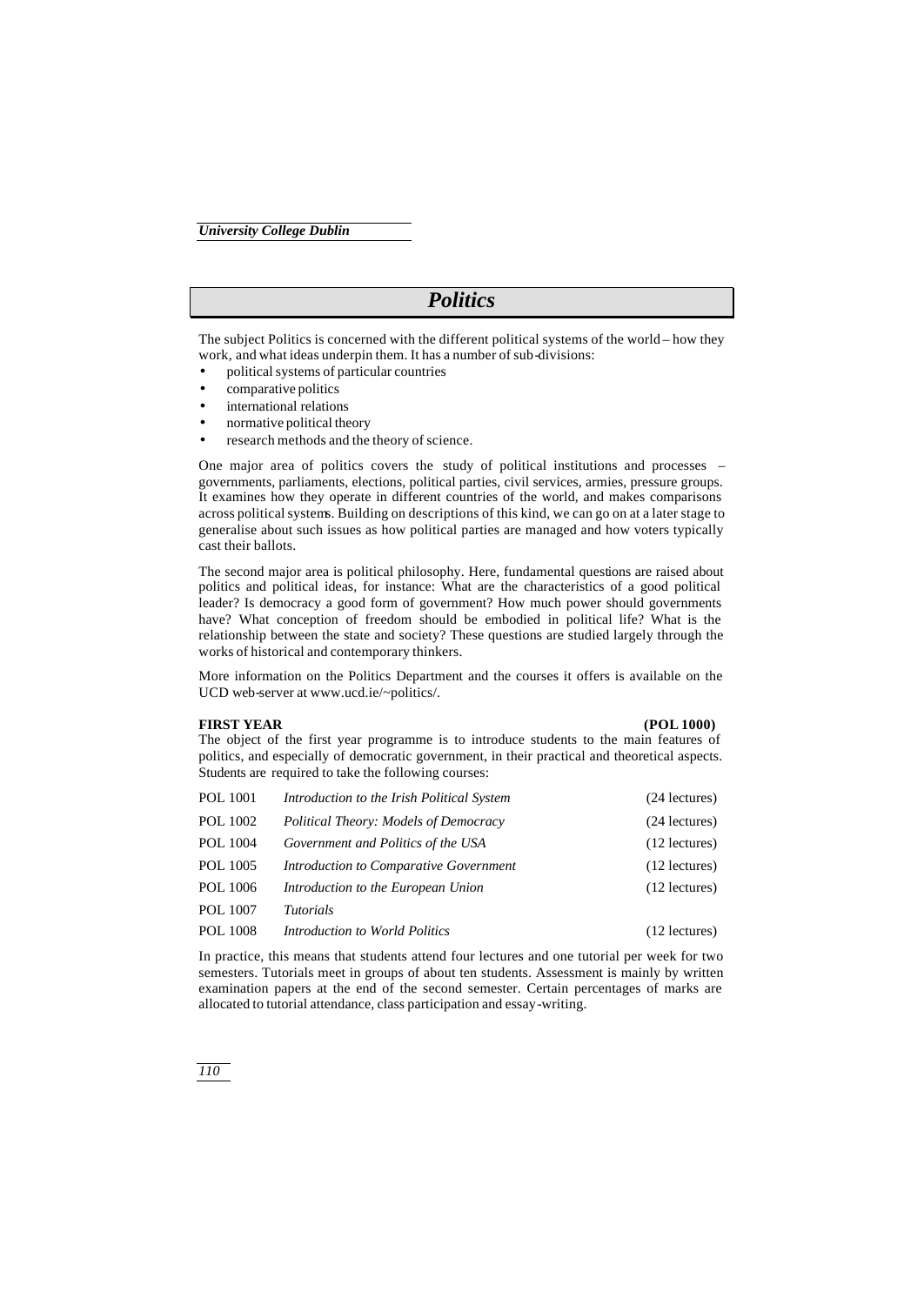# *Politics*

The subject Politics is concerned with the different political systems of the world – how they work, and what ideas underpin them. It has a number of sub-divisions:

- political systems of particular countries
- comparative politics
- international relations
- normative political theory
- research methods and the theory of science.

One major area of politics covers the study of political institutions and processes – governments, parliaments, elections, political parties, civil services, armies, pressure groups. It examines how they operate in different countries of the world, and makes comparisons across political systems. Building on descriptions of this kind, we can go on at a later stage to generalise about such issues as how political parties are managed and how voters typically cast their ballots.

The second major area is political philosophy. Here, fundamental questions are raised about politics and political ideas, for instance: What are the characteristics of a good political leader? Is democracy a good form of government? How much power should governments have? What conception of freedom should be embodied in political life? What is the relationship between the state and society? These questions are studied largely through the works of historical and contemporary thinkers.

More information on the Politics Department and the courses it offers is available on the UCD web-server at www.ucd.ie/~politics/.

#### **FIRST YEAR (POL 1000)**

The object of the first year programme is to introduce students to the main features of politics, and especially of democratic government, in their practical and theoretical aspects. Students are required to take the following courses:

| POL 1001        | Introduction to the Irish Political System   | (24 lectures)   |
|-----------------|----------------------------------------------|-----------------|
| POL 1002        | <b>Political Theory: Models of Democracy</b> | $(24$ lectures) |
| <b>POL 1004</b> | Government and Politics of the USA           | $(12$ lectures) |
| POL 1005        | Introduction to Comparative Government       | $(12$ lectures) |
| POL 1006        | Introduction to the European Union           | $(12$ lectures) |
| <b>POL 1007</b> | <i>Tutorials</i>                             |                 |
| <b>POL 1008</b> | Introduction to World Politics               | $(12$ lectures) |

In practice, this means that students attend four lectures and one tutorial per week for two semesters. Tutorials meet in groups of about ten students. Assessment is mainly by written examination papers at the end of the second semester. Certain percentages of marks are allocated to tutorial attendance, class participation and essay-writing.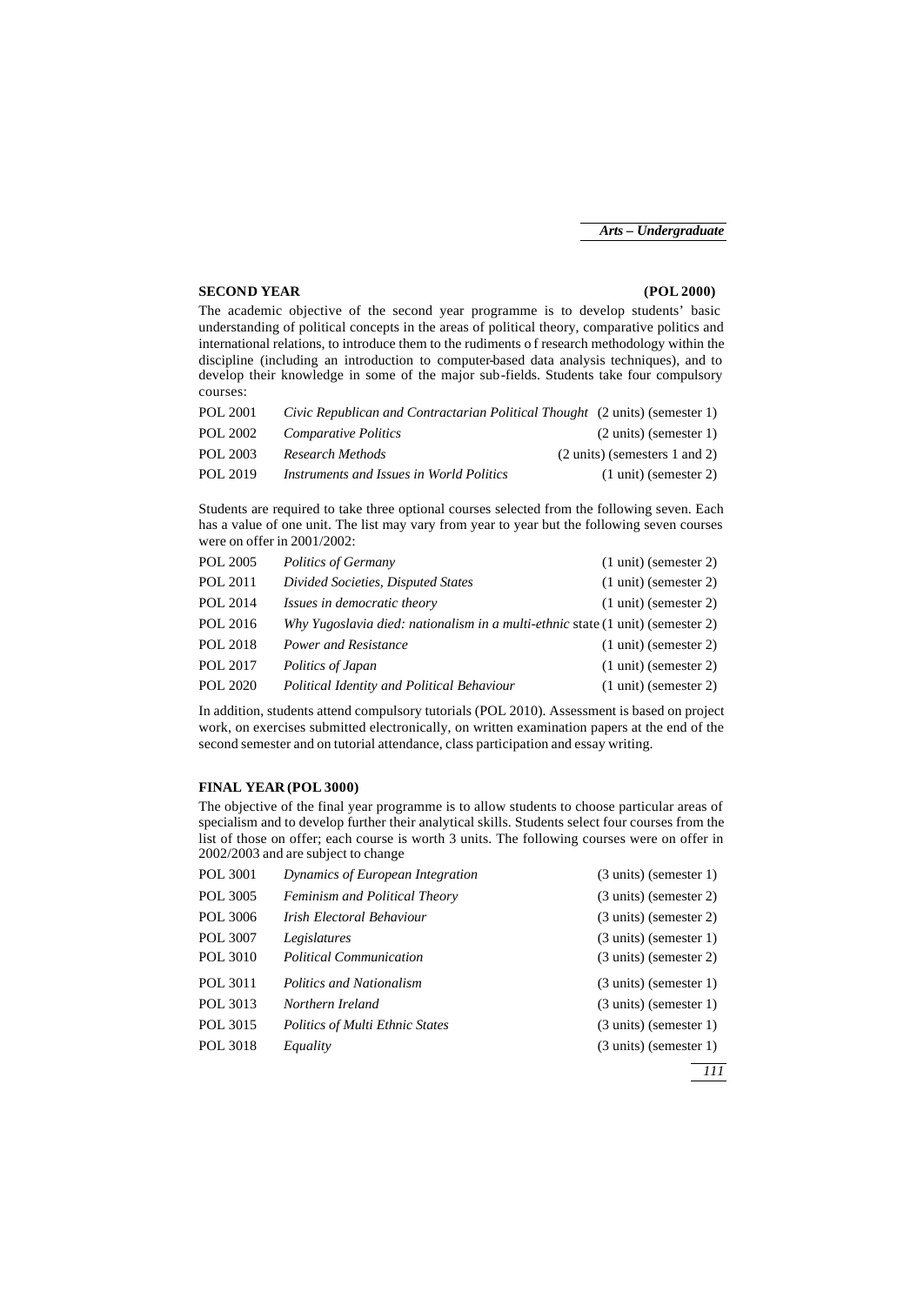#### **SECOND YEAR (POL 2000)**

The academic objective of the second year programme is to develop students' basic understanding of political concepts in the areas of political theory, comparative politics and international relations, to introduce them to the rudiments o f research methodology within the discipline (including an introduction to computer-based data analysis techniques), and to develop their knowledge in some of the major sub-fields. Students take four compulsory courses:

| POL 2001 | Civic Republican and Contractarian Political Thought (2 units) (semester 1) |                                         |
|----------|-----------------------------------------------------------------------------|-----------------------------------------|
| POL 2002 | <b>Comparative Politics</b>                                                 | $(2 \text{ units})$ (semester 1)        |
| POL 2003 | Research Methods                                                            | $(2 \text{ units})$ (semesters 1 and 2) |
| POL 2019 | Instruments and Issues in World Politics                                    | $(1 \text{ unit})$ (semester 2)         |

Students are required to take three optional courses selected from the following seven. Each has a value of one unit. The list may vary from year to year but the following seven courses were on offer in 2001/2002:

| <b>POL 2005</b> | <b>Politics of Germany</b>                                                     |  | $(1 \text{ unit})$ (semester 2) |
|-----------------|--------------------------------------------------------------------------------|--|---------------------------------|
| POL 2011        | Divided Societies, Disputed States                                             |  | $(1 \text{ unit})$ (semester 2) |
| POL 2014        | Issues in democratic theory                                                    |  | $(1 \text{ unit})$ (semester 2) |
| POL 2016        | Why Yugoslavia died: nationalism in a multi-ethnic state (1 unit) (semester 2) |  |                                 |
| POL 2018        | Power and Resistance                                                           |  | $(1 \text{ unit})$ (semester 2) |
| POL 2017        | Politics of Japan                                                              |  | $(1 \text{ unit})$ (semester 2) |
| <b>POL 2020</b> | Political Identity and Political Behaviour                                     |  | $(1 \text{ unit})$ (semester 2) |

In addition, students attend compulsory tutorials (POL 2010). Assessment is based on project work, on exercises submitted electronically, on written examination papers at the end of the second semester and on tutorial attendance, class participation and essay writing.

#### **FINAL YEAR (POL 3000)**

The objective of the final year programme is to allow students to choose particular areas of specialism and to develop further their analytical skills. Students select four courses from the list of those on offer; each course is worth 3 units. The following courses were on offer in 2002/2003 and are subject to change

| POL 3001 | Dynamics of European Integration       | $(3 \text{ units})$ (semester 1) |
|----------|----------------------------------------|----------------------------------|
| POL 3005 | <b>Feminism and Political Theory</b>   | $(3 \text{ units})$ (semester 2) |
| POL 3006 | Irish Electoral Behaviour              | $(3 \text{ units})$ (semester 2) |
| POL 3007 | Legislatures                           | $(3 \text{ units})$ (semester 1) |
| POL 3010 | <b>Political Communication</b>         | $(3 \text{ units})$ (semester 2) |
| POL 3011 | <b>Politics and Nationalism</b>        | $(3 \text{ units})$ (semester 1) |
| POL 3013 | Northern Ireland                       | $(3 \text{ units})$ (semester 1) |
| POL 3015 | <b>Politics of Multi Ethnic States</b> | $(3 \text{ units})$ (semester 1) |
| POL 3018 | Equality                               | $(3 \text{ units})$ (semester 1) |
|          |                                        | 222                              |

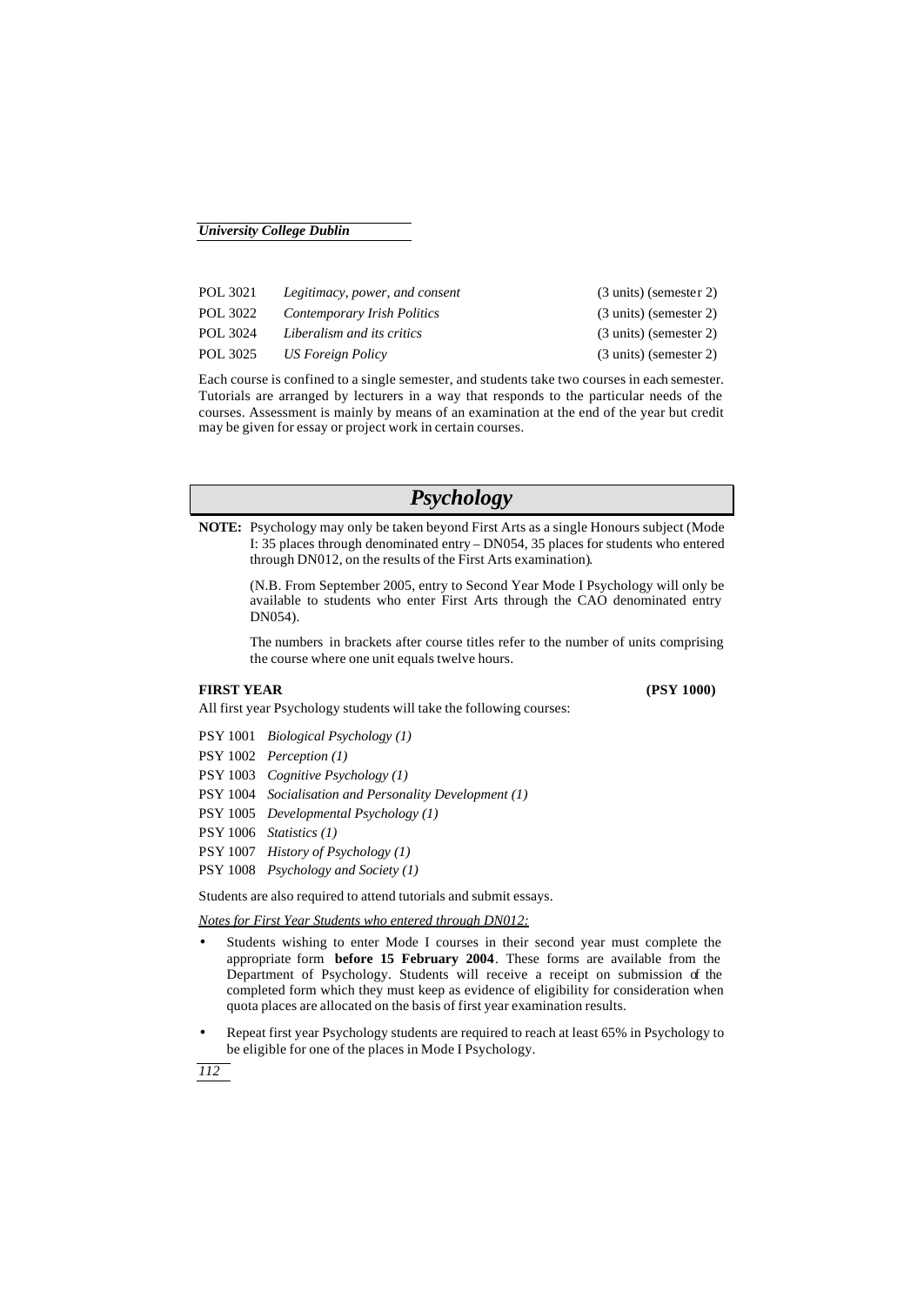| POL 3021 | Legitimacy, power, and consent | $(3 \text{ units})$ (semester 2) |
|----------|--------------------------------|----------------------------------|
| POL 3022 | Contemporary Irish Politics    | $(3 \text{ units})$ (semester 2) |
| POL 3024 | Liberalism and its critics     | $(3 \text{ units})$ (semester 2) |
| POL 3025 | US Foreign Policy              | $(3 \text{ units})$ (semester 2) |

Each course is confined to a single semester, and students take two courses in each semester. Tutorials are arranged by lecturers in a way that responds to the particular needs of the courses. Assessment is mainly by means of an examination at the end of the year but credit may be given for essay or project work in certain courses.

# *Psychology*

**NOTE:** Psychology may only be taken beyond First Arts as a single Honours subject (Mode I: 35 places through denominated entry – DN054, 35 places for students who entered through DN012, on the results of the First Arts examination).

(N.B. From September 2005, entry to Second Year Mode I Psychology will only be available to students who enter First Arts through the CAO denominated entry DN054).

The numbers in brackets after course titles refer to the number of units comprising the course where one unit equals twelve hours.

## **FIRST YEAR (PSY 1000)**

- PSY 1001 *Biological Psychology (1)*
- PSY 1002 *Perception (1)*
- PSY 1003 *Cognitive Psychology (1)*
- PSY 1004 *Socialisation and Personality Development (1)*

All first year Psychology students will take the following courses:

- PSY 1005 *Developmental Psychology (1)*
- PSY 1006 *Statistics (1)*
- PSY 1007 *History of Psychology (1)*
- PSY 1008 *Psychology and Society (1)*

Students are also required to attend tutorials and submit essays.

*Notes for First Year Students who entered through DN012:*

- Students wishing to enter Mode I courses in their second year must complete the appropriate form **before 15 February 2004**. These forms are available from the Department of Psychology. Students will receive a receipt on submission of the completed form which they must keep as evidence of eligibility for consideration when quota places are allocated on the basis of first year examination results.
- Repeat first year Psychology students are required to reach at least 65% in Psychology to be eligible for one of the places in Mode I Psychology.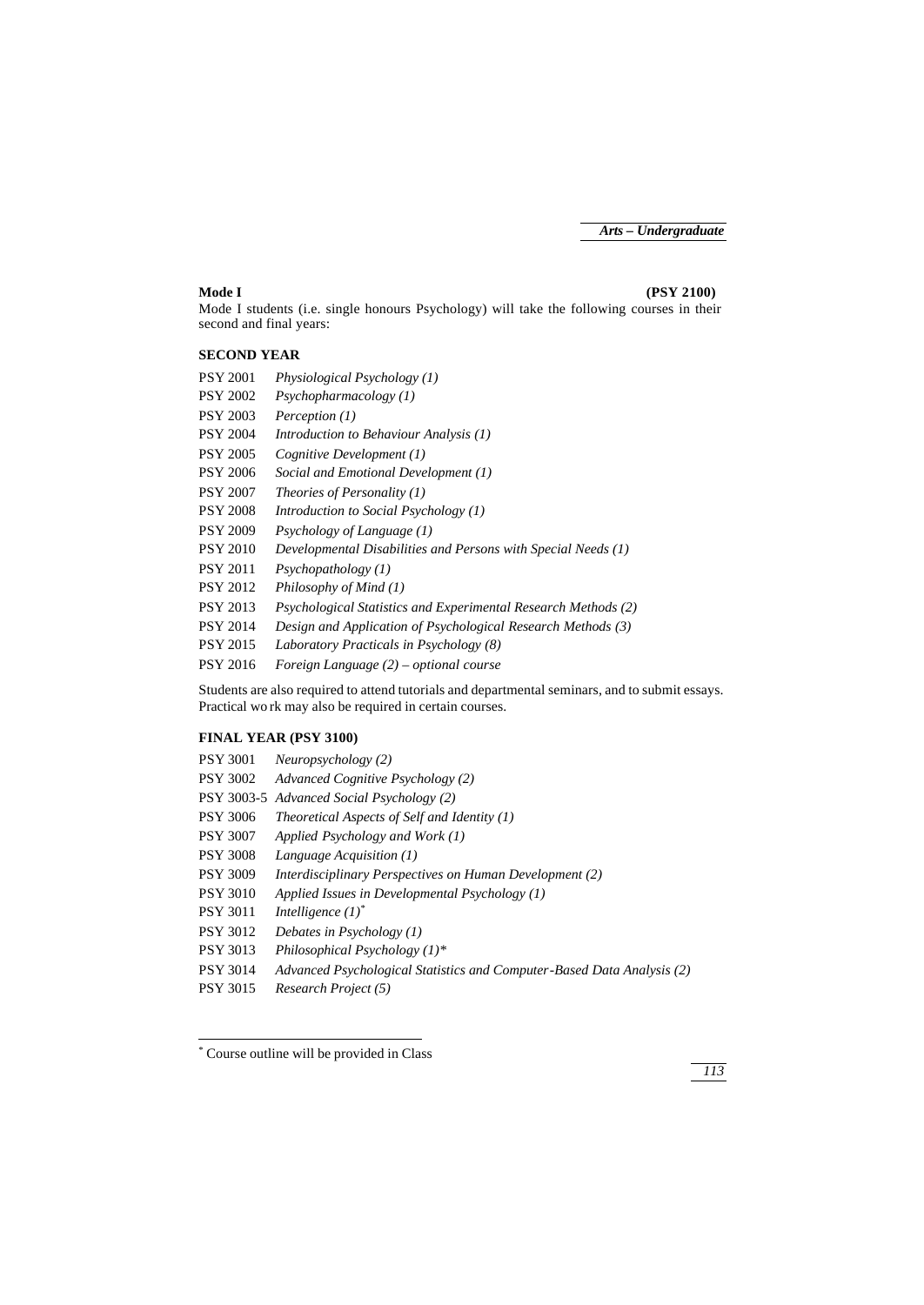#### **Mode I (PSY 2100)**

Mode I students (i.e. single honours Psychology) will take the following courses in their second and final years:

## **SECOND YEAR**

| <b>PSY 2001</b> | Physiological Psychology $(1)$                                 |
|-----------------|----------------------------------------------------------------|
| <b>PSY 2002</b> | Psychopharmacology (1)                                         |
| <b>PSY 2003</b> | Perception (1)                                                 |
| <b>PSY 2004</b> | Introduction to Behaviour Analysis (1)                         |
| <b>PSY 2005</b> | Cognitive Development (1)                                      |
| <b>PSY 2006</b> | Social and Emotional Development (1)                           |
| <b>PSY 2007</b> | <i>Theories of Personality (1)</i>                             |
| <b>PSY 2008</b> | Introduction to Social Psychology $(1)$                        |
| <b>PSY 2009</b> | Psychology of Language $(1)$                                   |
| <b>PSY 2010</b> | Developmental Disabilities and Persons with Special Needs (1)  |
| <b>PSY 2011</b> | $P$ sychopathology $(1)$                                       |
| <b>PSY 2012</b> | Philosophy of Mind (1)                                         |
| <b>PSY 2013</b> | Psychological Statistics and Experimental Research Methods (2) |
| <b>PSY 2014</b> | Design and Application of Psychological Research Methods (3)   |
| <b>PSY 2015</b> | Laboratory Practicals in Psychology (8)                        |
| <b>PSY 2016</b> | Foreign Language $(2)$ – optional course                       |
|                 |                                                                |

Students are also required to attend tutorials and departmental seminars, and to submit essays. Practical wo rk may also be required in certain courses.

## **FINAL YEAR (PSY 3100)**

| PSY 3001   | Neuropsychology (2)                                                    |
|------------|------------------------------------------------------------------------|
| PSY 3002   | Advanced Cognitive Psychology (2)                                      |
| PSY 3003-5 | Advanced Social Psychology (2)                                         |
| PSY 3006   | Theoretical Aspects of Self and Identity $(1)$                         |
| PSY 3007   | Applied Psychology and Work (1)                                        |
| PSY 3008   | Language Acquisition (1)                                               |
| PSY 3009   | Interdisciplinary Perspectives on Human Development (2)                |
| PSY 3010   | Applied Issues in Developmental Psychology $(1)$                       |
| PSY 3011   | Intelligence $(I)^*$                                                   |
| PSY 3012   | Debates in Psychology $(1)$                                            |
| PSY 3013   | Philosophical Psychology $(1)^*$                                       |
| PSY 3014   | Advanced Psychological Statistics and Computer-Based Data Analysis (2) |
| PSY 3015   | Research Project (5)                                                   |
|            |                                                                        |

# \* Course outline will be provided in Class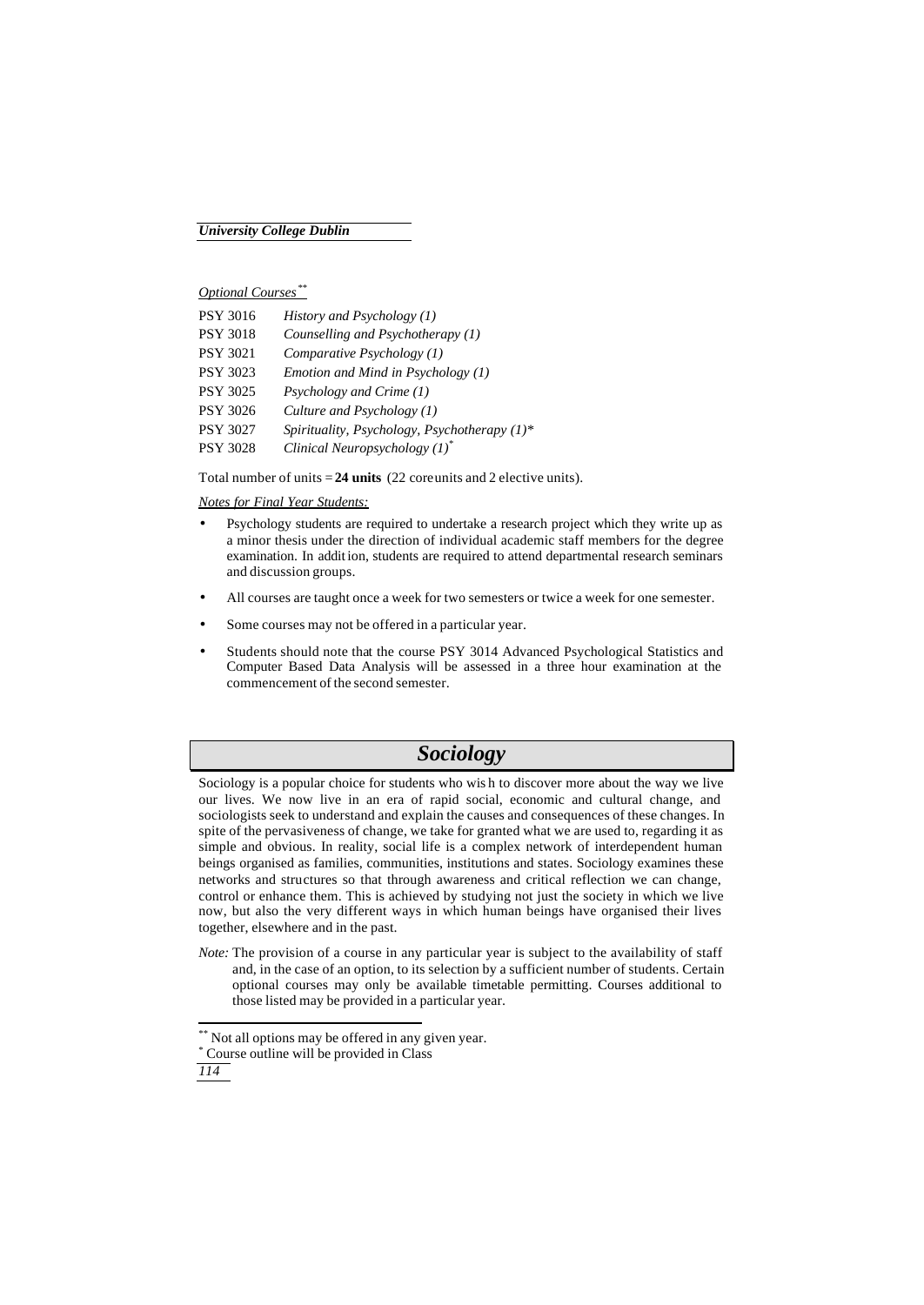*Optional Courses\*\**

| PSY 3016        | History and Psychology $(1)$                    |
|-----------------|-------------------------------------------------|
| PSY 3018        | Counselling and Psychotherapy (1)               |
| PSY 3021        | Comparative Psychology (1)                      |
| PSY 3023        | Emotion and Mind in Psychology $(1)$            |
| PSY 3025        | Psychology and Crime (1)                        |
| PSY 3026        | Culture and Psychology $(1)$                    |
| <b>PSY 3027</b> | Spirituality, Psychology, Psychotherapy $(1)^*$ |
| PSY 3028        | Clinical Neuropsychology $(1)^*$                |

Total number of units = 24 units (22 coreunits and 2 elective units).

*Notes for Final Year Students:*

- Psychology students are required to undertake a research project which they write up as a minor thesis under the direction of individual academic staff members for the degree examination. In addit ion, students are required to attend departmental research seminars and discussion groups.
- All courses are taught once a week for two semesters or twice a week for one semester.
- Some courses may not be offered in a particular year.
- Students should note that the course PSY 3014 Advanced Psychological Statistics and Computer Based Data Analysis will be assessed in a three hour examination at the commencement of the second semester.

# *Sociology*

Sociology is a popular choice for students who wis h to discover more about the way we live our lives. We now live in an era of rapid social, economic and cultural change, and sociologists seek to understand and explain the causes and consequences of these changes. In spite of the pervasiveness of change, we take for granted what we are used to, regarding it as simple and obvious. In reality, social life is a complex network of interdependent human beings organised as families, communities, institutions and states. Sociology examines these networks and structures so that through awareness and critical reflection we can change, control or enhance them. This is achieved by studying not just the society in which we live now, but also the very different ways in which human beings have organised their lives together, elsewhere and in the past.

*Note:* The provision of a course in any particular year is subject to the availability of staff and, in the case of an option, to its selection by a sufficient number of students. Certain optional courses may only be available timetable permitting. Courses additional to those listed may be provided in a particular year.

j

Not all options may be offered in any given year.

<sup>\*</sup> Course outline will be provided in Class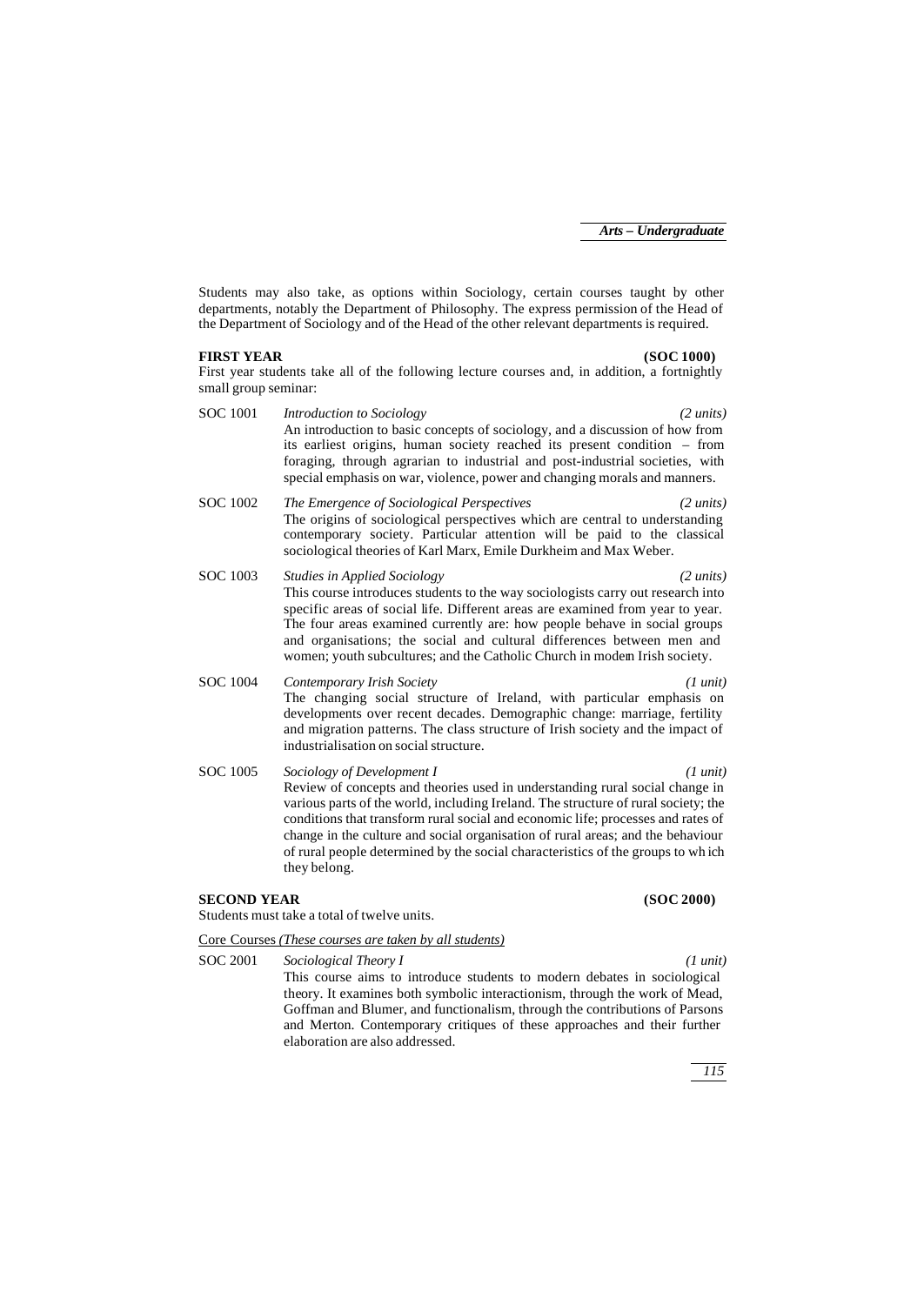Students may also take, as options within Sociology, certain courses taught by other departments, notably the Department of Philosophy. The express permission of the Head of the Department of Sociology and of the Head of the other relevant departments is required.

### **FIRST YEAR (SOC 1000)**

First year students take all of the following lecture courses and, in addition, a fortnightly small group seminar:

SOC 1001 *Introduction to Sociology (2 units)* An introduction to basic concepts of sociology, and a discussion of how from its earliest origins, human society reached its present condition – from foraging, through agrarian to industrial and post-industrial societies, with special emphasis on war, violence, power and changing morals and manners. SOC 1002 *The Emergence of Sociological Perspectives (2 units)* The origins of sociological perspectives which are central to understanding contemporary society. Particular attention will be paid to the classical sociological theories of Karl Marx, Emile Durkheim and Max Weber. SOC 1003 *Studies in Applied Sociology (2 units)* This course introduces students to the way sociologists carry out research into specific areas of social life. Different areas are examined from year to year. The four areas examined currently are: how people behave in social groups and organisations; the social and cultural differences between men and women; youth subcultures; and the Catholic Church in modem Irish society. SOC 1004 *Contemporary Irish Society (1 unit)* The changing social structure of Ireland, with particular emphasis on developments over recent decades. Demographic change: marriage, fertility and migration patterns. The class structure of Irish society and the impact of industrialisation on social structure. SOC 1005 *Sociology of Development I (1 unit)* Review of concepts and theories used in understanding rural social change in various parts of the world, including Ireland. The structure of rural society; the conditions that transform rural social and economic life; processes and rates of change in the culture and social organisation of rural areas; and the behaviour of rural people determined by the social characteristics of the groups to wh ich they belong.

#### **SECOND YEAR (SOC 2000)**

Students must take a total of twelve units.

Core Courses *(These courses are taken by all students)*

SOC 2001 *Sociological Theory I (1 unit)*

This course aims to introduce students to modern debates in sociological theory. It examines both symbolic interactionism, through the work of Mead, Goffman and Blumer, and functionalism, through the contributions of Parsons and Merton. Contemporary critiques of these approaches and their further elaboration are also addressed.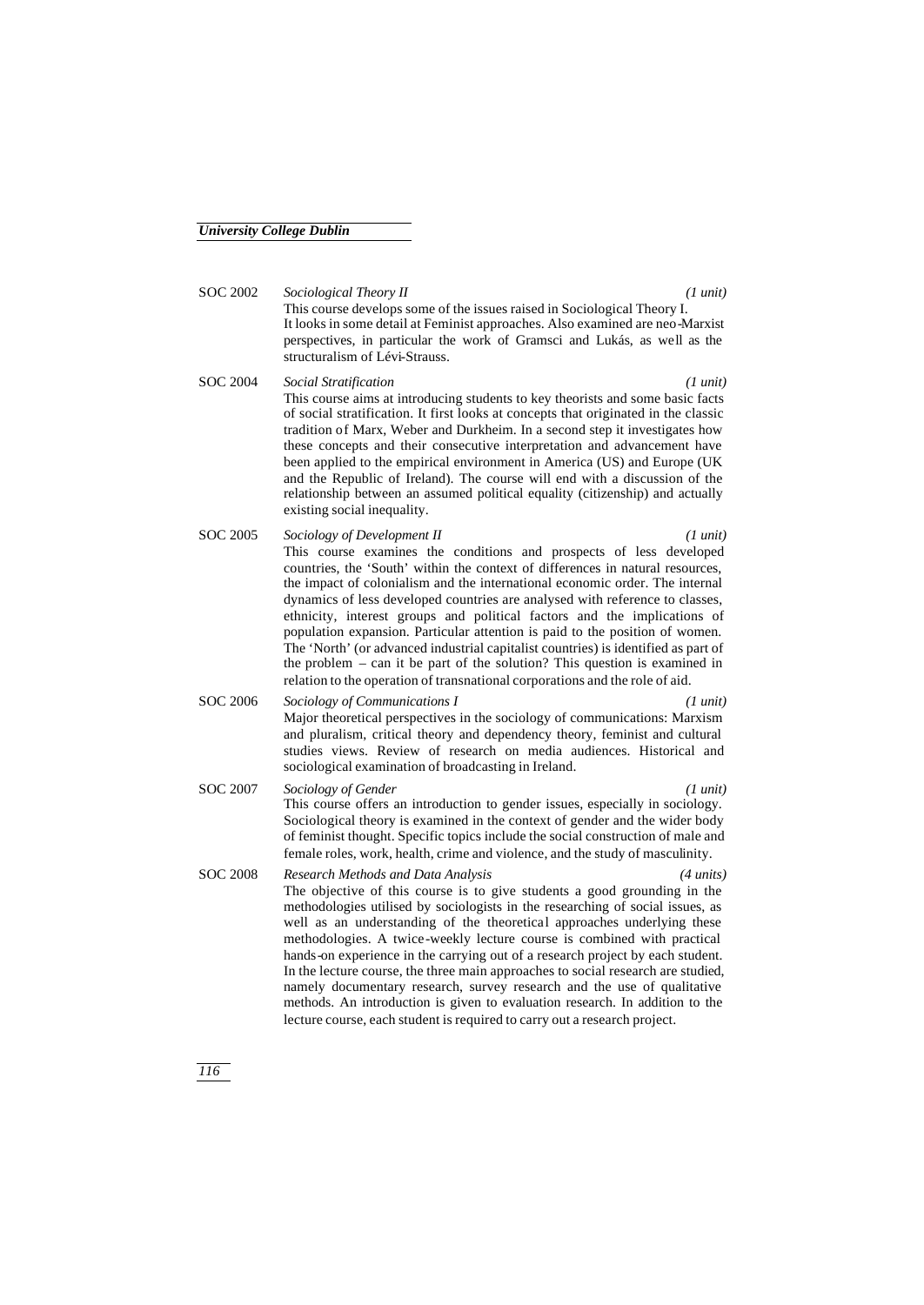SOC 2002 *Sociological Theory II (1 unit)* This course develops some of the issues raised in Sociological Theory I. It looks in some detail at Feminist approaches. Also examined are neo-Marxist perspectives, in particular the work of Gramsci and Lukás, as well as the structuralism of Lévi-Strauss.

- SOC 2004 *Social Stratification (1 unit)* This course aims at introducing students to key theorists and some basic facts of social stratification. It first looks at concepts that originated in the classic tradition of Marx, Weber and Durkheim. In a second step it investigates how these concepts and their consecutive interpretation and advancement have been applied to the empirical environment in America (US) and Europe (UK and the Republic of Ireland). The course will end with a discussion of the relationship between an assumed political equality (citizenship) and actually existing social inequality.
- SOC 2005 *Sociology of Development II (1 unit)* This course examines the conditions and prospects of less developed countries, the 'South' within the context of differences in natural resources, the impact of colonialism and the international economic order. The internal dynamics of less developed countries are analysed with reference to classes, ethnicity, interest groups and political factors and the implications of population expansion. Particular attention is paid to the position of women. The 'North' (or advanced industrial capitalist countries) is identified as part of the problem – can it be part of the solution? This question is examined in relation to the operation of transnational corporations and the role of aid.
- SOC 2006 *Sociology of Communications I (1 unit)* Major theoretical perspectives in the sociology of communications: Marxism and pluralism, critical theory and dependency theory, feminist and cultural studies views. Review of research on media audiences. Historical and sociological examination of broadcasting in Ireland.
- SOC 2007 *Sociology of Gender (1 unit)* This course offers an introduction to gender issues, especially in sociology. Sociological theory is examined in the context of gender and the wider body of feminist thought. Specific topics include the social construction of male and female roles, work, health, crime and violence, and the study of masculinity.
- SOC 2008 *Research Methods and Data Analysis (4 units)* The objective of this course is to give students a good grounding in the methodologies utilised by sociologists in the researching of social issues, as well as an understanding of the theoretical approaches underlying these methodologies. A twice-weekly lecture course is combined with practical hands-on experience in the carrying out of a research project by each student. In the lecture course, the three main approaches to social research are studied, namely documentary research, survey research and the use of qualitative methods. An introduction is given to evaluation research. In addition to the lecture course, each student is required to carry out a research project.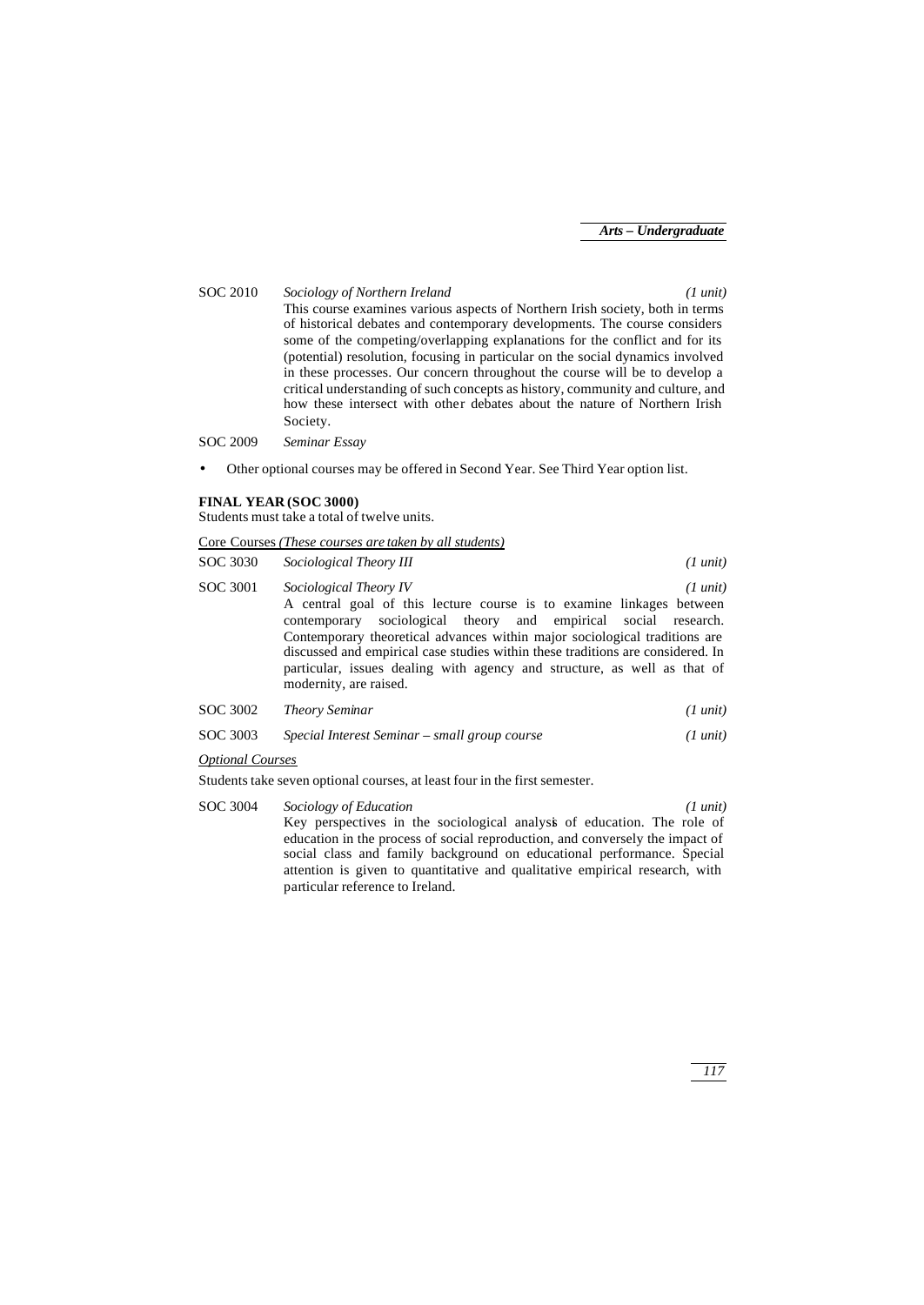SOC 2010 *Sociology of Northern Ireland (1 unit)* This course examines various aspects of Northern Irish society, both in terms of historical debates and contemporary developments. The course considers some of the competing/overlapping explanations for the conflict and for its (potential) resolution, focusing in particular on the social dynamics involved in these processes. Our concern throughout the course will be to develop a critical understanding of such concepts as history, community and culture, and how these intersect with other debates about the nature of Northern Irish Society.

SOC 2009 *Seminar Essay*

• Other optional courses may be offered in Second Year. See Third Year option list.

#### **FINAL YEAR (SOC 3000)**

Students must take a total of twelve units.

|          | Core Courses (These courses are taken by all students)                                                                                                                                                                                                                                                                                                                                                                                   |                    |
|----------|------------------------------------------------------------------------------------------------------------------------------------------------------------------------------------------------------------------------------------------------------------------------------------------------------------------------------------------------------------------------------------------------------------------------------------------|--------------------|
| SOC 3030 | Sociological Theory III                                                                                                                                                                                                                                                                                                                                                                                                                  | $(1 \text{ unit})$ |
| SOC 3001 | Sociological Theory IV<br>A central goal of this lecture course is to examine linkages between<br>contemporary sociological theory and empirical social research.<br>Contemporary theoretical advances within major sociological traditions are<br>discussed and empirical case studies within these traditions are considered. In<br>particular, issues dealing with agency and structure, as well as that of<br>modernity, are raised. | $(1 \text{ unit})$ |
| SOC 3002 | <b>Theory Seminar</b>                                                                                                                                                                                                                                                                                                                                                                                                                    | $(1 \text{ unit})$ |
| SOC 3003 | Special Interest Seminar – small group course                                                                                                                                                                                                                                                                                                                                                                                            | $(1 \text{ unit})$ |

#### *Optional Courses*

Students take seven optional courses, at least four in the first semester.

SOC 3004 *Sociology of Education (1 unit)* Key perspectives in the sociological analysis of education. The role of education in the process of social reproduction, and conversely the impact of social class and family background on educational performance. Special attention is given to quantitative and qualitative empirical research, with particular reference to Ireland.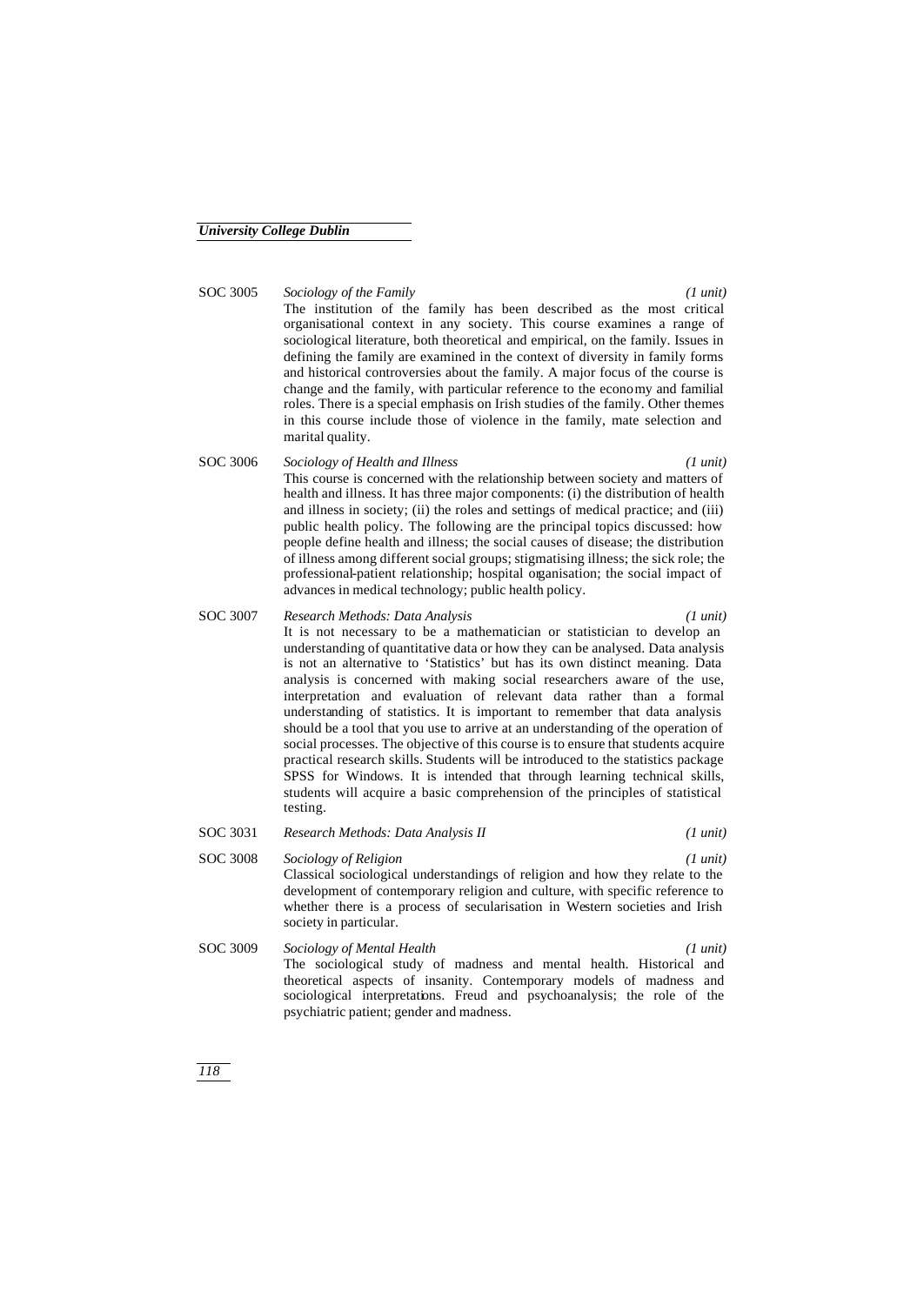SOC 3005 *Sociology of the Family (1 unit)* The institution of the family has been described as the most critical organisational context in any society. This course examines a range of sociological literature, both theoretical and empirical, on the family. Issues in defining the family are examined in the context of diversity in family forms and historical controversies about the family. A major focus of the course is change and the family, with particular reference to the economy and familial roles. There is a special emphasis on Irish studies of the family. Other themes in this course include those of violence in the family, mate selection and marital quality.

- SOC 3006 *Sociology of Health and Illness (1 unit)* This course is concerned with the relationship between society and matters of health and illness. It has three major components: (i) the distribution of health and illness in society; (ii) the roles and settings of medical practice; and (iii) public health policy. The following are the principal topics discussed: how people define health and illness; the social causes of disease; the distribution of illness among different social groups; stigmatising illness; the sick role; the professional-patient relationship; hospital organisation; the social impact of advances in medical technology; public health policy.
- SOC 3007 *Research Methods: Data Analysis (1 unit)* It is not necessary to be a mathematician or statistician to develop an understanding of quantitative data or how they can be analysed. Data analysis is not an alternative to 'Statistics' but has its own distinct meaning. Data analysis is concerned with making social researchers aware of the use, interpretation and evaluation of relevant data rather than a formal understanding of statistics. It is important to remember that data analysis should be a tool that you use to arrive at an understanding of the operation of social processes. The objective of this course is to ensure that students acquire practical research skills. Students will be introduced to the statistics package SPSS for Windows. It is intended that through learning technical skills, students will acquire a basic comprehension of the principles of statistical testing.
- SOC 3031 *Research Methods: Data Analysis II (1 unit)*
- SOC 3008 *Sociology of Religion (1 unit)* Classical sociological understandings of religion and how they relate to the development of contemporary religion and culture, with specific reference to whether there is a process of secularisation in Western societies and Irish society in particular. SOC 3009 *Sociology of Mental Health (1 unit)*
	- The sociological study of madness and mental health. Historical and theoretical aspects of insanity. Contemporary models of madness and sociological interpretations. Freud and psychoanalysis; the role of the psychiatric patient; gender and madness.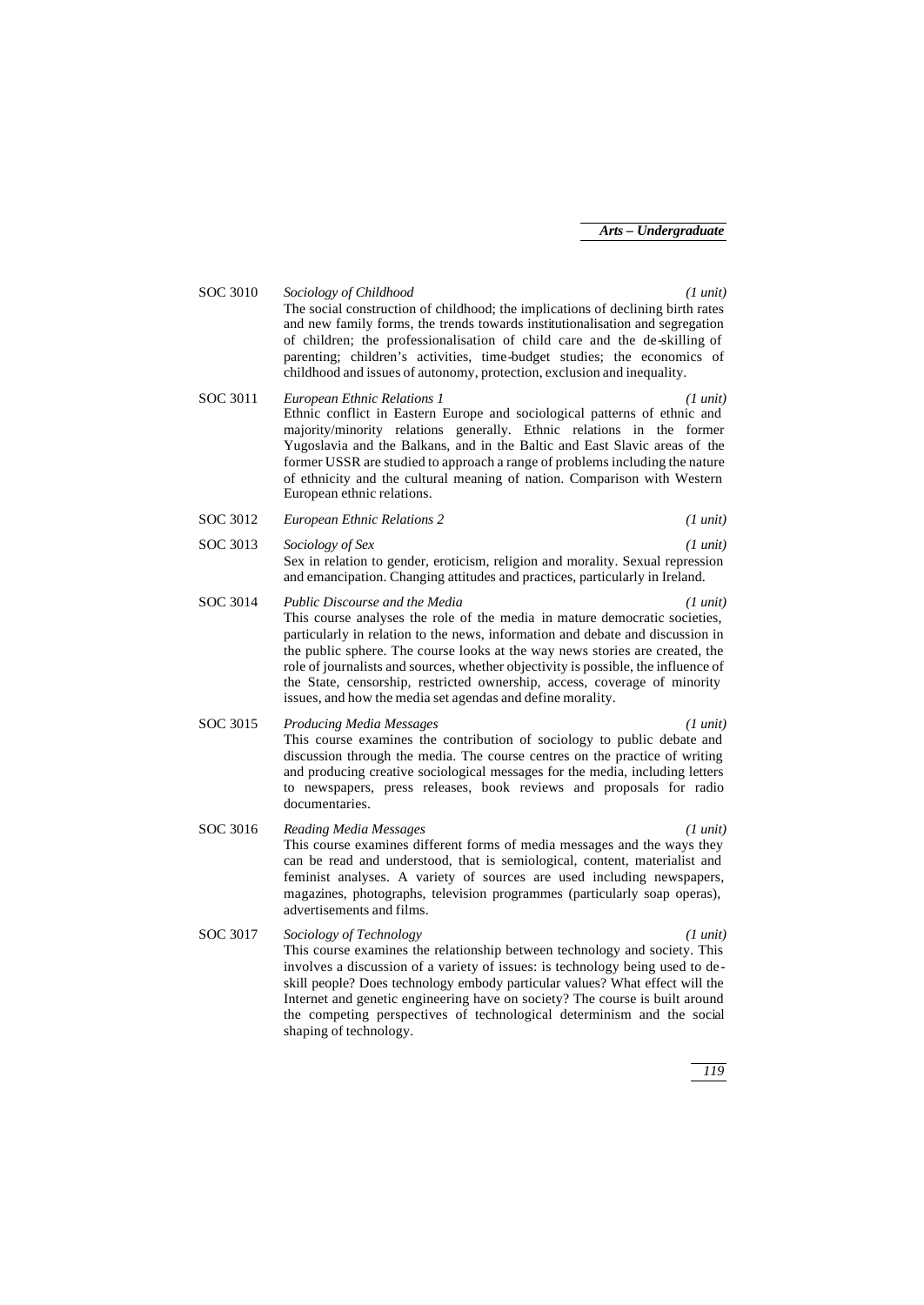SOC 3010 *Sociology of Childhood (1 unit)* The social construction of childhood; the implications of declining birth rates and new family forms, the trends towards institutionalisation and segregation of children; the professionalisation of child care and the de-skilling of parenting; children's activities, time-budget studies; the economics of childhood and issues of autonomy, protection, exclusion and inequality.

- SOC 3011 *European Ethnic Relations 1 (1 unit)* Ethnic conflict in Eastern Europe and sociological patterns of ethnic and majority/minority relations generally. Ethnic relations in the former Yugoslavia and the Balkans, and in the Baltic and East Slavic areas of the former USSR are studied to approach a range of problems including the nature of ethnicity and the cultural meaning of nation. Comparison with Western European ethnic relations.
- SOC 3012 *European Ethnic Relations 2 (1 unit)*
- SOC 3013 *Sociology of Sex (1 unit)* Sex in relation to gender, eroticism, religion and morality. Sexual repression and emancipation. Changing attitudes and practices, particularly in Ireland.
- SOC 3014 *Public Discourse and the Media (1 unit)* This course analyses the role of the media in mature democratic societies, particularly in relation to the news, information and debate and discussion in the public sphere. The course looks at the way news stories are created, the role of journalists and sources, whether objectivity is possible, the influence of the State, censorship, restricted ownership, access, coverage of minority issues, and how the media set agendas and define morality.
- SOC 3015 *Producing Media Messages (1 unit)* This course examines the contribution of sociology to public debate and discussion through the media. The course centres on the practice of writing and producing creative sociological messages for the media, including letters to newspapers, press releases, book reviews and proposals for radio documentaries.
- SOC 3016 *Reading Media Messages (1 unit)* This course examines different forms of media messages and the ways they can be read and understood, that is semiological, content, materialist and feminist analyses. A variety of sources are used including newspapers, magazines, photographs, television programmes (particularly soap operas), advertisements and films.
- SOC 3017 *Sociology of Technology (1 unit)* This course examines the relationship between technology and society. This involves a discussion of a variety of issues: is technology being used to deskill people? Does technology embody particular values? What effect will the Internet and genetic engineering have on society? The course is built around the competing perspectives of technological determinism and the social shaping of technology.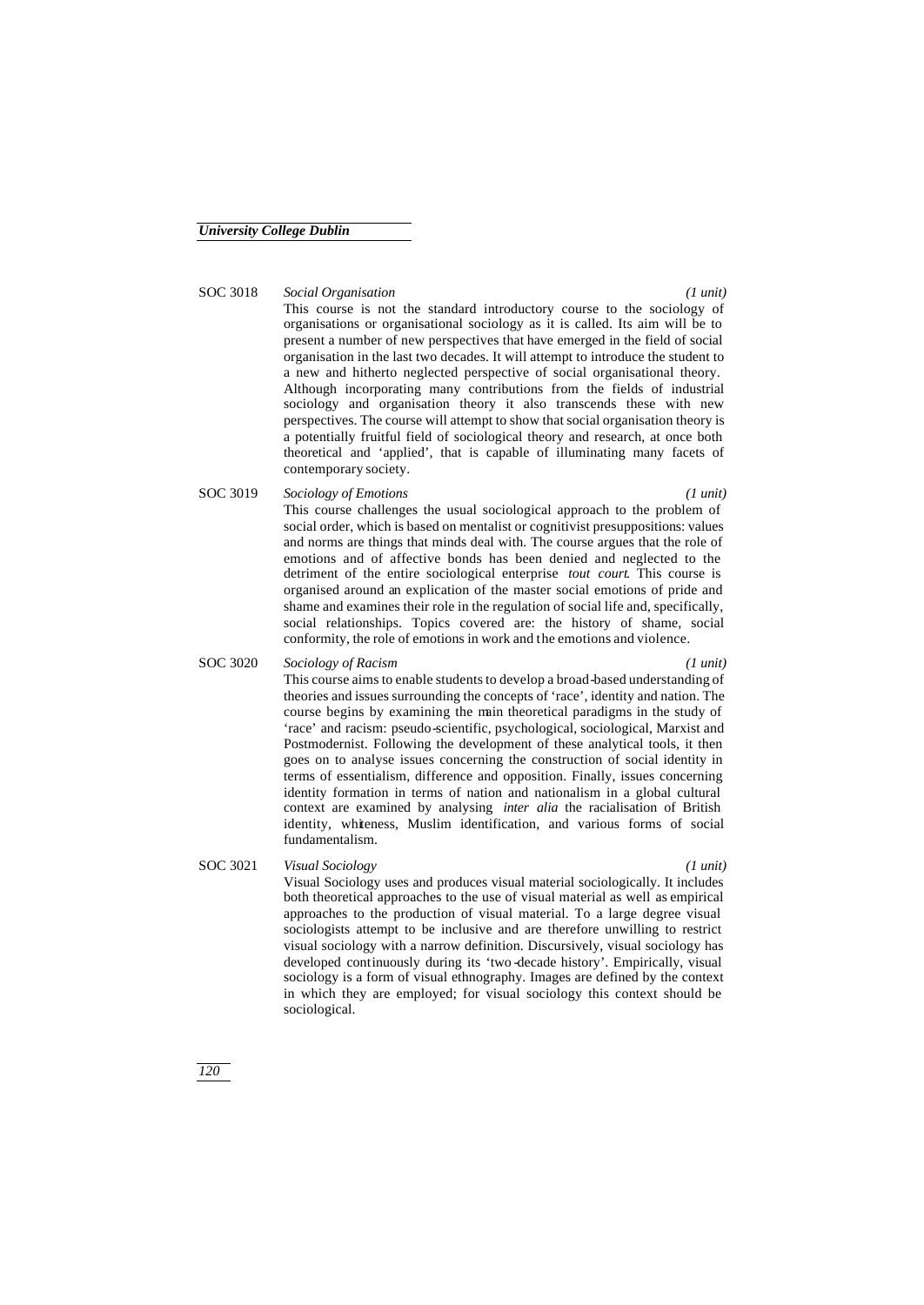## SOC 3018 *Social Organisation (1 unit)*

This course is not the standard introductory course to the sociology of organisations or organisational sociology as it is called. Its aim will be to present a number of new perspectives that have emerged in the field of social organisation in the last two decades. It will attempt to introduce the student to a new and hitherto neglected perspective of social organisational theory. Although incorporating many contributions from the fields of industrial sociology and organisation theory it also transcends these with new perspectives. The course will attempt to show that social organisation theory is a potentially fruitful field of sociological theory and research, at once both theoretical and 'applied', that is capable of illuminating many facets of contemporary society.

SOC 3019 *Sociology of Emotions (1 unit)* This course challenges the usual sociological approach to the problem of social order, which is based on mentalist or cognitivist presuppositions: values and norms are things that minds deal with. The course argues that the role of emotions and of affective bonds has been denied and neglected to the detriment of the entire sociological enterprise *tout court*. This course is organised around an explication of the master social emotions of pride and shame and examines their role in the regulation of social life and, specifically, social relationships. Topics covered are: the history of shame, social conformity, the role of emotions in work and the emotions and violence.

#### SOC 3020 *Sociology of Racism (1 unit)*

This course aims to enable students to develop a broad-based understanding of theories and issues surrounding the concepts of 'race', identity and nation. The course begins by examining the main theoretical paradigms in the study of 'race' and racism: pseudo-scientific, psychological, sociological, Marxist and Postmodernist. Following the development of these analytical tools, it then goes on to analyse issues concerning the construction of social identity in terms of essentialism, difference and opposition. Finally, issues concerning identity formation in terms of nation and nationalism in a global cultural context are examined by analysing *inter alia* the racialisation of British identity, whiteness, Muslim identification, and various forms of social fundamentalism.

#### SOC 3021 *Visual Sociology (1 unit)* Visual Sociology uses and produces visual material sociologically. It includes both theoretical approaches to the use of visual material as well as empirical approaches to the production of visual material. To a large degree visual sociologists attempt to be inclusive and are therefore unwilling to restrict visual sociology with a narrow definition. Discursively, visual sociology has developed continuously during its 'two -decade history'. Empirically, visual sociology is a form of visual ethnography. Images are defined by the context in which they are employed; for visual sociology this context should be sociological.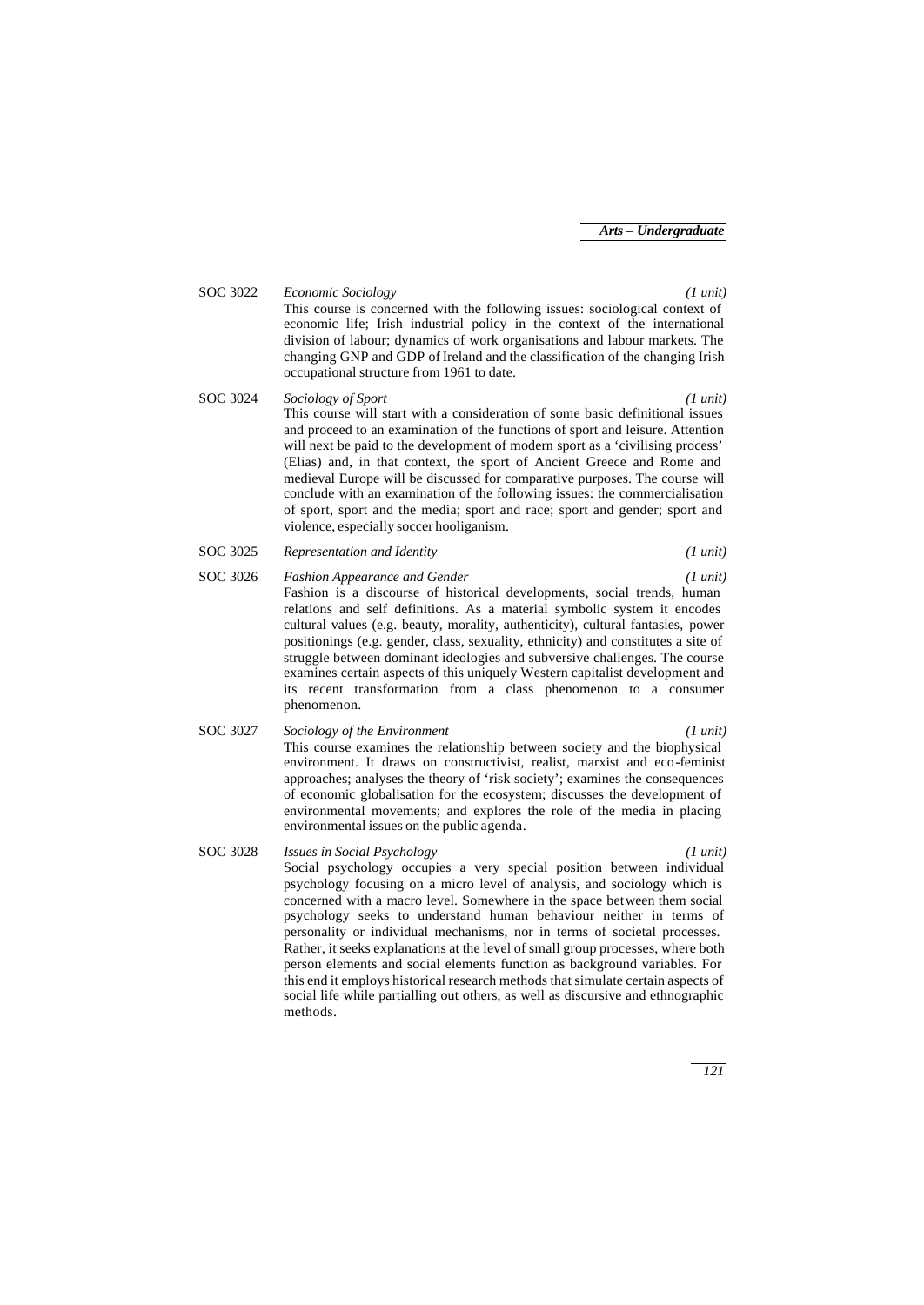SOC 3022 *Economic Sociology (1 unit)* This course is concerned with the following issues: sociological context of economic life; Irish industrial policy in the context of the international division of labour; dynamics of work organisations and labour markets. The changing GNP and GDP of Ireland and the classification of the changing Irish occupational structure from 1961 to date.

SOC 3024 *Sociology of Sport (1 unit)* This course will start with a consideration of some basic definitional issues and proceed to an examination of the functions of sport and leisure. Attention will next be paid to the development of modern sport as a 'civilising process' (Elias) and, in that context, the sport of Ancient Greece and Rome and medieval Europe will be discussed for comparative purposes. The course will conclude with an examination of the following issues: the commercialisation of sport, sport and the media; sport and race; sport and gender; sport and violence, especially soccer hooliganism.

SOC 3025 *Representation and Identity (1 unit)*

SOC 3026 *Fashion Appearance and Gender (1 unit)* Fashion is a discourse of historical developments, social trends, human relations and self definitions. As a material symbolic system it encodes cultural values (e.g. beauty, morality, authenticity), cultural fantasies, power positionings (e.g. gender, class, sexuality, ethnicity) and constitutes a site of struggle between dominant ideologies and subversive challenges. The course examines certain aspects of this uniquely Western capitalist development and its recent transformation from a class phenomenon to a consumer phenomenon.

- SOC 3027 *Sociology of the Environment (1 unit)* This course examines the relationship between society and the biophysical environment. It draws on constructivist, realist, marxist and eco-feminist approaches; analyses the theory of 'risk society'; examines the consequences of economic globalisation for the ecosystem; discusses the development of environmental movements; and explores the role of the media in placing environmental issues on the public agenda.
- SOC 3028 *Issues in Social Psychology (1 unit)* Social psychology occupies a very special position between individual psychology focusing on a micro level of analysis, and sociology which is concerned with a macro level. Somewhere in the space between them social psychology seeks to understand human behaviour neither in terms of personality or individual mechanisms, nor in terms of societal processes. Rather, it seeks explanations at the level of small group processes, where both person elements and social elements function as background variables. For this end it employs historical research methods that simulate certain aspects of social life while partialling out others, as well as discursive and ethnographic methods.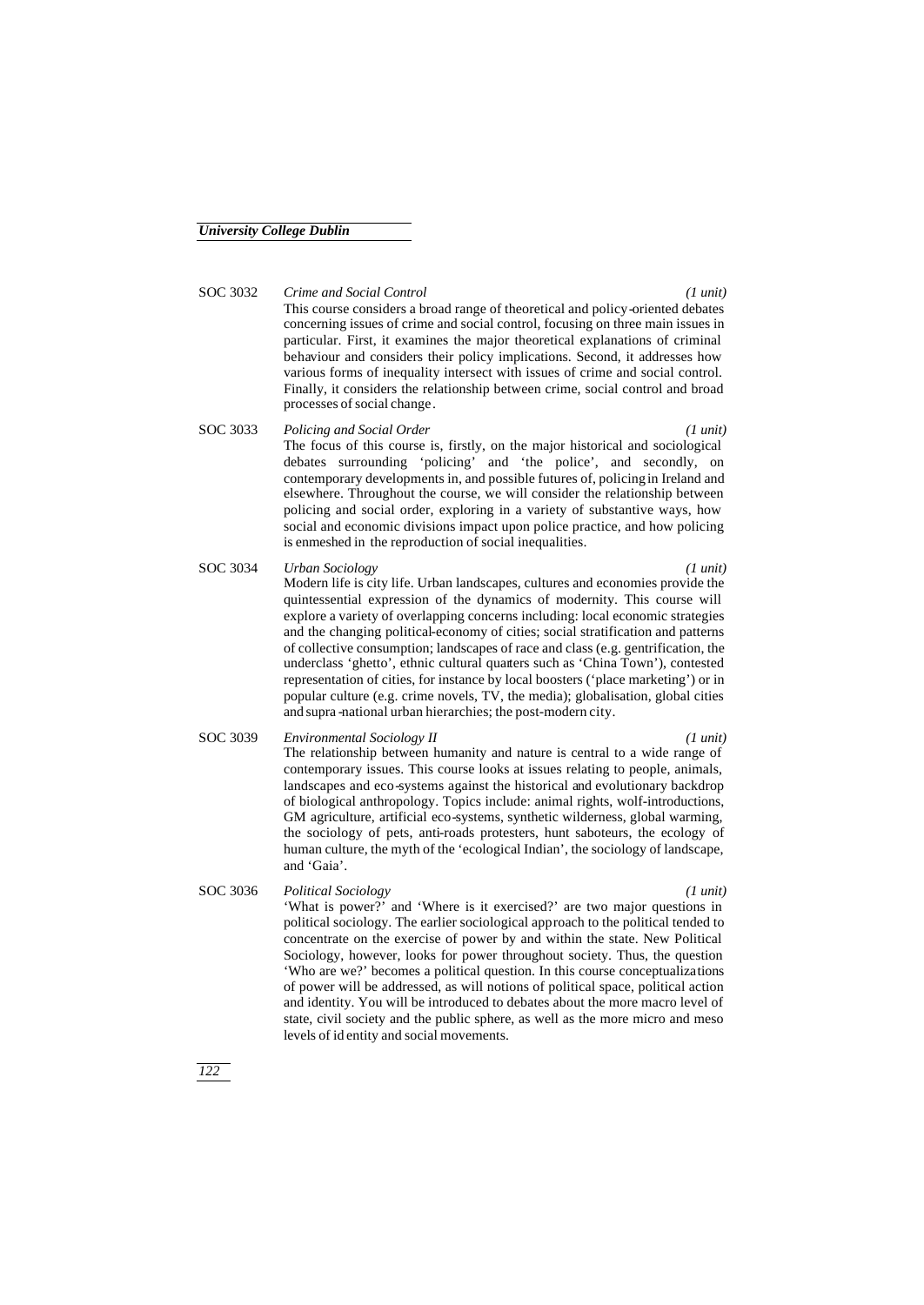#### SOC 3032 *Crime and Social Control (1 unit)*

This course considers a broad range of theoretical and policy-oriented debates concerning issues of crime and social control, focusing on three main issues in particular. First, it examines the major theoretical explanations of criminal behaviour and considers their policy implications. Second, it addresses how various forms of inequality intersect with issues of crime and social control. Finally, it considers the relationship between crime, social control and broad processes of social change.

# SOC 3033 *Policing and Social Order (1 unit)*

The focus of this course is, firstly, on the major historical and sociological debates surrounding 'policing' and 'the police', and secondly, on contemporary developments in, and possible futures of, policing in Ireland and elsewhere. Throughout the course, we will consider the relationship between policing and social order, exploring in a variety of substantive ways, how social and economic divisions impact upon police practice, and how policing is enmeshed in the reproduction of social inequalities.

- SOC 3034 *Urban Sociology (1 unit)* Modern life is city life. Urban landscapes, cultures and economies provide the quintessential expression of the dynamics of modernity. This course will explore a variety of overlapping concerns including: local economic strategies and the changing political-economy of cities; social stratification and patterns of collective consumption; landscapes of race and class (e.g. gentrification, the underclass 'ghetto', ethnic cultural quarters such as 'China Town'), contested representation of cities, for instance by local boosters ('place marketing') or in popular culture (e.g. crime novels, TV, the media); globalisation, global cities and supra -national urban hierarchies; the post-modern city.
- SOC 3039 *Environmental Sociology II (1 unit)* The relationship between humanity and nature is central to a wide range of contemporary issues. This course looks at issues relating to people, animals, landscapes and eco-systems against the historical and evolutionary backdrop of biological anthropology. Topics include: animal rights, wolf-introductions, GM agriculture, artificial eco-systems, synthetic wilderness, global warming, the sociology of pets, anti-roads protesters, hunt saboteurs, the ecology of human culture, the myth of the 'ecological Indian', the sociology of landscape, and 'Gaia'.
- SOC 3036 *Political Sociology (1 unit)* 'What is power?' and 'Where is it exercised?' are two major questions in political sociology. The earlier sociological approach to the political tended to concentrate on the exercise of power by and within the state. New Political Sociology, however, looks for power throughout society. Thus, the question 'Who are we?' becomes a political question. In this course conceptualizations of power will be addressed, as will notions of political space, political action and identity. You will be introduced to debates about the more macro level of state, civil society and the public sphere, as well as the more micro and meso levels of id entity and social movements.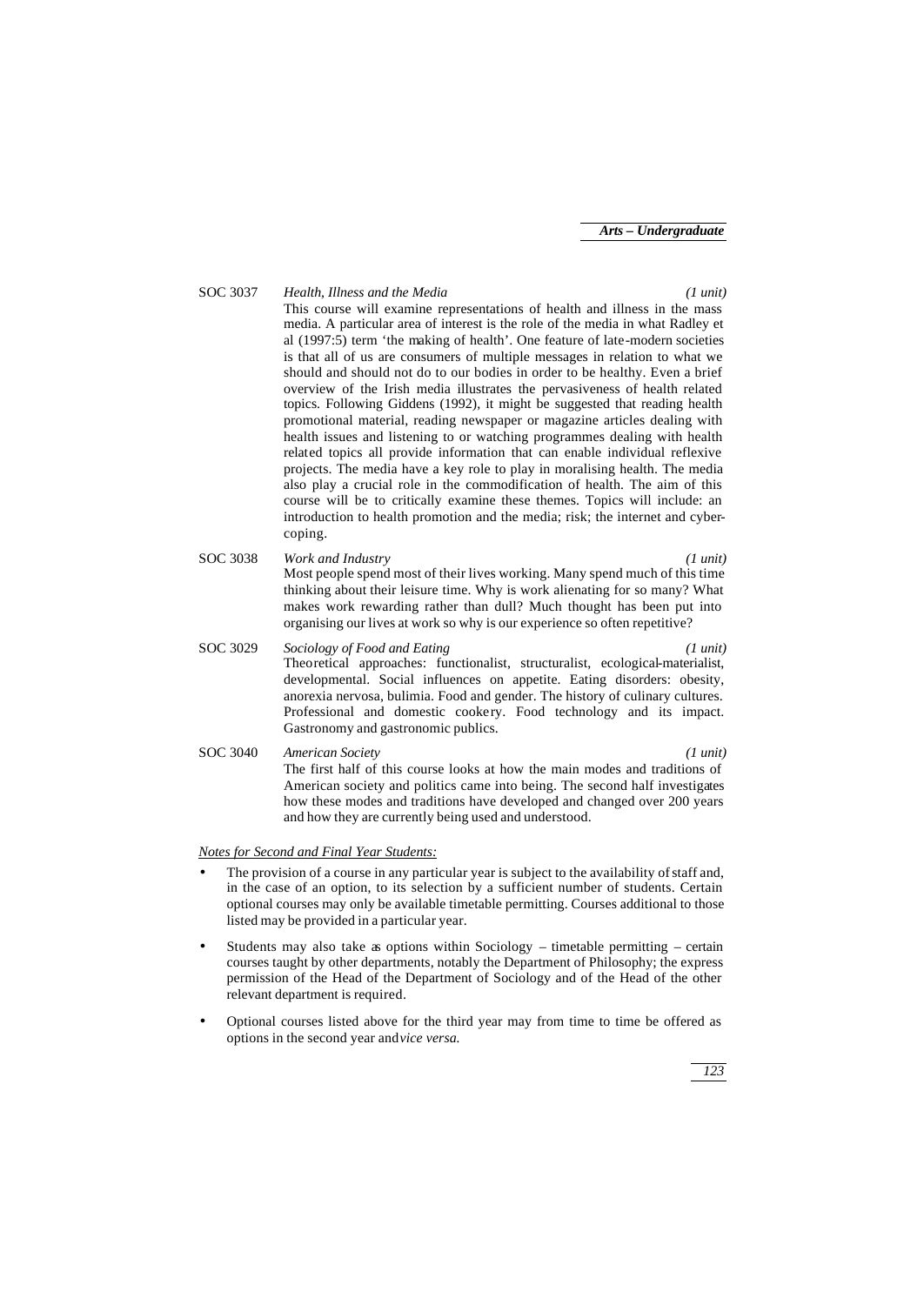SOC 3037 *Health, Illness and the Media (1 unit)* This course will examine representations of health and illness in the mass media. A particular area of interest is the role of the media in what Radley et al (1997:5) term 'the making of health'. One feature of late-modern societies is that all of us are consumers of multiple messages in relation to what we should and should not do to our bodies in order to be healthy. Even a brief overview of the Irish media illustrates the pervasiveness of health related topics. Following Giddens (1992), it might be suggested that reading health promotional material, reading newspaper or magazine articles dealing with health issues and listening to or watching programmes dealing with health related topics all provide information that can enable individual reflexive projects. The media have a key role to play in moralising health. The media also play a crucial role in the commodification of health. The aim of this course will be to critically examine these themes. Topics will include: an introduction to health promotion and the media; risk; the internet and cybercoping. SOC 3038 *Work and Industry (1 unit)* Most people spend most of their lives working. Many spend much of this time thinking about their leisure time. Why is work alienating for so many? What makes work rewarding rather than dull? Much thought has been put into organising our lives at work so why is our experience so often repetitive? SOC 3029 *Sociology of Food and Eating (1 unit)* Theoretical approaches: functionalist, structuralist, ecological-materialist, developmental. Social influences on appetite. Eating disorders: obesity, anorexia nervosa, bulimia. Food and gender. The history of culinary cultures. Professional and domestic cookery. Food technology and its impact. Gastronomy and gastronomic publics. SOC 3040 *American Society (1 unit)* The first half of this course looks at how the main modes and traditions of American society and politics came into being. The second half investigates how these modes and traditions have developed and changed over 200 years and how they are currently being used and understood.

#### *Notes for Second and Final Year Students:*

- The provision of a course in any particular year is subject to the availability of staff and, in the case of an option, to its selection by a sufficient number of students. Certain optional courses may only be available timetable permitting. Courses additional to those listed may be provided in a particular year.
- Students may also take as options within Sociology timetable permitting certain courses taught by other departments, notably the Department of Philosophy; the express permission of the Head of the Department of Sociology and of the Head of the other relevant department is required.
- Optional courses listed above for the third year may from time to time be offered as options in the second year and *vice versa.*

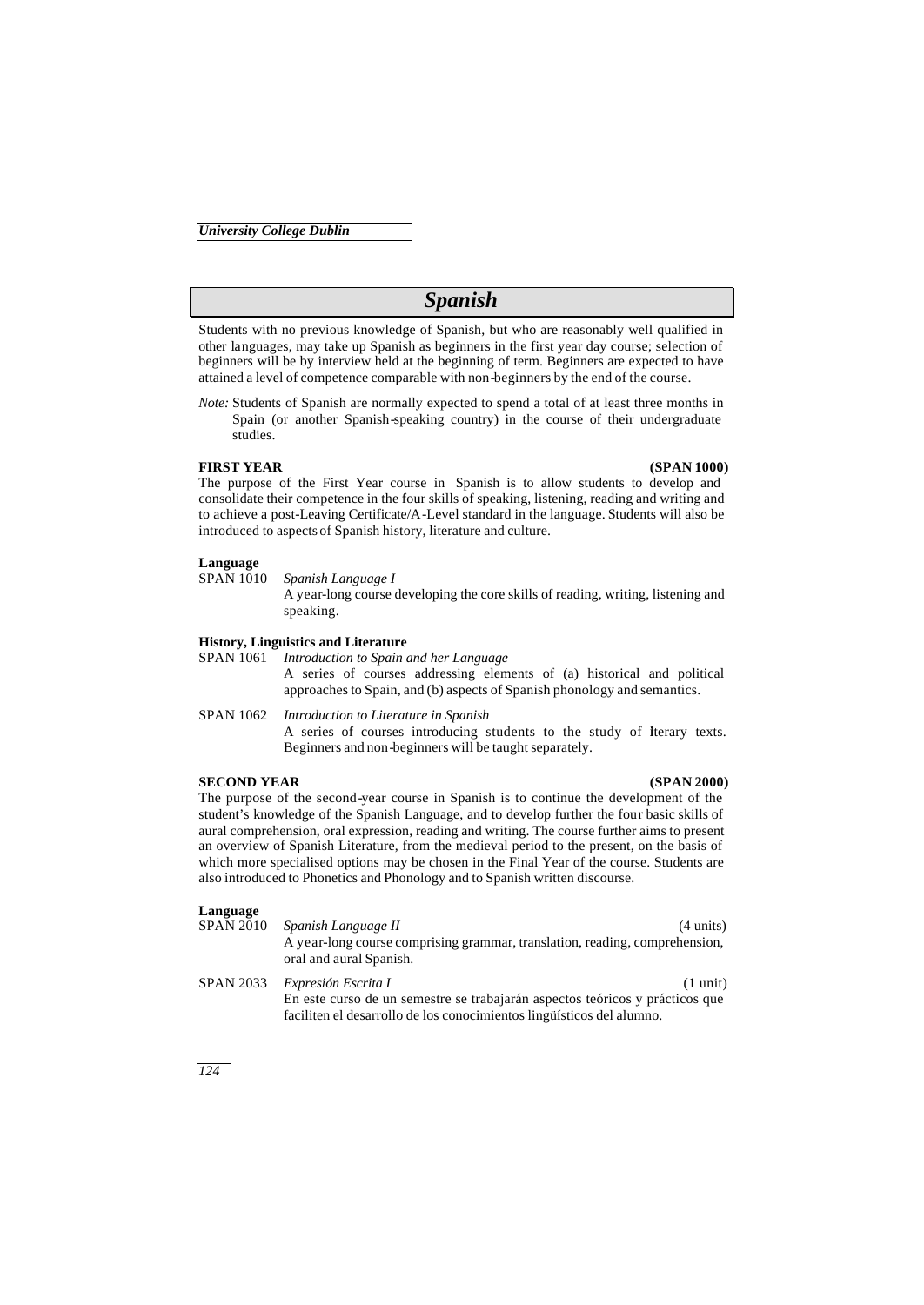# *Spanish*

Students with no previous knowledge of Spanish, but who are reasonably well qualified in other languages, may take up Spanish as beginners in the first year day course; selection of beginners will be by interview held at the beginning of term. Beginners are expected to have attained a level of competence comparable with non-beginners by the end of the course.

*Note:* Students of Spanish are normally expected to spend a total of at least three months in Spain (or another Spanish-speaking country) in the course of their undergraduate studies.

## **FIRST YEAR (SPAN 1000)**

The purpose of the First Year course in Spanish is to allow students to develop and consolidate their competence in the four skills of speaking, listening, reading and writing and to achieve a post-Leaving Certificate/A-Level standard in the language. Students will also be introduced to aspects of Spanish history, literature and culture.

# **Language**

#### SPAN 1010 *Spanish Language I*

A year-long course developing the core skills of reading, writing, listening and speaking.

# **History, Linguistics and Literature**<br>SPAN 1061 *Introduction to Spain*

Introduction to Spain and her Language A series of courses addressing elements of (a) historical and political approaches to Spain, and (b) aspects of Spanish phonology and semantics.

SPAN 1062 *Introduction to Literature in Spanish* A series of courses introducing students to the study of literary texts. Beginners and non-beginners will be taught separately.

#### **SECOND YEAR (SPAN 2000)**

The purpose of the second-year course in Spanish is to continue the development of the student's knowledge of the Spanish Language, and to develop further the four basic skills of aural comprehension, oral expression, reading and writing. The course further aims to present an overview of Spanish Literature, from the medieval period to the present, on the basis of which more specialised options may be chosen in the Final Year of the course. Students are also introduced to Phonetics and Phonology and to Spanish written discourse.

# **Language**

Spanish Language II (4 units) A year-long course comprising grammar, translation, reading, comprehension, oral and aural Spanish. SPAN 2033 *Expresión Escrita I* (1 unit) En este curso de un semestre se trabajarán aspectos teóricos y prácticos que

faciliten el desarrollo de los conocimientos lingüísticos del alumno.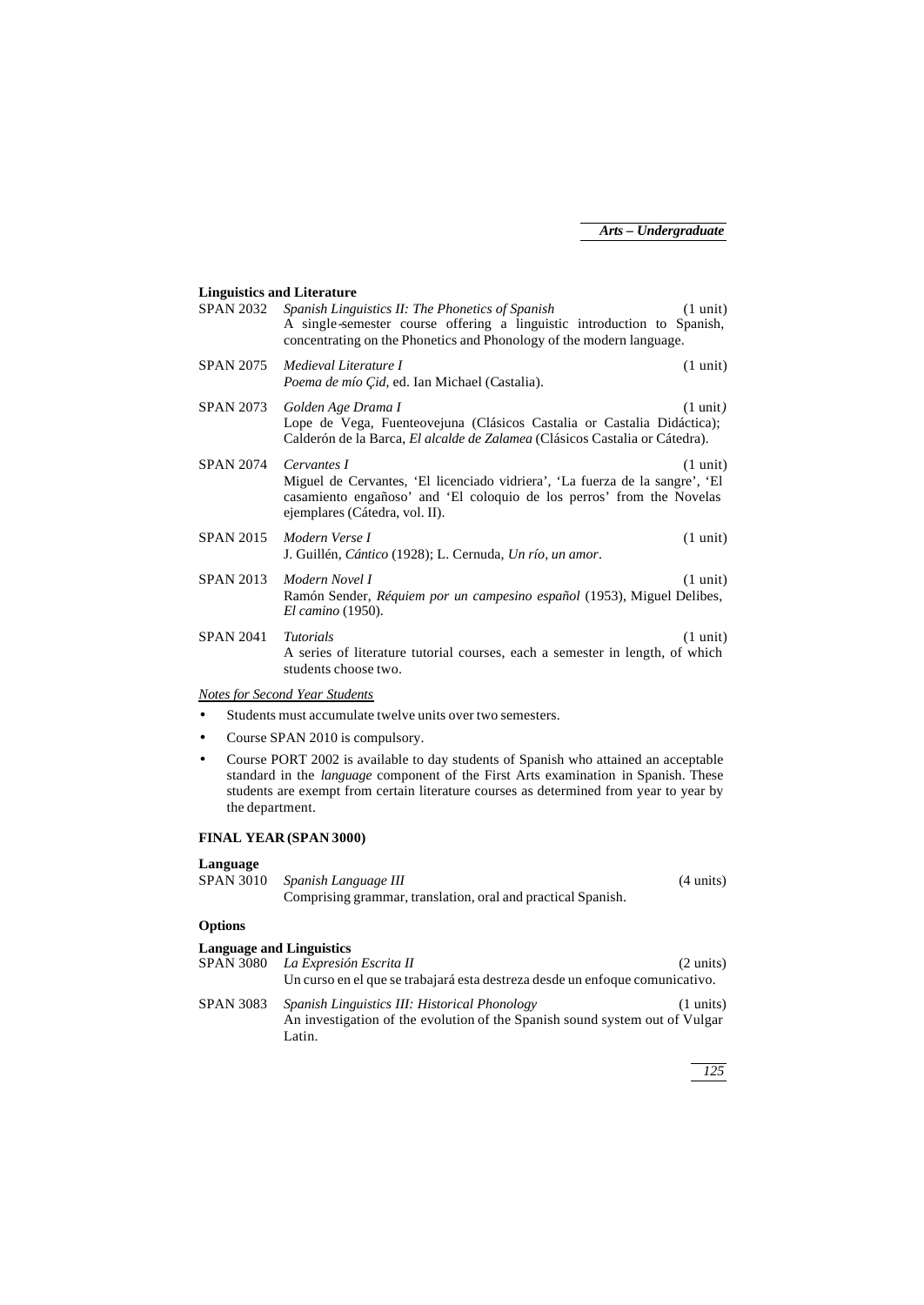# **Linguistics and Literature**

| <b>SPAN 2032</b>             | Spanish Linguistics II: The Phonetics of Spanish<br>A single-semester course offering a linguistic introduction to Spanish,<br>concentrating on the Phonetics and Phonology of the modern language.                                                                        | $(1 \text{ unit})$ |
|------------------------------|----------------------------------------------------------------------------------------------------------------------------------------------------------------------------------------------------------------------------------------------------------------------------|--------------------|
| <b>SPAN 2075</b>             | Medieval Literature I<br>Poema de mío Cid, ed. Ian Michael (Castalia).                                                                                                                                                                                                     | $(1 \text{ unit})$ |
| <b>SPAN 2073</b>             | Golden Age Drama I<br>Lope de Vega, Fuenteovejuna (Clásicos Castalia or Castalia Didáctica);<br>Calderón de la Barca, El alcalde de Zalamea (Clásicos Castalia or Cátedra).                                                                                                | $(1 \text{ unit})$ |
| <b>SPAN 2074</b>             | Cervantes I<br>Miguel de Cervantes, 'El licenciado vidriera', 'La fuerza de la sangre', 'El<br>casamiento engañoso' and 'El coloquio de los perros' from the Novelas<br>ejemplares (Cátedra, vol. II).                                                                     | $(1 \text{ unit})$ |
| <b>SPAN 2015</b>             | Modern Verse I<br>J. Guillén, Cántico (1928); L. Cernuda, Un río, un amor.                                                                                                                                                                                                 | $(1 \text{ unit})$ |
| <b>SPAN 2013</b>             | Modern Novel I<br>Ramón Sender, <i>Réquiem por un campesino español</i> (1953), Miguel Delibes,<br><i>El camino</i> (1950).                                                                                                                                                | $(1 \text{ unit})$ |
| <b>SPAN 2041</b>             | <b>Tutorials</b><br>A series of literature tutorial courses, each a semester in length, of which<br>students choose two.                                                                                                                                                   | $(1 \text{ unit})$ |
|                              | Notes for Second Year Students                                                                                                                                                                                                                                             |                    |
|                              | Students must accumulate twelve units over two semesters.                                                                                                                                                                                                                  |                    |
| $\bullet$                    | Course SPAN 2010 is compulsory.                                                                                                                                                                                                                                            |                    |
| $\bullet$<br>the department. | Course PORT 2002 is available to day students of Spanish who attained an acceptable<br>standard in the <i>language</i> component of the First Arts examination in Spanish. These<br>students are exempt from certain literature courses as determined from year to year by |                    |

# **FINAL YEAR (SPAN 3000)**

# **Language**

| SPAN 3010 Spanish Language III                               | $(4 \text{ units})$ |
|--------------------------------------------------------------|---------------------|
| Comprising grammar, translation, oral and practical Spanish. |                     |
|                                                              |                     |

# **Options**

| <b>Language and Linguistics</b> |                                                                                                                              |                     |
|---------------------------------|------------------------------------------------------------------------------------------------------------------------------|---------------------|
| <b>SPAN 3080</b>                | La Expresión Escrita II                                                                                                      | $(2 \text{ units})$ |
|                                 | Un curso en el que se trabajará esta destreza desde un enfoque comunicativo.                                                 |                     |
| <b>SPAN 3083</b>                | Spanish Linguistics III: Historical Phonology<br>An investigation of the evolution of the Spanish sound system out of Vulgar | $(1 \text{ units})$ |
|                                 | Latin.                                                                                                                       |                     |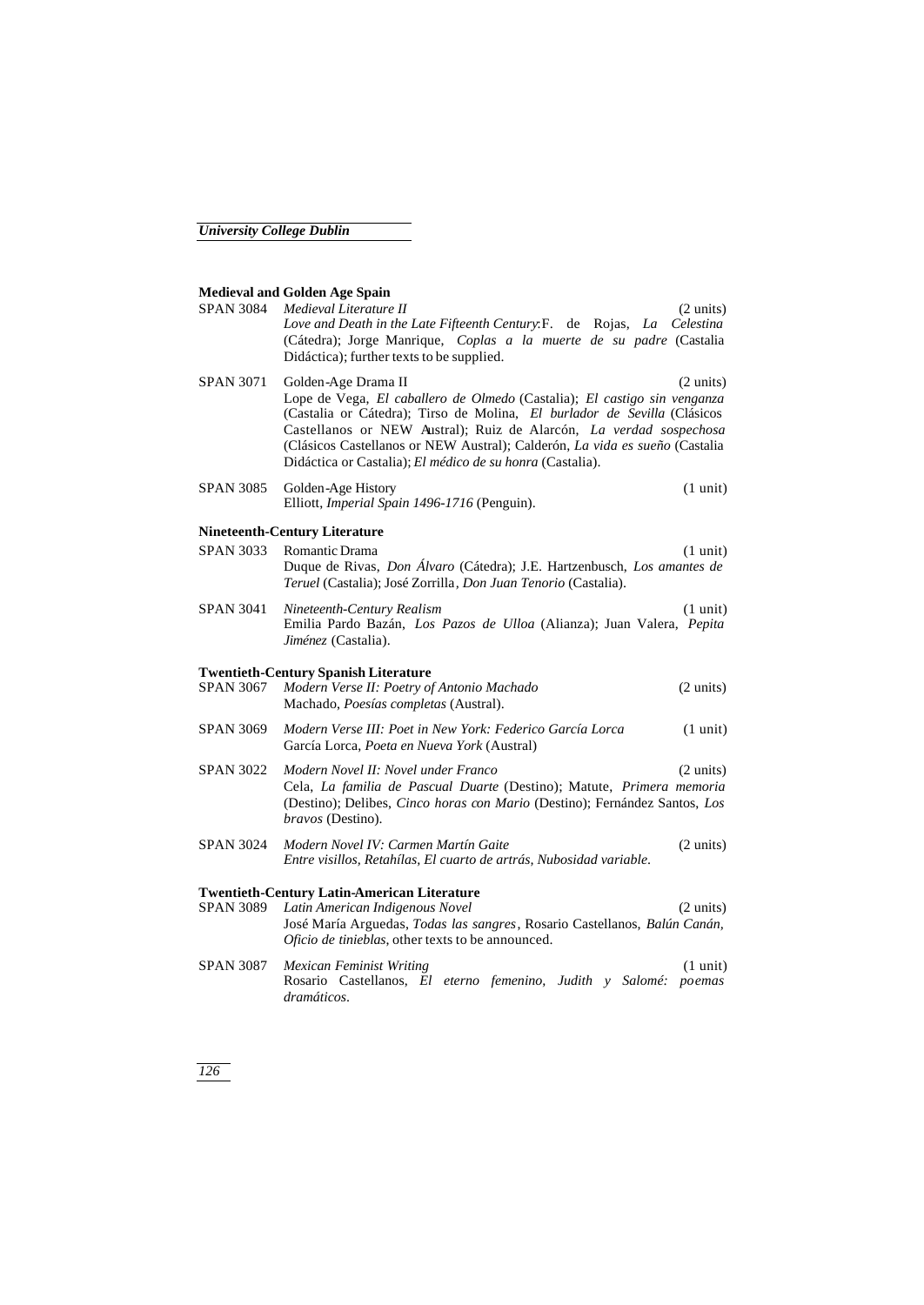# **Medieval and Golden Age Spain**

| <b>SPAN 3084</b> | Medieval Literature II<br>$(2 \text{ units})$<br>Love and Death in the Late Fifteenth Century: F. de Rojas, La Celestina<br>(Cátedra); Jorge Manrique, Coplas a la muerte de su padre (Castalia<br>Didáctica); further texts to be supplied.                                                                                                                                                                         |
|------------------|----------------------------------------------------------------------------------------------------------------------------------------------------------------------------------------------------------------------------------------------------------------------------------------------------------------------------------------------------------------------------------------------------------------------|
| <b>SPAN 3071</b> | Golden-Age Drama II<br>$(2 \text{ units})$<br>Lope de Vega, El caballero de Olmedo (Castalia); El castigo sin venganza<br>(Castalia or Cátedra); Tirso de Molina, El burlador de Sevilla (Clásicos<br>Castellanos or NEW Austral); Ruiz de Alarcón, La verdad sospechosa<br>(Clásicos Castellanos or NEW Austral); Calderón, La vida es sueño (Castalia<br>Didáctica or Castalia); El médico de su honra (Castalia). |
| <b>SPAN 3085</b> | Golden-Age History<br>$(1 \text{ unit})$<br>Elliott, Imperial Spain 1496-1716 (Penguin).                                                                                                                                                                                                                                                                                                                             |
|                  | <b>Nineteenth-Century Literature</b>                                                                                                                                                                                                                                                                                                                                                                                 |
| <b>SPAN 3033</b> | Romantic Drama<br>$(1 \text{ unit})$<br>Duque de Rivas, <i>Don Álvaro</i> (Cátedra); J.E. Hartzenbusch, <i>Los amantes de</i><br>Teruel (Castalia); José Zorrilla, Don Juan Tenorio (Castalia).                                                                                                                                                                                                                      |
| <b>SPAN 3041</b> | Nineteenth-Century Realism<br>$(1 \text{ unit})$<br>Emilia Pardo Bazán, Los Pazos de Ulloa (Alianza); Juan Valera, Pepita<br>Jiménez (Castalia).                                                                                                                                                                                                                                                                     |
| <b>SPAN 3067</b> | <b>Twentieth-Century Spanish Literature</b><br>Modern Verse II: Poetry of Antonio Machado<br>$(2 \text{ units})$<br>Machado, Poesías completas (Austral).                                                                                                                                                                                                                                                            |
| <b>SPAN 3069</b> | Modern Verse III: Poet in New York: Federico García Lorca<br>$(1 \text{ unit})$<br>García Lorca, Poeta en Nueva York (Austral)                                                                                                                                                                                                                                                                                       |
| <b>SPAN 3022</b> | Modern Novel II: Novel under Franco<br>$(2 \text{ units})$<br>Cela, La familia de Pascual Duarte (Destino); Matute, Primera memoria<br>(Destino); Delibes, Cinco horas con Mario (Destino); Fernández Santos, Los<br><i>bravos</i> (Destino).                                                                                                                                                                        |
| <b>SPAN 3024</b> | Modern Novel IV: Carmen Martín Gaite<br>$(2 \text{ units})$<br>Entre visillos, Retahílas, El cuarto de artrás, Nubosidad variable.                                                                                                                                                                                                                                                                                   |
| <b>SPAN 3089</b> | <b>Twentieth-Century Latin-American Literature</b><br>Latin American Indigenous Novel<br>$(2 \text{ units})$<br>José María Arguedas, Todas las sangres, Rosario Castellanos, Balún Canán,<br>Oficio de tinieblas, other texts to be announced.                                                                                                                                                                       |
| <b>SPAN 3087</b> | <b>Mexican Feminist Writing</b><br>$(1 \text{ unit})$<br>Rosario Castellanos, El eterno femenino, Judith y Salomé: poemas<br>dramáticos.                                                                                                                                                                                                                                                                             |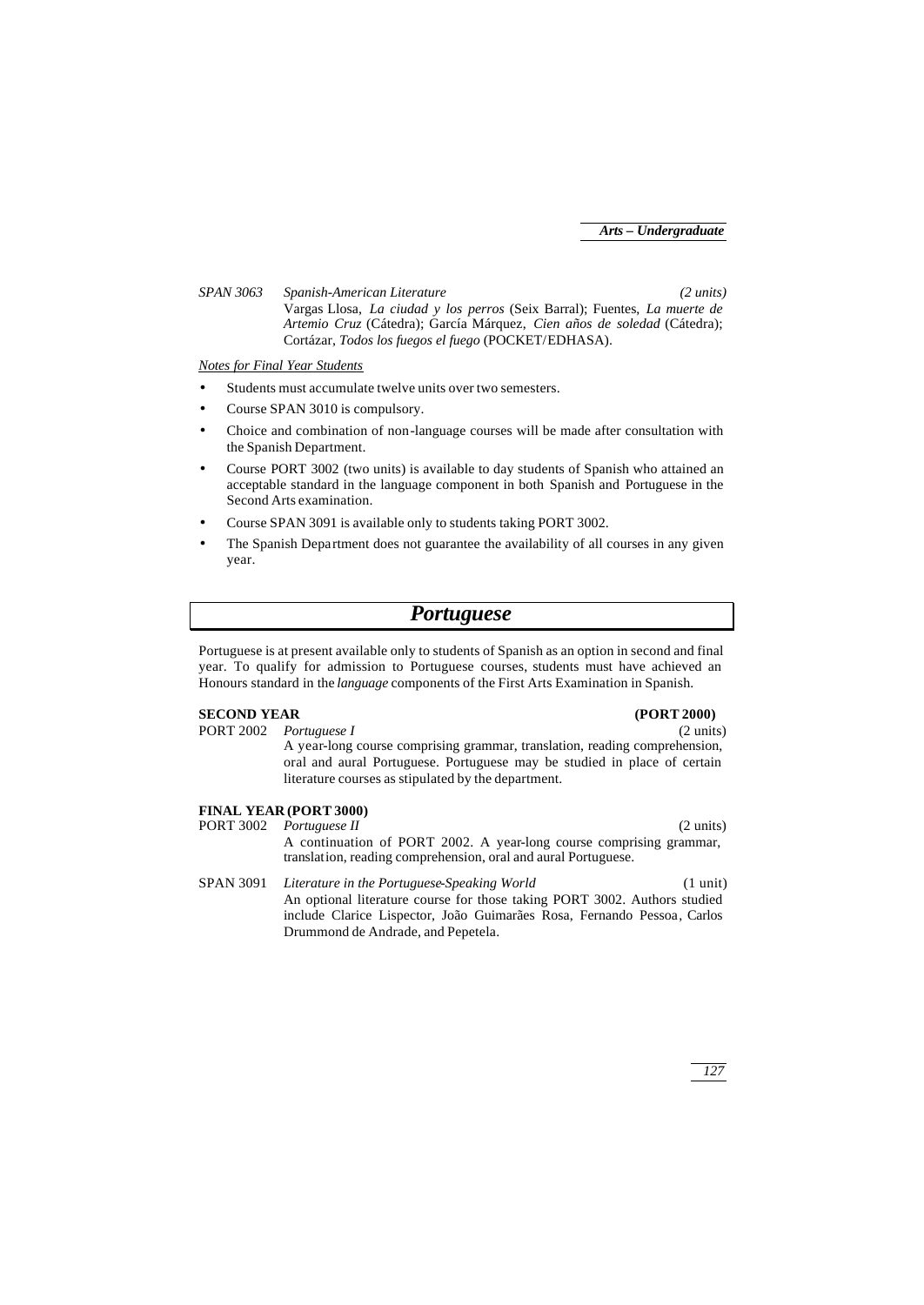*SPAN 3063 Spanish-American Literature (2 units)* Vargas Llosa, *La ciudad y los perros* (Seix Barral); Fuentes, *La muerte de Artemio Cruz* (Cátedra); García Márquez, *Cien años de soledad* (Cátedra); Cortázar, *Todos los fuegos el fuego* (POCKET/EDHASA).

### *Notes for Final Year Students*

- Students must accumulate twelve units over two semesters.
- Course SPAN 3010 is compulsory.
- Choice and combination of non-language courses will be made after consultation with the Spanish Department.
- Course PORT 3002 (two units) is available to day students of Spanish who attained an acceptable standard in the language component in both Spanish and Portuguese in the Second Arts examination.
- Course SPAN 3091 is available only to students taking PORT 3002.
- The Spanish Department does not guarantee the availability of all courses in any given year.

# *Portuguese*

Portuguese is at present available only to students of Spanish as an option in second and final year. To qualify for admission to Portuguese courses, students must have achieved an Honours standard in the *language* components of the First Arts Examination in Spanish.

## **SECOND YEAR (PORT 2000)**

PORT 2002 *Portuguese I* (2 units) A year-long course comprising grammar, translation, reading comprehension, oral and aural Portuguese. Portuguese may be studied in place of certain literature courses as stipulated by the department.

# **FINAL YEAR (PORT 3000)**<br>PORT 3002 *Portuguese II*

- *Portuguese II* (2 units) A continuation of PORT 2002. A year-long course comprising grammar, translation, reading comprehension, oral and aural Portuguese.
- SPAN 3091 *Literature in the Portuguese-Speaking World* (1 unit) An optional literature course for those taking PORT 3002. Authors studied include Clarice Lispector, João Guimarães Rosa, Fernando Pessoa, Carlos Drummond de Andrade, and Pepetela.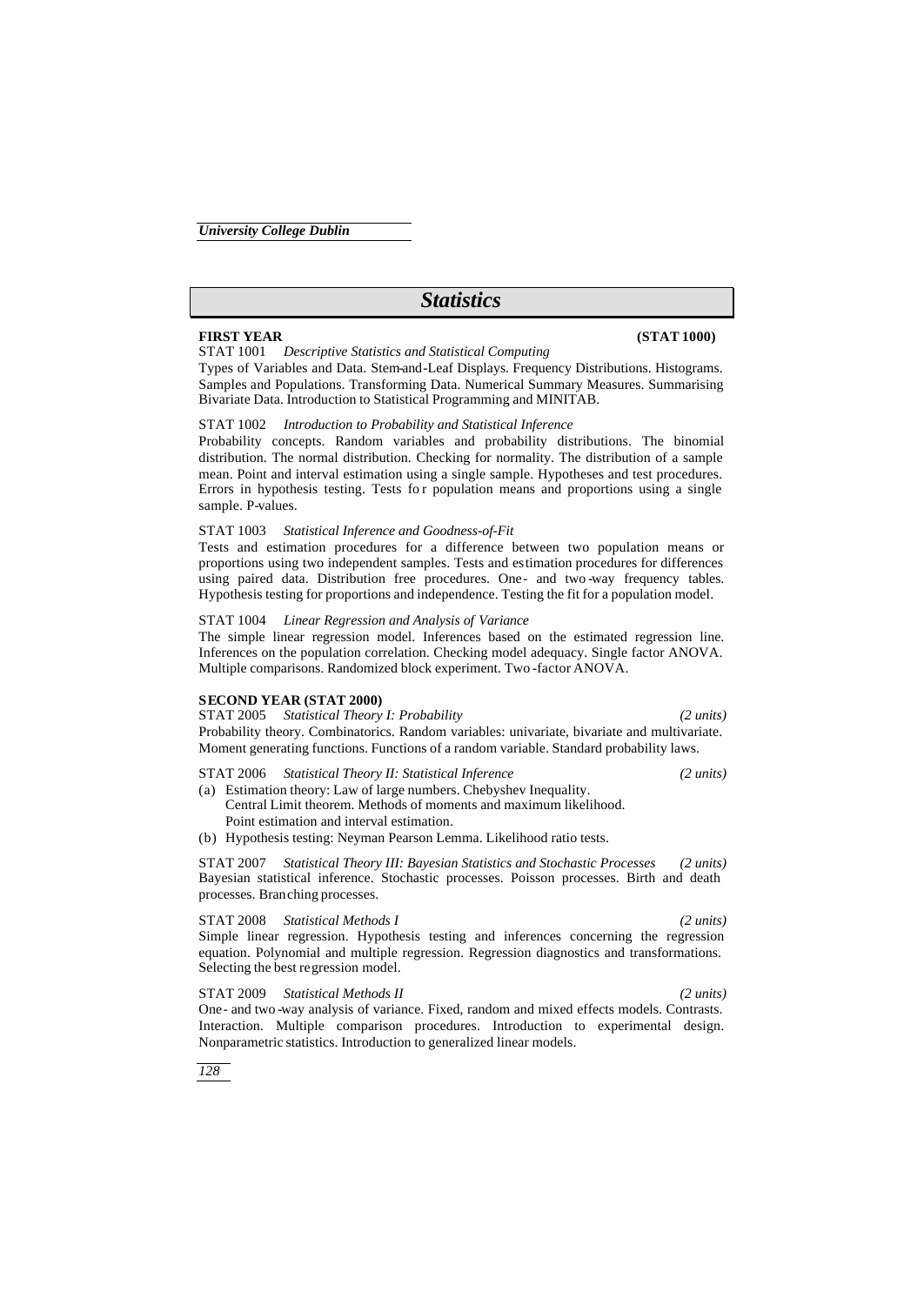# *Statistics*

### **FIRST YEAR (STAT 1000)**

STAT 1001 *Descriptive Statistics and Statistical Computing*

Types of Variables and Data. Stem-and-Leaf Displays. Frequency Distributions. Histograms. Samples and Populations. Transforming Data. Numerical Summary Measures. Summarising Bivariate Data. Introduction to Statistical Programming and MINITAB.

#### STAT 1002 *Introduction to Probability and Statistical Inference*

Probability concepts. Random variables and probability distributions. The binomial distribution. The normal distribution. Checking for normality. The distribution of a sample mean. Point and interval estimation using a single sample. Hypotheses and test procedures. Errors in hypothesis testing. Tests for population means and proportions using a single sample. P-values.

#### STAT 1003 *Statistical Inference and Goodness-of-Fit*

Tests and estimation procedures for a difference between two population means or proportions using two independent samples. Tests and estimation procedures for differences using paired data. Distribution free procedures. One- and two -way frequency tables. Hypothesis testing for proportions and independence. Testing the fit for a population model.

#### STAT 1004 *Linear Regression and Analysis of Variance*

The simple linear regression model. Inferences based on the estimated regression line. Inferences on the population correlation. Checking model adequacy. Single factor ANOVA. Multiple comparisons. Randomized block experiment. Two -factor ANOVA.

#### **SECOND YEAR (STAT 2000)**

STAT 2005 *Statistical Theory I: Probability (2 units)* Probability theory. Combinatorics. Random variables: univariate, bivariate and multivariate. Moment generating functions. Functions of a random variable. Standard probability laws.

#### STAT 2006 *Statistical Theory II: Statistical Inference (2 units)*

(a) Estimation theory: Law of large numbers. Chebyshev Inequality.

- Central Limit theorem. Methods of moments and maximum likelihood. Point estimation and interval estimation.
- (b) Hypothesis testing: Neyman Pearson Lemma. Likelihood ratio tests.

STAT 2007 *Statistical Theory III: Bayesian Statistics and Stochastic Processes (2 units)* Bayesian statistical inference. Stochastic processes. Poisson processes. Birth and death processes. Branching processes.

### STAT 2008 *Statistical Methods I (2 units)*

Simple linear regression. Hypothesis testing and inferences concerning the regression equation. Polynomial and multiple regression. Regression diagnostics and transformations. Selecting the best regression model.

#### STAT 2009 *Statistical Methods II (2 units)*

One- and two -way analysis of variance. Fixed, random and mixed effects models. Contrasts. Interaction. Multiple comparison procedures. Introduction to experimental design. Nonparametric statistics. Introduction to generalized linear models.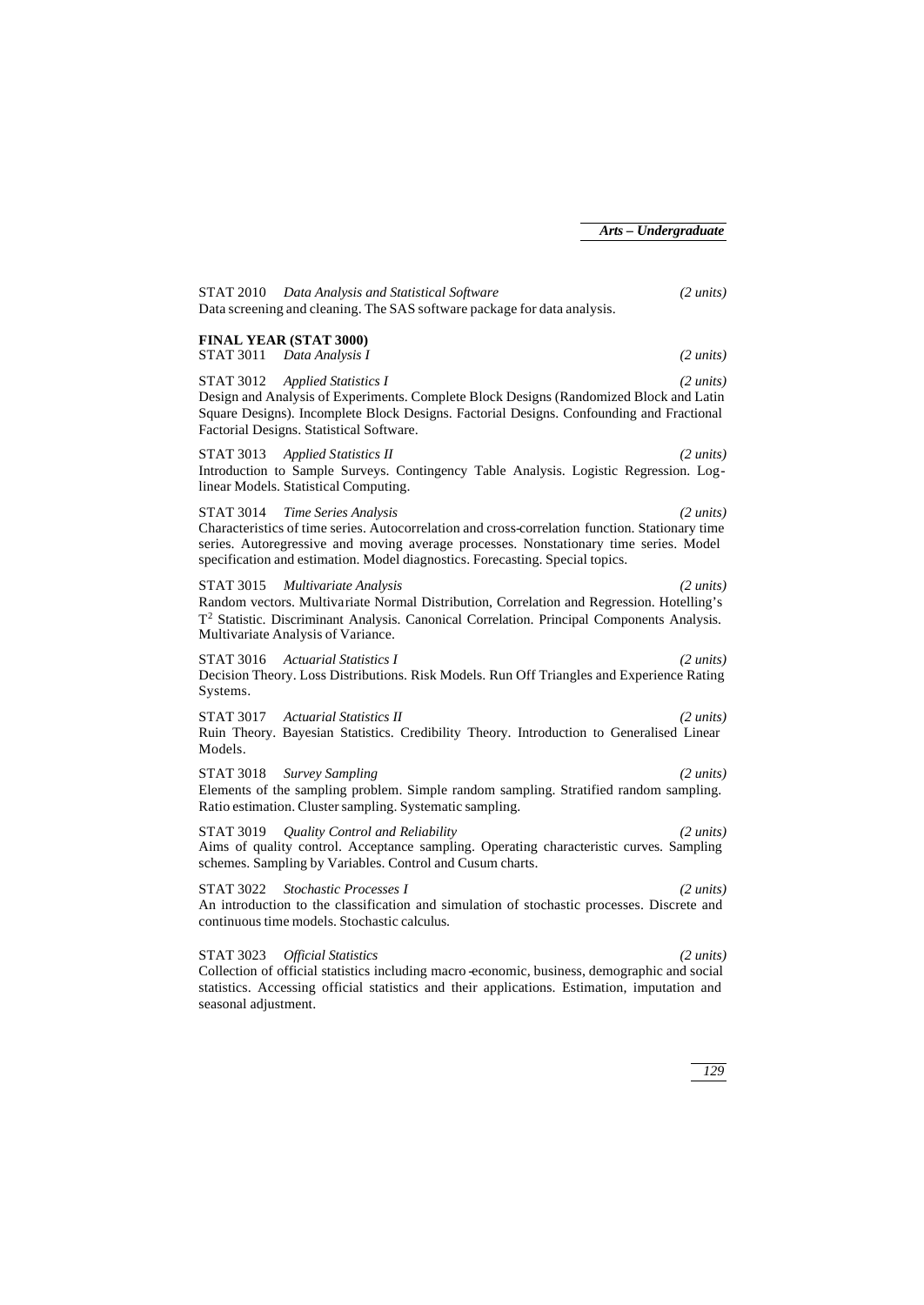STAT 2010 *Data Analysis and Statistical Software (2 units)* Data screening and cleaning. The SAS software package for data analysis. **FINAL YEAR (STAT 3000)** STAT 3011 *Data Analysis I (2 units)* STAT 3012 *Applied Statistics I (2 units)* Design and Analysis of Experiments. Complete Block Designs (Randomized Block and Latin Square Designs). Incomplete Block Designs. Factorial Designs. Confounding and Fractional Factorial Designs. Statistical Software. STAT 3013 *Applied Statistics II (2 units)* Introduction to Sample Surveys. Contingency Table Analysis. Logistic Regression. Loglinear Models. Statistical Computing. STAT 3014 *Time Series Analysis (2 units)* Characteristics of time series. Autocorrelation and cross-correlation function. Stationary time series. Autoregressive and moving average processes. Nonstationary time series. Model specification and estimation. Model diagnostics. Forecasting. Special topics. STAT 3015 *Multivariate Analysis (2 units)* Random vectors. Multivariate Normal Distribution, Correlation and Regression. Hotelling's T 2 Statistic. Discriminant Analysis. Canonical Correlation. Principal Components Analysis. Multivariate Analysis of Variance. STAT 3016 *Actuarial Statistics I (2 units)* Decision Theory. Loss Distributions. Risk Models. Run Off Triangles and Experience Rating Systems. STAT 3017 *Actuarial Statistics II (2 units)* Ruin Theory. Bayesian Statistics. Credibility Theory. Introduction to Generalised Linear Models. STAT 3018 *Survey Sampling (2 units)* Elements of the sampling problem. Simple random sampling. Stratified random sampling. Ratio estimation. Cluster sampling. Systematic sampling. STAT 3019 *Quality Control and Reliability (2 units)* Aims of quality control. Acceptance sampling. Operating characteristic curves. Sampling schemes. Sampling by Variables. Control and Cusum charts. STAT 3022 *Stochastic Processes I (2 units)* An introduction to the classification and simulation of stochastic processes. Discrete and continuous time models. Stochastic calculus. STAT 3023 *Official Statistics (2 units)* Collection of official statistics including macro -economic, business, demographic and social statistics. Accessing official statistics and their applications. Estimation, imputation and seasonal adjustment.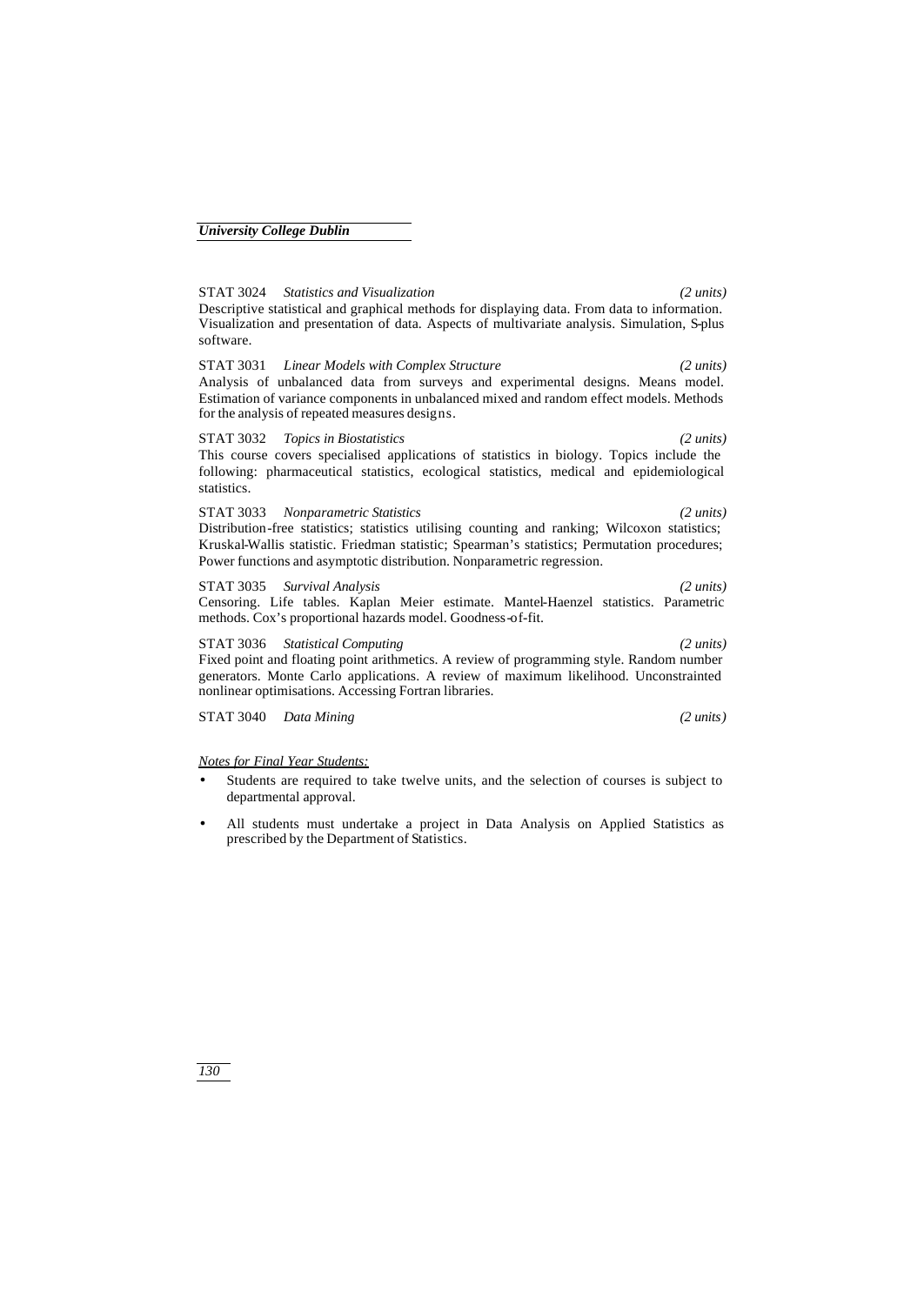STAT 3024 *Statistics and Visualization (2 units)* Descriptive statistical and graphical methods for displaying data. From data to information. Visualization and presentation of data. Aspects of multivariate analysis. Simulation, S-plus software.

STAT 3031 *Linear Models with Complex Structure (2 units)* Analysis of unbalanced data from surveys and experimental designs. Means model. Estimation of variance components in unbalanced mixed and random effect models. Methods for the analysis of repeated measures designs.

STAT 3032 *Topics in Biostatistics (2 units)* This course covers specialised applications of statistics in biology. Topics include the following: pharmaceutical statistics, ecological statistics, medical and epidemiological statistics.

STAT 3033 *Nonparametric Statistics (2 units)* Distribution-free statistics; statistics utilising counting and ranking; Wilcoxon statistics; Kruskal-Wallis statistic. Friedman statistic; Spearman's statistics; Permutation procedures; Power functions and asymptotic distribution. Nonparametric regression.

STAT 3035 *Survival Analysis (2 units)* Censoring. Life tables. Kaplan Meier estimate. Mantel-Haenzel statistics. Parametric methods. Cox's proportional hazards model. Goodness-of-fit.

STAT 3036 *Statistical Computing (2 units)* Fixed point and floating point arithmetics. A review of programming style. Random number generators. Monte Carlo applications. A review of maximum likelihood. Unconstrainted nonlinear optimisations. Accessing Fortran libraries.

STAT 3040 *Data Mining (2 units)*

#### *Notes for Final Year Students:*

- Students are required to take twelve units, and the selection of courses is subject to departmental approval.
- All students must undertake a project in Data Analysis on Applied Statistics as prescribed by the Department of Statistics.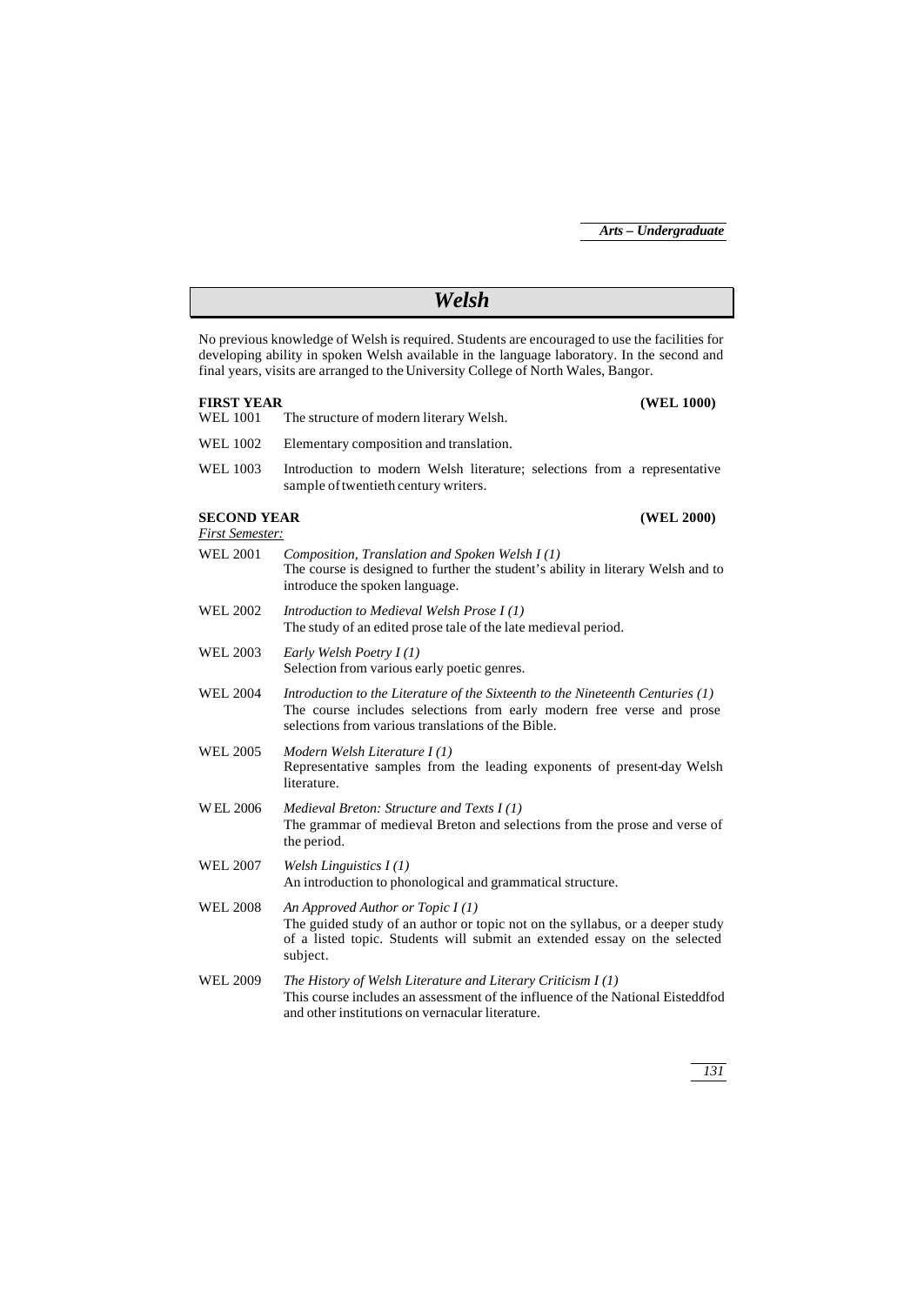| Welsh                                                                                                                                                                                                                                                                             |                                                                                                                                                                                                                  |  |  |  |
|-----------------------------------------------------------------------------------------------------------------------------------------------------------------------------------------------------------------------------------------------------------------------------------|------------------------------------------------------------------------------------------------------------------------------------------------------------------------------------------------------------------|--|--|--|
| No previous knowledge of Welsh is required. Students are encouraged to use the facilities for<br>developing ability in spoken Welsh available in the language laboratory. In the second and<br>final years, visits are arranged to the University College of North Wales, Bangor. |                                                                                                                                                                                                                  |  |  |  |
| <b>FIRST YEAR</b><br>WEL 1001                                                                                                                                                                                                                                                     | (WEL 1000)<br>The structure of modern literary Welsh.                                                                                                                                                            |  |  |  |
| <b>WEL 1002</b>                                                                                                                                                                                                                                                                   | Elementary composition and translation.                                                                                                                                                                          |  |  |  |
| <b>WEL 1003</b>                                                                                                                                                                                                                                                                   | Introduction to modern Welsh literature; selections from a representative<br>sample of twentieth century writers.                                                                                                |  |  |  |
| <b>SECOND YEAR</b><br><b>First Semester:</b>                                                                                                                                                                                                                                      | (WEL 2000)                                                                                                                                                                                                       |  |  |  |
| WEL 2001                                                                                                                                                                                                                                                                          | Composition, Translation and Spoken Welsh I (1)<br>The course is designed to further the student's ability in literary Welsh and to<br>introduce the spoken language.                                            |  |  |  |
| <b>WEL 2002</b>                                                                                                                                                                                                                                                                   | Introduction to Medieval Welsh Prose I(1)<br>The study of an edited prose tale of the late medieval period.                                                                                                      |  |  |  |
| WEL 2003                                                                                                                                                                                                                                                                          | Early Welsh Poetry $I(1)$<br>Selection from various early poetic genres.                                                                                                                                         |  |  |  |
| <b>WEL 2004</b>                                                                                                                                                                                                                                                                   | Introduction to the Literature of the Sixteenth to the Nineteenth Centuries $(1)$<br>The course includes selections from early modern free verse and prose<br>selections from various translations of the Bible. |  |  |  |
| WEL 2005                                                                                                                                                                                                                                                                          | Modern Welsh Literature $I(1)$<br>Representative samples from the leading exponents of present-day Welsh<br>literature.                                                                                          |  |  |  |
| <b>WEL 2006</b>                                                                                                                                                                                                                                                                   | Medieval Breton: Structure and Texts $I(1)$<br>The grammar of medieval Breton and selections from the prose and verse of<br>the period.                                                                          |  |  |  |
| WEL 2007                                                                                                                                                                                                                                                                          | Welsh Linguistics $I(1)$<br>An introduction to phonological and grammatical structure.                                                                                                                           |  |  |  |
| <b>WEL 2008</b>                                                                                                                                                                                                                                                                   | An Approved Author or Topic $I(1)$<br>The guided study of an author or topic not on the syllabus, or a deeper study<br>of a listed topic. Students will submit an extended essay on the selected<br>subject.     |  |  |  |
| WEL 2009                                                                                                                                                                                                                                                                          | The History of Welsh Literature and Literary Criticism $I(1)$<br>This course includes an assessment of the influence of the National Eisteddfod<br>and other institutions on vernacular literature.              |  |  |  |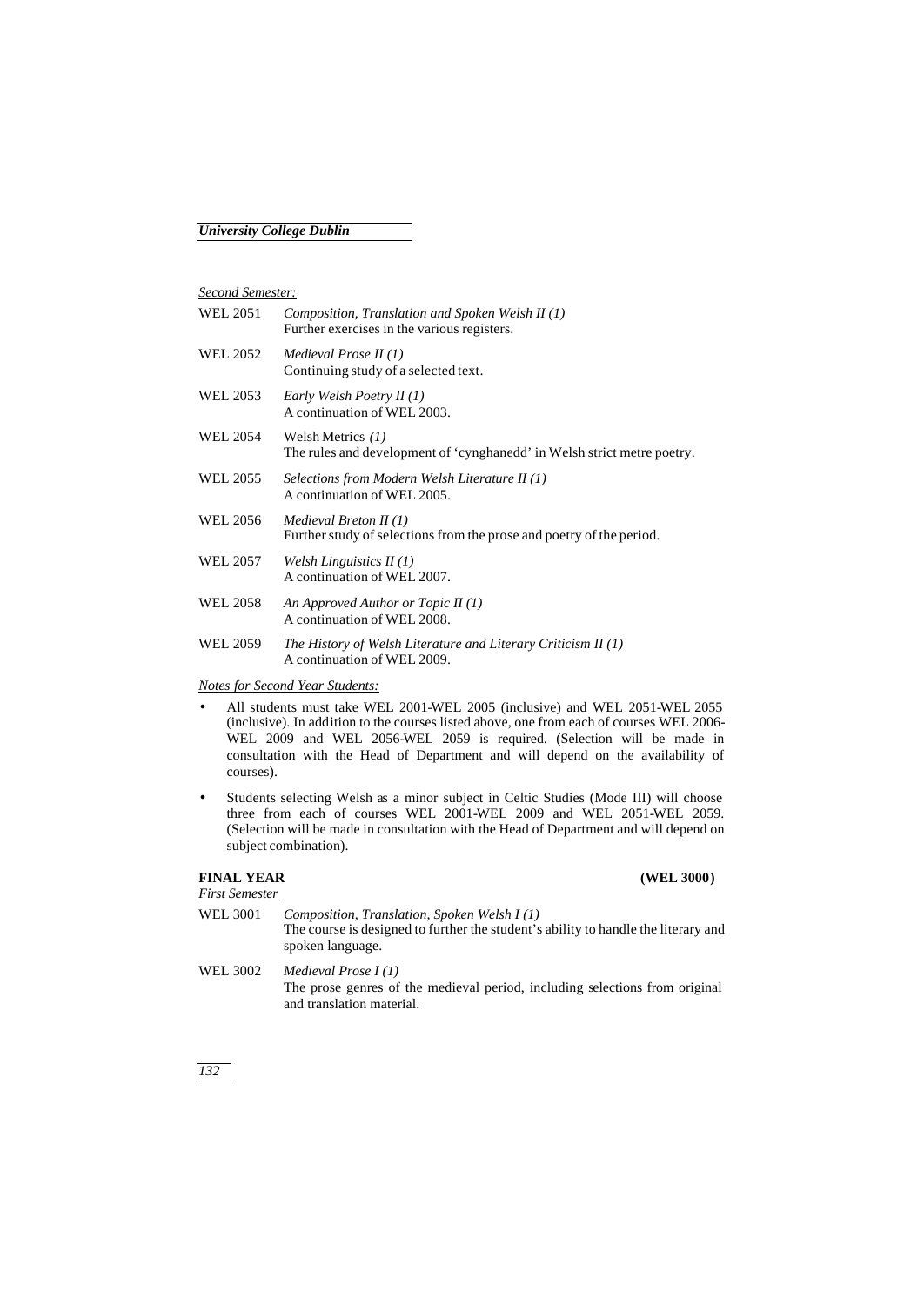## *Second Semester:*

| WEL 2051 | Composition, Translation and Spoken Welsh II (1)<br>Further exercises in the various registers.  |
|----------|--------------------------------------------------------------------------------------------------|
| WEL 2052 | Medieval Prose II $(1)$<br>Continuing study of a selected text.                                  |
| WEL 2053 | Early Welsh Poetry II (1)<br>A continuation of WEL 2003.                                         |
| WEL 2054 | Welsh Metrics $(1)$<br>The rules and development of 'cynghanedd' in Welsh strict metre poetry.   |
| WEL 2055 | Selections from Modern Welsh Literature II (1)<br>A continuation of WEL 2005.                    |
| WEL 2056 | Medieval Breton II $(1)$<br>Further study of selections from the prose and poetry of the period. |
| WEL 2057 | Welsh Linguistics $II(1)$<br>A continuation of WEL 2007.                                         |
| WEL 2058 | An Approved Author or Topic II $(1)$<br>A continuation of WEL 2008.                              |
| WEL 2059 | The History of Welsh Literature and Literary Criticism $II(1)$<br>A continuation of WEL 2009.    |

### *Notes for Second Year Students:*

- All students must take WEL 2001-WEL 2005 (inclusive) and WEL 2051-WEL 2055 (inclusive). In addition to the courses listed above, one from each of courses WEL 2006- WEL 2009 and WEL 2056-WEL 2059 is required. (Selection will be made in consultation with the Head of Department and will depend on the availability of courses).
- Students selecting Welsh as a minor subject in Celtic Studies (Mode III) will choose three from each of courses WEL 2001-WEL 2009 and WEL 2051-WEL 2059. (Selection will be made in consultation with the Head of Department and will depend on subject combination).

## **FINAL YEAR (WEL 3000)**

# *First Semester*

- WEL 3001 *Composition, Translation, Spoken Welsh I (1)* The course is designed to further the student's ability to handle the literary and spoken language.
- WEL 3002 *Medieval Prose I (1)* The prose genres of the medieval period, including selections from original and translation material.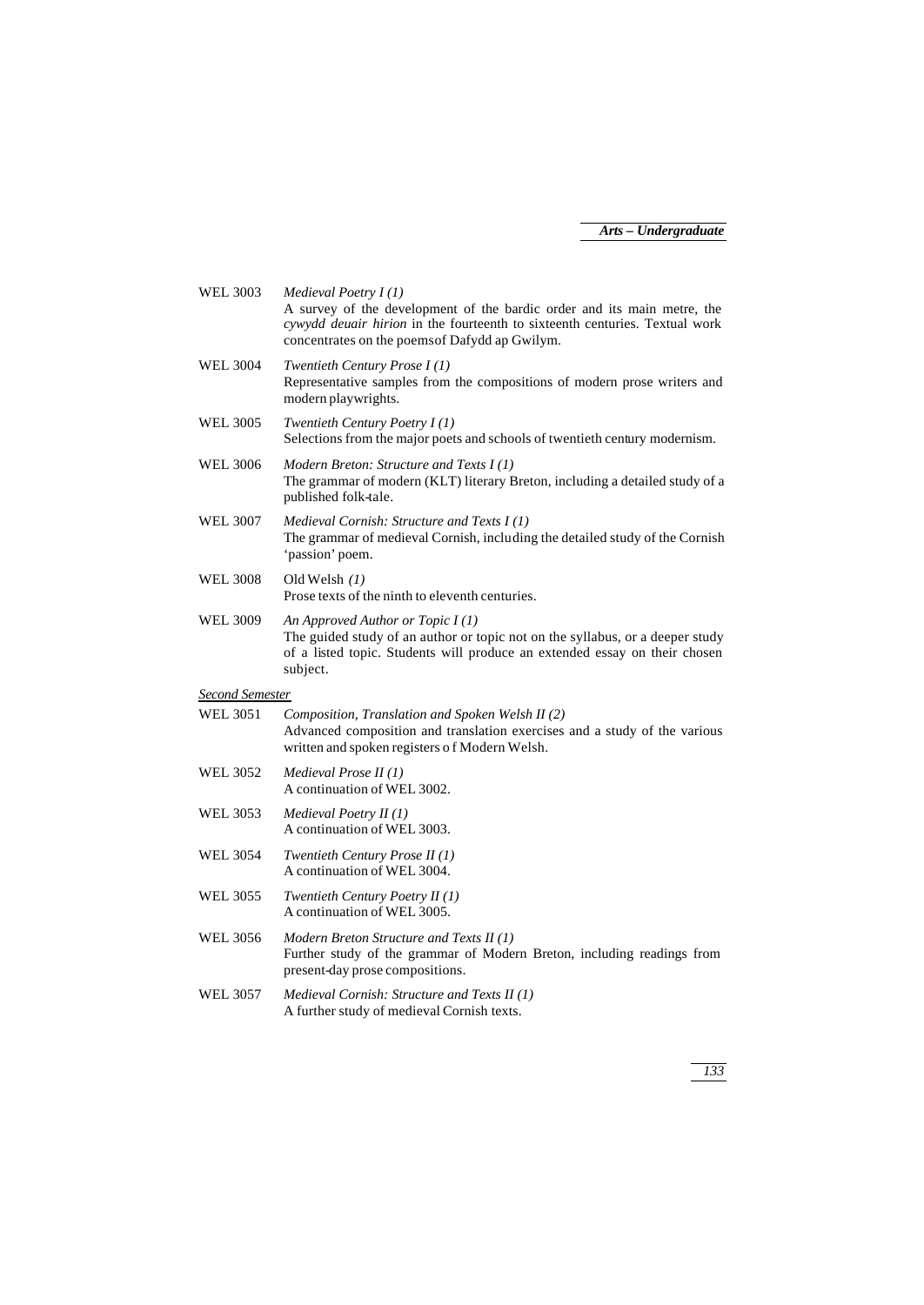| <b>WEL 3003</b>        | Medieval Poetry I(1)<br>A survey of the development of the bardic order and its main metre, the<br>cywydd deuair hirion in the fourteenth to sixteenth centuries. Textual work<br>concentrates on the poems of Dafydd ap Gwilym. |
|------------------------|----------------------------------------------------------------------------------------------------------------------------------------------------------------------------------------------------------------------------------|
| <b>WEL 3004</b>        | Twentieth Century Prose $I(1)$<br>Representative samples from the compositions of modern prose writers and<br>modern playwrights.                                                                                                |
| <b>WEL 3005</b>        | Twentieth Century Poetry $I(1)$<br>Selections from the major poets and schools of twentieth century modernism.                                                                                                                   |
| <b>WEL 3006</b>        | Modern Breton: Structure and Texts I(1)<br>The grammar of modern (KLT) literary Breton, including a detailed study of a<br>published folk-tale.                                                                                  |
| <b>WEL 3007</b>        | <i>Medieval Cornish: Structure and Texts I (1)</i><br>The grammar of medieval Cornish, including the detailed study of the Cornish<br>'passion' poem.                                                                            |
| <b>WEL 3008</b>        | Old Welsh $(1)$<br>Prose texts of the ninth to eleventh centuries.                                                                                                                                                               |
| <b>WEL 3009</b>        | An Approved Author or Topic $I(1)$<br>The guided study of an author or topic not on the syllabus, or a deeper study<br>of a listed topic. Students will produce an extended essay on their chosen<br>subject.                    |
| <b>Second Semester</b> |                                                                                                                                                                                                                                  |
| <b>WEL 3051</b>        | Composition, Translation and Spoken Welsh II (2)<br>Advanced composition and translation exercises and a study of the various<br>written and spoken registers of Modern Welsh.                                                   |
| <b>WEL 3052</b>        | Medieval Prose II (1)<br>A continuation of WEL 3002.                                                                                                                                                                             |
| <b>WEL 3053</b>        | Medieval Poetry $II(1)$<br>A continuation of WEL 3003.                                                                                                                                                                           |
| <b>WEL 3054</b>        | Twentieth Century Prose II (1)<br>A continuation of WEL 3004.                                                                                                                                                                    |
| <b>WEL 3055</b>        | Twentieth Century Poetry $II(1)$<br>A continuation of WEL 3005.                                                                                                                                                                  |
| <b>WEL 3056</b>        | Modern Breton Structure and Texts II (1)<br>Further study of the grammar of Modern Breton, including readings from<br>present-day prose compositions.                                                                            |
| <b>WEL 3057</b>        | Medieval Cornish: Structure and Texts II (1)<br>A further study of medieval Cornish texts.                                                                                                                                       |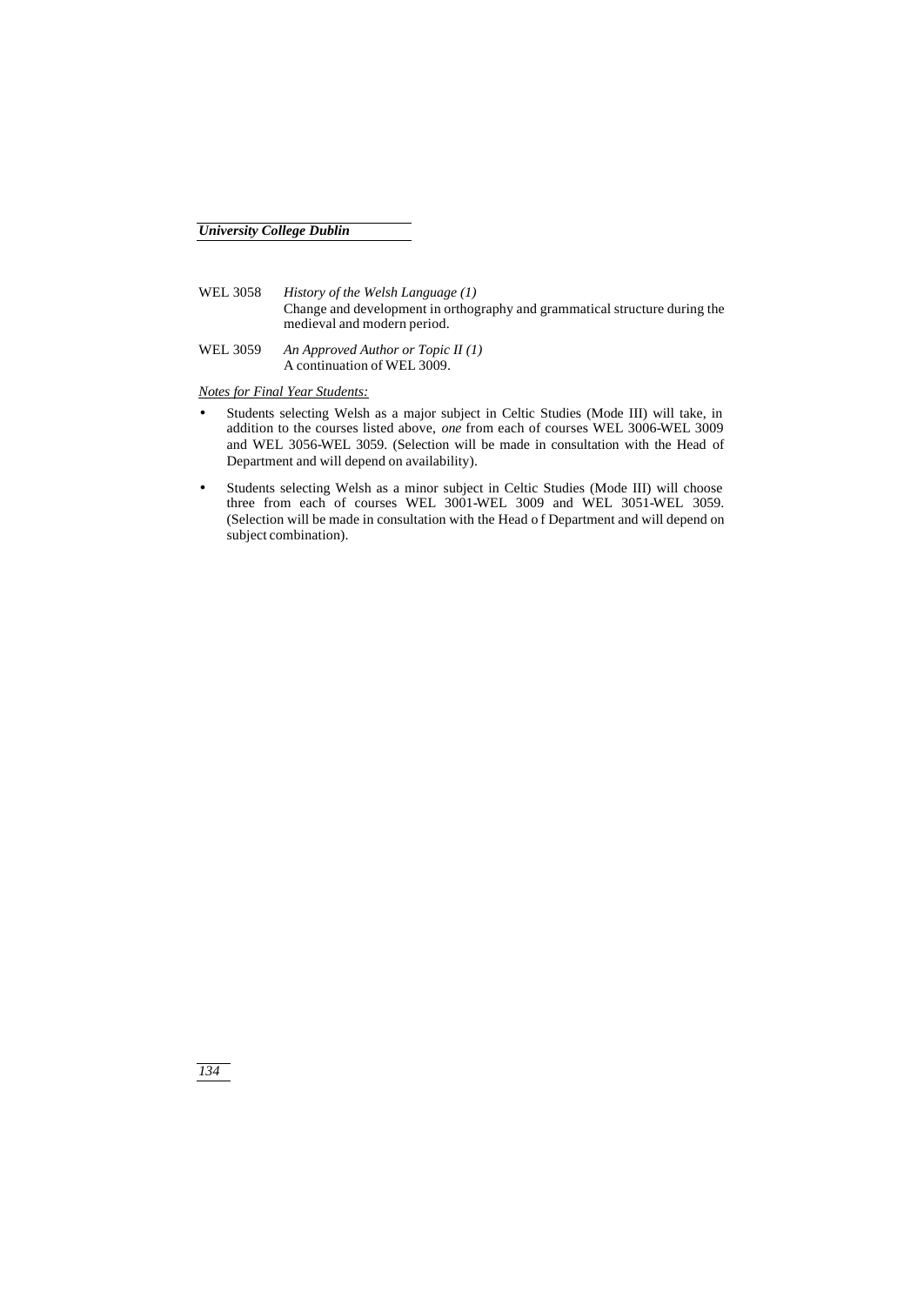- WEL 3058 *History of the Welsh Language (1)* Change and development in orthography and grammatical structure during the medieval and modern period.
- WEL 3059 *An Approved Author or Topic II (1)* A continuation of WEL 3009.

*Notes for Final Year Students:*

- Students selecting Welsh as a major subject in Celtic Studies (Mode III) will take, in addition to the courses listed above, *one* from each of courses WEL 3006-WEL 3009 and WEL 3056-WEL 3059. (Selection will be made in consultation with the Head of Department and will depend on availability).
- Students selecting Welsh as a minor subject in Celtic Studies (Mode III) will choose three from each of courses WEL 3001-WEL 3009 and WEL 3051-WEL 3059. (Selection will be made in consultation with the Head o f Department and will depend on subject combination).